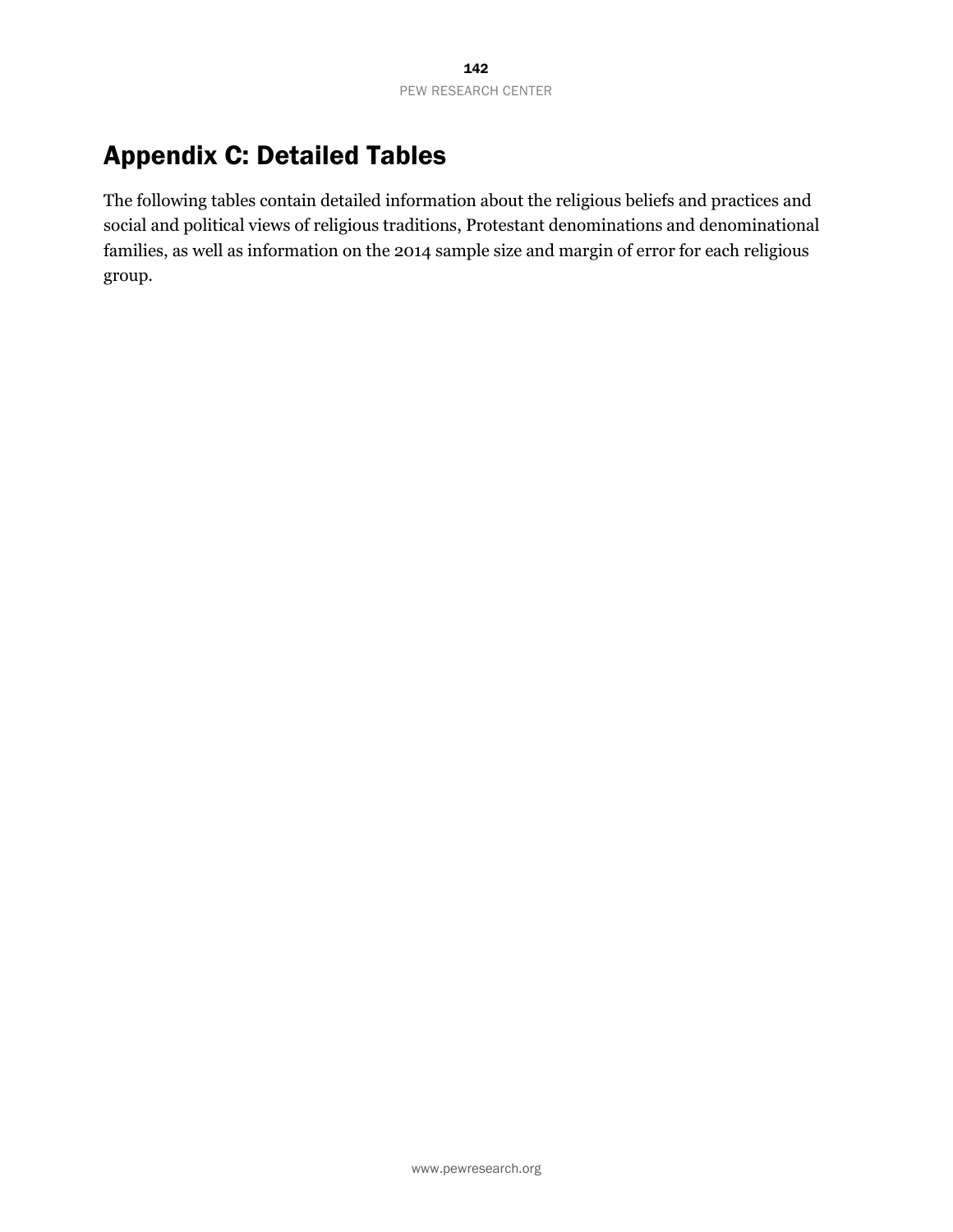# Appendix C: Detailed Tables

The following tables contain detailed information about the religious beliefs and practices and social and political views of religious traditions, Protestant denominations and denominational families, as well as information on the 2014 sample size and margin of error for each religious group.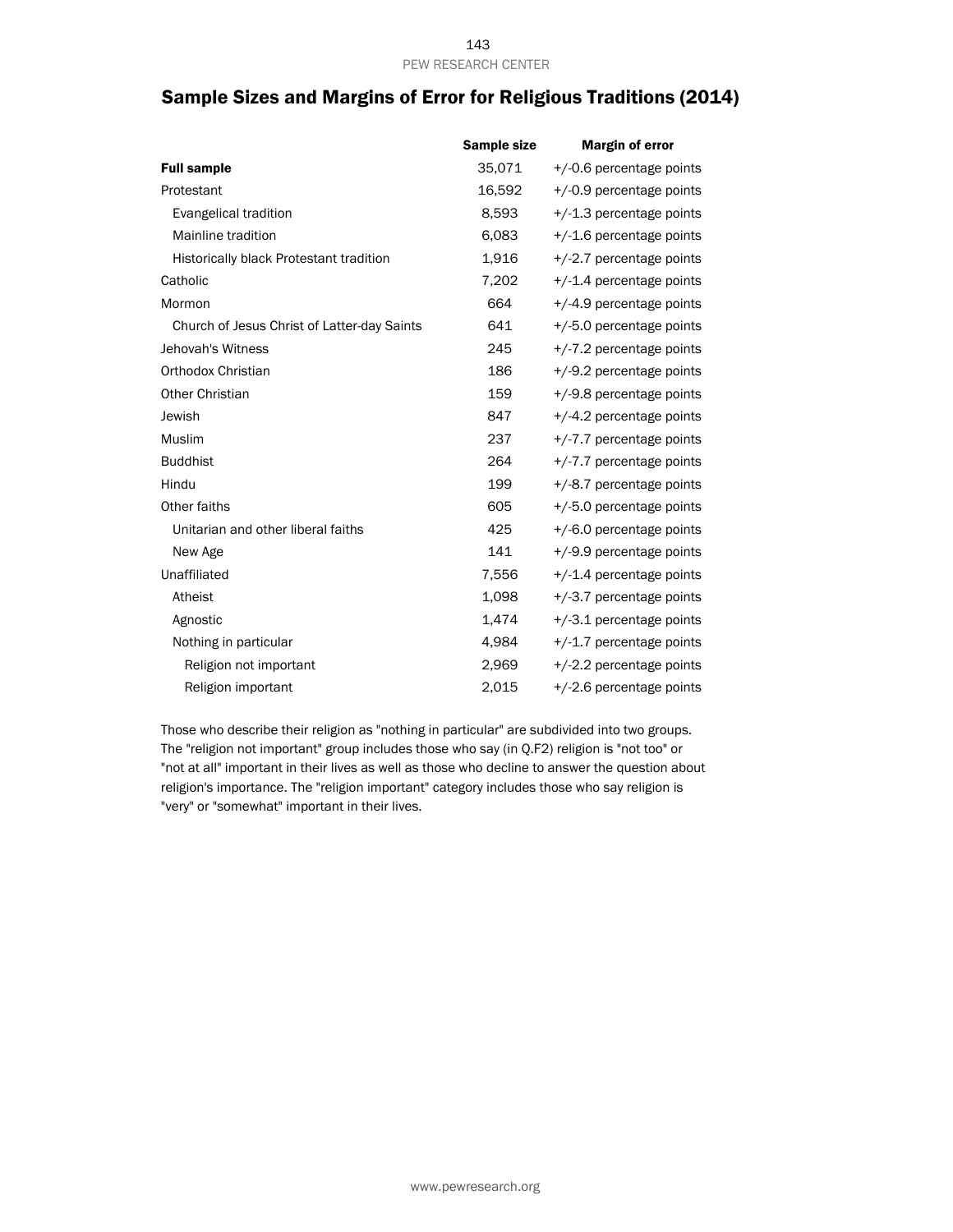# Sample Sizes and Margins of Error for Religious Traditions (2014)

|                                                | Sample size | <b>Margin of error</b>     |
|------------------------------------------------|-------------|----------------------------|
| <b>Full sample</b>                             | 35,071      | +/-0.6 percentage points   |
| Protestant                                     | 16,592      | $+/-0.9$ percentage points |
| Evangelical tradition                          | 8,593       | +/-1.3 percentage points   |
| Mainline tradition                             | 6.083       | $+/-1.6$ percentage points |
| <b>Historically black Protestant tradition</b> | 1,916       | $+/-2.7$ percentage points |
| Catholic                                       | 7,202       | $+/-1.4$ percentage points |
| Mormon                                         | 664         | +/-4.9 percentage points   |
| Church of Jesus Christ of Latter-day Saints    | 641         | $+/-5.0$ percentage points |
| Jehovah's Witness                              | 245         | $+/-7.2$ percentage points |
| Orthodox Christian                             | 186         | $+/-9.2$ percentage points |
| <b>Other Christian</b>                         | 159         | +/-9.8 percentage points   |
| Jewish                                         | 847         | $+/-4.2$ percentage points |
| Muslim                                         | 237         | +/-7.7 percentage points   |
| <b>Buddhist</b>                                | 264         | $+/-7.7$ percentage points |
| Hindu                                          | 199         | $+/-8.7$ percentage points |
| Other faiths                                   | 605         | $+/-5.0$ percentage points |
| Unitarian and other liberal faiths             | 425         | +/-6.0 percentage points   |
| New Age                                        | 141         | $+/-9.9$ percentage points |
| Unaffiliated                                   | 7,556       | +/-1.4 percentage points   |
| Atheist                                        | 1,098       | $+/-3.7$ percentage points |
| Agnostic                                       | 1,474       | $+/-3.1$ percentage points |
| Nothing in particular                          | 4.984       | +/-1.7 percentage points   |
| Religion not important                         | 2,969       | $+/-2.2$ percentage points |
| Religion important                             | 2,015       | $+/-2.6$ percentage points |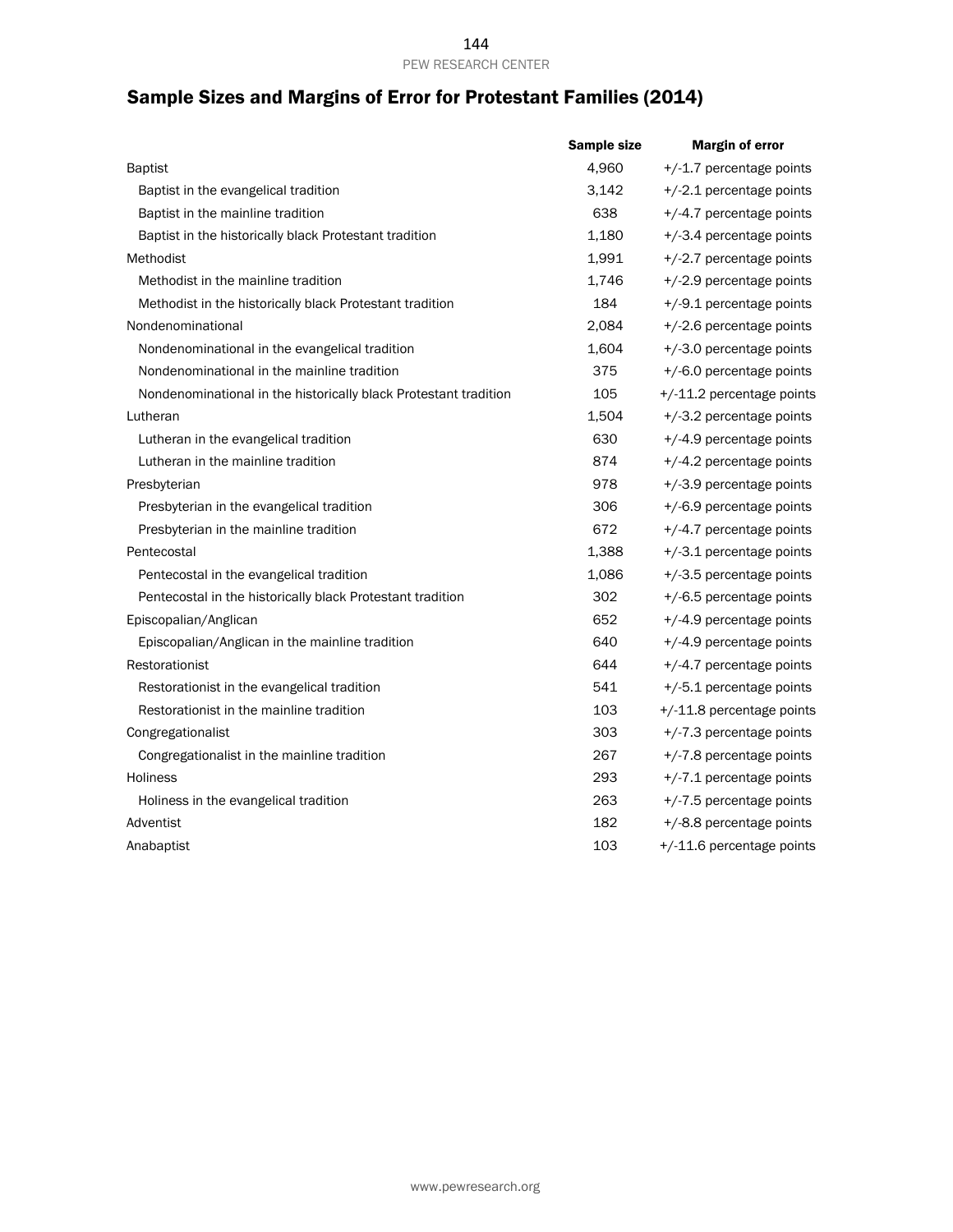# Sample Sizes and Margins of Error for Protestant Families (2014)

|                                                                  | Sample size | <b>Margin of error</b>     |
|------------------------------------------------------------------|-------------|----------------------------|
| <b>Baptist</b>                                                   | 4,960       | +/-1.7 percentage points   |
| Baptist in the evangelical tradition                             | 3,142       | $+/-2.1$ percentage points |
| Baptist in the mainline tradition                                | 638         | $+/-4.7$ percentage points |
| Baptist in the historically black Protestant tradition           | 1,180       | $+/-3.4$ percentage points |
| Methodist                                                        | 1,991       | $+/-2.7$ percentage points |
| Methodist in the mainline tradition                              | 1,746       | $+/-2.9$ percentage points |
| Methodist in the historically black Protestant tradition         | 184         | +/-9.1 percentage points   |
| Nondenominational                                                | 2,084       | +/-2.6 percentage points   |
| Nondenominational in the evangelical tradition                   | 1,604       | +/-3.0 percentage points   |
| Nondenominational in the mainline tradition                      | 375         | +/-6.0 percentage points   |
| Nondenominational in the historically black Protestant tradition | 105         | +/-11.2 percentage points  |
| Lutheran                                                         | 1,504       | +/-3.2 percentage points   |
| Lutheran in the evangelical tradition                            | 630         | +/-4.9 percentage points   |
| Lutheran in the mainline tradition                               | 874         | +/-4.2 percentage points   |
| Presbyterian                                                     | 978         | +/-3.9 percentage points   |
| Presbyterian in the evangelical tradition                        | 306         | +/-6.9 percentage points   |
| Presbyterian in the mainline tradition                           | 672         | +/-4.7 percentage points   |
| Pentecostal                                                      | 1,388       | +/-3.1 percentage points   |
| Pentecostal in the evangelical tradition                         | 1,086       | +/-3.5 percentage points   |
| Pentecostal in the historically black Protestant tradition       | 302         | +/-6.5 percentage points   |
| Episcopalian/Anglican                                            | 652         | +/-4.9 percentage points   |
| Episcopalian/Anglican in the mainline tradition                  | 640         | +/-4.9 percentage points   |
| Restorationist                                                   | 644         | $+/-4.7$ percentage points |
| Restorationist in the evangelical tradition                      | 541         | $+/-5.1$ percentage points |
| Restorationist in the mainline tradition                         | 103         | +/-11.8 percentage points  |
| Congregationalist                                                | 303         | +/-7.3 percentage points   |
| Congregationalist in the mainline tradition                      | 267         | +/-7.8 percentage points   |
| <b>Holiness</b>                                                  | 293         | $+/-7.1$ percentage points |
| Holiness in the evangelical tradition                            | 263         | $+/-7.5$ percentage points |
| Adventist                                                        | 182         | +/-8.8 percentage points   |
| Anabaptist                                                       | 103         | +/-11.6 percentage points  |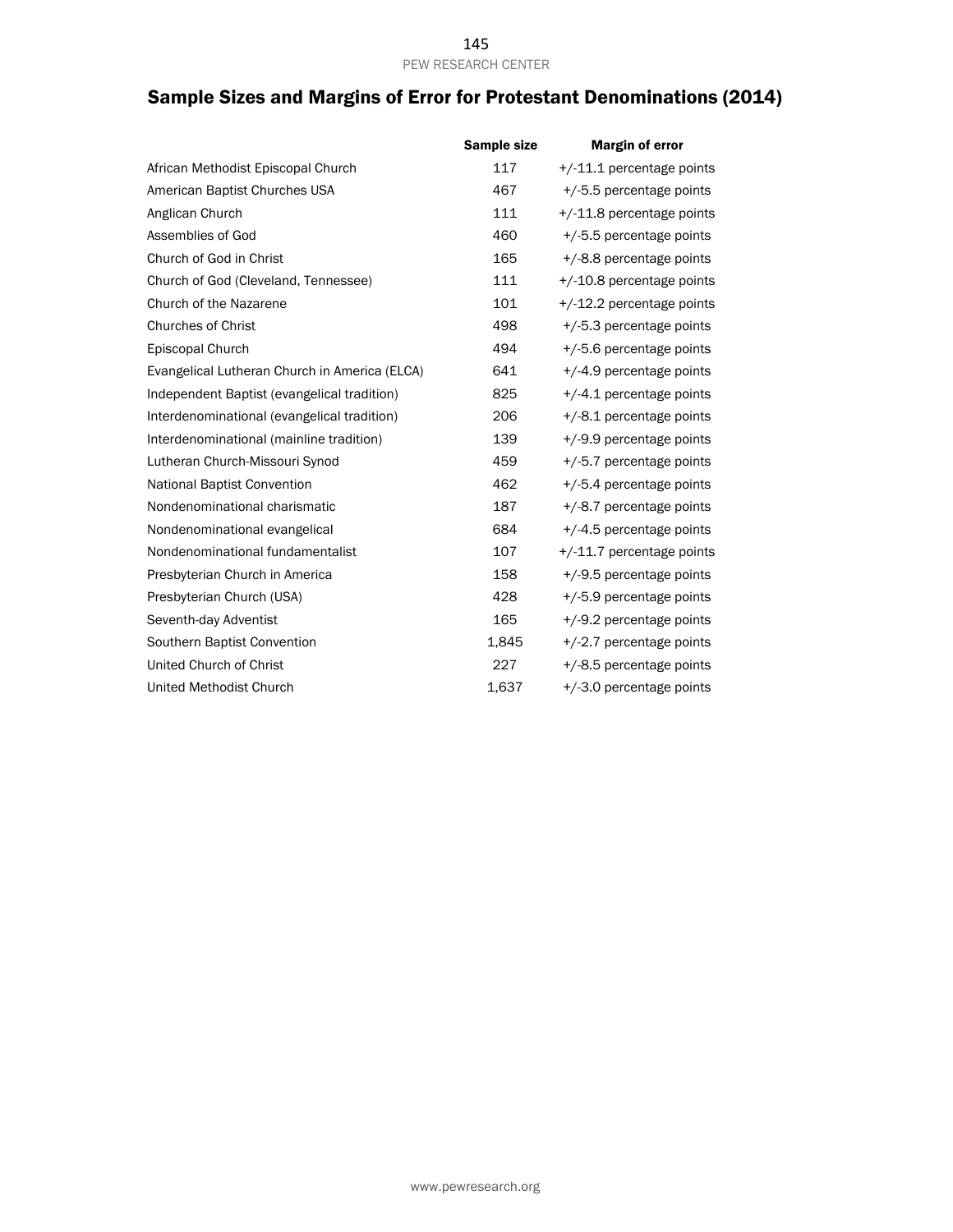# Sample Sizes and Margins of Error for Protestant Denominations (2014)

|                                               | Sample size | <b>Margin of error</b>      |
|-----------------------------------------------|-------------|-----------------------------|
| African Methodist Episcopal Church            | 117         | $+/-11.1$ percentage points |
| American Baptist Churches USA                 | 467         | +/-5.5 percentage points    |
| Anglican Church                               | 111         | $+/-11.8$ percentage points |
| Assemblies of God                             | 460         | $+/-5.5$ percentage points  |
| Church of God in Christ                       | 165         | $+/-8.8$ percentage points  |
| Church of God (Cleveland, Tennessee)          | 111         | $+/-10.8$ percentage points |
| Church of the Nazarene                        | 101         | $+/-12.2$ percentage points |
| <b>Churches of Christ</b>                     | 498         | $+/-5.3$ percentage points  |
| Episcopal Church                              | 494         | $+/-5.6$ percentage points  |
| Evangelical Lutheran Church in America (ELCA) | 641         | $+/-4.9$ percentage points  |
| Independent Baptist (evangelical tradition)   | 825         | $+/4.1$ percentage points   |
| Interdenominational (evangelical tradition)   | 206         | $+/-8.1$ percentage points  |
| Interdenominational (mainline tradition)      | 139         | +/-9.9 percentage points    |
| Lutheran Church-Missouri Synod                | 459         | $+/-5.7$ percentage points  |
| <b>National Baptist Convention</b>            | 462         | $+/-5.4$ percentage points  |
| Nondenominational charismatic                 | 187         | $+/-8.7$ percentage points  |
| Nondenominational evangelical                 | 684         | $+/4.5$ percentage points   |
| Nondenominational fundamentalist              | 107         | $+/-11.7$ percentage points |
| Presbyterian Church in America                | 158         | $+/-9.5$ percentage points  |
| Presbyterian Church (USA)                     | 428         | $+/-5.9$ percentage points  |
| Seventh-day Adventist                         | 165         | +/-9.2 percentage points    |
| Southern Baptist Convention                   | 1,845       | $+/-2.7$ percentage points  |
| United Church of Christ                       | 227         | +/-8.5 percentage points    |
| United Methodist Church                       | 1,637       | $+/-3.0$ percentage points  |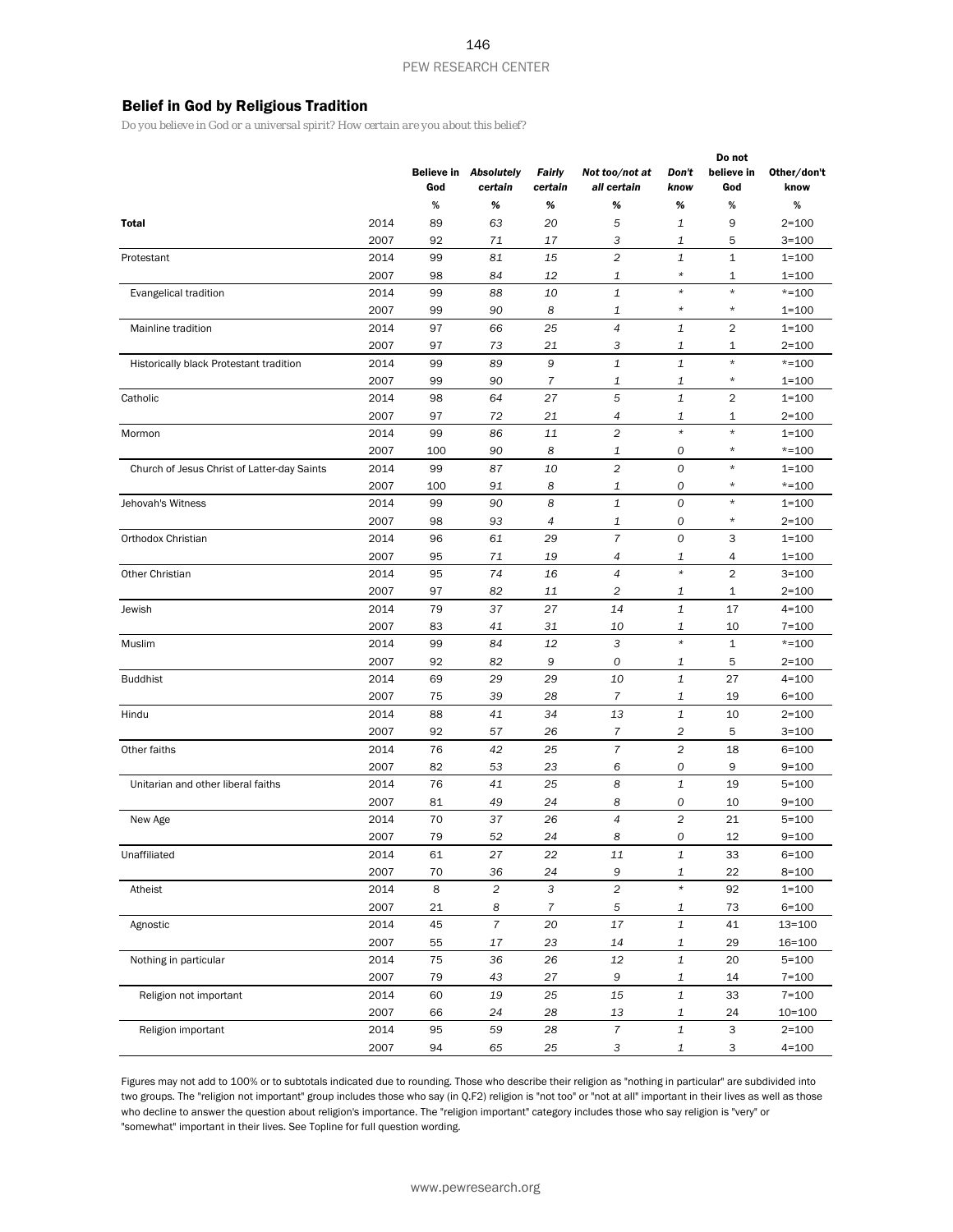#### Belief in God by Religious Tradition

*Do you believe in God or a universal spirit? How certain are you about this belief?*

|                                             |      |      |                                         |                           |                               |                | Do not            |                     |
|---------------------------------------------|------|------|-----------------------------------------|---------------------------|-------------------------------|----------------|-------------------|---------------------|
|                                             |      | God  | <b>Believe in Absolutely</b><br>certain | <b>Fairly</b><br>certain  | Not too/not at<br>all certain | Don't<br>know  | believe in<br>God | Other/don't<br>know |
|                                             |      | $\%$ | %                                       | %                         | %                             | %              | %                 | $\%$                |
| Total                                       | 2014 | 89   | 63                                      | 20                        | 5                             | 1              | 9                 | $2 = 100$           |
|                                             | 2007 | 92   | 71                                      | 17                        | З                             | 1              | 5                 | $3 = 100$           |
| Protestant                                  | 2014 | 99   | 81                                      | 15                        | $\overline{c}$                | 1              | $\mathbf{1}$      | $1 = 100$           |
|                                             | 2007 | 98   | 84                                      | 12                        | 1                             | $\star$        | 1                 | $1 = 100$           |
| Evangelical tradition                       | 2014 | 99   | 88                                      | 10                        | $\mathbf{1}$                  | $\star$        | $\star$           | $*=100$             |
|                                             | 2007 | 99   | 90                                      | 8                         | 1                             | $\star$        | $\star$           | $1 = 100$           |
| Mainline tradition                          | 2014 | 97   | 66                                      | 25                        | 4                             | $\mathbf{1}$   | $\sqrt{2}$        | $1 = 100$           |
|                                             | 2007 | 97   | 73                                      | 21                        | З                             | 1              | $\mathbf{1}$      | $2 = 100$           |
| Historically black Protestant tradition     | 2014 | 99   | 89                                      | 9                         | 1                             | 1              | $\star$           | $*=100$             |
|                                             | 2007 | 99   | 90                                      | 7                         | 1                             | 1              | $^{\star}$        | $1 = 100$           |
| Catholic                                    | 2014 | 98   | 64                                      | 27                        | 5                             | $\mathbf{1}$   | $\overline{c}$    | $1 = 100$           |
|                                             | 2007 | 97   | 72                                      | 21                        | 4                             | 1              | 1                 | $2 = 100$           |
| Mormon                                      | 2014 | 99   | 86                                      | 11                        | $\overline{\mathbf{c}}$       | $\star$        | $\star$           | $1 = 100$           |
|                                             | 2007 | 100  | 90                                      | 8                         | 1                             | 0              | $^\ast$           | $*=100$             |
| Church of Jesus Christ of Latter-day Saints | 2014 | 99   | 87                                      | 10                        | $\overline{c}$                | 0              | $\star$           | $1 = 100$           |
|                                             | 2007 | 100  | 91                                      | 8                         | 1                             | 0              | $\star$           | *=100               |
| Jehovah's Witness                           | 2014 | 99   | 90                                      | 8                         | 1                             | O              | $\star$           | $1 = 100$           |
|                                             | 2007 | 98   | 93                                      | 4                         | 1                             | 0              | $^{\star}$        | $2 = 100$           |
| Orthodox Christian                          | 2014 | 96   | 61                                      | 29                        | $\overline{7}$                | 0              | 3                 | $1 = 100$           |
|                                             | 2007 | 95   | 71                                      | 19                        | 4                             | 1              | 4                 | $1 = 100$           |
| Other Christian                             | 2014 | 95   | 74                                      | 16                        | 4                             | $\star$        | $\overline{2}$    | $3 = 100$           |
|                                             | 2007 | 97   | 82                                      | 11                        | 2                             | 1              | $\mathbf 1$       | $2 = 100$           |
| Jewish                                      | 2014 | 79   | 37                                      | 27                        | 14                            | $\mathbf{1}$   | 17                | $4 = 100$           |
|                                             | 2007 | 83   | 41                                      | 31                        | 10                            | 1              | 10                | $7 = 100$           |
| Muslim                                      | 2014 | 99   | 84                                      | 12                        | 3                             | $\star$        | $\mathbf{1}$      | $*=100$             |
|                                             | 2007 | 92   | 82                                      | 9                         | 0                             | 1              | 5                 | $2 = 100$           |
| <b>Buddhist</b>                             | 2014 | 69   | 29                                      | 29                        | 10                            | 1              | 27                | $4 = 100$           |
|                                             | 2007 | 75   | 39                                      | 28                        | $\overline{7}$                | 1              | 19                | $6 = 100$           |
| Hindu                                       | 2014 | 88   | 41                                      | 34                        | 13                            | 1              | 10                | $2 = 100$           |
|                                             | 2007 | 92   | 57                                      | 26                        | $\overline{7}$                | 2              | 5                 | $3 = 100$           |
| Other faiths                                | 2014 | 76   | 42                                      | 25                        | $\overline{7}$                | $\overline{c}$ | 18                | $6 = 100$           |
|                                             | 2007 | 82   | 53                                      | 23                        | 6                             | 0              | 9                 | $9 = 100$           |
| Unitarian and other liberal faiths          | 2014 | 76   | 41                                      | 25                        | 8                             | 1              | 19                | $5 = 100$           |
|                                             | 2007 | 81   | 49                                      | 24                        | 8                             | 0              | 10                | $9 = 100$           |
| New Age                                     | 2014 | 70   | 37                                      | 26                        | 4                             | $\overline{c}$ | 21                | $5 = 100$           |
|                                             | 2007 | 79   | 52                                      | 24                        | 8                             | 0              | 12                | $9 = 100$           |
| Unaffiliated                                | 2014 | 61   | 27                                      | 22                        | 11                            | 1              | 33                | $6 = 100$           |
|                                             | 2007 | 70   | 36                                      | 24                        | 9                             | 1              | 22                | $8 = 100$           |
| Atheist                                     | 2014 | 8    | $\overline{c}$                          | $\ensuremath{\mathsf{3}}$ | $\overline{c}$                | $\star$        | 92                | $1 = 100$           |
|                                             | 2007 | 21   | 8                                       | $\overline{7}$            | 5                             | 1              | 73                | $6 = 100$           |
| Agnostic                                    | 2014 | 45   | $\overline{7}$                          | 20                        | 17                            | $\mathbf{1}$   | 41                | $13 = 100$          |
|                                             | 2007 | 55   | 17                                      | 23                        | 14                            | 1              | 29                | 16=100              |
| Nothing in particular                       | 2014 | 75   | 36                                      | 26                        | 12                            | $\mathbf{1}$   | 20                | $5 = 100$           |
|                                             | 2007 | 79   | 43                                      | 27                        | 9                             | 1              | 14                | $7 = 100$           |
| Religion not important                      | 2014 | 60   | 19                                      | 25                        | 15                            | $\mathbf{1}$   | 33                | $7 = 100$           |
|                                             | 2007 | 66   | 24                                      | 28                        | 13                            | 1              | 24                | $10 = 100$          |
| Religion important                          | 2014 | 95   | 59                                      | 28                        | 7                             | $\mathbf{1}$   | 3                 | $2 = 100$           |
|                                             | 2007 | 94   | 65                                      | 25                        | 3                             | $\mathbf{1}$   | 3                 | $4 = 100$           |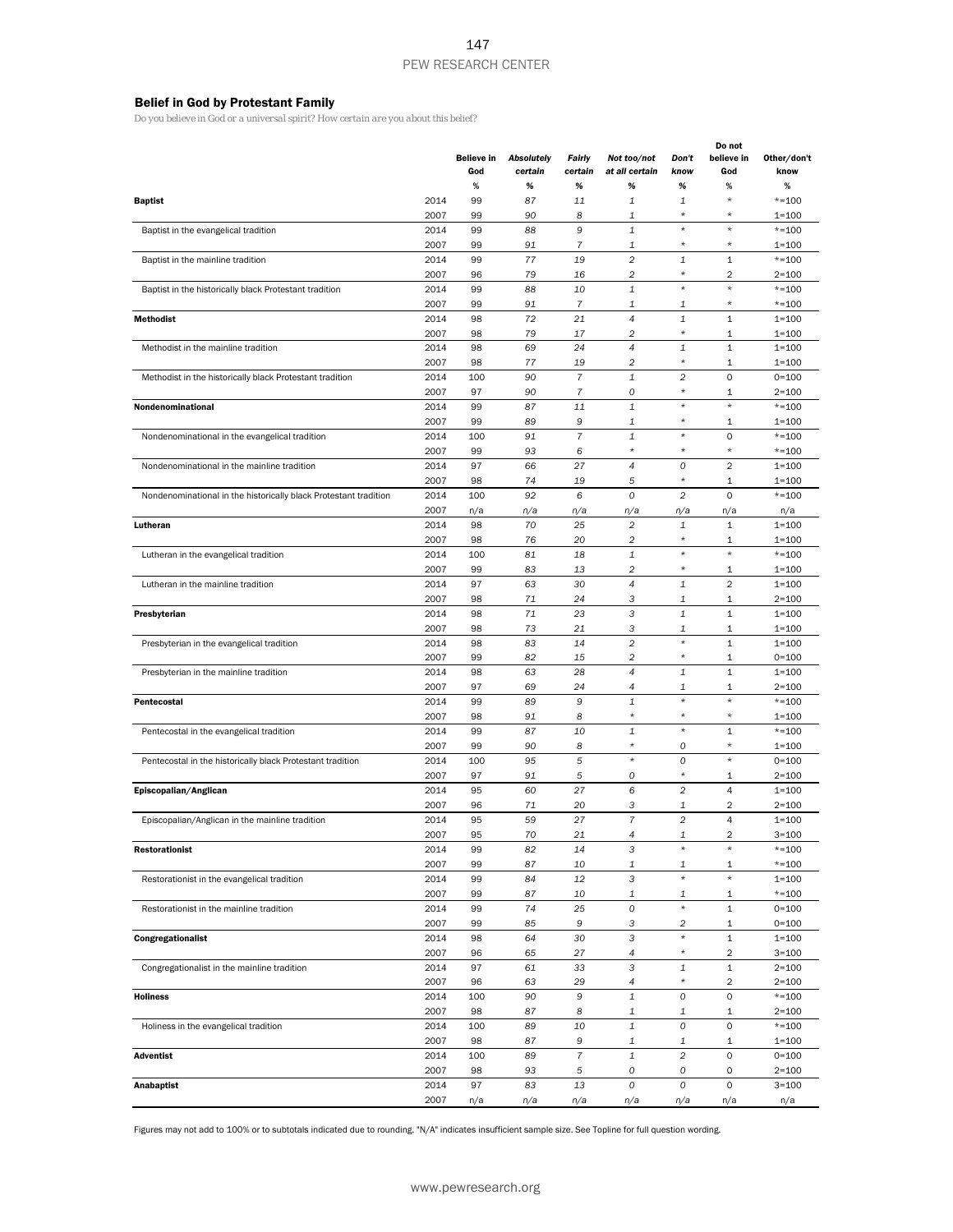#### Belief in God by Protestant Family

*Do you believe in God or a universal spirit? How certain are you about this belief?*

|                                                                  |      | <b>Believe in</b> | <b>Absolutely</b> | <b>Fairly</b>    | Not too/not    | Don't                   | Do not<br>believe in | Other/don't |
|------------------------------------------------------------------|------|-------------------|-------------------|------------------|----------------|-------------------------|----------------------|-------------|
|                                                                  |      | God               | certain           | certain          | at all certain | know                    | God                  | know        |
|                                                                  |      | %                 | %                 | %                | %              | %                       | %                    | %           |
| <b>Baptist</b>                                                   | 2014 | 99                | 87                | 11               | 1              | 1                       | $\star$              | $*=100$     |
|                                                                  | 2007 | 99                | 90                | 8                | 1              | $\star$                 | $\star$              | $1 = 100$   |
| Baptist in the evangelical tradition                             | 2014 | 99                | 88                | 9                | $\mathbf{1}$   | $\star$                 | $\star$              | $*=100$     |
|                                                                  | 2007 | 99                | 91                | 7                | 1              | $^{\star}$              | $\star$              | $1 = 100$   |
| Baptist in the mainline tradition                                | 2014 | 99                | 77                | 19               | $\overline{c}$ | $\mathbf 1$             | $\mathbf{1}$         | $* = 100$   |
|                                                                  | 2007 | 96                | 79                | 16               | 2              | $\star$                 | 2                    | $2 = 100$   |
| Baptist in the historically black Protestant tradition           | 2014 | 99                | 88                | 10               | $\mathbf{1}$   | $\star$                 | $\star$              | $*=100$     |
|                                                                  | 2007 | 99                | 91                | 7                | 1              | 1                       | $\star$              | $*=100$     |
| <b>Methodist</b>                                                 | 2014 | 98                | 72                | 21               | $\overline{4}$ | $\mathbf{1}$            | $\mathbf{1}$         | $1 = 100$   |
|                                                                  | 2007 | 98                | 79                | 17               | 2              | $\star$                 | $\mathbf{1}$         | $1 = 100$   |
| Methodist in the mainline tradition                              | 2014 | 98                | 69                | 24               | $\sqrt{4}$     | $\mathbf{1}$            | $\mathbf{1}$         | $1 = 100$   |
|                                                                  | 2007 | 98                | 77                | 19               | $\overline{2}$ | $^{\star}$              | 1                    | $1 = 100$   |
| Methodist in the historically black Protestant tradition         | 2014 | 100               | 90                | $\overline{7}$   | $\mathbf{1}$   | $\overline{c}$          | 0                    | $0 = 100$   |
|                                                                  | 2007 | 97                | 90                | $\boldsymbol{7}$ | $\cal O$       | $\star$                 | 1                    | $2 = 100$   |
| Nondenominational                                                | 2014 | 99                | 87                | 11               | $\mathbf{1}$   | $\star$                 | $\star$              | $* = 100$   |
|                                                                  | 2007 | 99                | 89                | 9                | 1              | ×                       | 1                    | $1 = 100$   |
| Nondenominational in the evangelical tradition                   | 2014 | 100               | 91                | $\overline{7}$   | $\mathbf{1}$   | $\star$                 | $\circ$              | $*=100$     |
|                                                                  | 2007 | 99                | 93                | 6                | $^{\star}$     | $^{\star}$              | $\star$              | $*=100$     |
| Nondenominational in the mainline tradition                      | 2014 | 97                | 66                | 27               | $\overline{4}$ | $\mathcal{O}$           | $\overline{2}$       | $1 = 100$   |
|                                                                  | 2007 | 98                | 74                | 19               | 5              | $\star$                 | 1                    | $1 = 100$   |
| Nondenominational in the historically black Protestant tradition | 2014 | 100               | 92                | 6                | $\cal O$       | $\overline{2}$          | $\circ$              | $* = 100$   |
|                                                                  | 2007 | n/a               | n/a               | n/a              | n/a            | n/a                     | n/a                  | n/a         |
| Lutheran                                                         | 2014 | 98                | 70                | 25               | $\overline{c}$ | $\mathbf{1}$            | $\mathbf{1}$         | $1 = 100$   |
|                                                                  | 2007 | 98                | 76                | 20               | $\overline{c}$ | $^{\star}$              | 1                    | $1 = 100$   |
| Lutheran in the evangelical tradition                            | 2014 | 100               | 81                | 18               | $\mathbf{1}$   | $\star$                 | $\star$              | $*=100$     |
|                                                                  | 2007 | 99                | 83                | 13               | $\sqrt{2}$     | $\star$                 | 1                    | $1 = 100$   |
| Lutheran in the mainline tradition                               | 2014 | 97                | 63                | 30               | $\sqrt{4}$     | $\mathbf{1}$            | $\overline{2}$       | $1 = 100$   |
|                                                                  | 2007 | 98                | 71                | 24               | 3              | 1                       | 1                    | $2 = 100$   |
| Presbyterian                                                     | 2014 | 98                | 71                | 23               | 3              | $\mathbf{1}$            | $\mathbf{1}$         | $1 = 100$   |
|                                                                  | 2007 | 98                | 73                | 21               | 3              | 1                       | 1                    | $1 = 100$   |
| Presbyterian in the evangelical tradition                        | 2014 | 98                | 83                | 14               | $\overline{2}$ | $\star$                 | $\mathbf{1}$         | $1 = 100$   |
|                                                                  | 2007 | 99                | 82                | 15               | 2              | $^{\star}$              | 1                    | $0 = 100$   |
| Presbyterian in the mainline tradition                           | 2014 | 98                | 63                | 28               | $\overline{4}$ | $\mathbf{1}$            | $\mathbf{1}$         | $1 = 100$   |
|                                                                  | 2007 | 97                | 69                | 24               | 4              | 1                       | 1                    | $2 = 100$   |
| Pentecostal                                                      | 2014 | 99                | 89                | 9                | $\mathbf{1}$   | ×                       | $\star$              | $*=100$     |
|                                                                  | 2007 | 98                | 91                | 8                | $\star$        | *                       | $\star$              | $1 = 100$   |
| Pentecostal in the evangelical tradition                         | 2014 | 99                | 87                | 10               | 1              | $\star$                 | $\mathbf{1}$         | $*=100$     |
|                                                                  | 2007 | 99                | 90                | 8                | $\star$        | 0                       | $\star$              | $1 = 100$   |
| Pentecostal in the historically black Protestant tradition       | 2014 | 100               | 95                | 5                | $\star$        | $\mathcal{O}$           | $\star$              | $0 = 100$   |
|                                                                  | 2007 | 97                | 91                | 5                | 0              | $^{\star}$              | 1                    | $2 = 100$   |
| Episcopalian/Anglican                                            | 2014 | 95                | 60                | 27               | 6              | $\overline{c}$          | $\overline{4}$       | $1 = 100$   |
|                                                                  | 2007 | 96                | 71                | 20               | 3              | 1                       | 2                    | $2 = 100$   |
| Episcopalian/Anglican in the mainline tradition                  | 2014 | 95                | 59                | 27               | $\overline{7}$ | $\overline{c}$          | $\overline{4}$       | $1 = 100$   |
|                                                                  | 2007 | 95                | 70                | 21               | $\overline{4}$ | 1                       | 2                    | $3 = 100$   |
| <b>Restorationist</b>                                            | 2014 | 99                | 82                | 14               | 3              | $\star$                 | $\star$              | $* = 100$   |
|                                                                  | 2007 | 99                | 87                | 10               | 1              | 1                       | 1                    | $*=100$     |
| Restorationist in the evangelical tradition                      | 2014 | 99                | 84                | 12               | 3              | $\star$                 | $\star$              | $1 = 100$   |
|                                                                  | 2007 | 99                | 87                | 10               | 1              | 1                       | 1                    | $* = 100$   |
| Restorationist in the mainline tradition                         | 2014 | 99                | 74                | 25               | 0              | $\star$                 | $\mathbf{1}$         | $0 = 100$   |
|                                                                  | 2007 | 99                | 85                | 9                | 3              | $\overline{\mathbf{c}}$ | 1                    | $0 = 100$   |
| Congregationalist                                                | 2014 | 98                | 64                | 30               | 3              | $\star$                 | $\mathbf{1}$         | $1 = 100$   |
|                                                                  | 2007 | 96                | 65                | 27               | 4              | $^\star$                | 2                    | $3 = 100$   |
| Congregationalist in the mainline tradition                      | 2014 | 97                | 61                | 33               | 3              | $\mathbf{1}$            | $\mathbf 1$          | $2 = 100$   |
|                                                                  | 2007 | 96                | 63                | 29               | 4              | $\star$                 | 2                    | $2 = 100$   |
| <b>Holiness</b>                                                  | 2014 | 100               | 90                | 9                | $\mathbf{1}$   | $\cal O$                | $\mathsf{O}\xspace$  | $* = 100$   |
|                                                                  | 2007 | 98                | 87                | 8                | 1              | 1                       | 1                    | $2 = 100$   |
| Holiness in the evangelical tradition                            | 2014 | 100               | 89                | 10               | $\mathbf{1}$   | 0                       | $\mathsf O$          | $* = 100$   |
|                                                                  | 2007 | 98                | 87                | 9                | 1              | 1                       | 1                    | $1 = 100$   |
| <b>Adventist</b>                                                 | 2014 | 100               | 89                | $\overline{7}$   | $\mathbf{1}$   | $\overline{c}$          | $\circ$              | $0 = 100$   |
|                                                                  | 2007 | 98                | 93                | 5                | 0              | 0                       | 0                    | $2 = 100$   |
| Anabaptist                                                       | 2014 | 97                | 83                | 13               | 0              | 0                       | $\mathsf{O}\xspace$  | $3 = 100$   |
|                                                                  | 2007 | n/a               | n/a               | n/a              | n/a            | n/a                     | n/a                  | n/a         |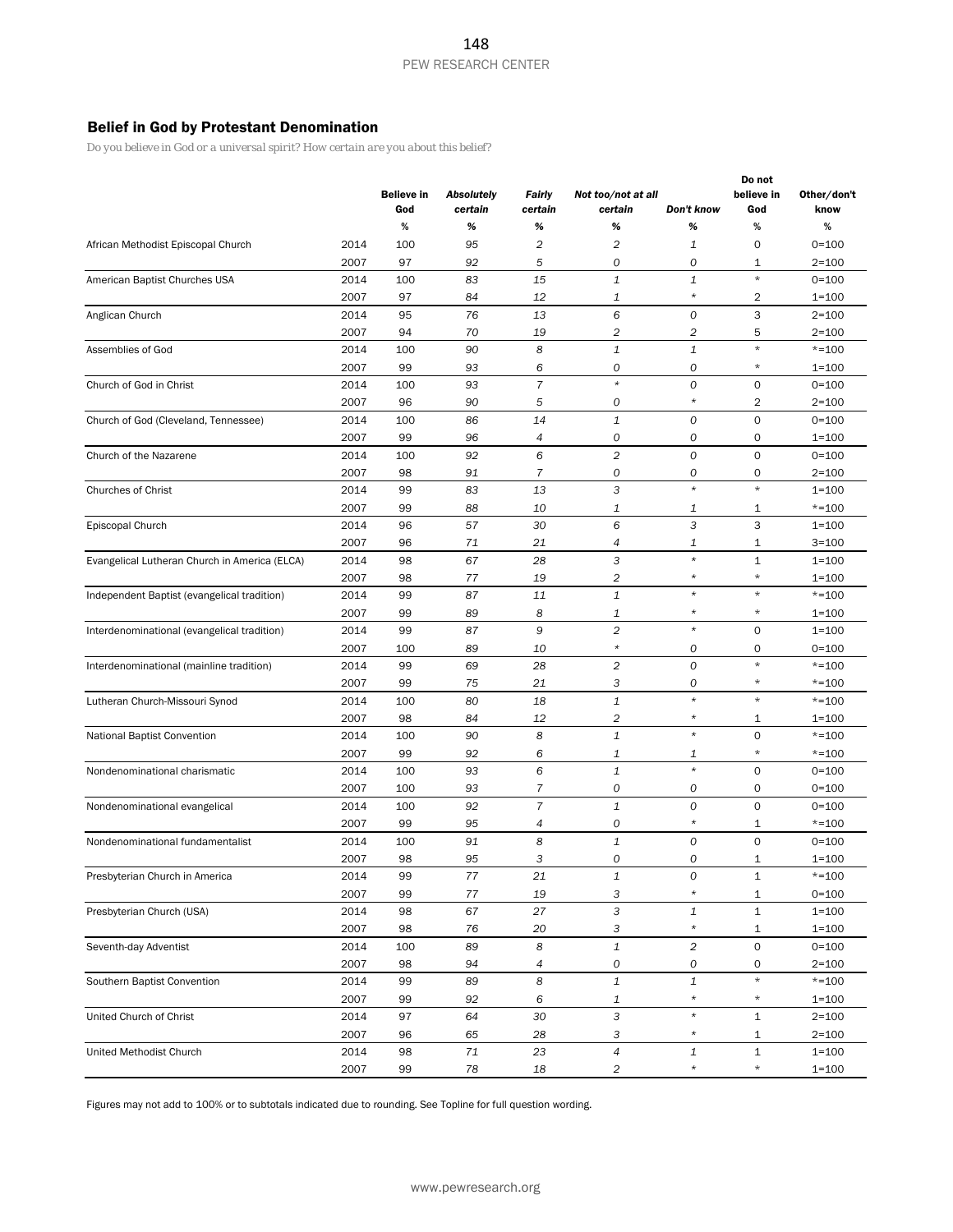## Belief in God by Protestant Denomination

*Do you believe in God or a universal spirit? How certain are you about this belief?*

|                                               |      |                          |                              |                          |                               |              | Do not            |                     |
|-----------------------------------------------|------|--------------------------|------------------------------|--------------------------|-------------------------------|--------------|-------------------|---------------------|
|                                               |      | <b>Believe in</b><br>God | <b>Absolutely</b><br>certain | <b>Fairly</b><br>certain | Not too/not at all<br>certain | Don't know   | believe in<br>God | Other/don't<br>know |
|                                               |      | %                        | %                            | %                        | %                             | %            | %                 | %                   |
| African Methodist Episcopal Church            | 2014 | 100                      | 95                           | 2                        | 2                             | 1            | 0                 | $0 = 100$           |
|                                               | 2007 | 97                       | 92                           | 5                        | 0                             | 0            | 1                 | $2 = 100$           |
| American Baptist Churches USA                 | 2014 | 100                      | 83                           | 15                       | 1                             | $\mathbf{1}$ | $\star$           | $0 = 100$           |
|                                               | 2007 | 97                       | 84                           | 12                       | 1                             | $\star$      | $\overline{2}$    | $1 = 100$           |
| Anglican Church                               | 2014 | 95                       | 76                           | 13                       | 6                             | 0            | 3                 | $2 = 100$           |
|                                               | 2007 | 94                       | 70                           | 19                       | $\overline{2}$                | 2            | 5                 | $2 = 100$           |
| Assemblies of God                             | 2014 | 100                      | 90                           | 8                        | $\mathbf 1$                   | 1            | $\star$           | $* = 100$           |
|                                               | 2007 | 99                       | 93                           | 6                        | 0                             | 0            | $\star$           | $1 = 100$           |
| Church of God in Christ                       | 2014 | 100                      | 93                           | $\overline{7}$           | $\star$                       | 0            | $\circ$           | $0 = 100$           |
|                                               | 2007 | 96                       | 90                           | 5                        | 0                             | $\star$      | $\overline{c}$    | $2 = 100$           |
| Church of God (Cleveland, Tennessee)          | 2014 | 100                      | 86                           | 14                       | $\mathbf{1}$                  | 0            | $\circ$           | $0 = 100$           |
|                                               | 2007 | 99                       | 96                           | 4                        | 0                             | 0            | 0                 | $1 = 100$           |
| Church of the Nazarene                        | 2014 | 100                      | 92                           | 6                        | $\overline{c}$                | 0            | $\circ$           | $0 = 100$           |
|                                               | 2007 | 98                       | 91                           | $\overline{7}$           | 0                             | 0            | 0                 | $2 = 100$           |
| <b>Churches of Christ</b>                     | 2014 | 99                       | 83                           | 13                       | 3                             | $\star$      | $\star$           | $1 = 100$           |
|                                               | 2007 | 99                       | 88                           | 10                       | 1                             | 1            | 1                 | $* = 100$           |
| Episcopal Church                              | 2014 | 96                       | 57                           | 30                       | 6                             | 3            | 3                 | $1 = 100$           |
|                                               | 2007 | 96                       | 71                           | 21                       | 4                             | 1            | 1                 | $3 = 100$           |
| Evangelical Lutheran Church in America (ELCA) | 2014 | 98                       | 67                           | 28                       | 3                             | $\star$      | $\mathbf{1}$      | $1 = 100$           |
|                                               | 2007 | 98                       | 77                           | 19                       | 2                             | $\star$      | $\star$           | $1 = 100$           |
| Independent Baptist (evangelical tradition)   | 2014 | 99                       | 87                           | 11                       | $\mathbf{1}$                  | $\star$      | $\star$           | $* = 100$           |
|                                               | 2007 | 99                       | 89                           | 8                        | 1                             | $\star$      | $\star$           | $1 = 100$           |
| Interdenominational (evangelical tradition)   | 2014 | 99                       | 87                           | 9                        | $\overline{2}$                | $\star$      | $\mathbf 0$       | $1 = 100$           |
|                                               | 2007 | 100                      | 89                           | 10                       | $\star$                       | 0            | 0                 | $0 = 100$           |
| Interdenominational (mainline tradition)      | 2014 | 99                       | 69                           | 28                       | $\overline{c}$                | 0            | $\star$           | $* = 100$           |
|                                               | 2007 | 99                       | 75                           | 21                       | 3                             | 0            | $\star$           | $* = 100$           |
| Lutheran Church-Missouri Synod                | 2014 | 100                      | 80                           | 18                       | 1                             | $\star$      | $\star$           | $* = 100$           |
|                                               | 2007 | 98                       | 84                           | 12                       | 2                             | $\star$      | $\mathbf{1}$      | $1 = 100$           |
| National Baptist Convention                   | 2014 | 100                      | 90                           | 8                        | $\mathbf 1$                   | $\star$      | $\circ$           | $*=100$             |
|                                               | 2007 | 99                       | 92                           | 6                        | 1                             | 1            | $\star$           | $* = 100$           |
| Nondenominational charismatic                 | 2014 | 100                      | 93                           | 6                        | $\mathbf 1$                   | $\star$      | 0                 | $0 = 100$           |
|                                               | 2007 | 100                      | 93                           | 7                        | 0                             | 0            | 0                 | $0 = 100$           |
| Nondenominational evangelical                 | 2014 | 100                      | 92                           | $\overline{7}$           | $\mathbf{1}$                  | 0            | $\circ$           | $0 = 100$           |
|                                               | 2007 | 99                       | 95                           | 4                        | 0                             | $\star$      | $\mathbf{1}$      | $* = 100$           |
| Nondenominational fundamentalist              | 2014 | 100                      | 91                           | 8                        | 1                             | 0            | $\circ$           | $0 = 100$           |
|                                               | 2007 | 98                       | 95                           | 3                        | 0                             | 0            | 1                 | $1 = 100$           |
| Presbyterian Church in America                | 2014 | 99                       | 77                           | 21                       | 1                             | 0            | 1                 | *=100               |
|                                               | 2007 | 99                       | 77                           | 19                       | 3                             | $\star$      | $\mathbf 1$       | $0 = 100$           |
| Presbyterian Church (USA)                     | 2014 | 98                       | 67                           | 27                       | 3                             | $\mathbf{1}$ | $\mathbf{1}$      | $1 = 100$           |
|                                               | 2007 | 98                       | 76                           | 20                       | 3                             | $\star$      | $\mathbf 1$       | $1 = 100$           |
| Seventh-day Adventist                         | 2014 | 100                      | 89                           | 8                        | $\mathbf{1}$                  | 2            | 0                 | $0 = 100$           |
|                                               | 2007 | 98                       | 94                           | 4                        | 0                             | 0            | 0                 | $2 = 100$           |
| Southern Baptist Convention                   | 2014 | 99                       | 89                           | 8                        | $\mathbf{1}$                  | $\mathbf 1$  | $\star$           | $* = 100$           |
|                                               | 2007 | 99                       | 92                           | 6                        | 1                             | $\star$      | $\star$           | $1 = 100$           |
| United Church of Christ                       | 2014 | 97                       | 64                           | 30                       | $\mathsf{3}$                  | $\star$      | $\mathbf{1}$      | $2 = 100$           |
|                                               | 2007 | 96                       | 65                           | 28                       | 3                             | $\star$      | $\mathbf 1$       | $2 = 100$           |
| United Methodist Church                       | 2014 | 98                       | 71                           | 23                       | $\overline{4}$                | $\mathbf{1}$ | $\mathbf 1$       | $1 = 100$           |
|                                               | 2007 | 99                       | 78                           | 18                       | $\overline{c}$                | $\star$      | $\ast$            | $1 = 100$           |

Figures may not add to 100% or to subtotals indicated due to rounding. See Topline for full question wording.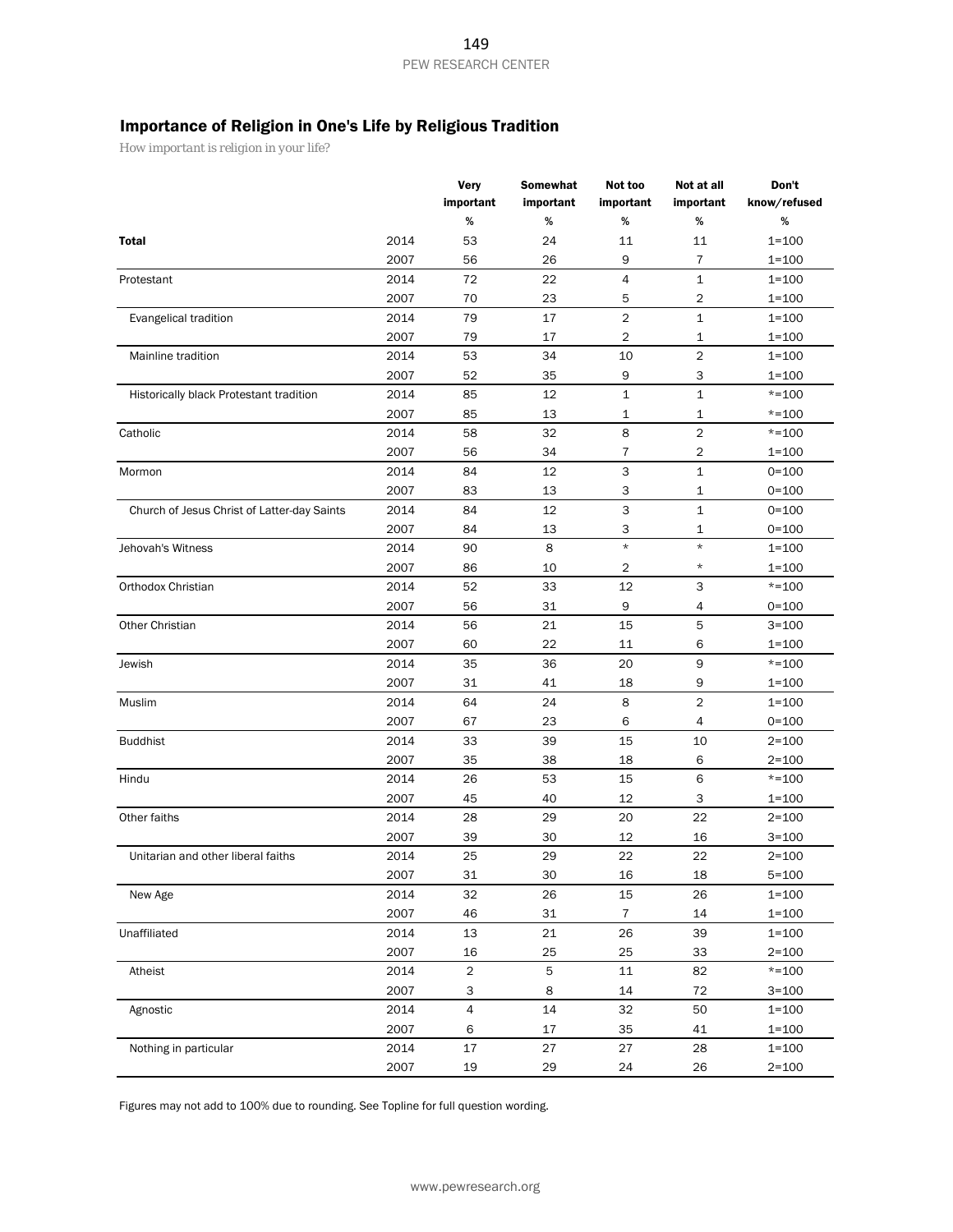# Importance of Religion in One's Life by Religious Tradition

*How important is religion in your life?*

|                                             |              | <b>Very</b>    | Somewhat    | Not too              | Not at all     | Don't                  |
|---------------------------------------------|--------------|----------------|-------------|----------------------|----------------|------------------------|
|                                             |              | important      | important   | important            | important      | know/refused           |
|                                             |              | $\%$           | %           | $\%$                 | %              | $\%$                   |
| <b>Total</b>                                | 2014         | 53             | 24          | 11                   | 11             | $1 = 100$              |
|                                             | 2007         | 56             | 26          | 9                    | 7              | $1 = 100$              |
| Protestant                                  | 2014         | 72             | 22          | $\overline{4}$       | $\mathbf 1$    | $1 = 100$              |
|                                             | 2007         | 70             | 23          | 5                    | 2              | $1 = 100$              |
| Evangelical tradition                       | 2014         | 79             | 17          | $\overline{2}$       | 1              | $1 = 100$              |
|                                             | 2007         | 79             | 17          | 2                    | 1              | $1 = 100$              |
| Mainline tradition                          | 2014         | 53             | 34          | 10                   | $\overline{2}$ | $1 = 100$              |
|                                             | 2007         | 52             | 35          | 9                    | 3              | $1 = 100$              |
| Historically black Protestant tradition     | 2014         | 85             | 12          | $\mathbf{1}$         | 1              | $* = 100$              |
|                                             | 2007         | 85             | 13          | 1                    | 1              | $* = 100$              |
| Catholic                                    | 2014         | 58             | 32          | 8                    | $\overline{c}$ | $* = 100$              |
|                                             | 2007         | 56             | 34          | 7                    | 2              | $1 = 100$              |
| Mormon                                      | 2014         | 84             | 12          | 3                    | $\mathbf 1$    | $0 = 100$              |
|                                             | 2007         | 83             | 13          | 3                    | 1              | $0 = 100$              |
| Church of Jesus Christ of Latter-day Saints | 2014         | 84             | 12          | 3                    | 1              | $0 = 100$              |
|                                             | 2007         | 84             | 13          | 3                    | 1              | $0 = 100$              |
| Jehovah's Witness                           | 2014         | 90             | 8           | $\star$              | $\star$        | $1 = 100$              |
|                                             | 2007         | 86             | 10          | 2                    | $^\star$       | $1 = 100$              |
| Orthodox Christian                          | 2014         | 52             | 33          | 12                   | 3              | $* = 100$              |
|                                             | 2007         | 56             | 31          | 9                    | 4              | $0 = 100$              |
| <b>Other Christian</b>                      | 2014         | 56             | 21          | 15                   | 5              | $3 = 100$              |
|                                             | 2007         | 60             | 22          | 11                   | 6              | $1 = 100$              |
| Jewish                                      | 2014         | 35             | 36          | 20                   | 9              | $* = 100$              |
|                                             | 2007         | 31             | 41          | 18                   | 9              | $1 = 100$              |
| Muslim                                      | 2014         | 64             | 24          | 8                    | 2              | $1 = 100$              |
|                                             | 2007         | 67             | 23          | 6                    | 4              | $0 = 100$              |
| <b>Buddhist</b>                             | 2014         | 33             | 39          | 15                   | 10             | $2 = 100$              |
|                                             | 2007         | 35             | 38          | 18                   | 6              | $2 = 100$              |
| Hindu                                       | 2014         | 26             | 53          | 15                   | 6              | $* = 100$              |
|                                             | 2007         | 45             | 40          | 12                   | 3              | $1 = 100$              |
| Other faiths                                | 2014         | 28             | 29          | 20                   | 22             | $2 = 100$              |
|                                             | 2007         | 39             | 30          | 12                   | 16             | $3 = 100$              |
| Unitarian and other liberal faiths          | 2014         | 25             | 29          | 22                   | 22             | $2 = 100$              |
|                                             | 2007         | 31             | 30          | 16                   | 18             | $5 = 100$              |
| New Age                                     | 2014<br>2007 | 32<br>46       | 26<br>31    | 15<br>$\overline{7}$ | 26<br>14       | $1 = 100$<br>$1 = 100$ |
| Unaffiliated                                | 2014         | 13             | 21          | 26                   | 39             | $1 = 100$              |
|                                             | 2007         | 16             | 25          | 25                   | 33             | $2 = 100$              |
| Atheist                                     | 2014         | $\sqrt{2}$     | $\mathbf 5$ | 11                   | 82             | $* = 100$              |
|                                             | 2007         | 3              | 8           | 14                   | 72             | $3 = 100$              |
| Agnostic                                    | 2014         | $\overline{4}$ | 14          | 32                   | 50             | $1 = 100$              |
|                                             | 2007         | 6              | 17          | 35                   | 41             | $1 = 100$              |
| Nothing in particular                       | 2014         | 17             | 27          | 27                   | 28             | $1 = 100$              |
|                                             | 2007         | 19             | 29          | 24                   | 26             | $2 = 100$              |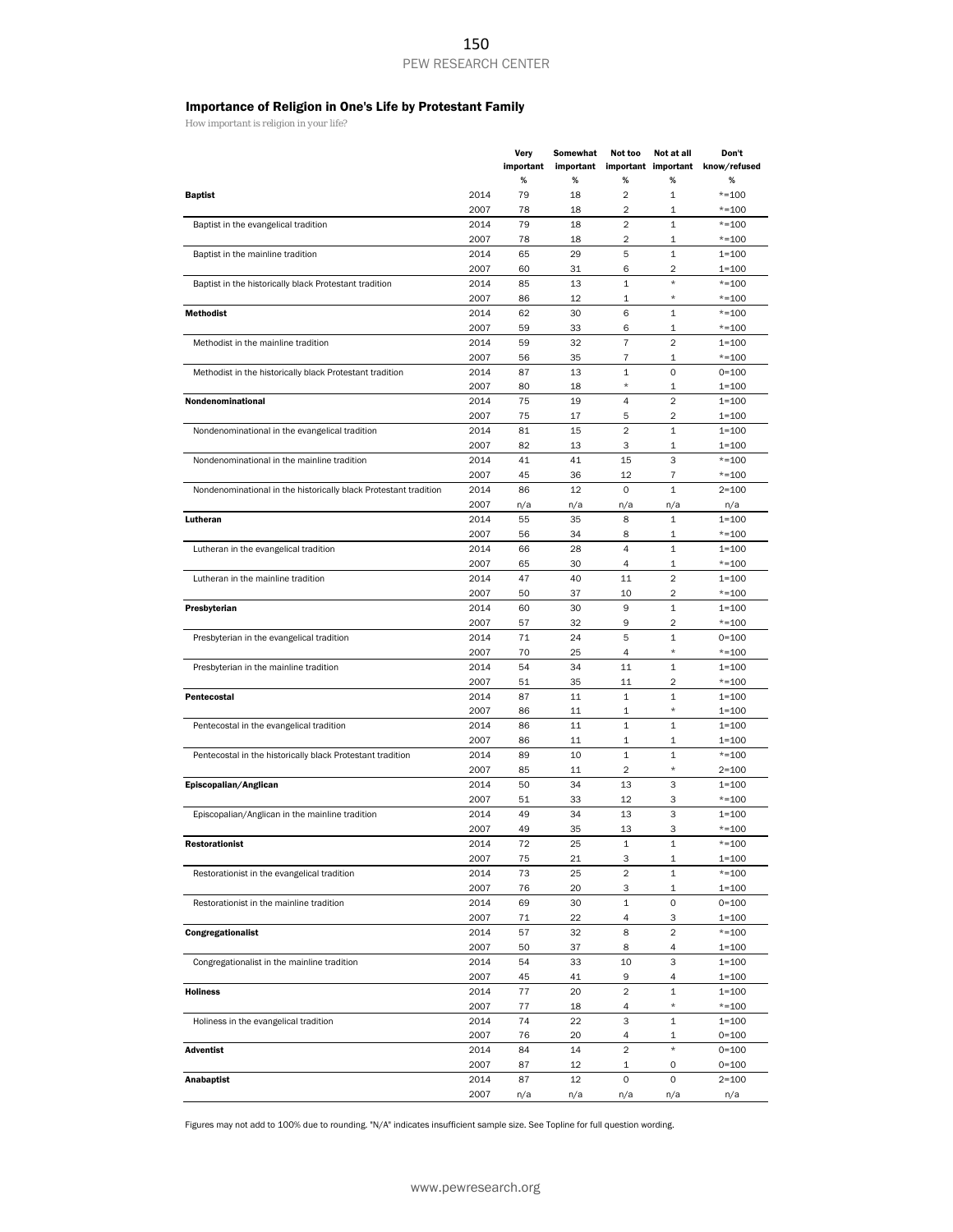## Importance of Religion in One's Life by Protestant Family

*How important is religion in your life?*

|                                                                  |      | Very      | Somewhat  | Not too                 | Not at all          | Don't        |
|------------------------------------------------------------------|------|-----------|-----------|-------------------------|---------------------|--------------|
|                                                                  |      | important | important |                         | important important | know/refused |
|                                                                  |      | $\%$      | %         | %                       | %                   | %            |
| <b>Baptist</b>                                                   | 2014 | 79        | 18        | 2                       | 1                   | $*=100$      |
|                                                                  | 2007 | 78        | 18        | $\overline{\mathbf{c}}$ | 1                   | $* = 100$    |
| Baptist in the evangelical tradition                             | 2014 | 79        | 18        | $\overline{2}$          | $\mathbf{1}$        | $* = 100$    |
|                                                                  | 2007 | 78        | 18        | 2                       | 1                   | $* = 100$    |
| Baptist in the mainline tradition                                | 2014 | 65        | 29        | 5                       | $\mathbf 1$         | $1 = 100$    |
|                                                                  | 2007 | 60        | 31        | 6                       | 2                   | $1 = 100$    |
| Baptist in the historically black Protestant tradition           | 2014 | 85        | 13        | 1                       | *                   | $*=100$      |
|                                                                  | 2007 | 86        | 12        | 1                       | $\ast$              | $* = 100$    |
| <b>Methodist</b>                                                 | 2014 | 62        | 30        | 6                       | 1                   | $* = 100$    |
|                                                                  | 2007 |           | 33        |                         | 1                   | $* = 100$    |
|                                                                  |      | 59        |           | 6<br>$\overline{7}$     | $\overline{2}$      |              |
| Methodist in the mainline tradition                              | 2014 | 59        | 32        |                         |                     | $1 = 100$    |
|                                                                  | 2007 | 56        | 35        | 7                       | 1                   | $* = 100$    |
| Methodist in the historically black Protestant tradition         | 2014 | 87        | 13        | 1                       | 0                   | $0 = 100$    |
|                                                                  | 2007 | 80        | 18        | $\star$                 | 1                   | $1 = 100$    |
| Nondenominational                                                | 2014 | 75        | 19        | 4                       | $\overline{2}$      | $1 = 100$    |
|                                                                  | 2007 | 75        | 17        | 5                       | 2                   | $1 = 100$    |
| Nondenominational in the evangelical tradition                   | 2014 | 81        | 15        | $\overline{c}$          | $\mathbf 1$         | $1 = 100$    |
|                                                                  | 2007 | 82        | 13        | З                       | 1                   | $1 = 100$    |
| Nondenominational in the mainline tradition                      | 2014 | 41        | 41        | 15                      | 3                   | $*=100$      |
|                                                                  | 2007 | 45        | 36        | 12                      | 7                   | $* = 100$    |
| Nondenominational in the historically black Protestant tradition | 2014 | 86        | 12        | 0                       | $\mathbf{1}$        | $2 = 100$    |
|                                                                  | 2007 | n/a       | n/a       | n/a                     | n/a                 | n/a          |
| Lutheran                                                         | 2014 | 55        | 35        | 8                       | 1                   | $1 = 100$    |
|                                                                  | 2007 | 56        | 34        | 8                       | 1                   | $* = 100$    |
| Lutheran in the evangelical tradition                            | 2014 | 66        | 28        | $\overline{4}$          | 1                   | $1 = 100$    |
|                                                                  | 2007 | 65        | 30        | 4                       | 1                   | $* = 100$    |
| Lutheran in the mainline tradition                               | 2014 | 47        | 40        | 11                      | $\overline{2}$      | $1 = 100$    |
|                                                                  | 2007 | 50        | 37        | 10                      | 2                   | $* = 100$    |
| Presbyterian                                                     | 2014 | 60        | 30        | 9                       | $1\,$               | $1 = 100$    |
|                                                                  |      |           |           |                         | 2                   |              |
|                                                                  | 2007 | 57        | 32        | 9                       |                     | $* = 100$    |
| Presbyterian in the evangelical tradition                        | 2014 | 71        | 24        | 5                       | 1<br>$\star$        | $0 = 100$    |
|                                                                  | 2007 | 70        | 25        | 4                       |                     | $* = 100$    |
| Presbyterian in the mainline tradition                           | 2014 | 54        | 34        | 11                      | 1                   | $1 = 100$    |
|                                                                  | 2007 | 51        | 35        | 11                      | 2                   | $* = 100$    |
| Pentecostal                                                      | 2014 | 87        | 11        | 1                       | 1                   | $1 = 100$    |
|                                                                  | 2007 | 86        | 11        | 1                       | $\star$             | $1 = 100$    |
| Pentecostal in the evangelical tradition                         | 2014 | 86        | 11        | $\mathbf 1$             | $\mathbf{1}$        | $1 = 100$    |
|                                                                  | 2007 | 86        | 11        | 1                       | 1                   | $1 = 100$    |
| Pentecostal in the historically black Protestant tradition       | 2014 | 89        | 10        | 1                       | 1                   | $* = 100$    |
|                                                                  | 2007 | 85        | 11        | 2                       | $\star$             | $2 = 100$    |
| Episcopalian/Anglican                                            | 2014 | 50        | 34        | 13                      | 3                   | $1 = 100$    |
|                                                                  | 2007 | 51        | 33        | 12                      | 3                   | $* = 100$    |
| Episcopalian/Anglican in the mainline tradition                  | 2014 | 49        | 34        | 13                      | 3                   | $1 = 100$    |
|                                                                  | 2007 | 49        | 35        | 13                      | З                   | *=100        |
| Restorationist                                                   | 2014 | 72        | 25        | 1                       | 1                   | $* = 100$    |
|                                                                  | 2007 | 75        | 21        | 3                       | 1                   | $1 = 100$    |
| Restorationist in the evangelical tradition                      | 2014 | 73        | 25        | 2                       | 1                   | $* = 100$    |
|                                                                  | 2007 | 76        | 20        | 3                       | 1                   | $1 = 100$    |
| Restorationist in the mainline tradition                         | 2014 | 69        | 30        | $\mathtt 1$             | $\mathsf{O}\xspace$ | $0 = 100$    |
|                                                                  | 2007 | 71        | 22        | 4                       | 3                   | $1 = 100$    |
| Congregationalist                                                |      |           |           |                         | 2                   | $* = 100$    |
|                                                                  | 2014 | 57        | 32        | 8                       |                     |              |
|                                                                  | 2007 | 50        | 37        | 8                       | 4                   | $1 = 100$    |
| Congregationalist in the mainline tradition                      | 2014 | 54        | 33        | 10                      | 3                   | $1 = 100$    |
|                                                                  | 2007 | 45        | 41        | 9                       | 4                   | $1 = 100$    |
| <b>Holiness</b>                                                  | 2014 | 77        | 20        | $\overline{2}$          | $\mathbf 1$         | $1 = 100$    |
|                                                                  | 2007 | 77        | 18        | 4                       | $\ast$              | $* = 100$    |
| Holiness in the evangelical tradition                            | 2014 | 74        | 22        | 3                       | $\mathbf{1}$        | $1 = 100$    |
|                                                                  | 2007 | 76        | 20        | 4                       | 1                   | $0 = 100$    |
| Adventist                                                        | 2014 | 84        | 14        | $\overline{2}$          | $\star$             | $0 = 100$    |
|                                                                  | 2007 | 87        | 12        | 1                       | 0                   | $0 = 100$    |
| Anabaptist                                                       | 2014 | 87        | 12        | 0                       | $\mathsf O$         | $2 = 100$    |
|                                                                  | 2007 | n/a       | n/a       | n/a                     | n/a                 | n/a          |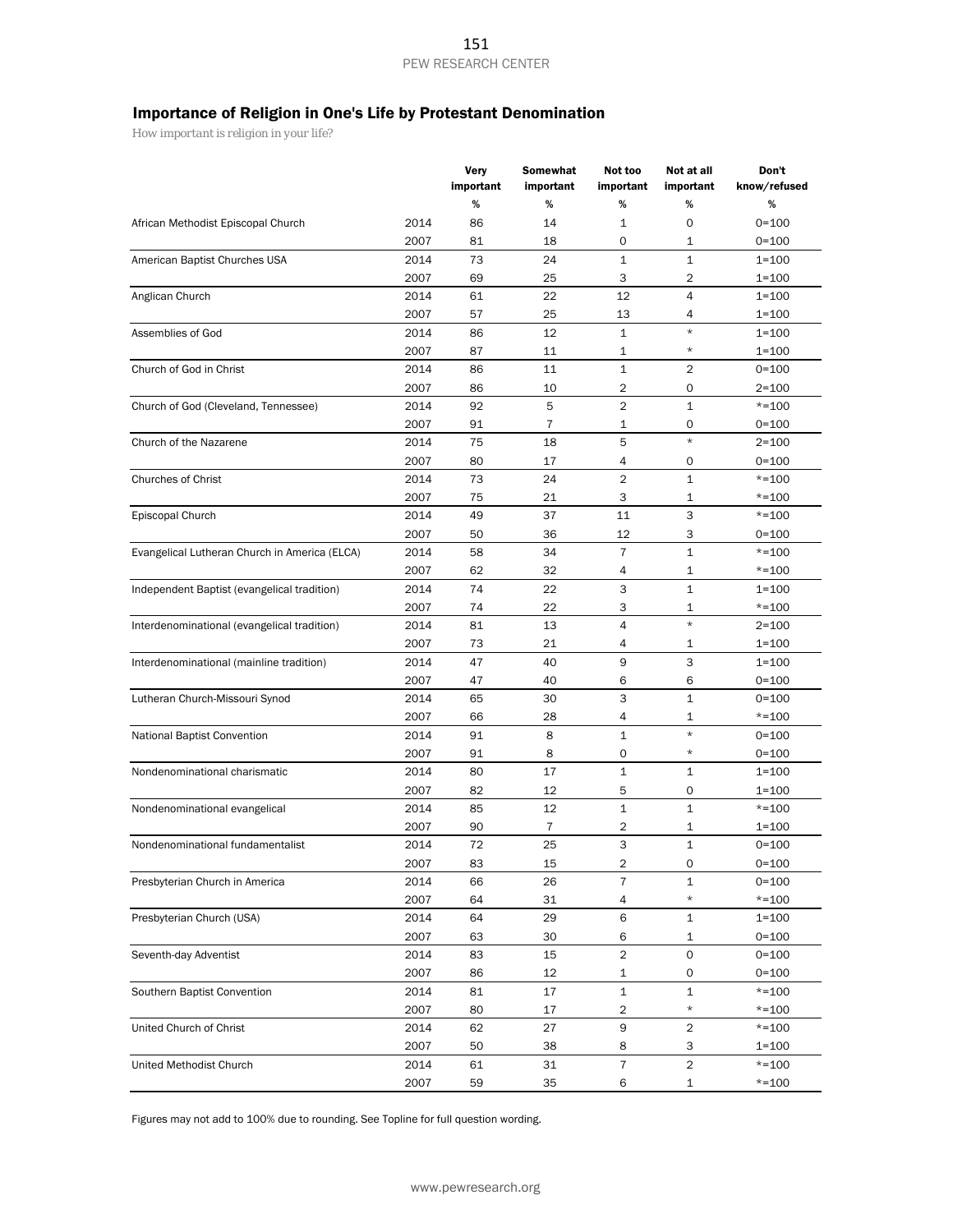## Importance of Religion in One's Life by Protestant Denomination

*How important is religion in your life?*

|                                               |      | <b>Very</b> | Somewhat       | Not too        | Not at all     | Don't        |
|-----------------------------------------------|------|-------------|----------------|----------------|----------------|--------------|
|                                               |      | important   | important      | important      | important      | know/refused |
|                                               |      | %           | %              | %              | $\%$           | %            |
| African Methodist Episcopal Church            | 2014 | 86          | 14             | 1              | 0              | $0 = 100$    |
|                                               | 2007 | 81          | 18             | 0              | 1              | $0 = 100$    |
| American Baptist Churches USA                 | 2014 | 73          | 24             | 1              | 1              | $1 = 100$    |
|                                               | 2007 | 69          | 25             | 3              | $\overline{c}$ | $1 = 100$    |
| Anglican Church                               | 2014 | 61          | 22             | 12             | $\overline{4}$ | $1 = 100$    |
|                                               | 2007 | 57          | 25             | 13             | 4              | $1 = 100$    |
| Assemblies of God                             | 2014 | 86          | 12             | 1              | $\star$        | $1 = 100$    |
|                                               | 2007 | 87          | 11             | 1              | $\star$        | $1 = 100$    |
| Church of God in Christ                       | 2014 | 86          | 11             | 1              | $\overline{2}$ | $0 = 100$    |
|                                               | 2007 | 86          | 10             | 2              | 0              | $2 = 100$    |
| Church of God (Cleveland, Tennessee)          | 2014 | 92          | 5              | $\overline{c}$ | $\mathbf 1$    | $* = 100$    |
|                                               | 2007 | 91          | $\overline{7}$ | $\mathbf 1$    | 0              | $0 = 100$    |
| Church of the Nazarene                        | 2014 | 75          | 18             | 5              | $\star$        | $2 = 100$    |
|                                               | 2007 | 80          | 17             | 4              | 0              | $0 = 100$    |
| <b>Churches of Christ</b>                     | 2014 | 73          | 24             | $\overline{2}$ | $\mathbf 1$    | $* = 100$    |
|                                               | 2007 | 75          | 21             | 3              | 1              | $* = 100$    |
| Episcopal Church                              | 2014 | 49          | 37             | 11             | 3              | $* = 100$    |
|                                               | 2007 | 50          | 36             | 12             | 3              | $0 = 100$    |
| Evangelical Lutheran Church in America (ELCA) | 2014 | 58          | 34             | $\overline{7}$ | $\mathbf{1}$   | $* = 100$    |
|                                               | 2007 | 62          | 32             | 4              | 1              | $* = 100$    |
| Independent Baptist (evangelical tradition)   | 2014 | 74          | 22             | 3              | $\mathbf 1$    | $1 = 100$    |
|                                               | 2007 | 74          | 22             | 3              | 1              | $* = 100$    |
| Interdenominational (evangelical tradition)   | 2014 | 81          | 13             | 4              | $\star$        | $2 = 100$    |
|                                               | 2007 | 73          | 21             | 4              | 1              | $1 = 100$    |
| Interdenominational (mainline tradition)      | 2014 | 47          | 40             | 9              | 3              | $1 = 100$    |
|                                               | 2007 | 47          | 40             | 6              | 6              | $0 = 100$    |
| Lutheran Church-Missouri Synod                | 2014 | 65          | 30             | 3              | $\mathbf 1$    | $0 = 100$    |
|                                               | 2007 | 66          | 28             | 4              | 1              | $* = 100$    |
| National Baptist Convention                   | 2014 | 91          | 8              | 1              | $\star$        | $0 = 100$    |
|                                               | 2007 | 91          | 8              | 0              | *              | $0 = 100$    |
| Nondenominational charismatic                 | 2014 | 80          | 17             | 1              | 1              | $1 = 100$    |
|                                               | 2007 | 82          | 12             | 5              | 0              | $1 = 100$    |
| Nondenominational evangelical                 | 2014 | 85          | 12             | 1              | $\mathbf 1$    | $* = 100$    |
|                                               | 2007 | 90          | $\overline{7}$ | 2              | 1              | $1 = 100$    |
| Nondenominational fundamentalist              | 2014 | 72          | 25             | 3              | 1              | $0 = 100$    |
|                                               | 2007 | 83          | 15             | 2              | 0              | $0 = 100$    |
| Presbyterian Church in America                | 2014 | 66          | 26             | 7              | 1              | $0 = 100$    |
|                                               | 2007 | 64          | 31             | 4              | $\star$        | $* = 100$    |
| Presbyterian Church (USA)                     | 2014 | 64          | 29             | 6              | $\mathtt 1$    | $1 = 100$    |
|                                               | 2007 | 63          | 30             | 6              | 1              | $0 = 100$    |
| Seventh-day Adventist                         | 2014 | 83          | 15             | $\overline{2}$ | $\mathsf O$    | $0 = 100$    |
|                                               | 2007 | 86          | 12             | 1              | 0              | $0 = 100$    |
| Southern Baptist Convention                   | 2014 | 81          | 17             | $\mathbf 1$    | $\mathbf 1$    | $* = 100$    |
|                                               | 2007 | 80          | 17             | 2              | $\star$        | $* = 100$    |
| United Church of Christ                       | 2014 | 62          | 27             | 9              | $\sqrt{2}$     | $* = 100$    |
|                                               | 2007 | 50          | 38             | 8              | 3              | $1 = 100$    |
| United Methodist Church                       | 2014 | 61          | 31             | $\overline{7}$ | $\overline{2}$ | $*=100$      |
|                                               | 2007 | 59          | 35             | 6              | 1              | $* = 100$    |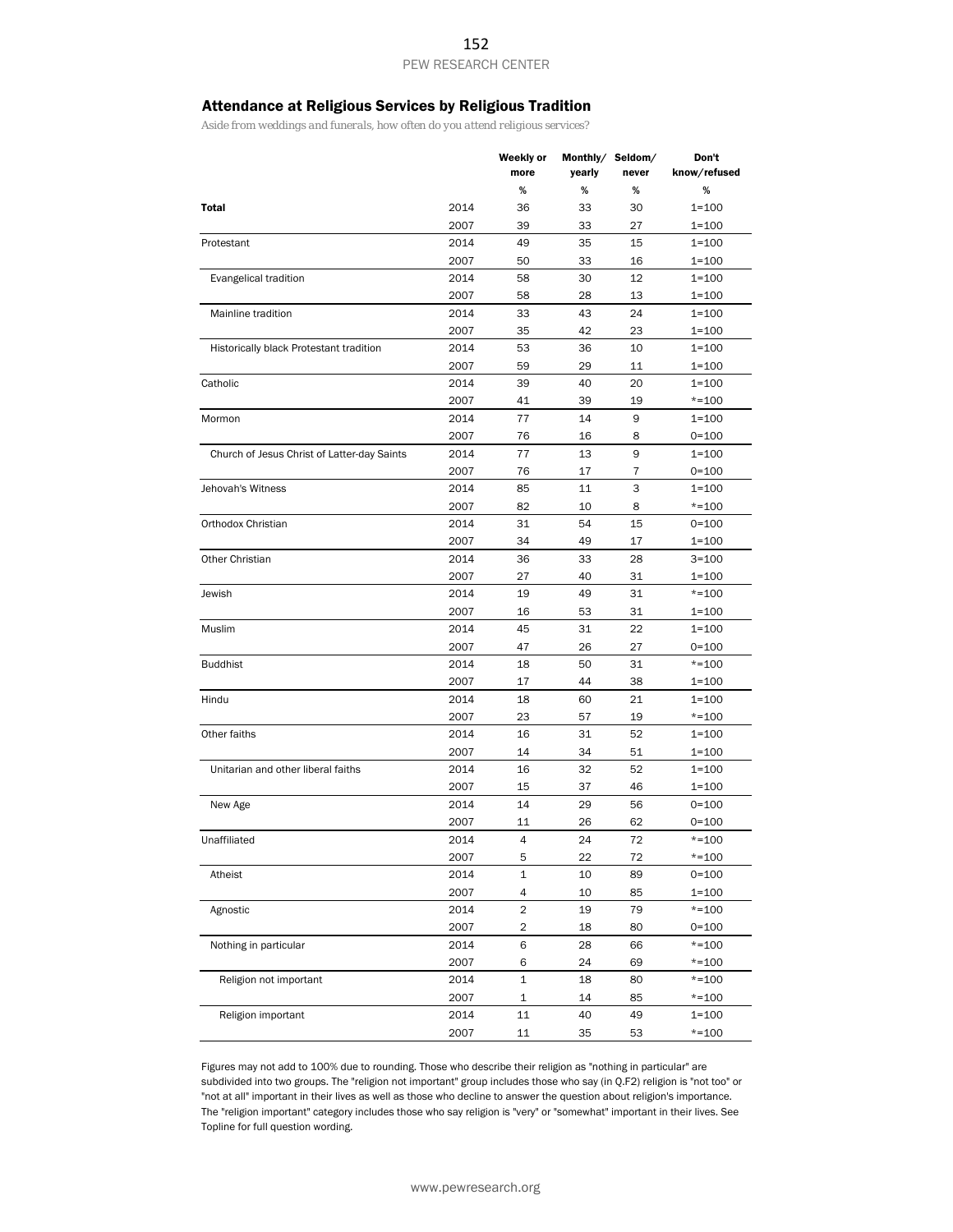#### Attendance at Religious Services by Religious Tradition

*Aside from weddings and funerals, how often do you attend religious services?*

|                                             |      | Weekly or               | Monthly/ Seldom/ |       | Don't                  |
|---------------------------------------------|------|-------------------------|------------------|-------|------------------------|
|                                             |      | more                    | yearly           | never | know/refused           |
|                                             |      | %                       | %                | %     | %                      |
| <b>Total</b>                                | 2014 | 36                      | 33               | 30    | $1 = 100$              |
|                                             | 2007 | 39                      | 33               | 27    | $1 = 100$              |
| Protestant                                  | 2014 | 49                      | 35               | 15    | $1 = 100$              |
|                                             | 2007 | 50                      | 33               | 16    | $1 = 100$              |
| Evangelical tradition                       | 2014 | 58                      | 30               | 12    | $1 = 100$              |
|                                             | 2007 | 58                      | 28               | 13    | $1 = 100$              |
| Mainline tradition                          | 2014 | 33                      | 43               | 24    | $1 = 100$              |
|                                             | 2007 | 35                      | 42               | 23    | $1 = 100$              |
| Historically black Protestant tradition     | 2014 | 53                      | 36               | 10    | $1 = 100$              |
|                                             | 2007 | 59                      | 29               | 11    | $1 = 100$              |
| Catholic                                    | 2014 | 39                      | 40               | 20    | $1 = 100$              |
|                                             | 2007 | 41                      | 39               | 19    | $* = 100$              |
| Mormon                                      | 2014 | 77                      | 14               | 9     | $1 = 100$              |
|                                             | 2007 | 76                      | 16               | 8     | $0 = 100$              |
| Church of Jesus Christ of Latter-day Saints | 2014 | 77                      | 13               | 9     | $1 = 100$              |
|                                             | 2007 | 76                      | 17               | 7     | $0 = 100$              |
| Jehovah's Witness                           | 2014 | 85                      | 11               | 3     | $1 = 100$              |
|                                             | 2007 | 82                      | 10               | 8     | $* = 100$              |
| Orthodox Christian                          | 2014 | 31                      | 54               | 15    | $0 = 100$              |
|                                             | 2007 | 34                      | 49               | 17    | $1 = 100$              |
| Other Christian                             | 2014 | 36                      | 33               | 28    | $3 = 100$              |
|                                             | 2007 | 27                      | 40               | 31    | $1 = 100$              |
| Jewish                                      | 2014 | 19                      | 49               | 31    | $* = 100$              |
|                                             | 2007 | 16                      | 53               | 31    | $1 = 100$              |
| Muslim                                      | 2014 | 45                      | 31               | 22    | $1 = 100$              |
|                                             | 2007 | 47                      | 26               | 27    | $0 = 100$              |
| <b>Buddhist</b>                             | 2014 | 18                      | 50               | 31    | $* = 100$              |
|                                             | 2007 | 17                      | 44               | 38    | $1 = 100$              |
| Hindu                                       | 2014 | 18                      | 60               | 21    | $1 = 100$              |
|                                             | 2007 | 23                      | 57               | 19    | $* = 100$              |
| Other faiths                                | 2014 | 16                      | 31               | 52    | $1 = 100$              |
|                                             | 2007 | 14                      | 34               | 51    | $1 = 100$              |
| Unitarian and other liberal faiths          | 2014 | 16                      | 32               | 52    | $1 = 100$              |
|                                             | 2007 | 15                      | 37               | 46    | $1 = 100$              |
| New Age                                     | 2014 | 14                      | 29               | 56    | $0 = 100$              |
|                                             | 2007 | 11                      | 26               | 62    | $0 = 100$              |
| Unaffiliated                                | 2014 | $\overline{4}$          | 24               | 72    | $* = 100$              |
|                                             | 2007 | 5                       | 22               | 72    | $* = 100$              |
| Atheist                                     | 2014 | 1                       | 10               | 89    | $0 = 100$              |
|                                             | 2007 | 4                       | 10               | 85    | $1 = 100$              |
| Agnostic                                    | 2014 | $\overline{\mathbf{c}}$ | 19               | 79    | $* = 100$              |
|                                             | 2007 | 2                       | 18               | 80    | $0 = 100$              |
| Nothing in particular                       |      | 6                       | 28               | 66    | $* = 100$              |
|                                             | 2014 |                         |                  |       |                        |
|                                             | 2007 | 6                       | 24               | 69    | $* = 100$<br>$* = 100$ |
| Religion not important                      | 2014 | $\mathbf{1}$            | 18               | 80    |                        |
|                                             | 2007 | 1                       | 14               | 85    | $* = 100$              |
| Religion important                          | 2014 | 11                      | 40               | 49    | $1 = 100$              |
|                                             | 2007 | 11                      | 35               | 53    | $* = 100$              |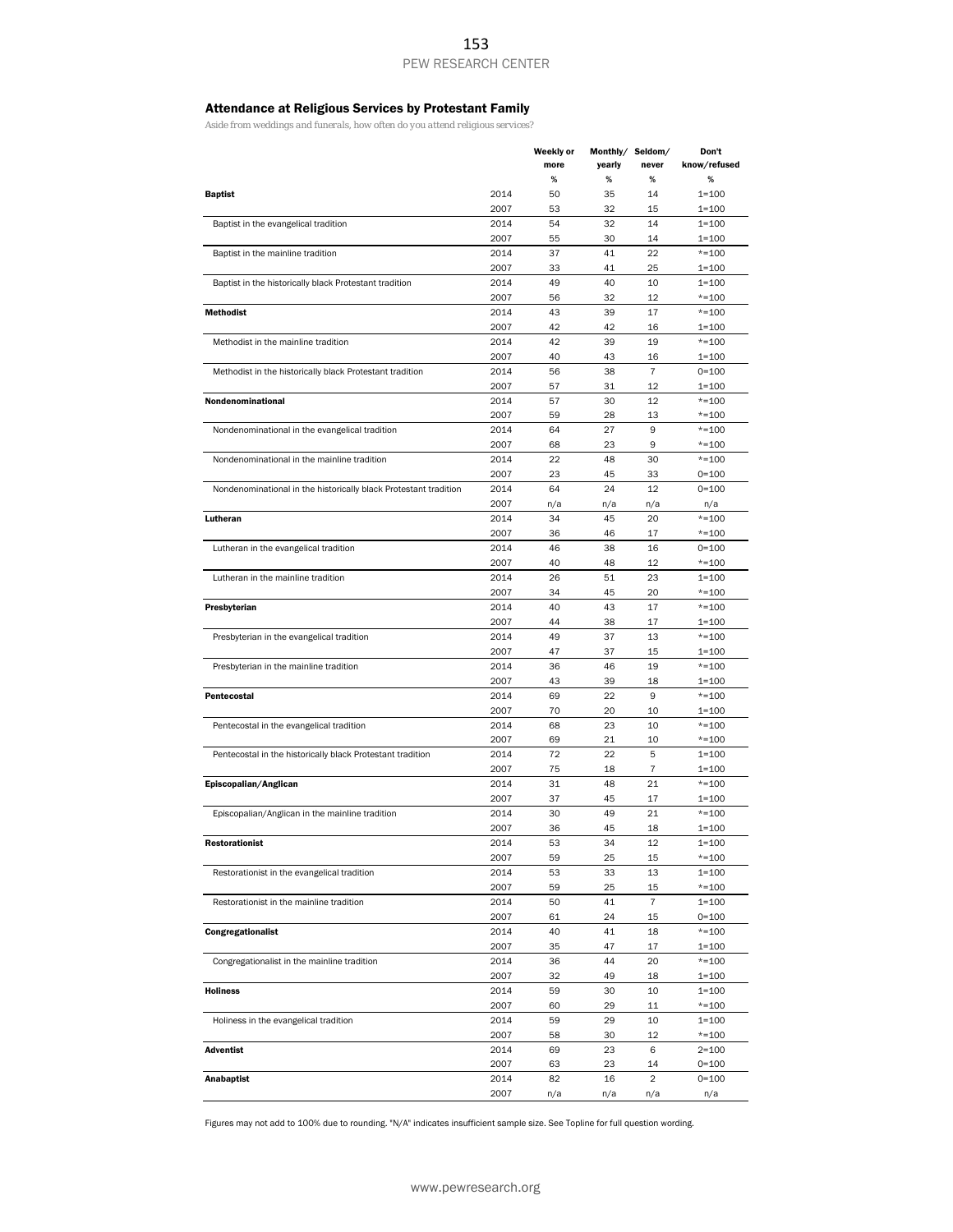#### Attendance at Religious Services by Protestant Family

*Aside from weddings and funerals, how often do you attend religious services?*

|                                                                  |      | Weekly or | Monthly/ Seldom/ |                | Don't        |
|------------------------------------------------------------------|------|-----------|------------------|----------------|--------------|
|                                                                  |      | more      | yearly           | never          | know/refused |
|                                                                  |      | %         | %                | %              | %            |
| <b>Baptist</b>                                                   | 2014 | 50        | 35               | 14             | $1 = 100$    |
|                                                                  | 2007 | 53        | 32               | 15             | $1 = 100$    |
| Baptist in the evangelical tradition                             | 2014 | 54        | 32               | 14             | $1 = 100$    |
|                                                                  | 2007 | 55        | 30               | 14             | $1 = 100$    |
| Baptist in the mainline tradition                                | 2014 | 37        | 41               | 22             | $*=100$      |
|                                                                  | 2007 | 33        | 41               | 25             | $1 = 100$    |
| Baptist in the historically black Protestant tradition           | 2014 | 49        | 40               | 10             | $1 = 100$    |
|                                                                  | 2007 | 56        | 32               | 12             | $* = 100$    |
| <b>Methodist</b>                                                 | 2014 | 43        | 39               | 17             | $* = 100$    |
|                                                                  | 2007 | 42        | 42               | 16             | $1 = 100$    |
| Methodist in the mainline tradition                              | 2014 | 42        | 39               | 19             | $* = 100$    |
|                                                                  | 2007 | 40        | 43               | 16             | $1 = 100$    |
| Methodist in the historically black Protestant tradition         | 2014 | 56        | 38               | $\overline{7}$ | $0 = 100$    |
|                                                                  | 2007 | 57        | 31               | 12             | $1 = 100$    |
| Nondenominational                                                | 2014 | 57        | 30               | 12             | $*=100$      |
|                                                                  | 2007 | 59        | 28               | 13             | $*=100$      |
| Nondenominational in the evangelical tradition                   | 2014 | 64        | 27               | 9              | $*=100$      |
|                                                                  | 2007 | 68        | 23               | 9              | $*=100$      |
| Nondenominational in the mainline tradition                      | 2014 | 22        | 48               | 30             | $*=100$      |
|                                                                  | 2007 | 23        | 45               | 33             | $0 = 100$    |
| Nondenominational in the historically black Protestant tradition | 2014 | 64        | 24               | 12             | $0 = 100$    |
|                                                                  | 2007 | n/a       | n/a              | n/a            | n/a          |
| Lutheran                                                         | 2014 | 34        | 45               | 20             | $*=100$      |
|                                                                  | 2007 | 36        | 46               | 17             | $* = 100$    |
| Lutheran in the evangelical tradition                            | 2014 | 46        | 38               | 16             | $0 = 100$    |
|                                                                  | 2007 | 40        | 48               | 12             | $*=100$      |
| Lutheran in the mainline tradition                               | 2014 | 26        | 51               | 23             | $1 = 100$    |
|                                                                  |      |           |                  |                |              |
|                                                                  | 2007 | 34        | 45               | 20             | $*=100$      |
| Presbyterian                                                     | 2014 | 40        | 43               | 17             | $*=100$      |
|                                                                  | 2007 | 44        | 38               | 17             | $1 = 100$    |
| Presbyterian in the evangelical tradition                        | 2014 | 49        | 37               | 13             | $*=100$      |
|                                                                  | 2007 | 47        | 37               | 15             | $1 = 100$    |
| Presbyterian in the mainline tradition                           | 2014 | 36        | 46               | 19             | $*=100$      |
|                                                                  | 2007 | 43        | 39               | 18             | $1 = 100$    |
| Pentecostal                                                      | 2014 | 69        | 22               | 9              | $*=100$      |
|                                                                  | 2007 | 70        | 20               | 10             | $1 = 100$    |
| Pentecostal in the evangelical tradition                         | 2014 | 68        | 23               | 10             | $*=100$      |
|                                                                  | 2007 | 69        | 21               | 10             | $*=100$      |
| Pentecostal in the historically black Protestant tradition       | 2014 | 72        | 22               | 5              | $1 = 100$    |
|                                                                  | 2007 | 75        | 18               | 7              | $1 = 100$    |
| Episcopalian/Anglican                                            | 2014 | 31        | 48               | 21             | $*=100$      |
|                                                                  | 2007 | 37        | 45               | 17             | $1 = 100$    |
| Episcopalian/Anglican in the mainline tradition                  | 2014 | 30        | 49               | 21             | $*=100$      |
|                                                                  | 2007 | 36        | 45               | 18             | $1 = 100$    |
| <b>Restorationist</b>                                            | 2014 | 53        | 34               | 12             | $1 = 100$    |
|                                                                  | 2007 | 59        | 25               | 15             | $* = 100$    |
| Restorationist in the evangelical tradition                      | 2014 | 53        | 33               | 13             | $1 = 100$    |
|                                                                  | 2007 | 59        | 25               | 15             | $* = 100$    |
| Restorationist in the mainline tradition                         | 2014 | 50        | 41               | $\overline{7}$ | $1 = 100$    |
|                                                                  | 2007 | 61        | 24               | 15             | $0 = 100$    |
| Congregationalist                                                | 2014 | 40        | 41               | 18             | $* = 100$    |
|                                                                  | 2007 | 35        | 47               | 17             | $1 = 100$    |
| Congregationalist in the mainline tradition                      | 2014 | 36        | 44               | 20             | $*=100$      |
|                                                                  | 2007 | 32        | 49               | 18             | $1=100$      |
| <b>Holiness</b>                                                  | 2014 | 59        | 30               | 10             | $1 = 100$    |
|                                                                  | 2007 | 60        | 29               | 11             | $* = 100$    |
| Holiness in the evangelical tradition                            | 2014 | 59        | 29               | 10             | $1 = 100$    |
|                                                                  | 2007 | 58        | 30               | 12             | $* = 100$    |
| <b>Adventist</b>                                                 | 2014 | 69        | 23               | 6              | $2 = 100$    |
|                                                                  | 2007 | 63        | 23               | 14             | $0 = 100$    |
| Anabaptist                                                       | 2014 | 82        | 16               | 2              | $0 = 100$    |
|                                                                  | 2007 | n/a       | n/a              | n/a            | n/a          |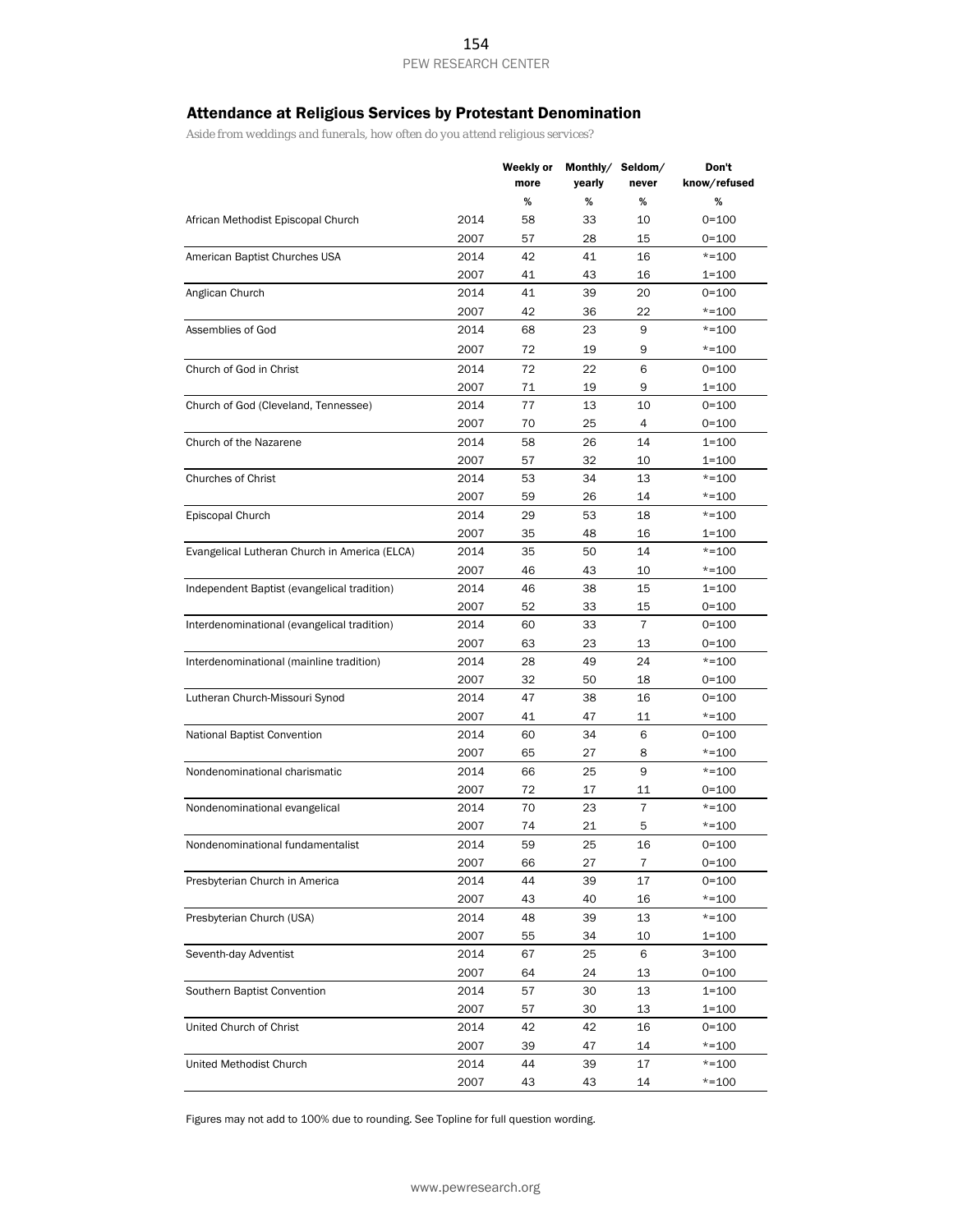# Attendance at Religious Services by Protestant Denomination

*Aside from weddings and funerals, how often do you attend religious services?*

|                                                       | Weekly or | Monthly/ Seldom/ |                | Don't        |
|-------------------------------------------------------|-----------|------------------|----------------|--------------|
|                                                       | more      | yearly           | never          | know/refused |
|                                                       | %         | %                | %              | %            |
| African Methodist Episcopal Church<br>2014            | 58        | 33               | 10             | $0 = 100$    |
| 2007                                                  | 57        | 28               | 15             | $0 = 100$    |
| 2014<br>American Baptist Churches USA                 | 42        | 41               | 16             | $* = 100$    |
| 2007                                                  | 41        | 43               | 16             | $1 = 100$    |
| Anglican Church<br>2014                               | 41        | 39               | 20             | $0 = 100$    |
| 2007                                                  | 42        | 36               | 22             | $* = 100$    |
| Assemblies of God<br>2014                             | 68        | 23               | 9              | $* = 100$    |
| 2007                                                  | 72        | 19               | 9              | $* = 100$    |
| Church of God in Christ<br>2014                       | 72        | 22               | 6              | $0 = 100$    |
| 2007                                                  | 71        | 19               | 9              | $1 = 100$    |
| Church of God (Cleveland, Tennessee)<br>2014          | 77        | 13               | 10             | $0 = 100$    |
| 2007                                                  | 70        | 25               | 4              | $0 = 100$    |
| Church of the Nazarene<br>2014                        | 58        | 26               | 14             | $1 = 100$    |
| 2007                                                  | 57        | 32               | 10             | $1 = 100$    |
| Churches of Christ<br>2014                            | 53        | 34               | 13             | $*=100$      |
| 2007                                                  | 59        | 26               | 14             | $* = 100$    |
| Episcopal Church<br>2014                              | 29        | 53               | 18             | $* = 100$    |
| 2007                                                  | 35        | 48               | 16             | $1 = 100$    |
| Evangelical Lutheran Church in America (ELCA)<br>2014 | 35        | 50               | 14             | $* = 100$    |
| 2007                                                  | 46        | 43               | 10             | $* = 100$    |
| Independent Baptist (evangelical tradition)<br>2014   | 46        | 38               | 15             | $1 = 100$    |
| 2007                                                  | 52        | 33               | 15             | $0 = 100$    |
| Interdenominational (evangelical tradition)<br>2014   | 60        | 33               | $\overline{7}$ | $0 = 100$    |
| 2007                                                  | 63        | 23               | 13             | $0 = 100$    |
| Interdenominational (mainline tradition)<br>2014      | 28        | 49               | 24             | $* = 100$    |
| 2007                                                  | 32        | 50               | 18             | $0 = 100$    |
| 2014<br>Lutheran Church-Missouri Synod                | 47        | 38               | 16             | $0 = 100$    |
| 2007                                                  | 41        | 47               | 11             | $* = 100$    |
| 2014<br>National Baptist Convention                   | 60        | 34               | 6              | $0 = 100$    |
| 2007                                                  | 65        | 27               | 8              | $* = 100$    |
| Nondenominational charismatic<br>2014                 | 66        | 25               | 9              | $* = 100$    |
| 2007                                                  | 72        | 17               | 11             | $0 = 100$    |
| Nondenominational evangelical<br>2014                 | 70        | 23               | $\overline{7}$ | $*=100$      |
| 2007                                                  | 74        | 21               | 5              | $* = 100$    |
| Nondenominational fundamentalist<br>2014              | 59        | 25               | 16             | $0 = 100$    |
| 2007                                                  | 66        | 27               | 7              | $0 = 100$    |
| Presbyterian Church in America<br>2014                | 44        | 39               | 17             | $0 = 100$    |
| 2007                                                  | 43        | 40               | 16             | $* = 100$    |
| Presbyterian Church (USA)<br>2014                     | 48        | 39               | 13             | $* = 100$    |
| 2007                                                  | 55        | 34               | 10             | $1 = 100$    |
| Seventh-day Adventist<br>2014                         | 67        | 25               | 6              | $3 = 100$    |
| 2007                                                  | 64        | 24               | 13             | $0 = 100$    |
| Southern Baptist Convention<br>2014                   | 57        | 30               | 13             | $1 = 100$    |
| 2007                                                  | 57        | 30               | 13             | $1 = 100$    |
| United Church of Christ<br>2014                       | 42        | 42               | 16             | $0 = 100$    |
| 2007                                                  | 39        | 47               | 14             | $* = 100$    |
| 2014<br>United Methodist Church                       | 44        | 39               | 17             | $* = 100$    |
| 2007                                                  | 43        | 43               | 14             | $* = 100$    |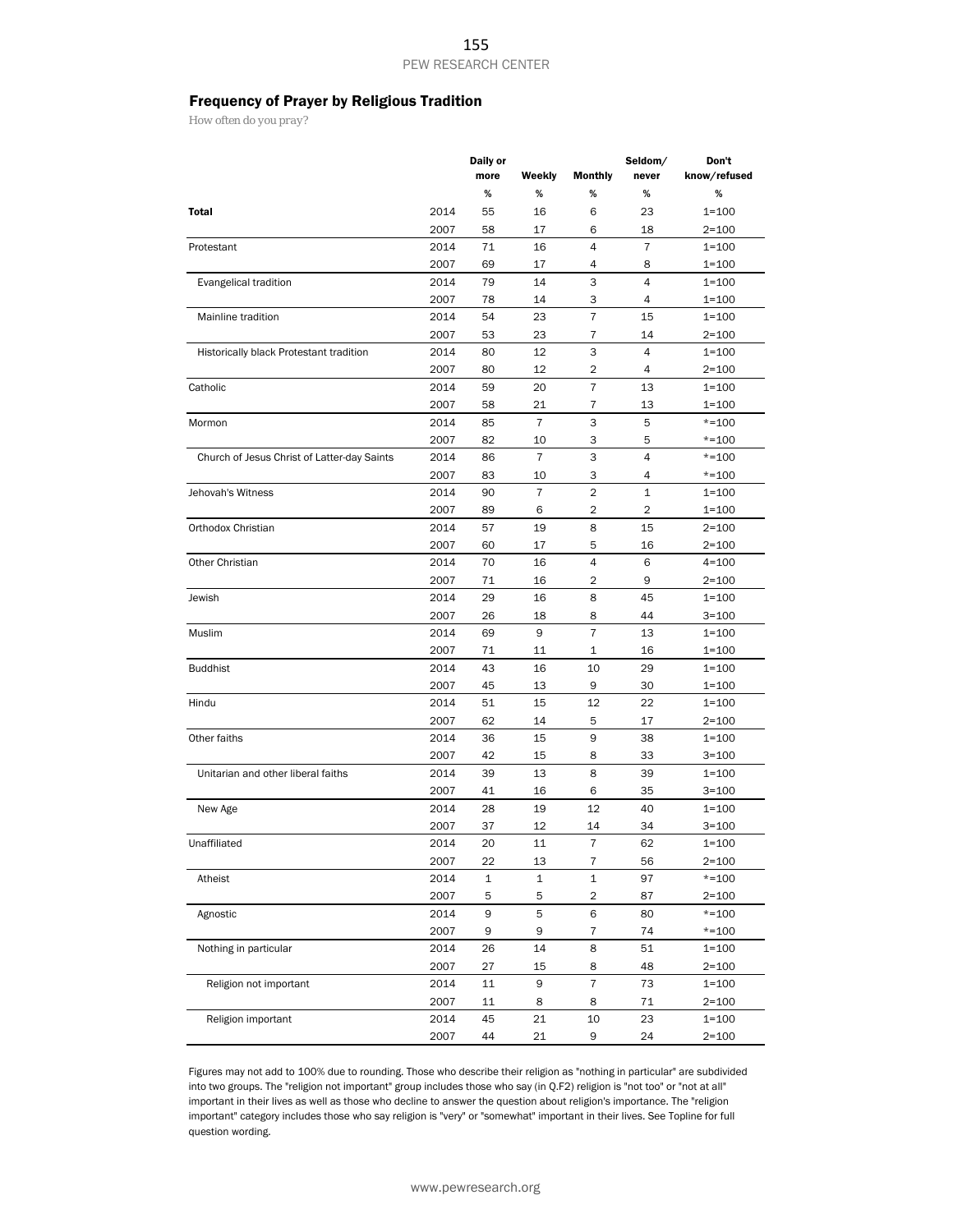## Frequency of Prayer by Religious Tradition

*How often do you pray?*

|                                             |              | Daily or    |                |                | Seldom/        | Don't        |
|---------------------------------------------|--------------|-------------|----------------|----------------|----------------|--------------|
|                                             |              | more        | Weekly         | <b>Monthly</b> | never          | know/refused |
|                                             |              | %           | %              | %              | %              | %            |
| <b>Total</b>                                | 2014         | 55          | 16             | 6              | 23             | $1 = 100$    |
|                                             | 2007         | 58          | 17             | 6              | 18             | $2 = 100$    |
| Protestant                                  | 2014         | 71          | 16             | $\overline{4}$ | $\overline{7}$ | $1 = 100$    |
|                                             | 2007         | 69          | 17             | 4              | 8              | $1 = 100$    |
| Evangelical tradition                       | 2014         | 79          | 14             | 3              | 4              | 1=100        |
|                                             | 2007         | 78          | 14             | 3              | 4              | $1 = 100$    |
| Mainline tradition                          | 2014         | 54          | 23             | $\overline{7}$ | 15             | $1 = 100$    |
|                                             | 2007         | 53          | 23             | 7              | 14             | $2 = 100$    |
| Historically black Protestant tradition     | 2014         | 80          | 12             | 3              | 4              | 1=100        |
|                                             | 2007         | 80          | 12             | 2              | 4              | 2=100        |
| Catholic                                    | 2014         | 59          | 20             | 7              | 13             | $1 = 100$    |
|                                             | 2007         | 58          | 21             | 7              | 13             | $1 = 100$    |
| Mormon                                      | 2014         | 85          | $\overline{7}$ | 3              | 5              | *=100        |
|                                             | 2007         | 82          | 10             | 3              | 5              | $* = 100$    |
| Church of Jesus Christ of Latter-day Saints | 2014         | 86          | 7              | 3              | 4              | $* = 100$    |
|                                             | 2007         | 83          | 10             | 3              | $\overline{4}$ | $* = 100$    |
| Jehovah's Witness                           | 2014         | 90          | 7              | 2              | 1              | $1 = 100$    |
|                                             | 2007         | 89          | 6              | 2              | 2              | $1 = 100$    |
| Orthodox Christian                          | 2014         | 57          | 19             | 8              | 15             | $2 = 100$    |
|                                             | 2007         | 60          | 17             | 5              | 16             | $2 = 100$    |
| Other Christian                             |              | 70          | 16             | 4              | 6              | $4 = 100$    |
|                                             | 2014<br>2007 |             |                |                | 9              |              |
|                                             |              | 71          | 16             | 2              |                | 2=100        |
| Jewish                                      | 2014         | 29          | 16             | 8              | 45             | $1 = 100$    |
|                                             | 2007         | 26          | 18             | 8              | 44             | $3 = 100$    |
| Muslim                                      | 2014         | 69          | 9              | $\overline{7}$ | 13             | $1 = 100$    |
|                                             | 2007         | 71          | 11             | 1              | 16             | $1 = 100$    |
| <b>Buddhist</b>                             | 2014         | 43          | 16             | 10             | 29             | $1 = 100$    |
|                                             | 2007         | 45          | 13             | 9              | 30             | $1 = 100$    |
| Hindu                                       | 2014         | 51          | 15             | 12             | 22             | $1 = 100$    |
|                                             | 2007         | 62          | 14             | 5              | 17             | $2 = 100$    |
| Other faiths                                | 2014         | 36          | 15             | 9              | 38             | $1 = 100$    |
|                                             | 2007         | 42          | 15             | 8              | 33             | $3 = 100$    |
| Unitarian and other liberal faiths          | 2014         | 39          | 13             | 8              | 39             | $1 = 100$    |
|                                             | 2007         | 41          | 16             | 6              | 35             | $3 = 100$    |
| New Age                                     | 2014         | 28          | 19             | 12             | 40             | $1 = 100$    |
|                                             | 2007         | 37          | 12             | 14             | 34             | $3 = 100$    |
| Unaffiliated                                | 2014         | 20          | 11             | 7              | 62             | $1 = 100$    |
|                                             | 2007         | 22          | 13             | 7              | 56             | $2 = 100$    |
| Atheist                                     | 2014         | $\mathbf 1$ | 1              | $\mathbf{1}$   | 97             | $* = 100$    |
|                                             | 2007         | 5           | 5              | 2              | 87             | $2 = 100$    |
| Agnostic                                    | 2014         | 9           | 5              | 6              | 80             | $* = 100$    |
|                                             | 2007         | 9           | 9              | 7              | 74             | $* = 100$    |
| Nothing in particular                       | 2014         | 26          | 14             | 8              | 51             | $1 = 100$    |
|                                             | 2007         | 27          | 15             | 8              | 48             | $2 = 100$    |
| Religion not important                      | 2014         | 11          | 9              | $\overline{7}$ | 73             | $1 = 100$    |
|                                             | 2007         | 11          | 8              | 8              | 71             | $2 = 100$    |
| Religion important                          | 2014         | 45          | 21             | 10             | 23             | $1 = 100$    |
|                                             | 2007         | 44          | 21             | 9              | 24             | 2=100        |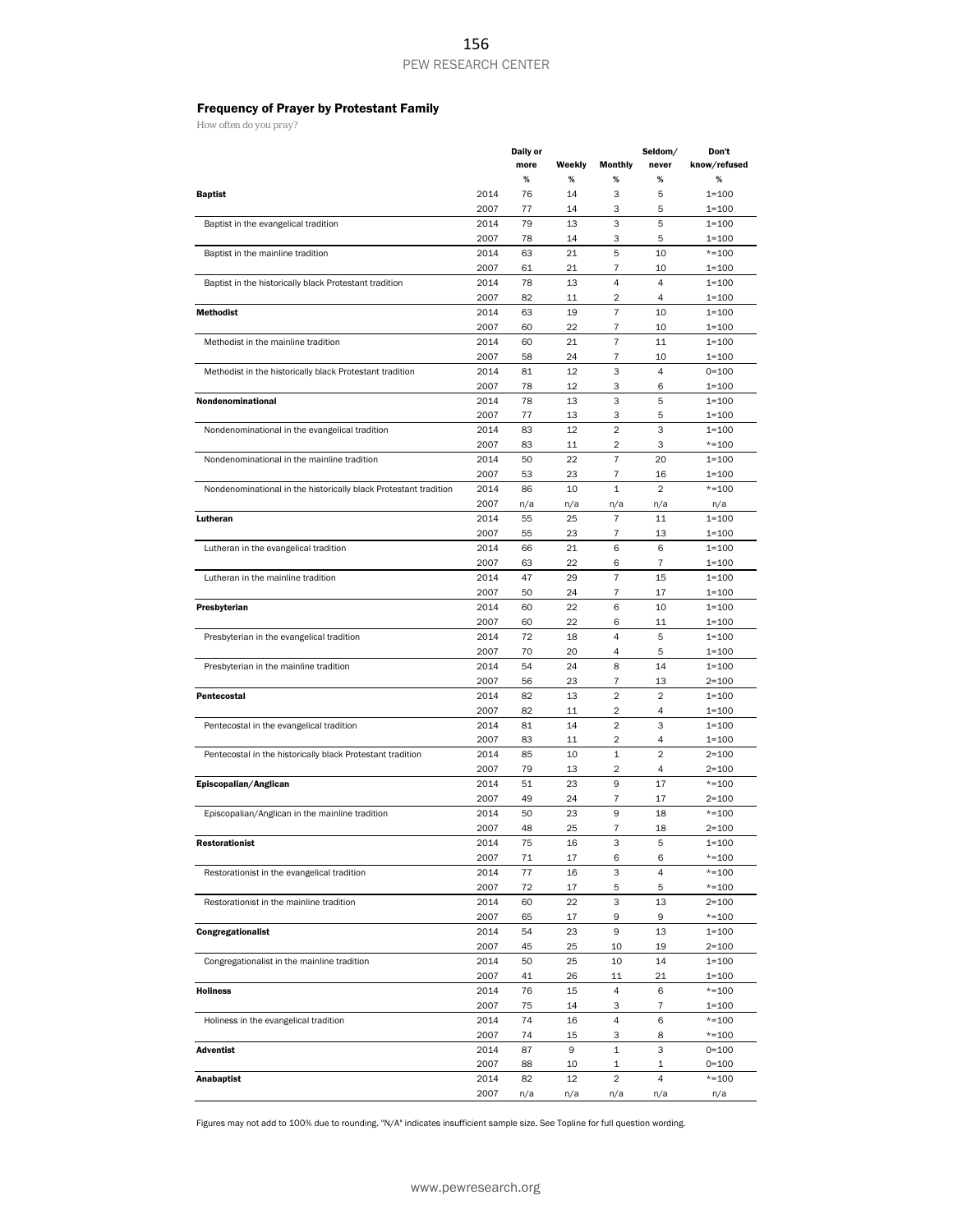## Frequency of Prayer by Protestant Family

*How often do you pray?*

|                                                                  |      | Daily or |        |                | Seldom/        | Don't        |
|------------------------------------------------------------------|------|----------|--------|----------------|----------------|--------------|
|                                                                  |      | more     | Weekly | <b>Monthly</b> | never          | know/refused |
|                                                                  |      | %        | %      | %              | %              | %            |
| <b>Baptist</b>                                                   | 2014 | 76       | 14     | 3              | 5              | $1 = 100$    |
|                                                                  | 2007 | 77       | 14     | 3              | 5              | $1 = 100$    |
| Baptist in the evangelical tradition                             | 2014 | 79       | 13     | 3              | 5              | $1 = 100$    |
|                                                                  | 2007 | 78       | 14     | 3              | 5              | $1 = 100$    |
| Baptist in the mainline tradition                                | 2014 | 63       | 21     | 5              | 10             | $*=100$      |
|                                                                  |      |          |        |                |                |              |
|                                                                  | 2007 | 61       | 21     | 7              | 10             | $1 = 100$    |
| Baptist in the historically black Protestant tradition           | 2014 | 78       | 13     | 4              | 4              | $1 = 100$    |
|                                                                  | 2007 | 82       | 11     | 2              | 4              | 1=100        |
| <b>Methodist</b>                                                 | 2014 | 63       | 19     | $\overline{7}$ | 10             | $1 = 100$    |
|                                                                  | 2007 | 60       | 22     | 7              | 10             | $1 = 100$    |
| Methodist in the mainline tradition                              | 2014 | 60       | 21     | 7              | 11             | $1 = 100$    |
|                                                                  | 2007 | 58       | 24     | 7              | 10             | $1 = 100$    |
| Methodist in the historically black Protestant tradition         | 2014 | 81       | 12     | 3              | 4              | $0 = 100$    |
|                                                                  | 2007 | 78       | 12     | 3              | 6              | 1=100        |
| Nondenominational                                                | 2014 | 78       | 13     | 3              | 5              | 1=100        |
|                                                                  | 2007 | 77       | 13     | 3              | 5              | $1 = 100$    |
| Nondenominational in the evangelical tradition                   | 2014 | 83       | 12     | $\overline{2}$ | 3              | $1 = 100$    |
|                                                                  |      |          |        |                |                |              |
|                                                                  | 2007 | 83       | 11     | 2              | 3              | $* = 100$    |
| Nondenominational in the mainline tradition                      | 2014 | 50       | 22     | $\overline{7}$ | 20             | $1 = 100$    |
|                                                                  | 2007 | 53       | 23     | 7              | 16             | $1 = 100$    |
| Nondenominational in the historically black Protestant tradition | 2014 | 86       | 10     | $\mathbf{1}$   | 2              | $* = 100$    |
|                                                                  | 2007 | n/a      | n/a    | n/a            | n/a            | n/a          |
| Lutheran                                                         | 2014 | 55       | 25     | $\overline{7}$ | 11             | $1 = 100$    |
|                                                                  | 2007 | 55       | 23     | 7              | 13             | $1 = 100$    |
| Lutheran in the evangelical tradition                            | 2014 | 66       | 21     | 6              | 6              | $1 = 100$    |
|                                                                  | 2007 | 63       | 22     | 6              | 7              | $1 = 100$    |
| Lutheran in the mainline tradition                               | 2014 | 47       | 29     | 7              | 15             | $1 = 100$    |
|                                                                  | 2007 | 50       | 24     | 7              | 17             | 1=100        |
|                                                                  |      |          |        |                |                |              |
| Presbyterian                                                     | 2014 | 60       | 22     | 6              | 10             | $1 = 100$    |
|                                                                  | 2007 | 60       | 22     | 6              | 11             | $1 = 100$    |
| Presbyterian in the evangelical tradition                        | 2014 | 72       | 18     | 4              | 5              | $1 = 100$    |
|                                                                  | 2007 | 70       | 20     | 4              | 5              | $1 = 100$    |
| Presbyterian in the mainline tradition                           | 2014 | 54       | 24     | 8              | 14             | $1 = 100$    |
|                                                                  | 2007 | 56       | 23     | 7              | 13             | $2 = 100$    |
| Pentecostal                                                      | 2014 | 82       | 13     | $\overline{2}$ | $\overline{c}$ | $1 = 100$    |
|                                                                  | 2007 | 82       | 11     | 2              | 4              | $1 = 100$    |
| Pentecostal in the evangelical tradition                         | 2014 | 81       | 14     | $\overline{2}$ | 3              | $1 = 100$    |
|                                                                  | 2007 | 83       | 11     | 2              | 4              | $1 = 100$    |
| Pentecostal in the historically black Protestant tradition       | 2014 | 85       | 10     | $\mathbf 1$    | $\overline{2}$ | $2 = 100$    |
|                                                                  | 2007 | 79       | 13     | 2              | 4              | $2 = 100$    |
| Episcopalian/Anglican                                            | 2014 | 51       | 23     | 9              | 17             | $*=100$      |
|                                                                  | 2007 | 49       | 24     | 7              |                |              |
|                                                                  |      |          |        |                | 17             | $2 = 100$    |
| Episcopalian/Anglican in the mainline tradition                  | 2014 | 50       | 23     | 9              | 18             | $*=100$      |
|                                                                  | 2007 | 48       | 25     | 7              | 18             | $2 = 100$    |
| <b>Restorationist</b>                                            | 2014 | 75       | 16     | 3              | 5              | $1 = 100$    |
|                                                                  | 2007 | 71       | 17     | 6              | 6              | $*=100$      |
| Restorationist in the evangelical tradition                      | 2014 | 77       | 16     | 3              | 4              | $* = 100$    |
|                                                                  | 2007 | 72       | 17     | 5              | 5              | $* = 100$    |
| Restorationist in the mainline tradition                         | 2014 | 60       | 22     | 3              | 13             | $2 = 100$    |
|                                                                  | 2007 | 65       | 17     | 9              | 9              | $* = 100$    |
| Congregationalist                                                | 2014 | 54       | 23     | 9              | 13             | $1 = 100$    |
|                                                                  | 2007 | 45       | 25     | 10             | 19             | $2 = 100$    |
| Congregationalist in the mainline tradition                      | 2014 | 50       | 25     | 10             | 14             | 1=100        |
|                                                                  |      |          |        |                |                |              |
|                                                                  | 2007 | 41       | 26     | 11             | 21             | 1=100        |
| <b>Holiness</b>                                                  | 2014 | 76       | 15     | 4              | 6              | $* = 100$    |
|                                                                  | 2007 | 75       | 14     | 3              | $\overline{7}$ | $1 = 100$    |
| Holiness in the evangelical tradition                            | 2014 | 74       | 16     | 4              | 6              | $* = 100$    |
|                                                                  | 2007 | 74       | 15     | 3              | 8              | $* = 100$    |
| <b>Adventist</b>                                                 | 2014 | 87       | 9      | $\mathbf 1$    | 3              | $0 = 100$    |
|                                                                  | 2007 | 88       | 10     | 1              | 1              | $0 = 100$    |
| Anabaptist                                                       | 2014 | 82       | 12     | $\overline{2}$ | 4              | $* = 100$    |
|                                                                  | 2007 | n/a      | n/a    | n/a            | n/a            | n/a          |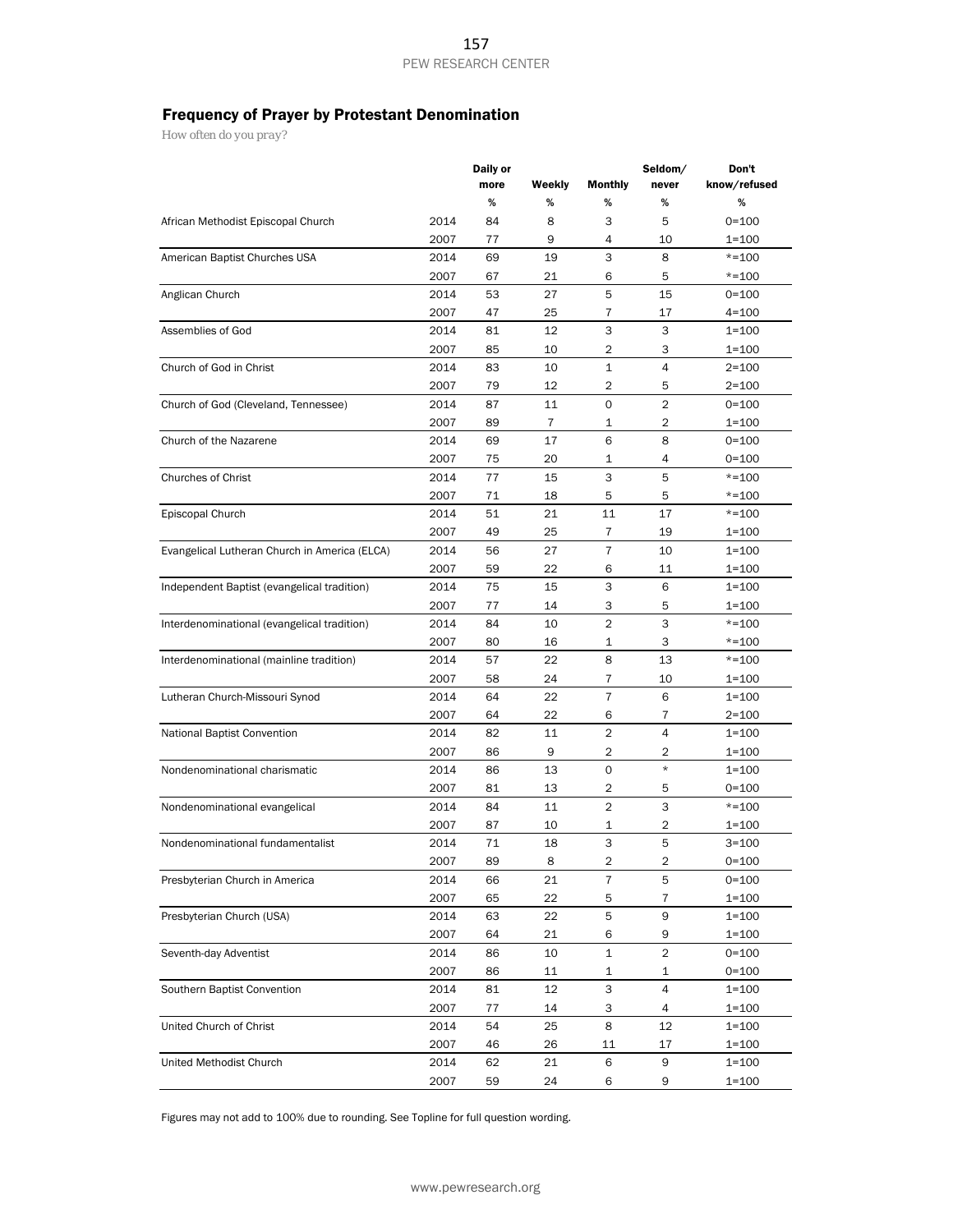# Frequency of Prayer by Protestant Denomination

*How often do you pray?*

|                                               |      | <b>Daily or</b> |                |                | Seldom/        | Don't        |
|-----------------------------------------------|------|-----------------|----------------|----------------|----------------|--------------|
|                                               |      | more            | Weekly         | <b>Monthly</b> | never          | know/refused |
|                                               |      | %               | %              | %              | %              | $\%$         |
| African Methodist Episcopal Church            | 2014 | 84              | 8              | 3              | 5              | $0 = 100$    |
|                                               | 2007 | 77              | 9              | 4              | 10             | $1 = 100$    |
| American Baptist Churches USA                 | 2014 | 69              | 19             | 3              | 8              | $* = 100$    |
|                                               | 2007 | 67              | 21             | 6              | 5              | $*=100$      |
| Anglican Church                               | 2014 | 53              | 27             | 5              | 15             | $0 = 100$    |
|                                               | 2007 | 47              | 25             | $\overline{7}$ | 17             | $4 = 100$    |
| Assemblies of God                             | 2014 | 81              | 12             | 3              | 3              | $1 = 100$    |
|                                               | 2007 | 85              | 10             | 2              | 3              | $1 = 100$    |
| Church of God in Christ                       | 2014 | 83              | 10             | 1              | 4              | $2 = 100$    |
|                                               | 2007 | 79              | 12             | 2              | 5              | $2 = 100$    |
| Church of God (Cleveland, Tennessee)          | 2014 | 87              | 11             | 0              | $\overline{c}$ | $0 = 100$    |
|                                               | 2007 | 89              | $\overline{7}$ | $\mathbf{1}$   | 2              | $1 = 100$    |
| Church of the Nazarene                        | 2014 | 69              | 17             | 6              | 8              | $0 = 100$    |
|                                               | 2007 | 75              | 20             | $\mathbf{1}$   | 4              | $0 = 100$    |
| <b>Churches of Christ</b>                     | 2014 | 77              | 15             | 3              | 5              | $* = 100$    |
|                                               | 2007 | 71              | 18             | 5              | 5              | $* = 100$    |
| Episcopal Church                              | 2014 | 51              | 21             | 11             | 17             | $* = 100$    |
|                                               | 2007 | 49              | 25             | $\overline{7}$ | 19             | $1 = 100$    |
| Evangelical Lutheran Church in America (ELCA) | 2014 | 56              | 27             | $\overline{7}$ | 10             | $1 = 100$    |
|                                               | 2007 | 59              | 22             | 6              | 11             | $1 = 100$    |
| Independent Baptist (evangelical tradition)   | 2014 | 75              | 15             | 3              | 6              | $1 = 100$    |
|                                               | 2007 | 77              | 14             | 3              | 5              | $1 = 100$    |
| Interdenominational (evangelical tradition)   | 2014 | 84              | 10             | $\overline{2}$ | 3              | $* = 100$    |
|                                               | 2007 | 80              | 16             | 1              | 3              | $* = 100$    |
| Interdenominational (mainline tradition)      | 2014 | 57              | 22             | 8              | 13             | $* = 100$    |
|                                               | 2007 | 58              | 24             | 7              | 10             | $1 = 100$    |
| Lutheran Church-Missouri Synod                | 2014 | 64              | 22             | $\overline{7}$ | 6              | $1 = 100$    |
|                                               | 2007 | 64              | 22             | 6              | 7              | $2 = 100$    |
| National Baptist Convention                   | 2014 | 82              | 11             | $\overline{2}$ | 4              | $1 = 100$    |
|                                               | 2007 | 86              | 9              | 2              | 2              | $1 = 100$    |
| Nondenominational charismatic                 | 2014 | 86              | 13             | 0              | $\star$        | $1 = 100$    |
|                                               | 2007 | 81              | 13             | 2              | 5              | $0 = 100$    |
| Nondenominational evangelical                 | 2014 | 84              | 11             | 2              | 3              | $* = 100$    |
|                                               | 2007 | 87              | 10             | 1              | 2              | $1 = 100$    |
| Nondenominational fundamentalist              | 2014 | 71              | 18             | 3              | 5              | $3 = 100$    |
|                                               | 2007 | 89              | 8              | 2              | 2              | 0=100        |
| Presbyterian Church in America                | 2014 | 66              | 21             | $\overline{7}$ | 5              | $0 = 100$    |
|                                               | 2007 | 65              | 22             | 5              | 7              | $1 = 100$    |
| Presbyterian Church (USA)                     | 2014 | 63              | 22             | 5              | $\mathsf 9$    | $1 = 100$    |
|                                               | 2007 | 64              | 21             | 6              | 9              | $1 = 100$    |
| Seventh-day Adventist                         | 2014 | 86              | 10             | $\mathbf{1}$   | $\overline{c}$ | $0 = 100$    |
|                                               | 2007 | 86              | 11             | 1              | 1              | $0 = 100$    |
| Southern Baptist Convention                   | 2014 | 81              | 12             | 3              | 4              | $1 = 100$    |
|                                               | 2007 | 77              | 14             | 3              | 4              | $1 = 100$    |
| United Church of Christ                       | 2014 | 54              | 25             | 8              | 12             | $1 = 100$    |
|                                               | 2007 | 46              | 26             | 11             | 17             | $1 = 100$    |
| United Methodist Church                       | 2014 | 62              | 21             | 6              | 9              | $1 = 100$    |
|                                               | 2007 | 59              | 24             | 6              | 9              | $1 = 100$    |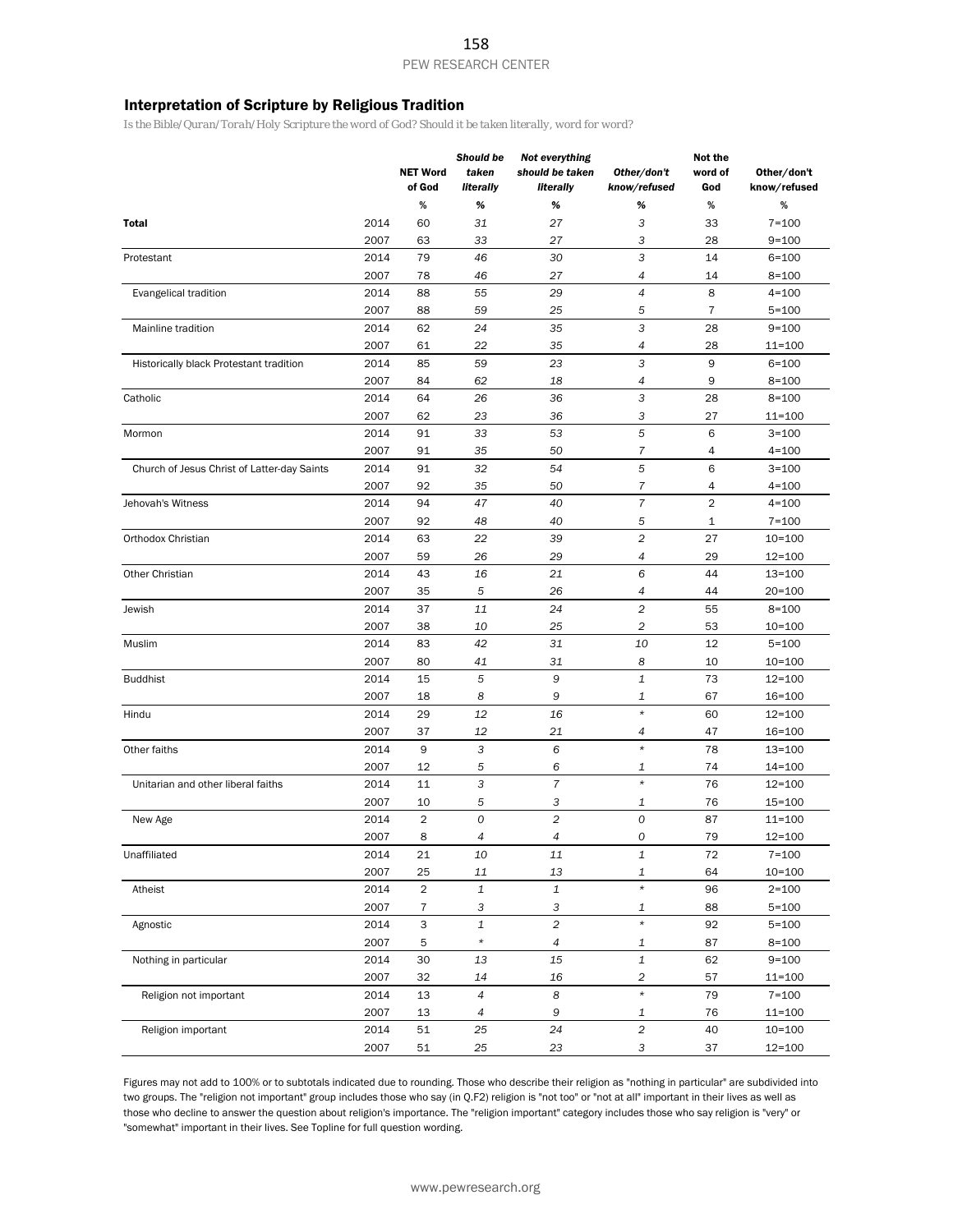#### Interpretation of Scripture by Religious Tradition

*Is the Bible/Quran/Torah/Holy Scripture the word of God? Should it be taken literally, word for word?*

|                                             |      | <b>NET Word</b><br>of God | Should be<br>taken<br>literally | Not everything<br>should be taken<br>literally | Other/don't<br>know/refused | Not the<br>word of<br>God | Other/don't<br>know/refused |
|---------------------------------------------|------|---------------------------|---------------------------------|------------------------------------------------|-----------------------------|---------------------------|-----------------------------|
|                                             |      | %                         | %                               | $\%$                                           | %                           | %                         | %                           |
| Total                                       | 2014 | 60                        | 31                              | 27                                             | 3                           | 33                        | $7 = 100$                   |
|                                             | 2007 | 63                        | 33                              | 27                                             | 3                           | 28                        | $9 = 100$                   |
| Protestant                                  | 2014 | 79                        | 46                              | 30                                             | 3                           | 14                        | $6 = 100$                   |
|                                             | 2007 | 78                        | 46                              | 27                                             | 4                           | 14                        | $8 = 100$                   |
| Evangelical tradition                       | 2014 | 88                        | 55                              | 29                                             | $\overline{4}$              | 8                         | $4 = 100$                   |
|                                             | 2007 | 88                        | 59                              | 25                                             | 5                           | 7                         | $5 = 100$                   |
| Mainline tradition                          | 2014 | 62                        | 24                              | 35                                             | 3                           | 28                        | $9 = 100$                   |
|                                             | 2007 | 61                        | 22                              | 35                                             | 4                           | 28                        | 11=100                      |
| Historically black Protestant tradition     | 2014 | 85                        | 59                              | 23                                             | 3                           | 9                         | $6 = 100$                   |
|                                             | 2007 | 84                        | 62                              | 18                                             | 4                           | 9                         | $8 = 100$                   |
| Catholic                                    | 2014 | 64                        | 26                              | 36                                             | 3                           | 28                        | $8 = 100$                   |
|                                             | 2007 | 62                        | 23                              | 36                                             | 3                           | 27                        | 11=100                      |
| Mormon                                      | 2014 | 91                        | 33                              | 53                                             | 5                           | 6                         | $3 = 100$                   |
|                                             | 2007 | 91                        | 35                              | 50                                             | $\overline{7}$              | 4                         | $4 = 100$                   |
| Church of Jesus Christ of Latter-day Saints | 2014 | 91                        | 32                              | 54                                             | 5                           | 6                         | $3 = 100$                   |
|                                             | 2007 | 92                        | 35                              | 50                                             | $\overline{7}$              | 4                         | $4 = 100$                   |
| Jehovah's Witness                           | 2014 | 94                        | 47                              | 40                                             | $\overline{7}$              | $\overline{2}$            | $4 = 100$                   |
|                                             | 2007 | 92                        | 48                              | 40                                             | 5                           | 1                         | $7 = 100$                   |
| Orthodox Christian                          | 2014 | 63                        | 22                              | 39                                             | $\overline{c}$              | 27                        | $10 = 100$                  |
|                                             | 2007 | 59                        | 26                              | 29                                             | 4                           | 29                        | $12 = 100$                  |
| Other Christian                             | 2014 | 43                        | 16                              | 21                                             | 6                           | 44                        | $13 = 100$                  |
|                                             | 2007 | 35                        | 5                               | 26                                             | 4                           | 44                        | $20 = 100$                  |
| Jewish                                      | 2014 | 37                        | 11                              | 24                                             | 2                           | 55                        | $8 = 100$                   |
|                                             | 2007 | 38                        | 10                              | 25                                             | 2                           | 53                        | $10 = 100$                  |
| Muslim                                      | 2014 | 83                        | 42                              | 31                                             | 10                          | 12                        | $5 = 100$                   |
|                                             | 2007 | 80                        | 41                              | 31                                             | 8                           | 10                        | $10 = 100$                  |
| <b>Buddhist</b>                             | 2014 | 15                        | 5                               | 9                                              | $\mathbf 1$                 | 73                        | $12 = 100$                  |
|                                             | 2007 | 18                        | 8                               | 9                                              | $\mathbf{1}$                | 67                        | 16=100                      |
| Hindu                                       | 2014 | 29                        | 12                              | 16                                             | $\star$                     | 60                        | $12 = 100$                  |
|                                             | 2007 | 37                        | 12                              | 21                                             | 4                           | 47                        | 16=100                      |
| Other faiths                                | 2014 | 9                         | 3                               | 6                                              | $\star$                     | 78                        | $13 = 100$                  |
|                                             | 2007 | 12                        | 5                               | 6                                              | 1                           | 74                        | $14 = 100$                  |
| Unitarian and other liberal faiths          | 2014 | 11                        | 3                               | $\overline{7}$                                 | $\star$                     | 76                        | $12 = 100$                  |
|                                             | 2007 | 10                        | 5                               | 3                                              | 1                           | 76                        | $15 = 100$                  |
| New Age                                     | 2014 | 2                         | 0                               | $\overline{\mathbf{c}}$                        | 0                           | 87                        | 11=100                      |
|                                             | 2007 | 8                         | 4                               | 4                                              | 0                           | 79                        | $12 = 100$                  |
| Unaffiliated                                | 2014 | 21                        | 10                              | 11                                             | 1                           | 72                        | $7 = 100$                   |
|                                             | 2007 | 25                        | 11                              | 13                                             | 1                           | 64                        | $10 = 100$                  |
| Atheist                                     | 2014 | 2                         | $\mathbf 1$                     | $\mathbf 1$                                    | $\star$                     | 96                        | $2 = 100$                   |
|                                             | 2007 | $\overline{7}$            | 3                               | 3                                              | 1<br>$\star$                | 88                        | $5 = 100$                   |
| Agnostic                                    | 2014 | $\ensuremath{\mathsf{3}}$ | $\mathbf 1$                     | $\overline{c}$                                 |                             | 92                        | $5 = 100$                   |
|                                             | 2007 | 5                         | $\star$                         | 4                                              | 1                           | 87                        | $8 = 100$                   |
| Nothing in particular                       | 2014 | 30                        | 13                              | 15                                             | $\mathbf{1}$                | 62                        | $9 = 100$                   |
|                                             | 2007 | 32                        | 14                              | 16                                             | 2                           | 57                        | 11=100                      |
| Religion not important                      | 2014 | 13                        | $\overline{4}$                  | 8                                              | $\star$                     | 79                        | $7 = 100$                   |
|                                             | 2007 | 13                        | 4                               | 9                                              | 1                           | 76                        | $11 = 100$                  |
| Religion important                          | 2014 | 51                        | 25                              | 24                                             | $\overline{c}$              | 40                        | $10 = 100$                  |
|                                             | 2007 | 51                        | 25                              | 23                                             | 3                           | 37                        | $12 = 100$                  |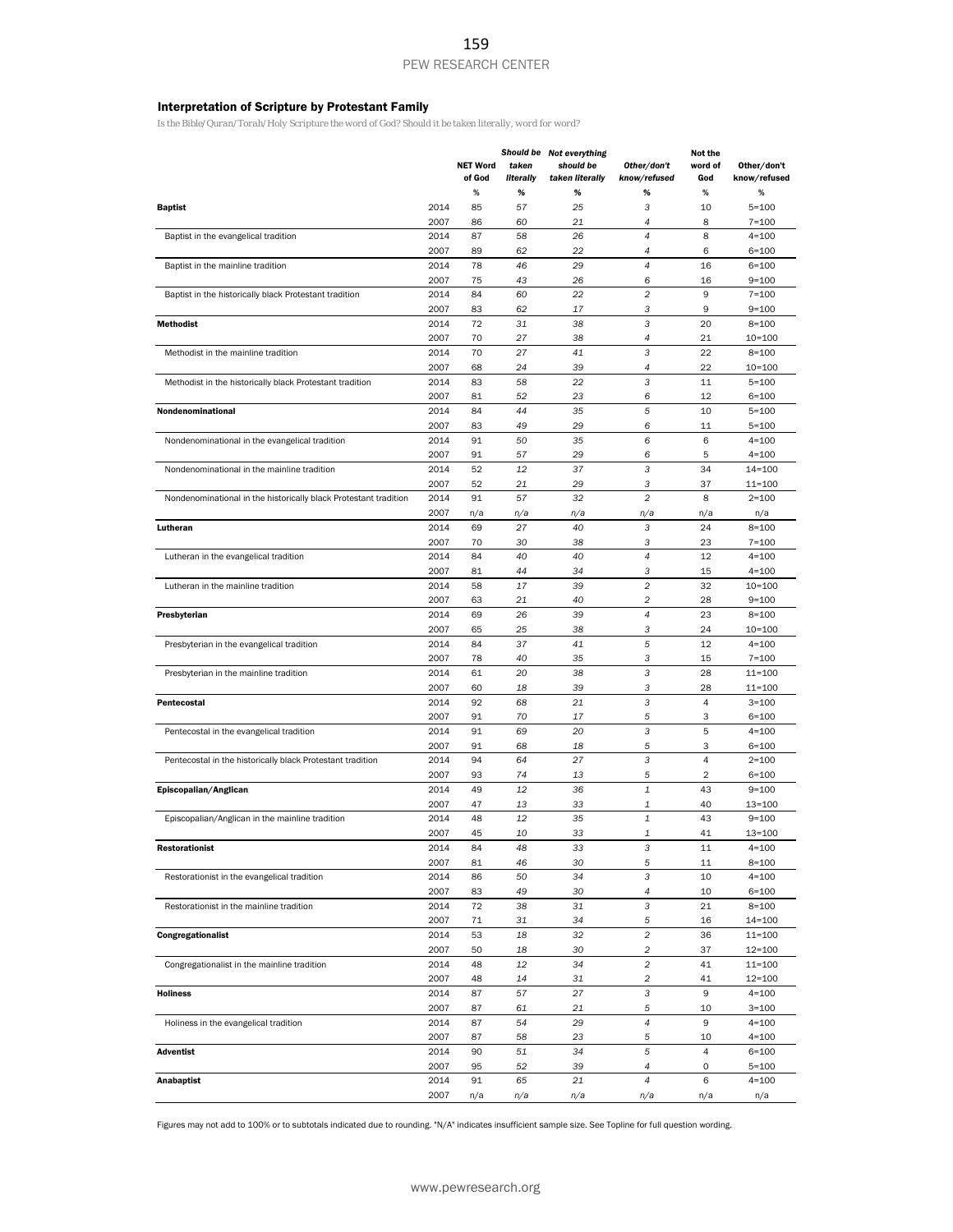#### Interpretation of Scripture by Protestant Family

*Is the Bible/Quran/Torah/Holy Scripture the word of God? Should it be taken literally, word for word?*

|                                                                  |              |                 |           | Should be Not everything |                | Not the        |                        |
|------------------------------------------------------------------|--------------|-----------------|-----------|--------------------------|----------------|----------------|------------------------|
|                                                                  |              | <b>NET Word</b> | taken     | should be                | Other/don't    | word of        | Other/don't            |
|                                                                  |              | of God          | literally | taken literally          | know/refused   | God            | know/refused           |
|                                                                  |              | $\%$            | %         | %                        | %              | $\%$           | %                      |
| <b>Baptist</b>                                                   | 2014         | 85              | 57        | 25                       | 3              | 10             | $5 = 100$              |
|                                                                  | 2007         | 86              | 60        | 21                       | 4              | 8              | $7 = 100$              |
| Baptist in the evangelical tradition                             | 2014         | 87              | 58        | 26                       | 4              | 8              | $4 = 100$              |
|                                                                  | 2007         | 89              | 62        | 22                       | 4              | 6              | $6 = 100$              |
| Baptist in the mainline tradition                                | 2014         | 78              | 46        | 29                       | 4              | 16             | $6 = 100$              |
|                                                                  | 2007         | 75              | 43        | 26                       | 6              | 16             | $9 = 100$              |
| Baptist in the historically black Protestant tradition           | 2014         | 84              | 60        | 22                       | $\overline{c}$ | 9              | $7 = 100$              |
|                                                                  | 2007         | 83              | 62        | 17                       | 3              | 9              | $9 = 100$              |
| <b>Methodist</b>                                                 | 2014         | 72              | 31        | 38                       | 3              | 20             | $8 = 100$              |
|                                                                  | 2007         | 70              | 27        | 38                       | 4              | 21             | $10 = 100$             |
| Methodist in the mainline tradition                              | 2014         | 70              | 27        | 41                       | 3              | 22             | $8 = 100$              |
|                                                                  | 2007         | 68              | 24        | 39                       | 4              | 22             | $10 = 100$             |
| Methodist in the historically black Protestant tradition         | 2014         | 83              | 58        | 22                       | 3              | 11             | $5 = 100$              |
|                                                                  | 2007         | 81              | 52        | 23                       | 6              | 12             | $6 = 100$              |
| Nondenominational                                                | 2014         | 84              | 44        | 35                       | 5              | 10             | $5 = 100$              |
|                                                                  |              |                 |           |                          |                |                |                        |
|                                                                  | 2007         | 83              | 49        | 29                       | 6<br>6         | 11             | $5 = 100$              |
| Nondenominational in the evangelical tradition                   | 2014         | 91              | 50        | 35                       |                | 6              | $4 = 100$              |
|                                                                  | 2007         | 91              | 57        | 29                       | 6              | 5              | $4 = 100$              |
| Nondenominational in the mainline tradition                      | 2014         | 52              | 12        | 37                       | 3              | 34             | $14 = 100$             |
|                                                                  | 2007         | 52              | 21        | 29                       | 3              | 37             | $11 = 100$             |
| Nondenominational in the historically black Protestant tradition | 2014         | 91              | 57        | 32                       | $\overline{2}$ | 8              | $2 = 100$              |
|                                                                  | 2007         | n/a             | n/a       | n/a                      | n/a            | n/a            | n/a                    |
| Lutheran                                                         | 2014         | 69              | 27        | 40                       | 3              | 24             | $8 = 100$              |
|                                                                  | 2007         | 70              | 30        | 38                       | 3              | 23             | $7 = 100$              |
| Lutheran in the evangelical tradition                            | 2014         | 84              | 40        | 40                       | 4              | 12             | $4 = 100$              |
|                                                                  | 2007         | 81              | 44        | 34                       | 3              | 15             | $4 = 100$              |
| Lutheran in the mainline tradition                               | 2014         | 58              | 17        | 39                       | $\overline{c}$ | 32             | $10 = 100$             |
|                                                                  | 2007         | 63              | 21        | 40                       | 2              | 28             | $9 = 100$              |
| Presbyterian                                                     | 2014         | 69              | 26        | 39                       | 4              | 23             | $8 = 100$              |
|                                                                  | 2007         | 65              | 25        | 38                       | З              | 24             | $10 = 100$             |
| Presbyterian in the evangelical tradition                        | 2014         | 84              | 37        | 41                       | 5              | 12             | $4 = 100$              |
|                                                                  | 2007         | 78              | 40        | 35                       | 3              | 15             | $7 = 100$              |
| Presbyterian in the mainline tradition                           | 2014         | 61              | 20        | 38                       | 3              | 28             | $11 = 100$             |
|                                                                  | 2007         | 60              | 18        | 39                       | З              | 28             | $11 = 100$             |
| Pentecostal                                                      | 2014         | 92              | 68        | 21                       | 3              | $\overline{4}$ | $3 = 100$              |
|                                                                  | 2007         | 91              | 70        | 17                       | 5              | 3              | $6 = 100$              |
| Pentecostal in the evangelical tradition                         | 2014         | 91              | 69        | 20                       | 3              | 5              | $4 = 100$              |
|                                                                  | 2007         | 91              | 68        | 18                       | 5              | 3              | $6 = 100$              |
| Pentecostal in the historically black Protestant tradition       | 2014         | 94              | 64        | 27                       | 3              | $\overline{4}$ | $2 = 100$              |
|                                                                  | 2007         | 93              | 74        | 13                       | 5              | $\overline{2}$ | $6 = 100$              |
| Episcopalian/Anglican                                            | 2014         | 49              | 12        | 36                       | $\mathbf{1}$   | 43             | $9 = 100$              |
|                                                                  | 2007         | 47              | 13        | 33                       | 1              | 40             | $13 = 100$             |
| Episcopalian/Anglican in the mainline tradition                  | 2014         | 48              | 12        | 35                       | $\mathbf{1}$   | 43             | $9 = 100$              |
|                                                                  | 2007         | 45              | 10        | 33                       | 1              | 41             | $13 = 100$             |
|                                                                  |              |                 |           |                          | З              |                |                        |
| <b>Restorationist</b>                                            | 2014<br>2007 | 84              | 48        | 33                       | 5              | 11             | $4 = 100$<br>$8 = 100$ |
|                                                                  |              | 81              | 46        | 30                       |                | 11             |                        |
| Restorationist in the evangelical tradition                      | 2014         | 86              | 50        | 34                       | 3              | 10             | $4 = 100$              |
|                                                                  | 2007         | 83              | 49        | 30                       | 4              | 10             | $6 = 100$              |
| Restorationist in the mainline tradition                         | 2014         | 72              | 38        | 31                       | 3              | 21             | $8 = 100$              |
|                                                                  | 2007         | 71              | 31        | 34                       | 5              | 16             | $14 = 100$             |
| Congregationalist                                                | 2014         | 53              | 18        | 32                       | $\overline{c}$ | 36             | $11 = 100$             |
|                                                                  | 2007         | 50              | 18        | 30                       | 2              | 37             | $12 = 100$             |
| Congregationalist in the mainline tradition                      | 2014         | 48              | 12        | 34                       | 2              | 41             | $11 = 100$             |
|                                                                  | 2007         | 48              | 14        | 31                       | 2              | 41             | $12 = 100$             |
| <b>Holiness</b>                                                  | 2014         | 87              | 57        | 27                       | 3              | 9              | $4 = 100$              |
|                                                                  | 2007         | 87              | 61        | 21                       | 5              | 10             | $3 = 100$              |
| Holiness in the evangelical tradition                            | 2014         | 87              | 54        | 29                       | $\overline{4}$ | 9              | $4 = 100$              |
|                                                                  | 2007         | 87              | 58        | 23                       | 5              | 10             | $4 = 100$              |
| <b>Adventist</b>                                                 | 2014         | 90              | 51        | 34                       | 5              | 4              | $6 = 100$              |
|                                                                  | 2007         | 95              | 52        | 39                       | 4              | 0              | $5 = 100$              |
| Anabaptist                                                       | 2014         | 91              | 65        | 21                       | $\overline{4}$ | 6              | $4 = 100$              |
|                                                                  | 2007         | n/a             | n/a       | n/a                      | n/a            | n/a            | n/a                    |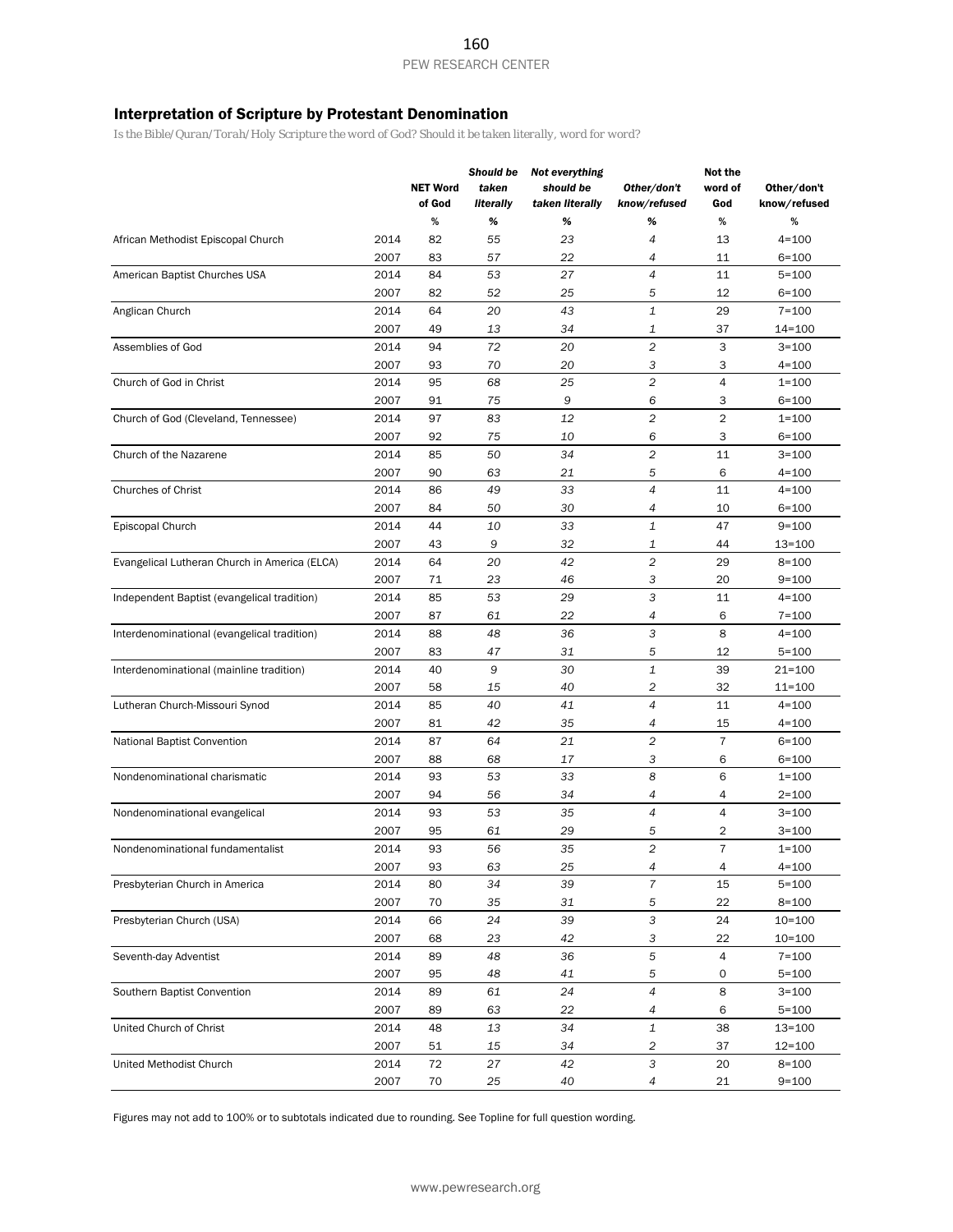## Interpretation of Scripture by Protestant Denomination

*Is the Bible/Quran/Torah/Holy Scripture the word of God? Should it be taken literally, word for word?*

|                                               |              | <b>NET Word</b><br>of God | <b>Should be</b><br>taken<br>literally | <b>Not everything</b><br>should be<br>taken literally | Other/don't<br>know/refused | Not the<br>word of<br>God | Other/don't<br>know/refused |
|-----------------------------------------------|--------------|---------------------------|----------------------------------------|-------------------------------------------------------|-----------------------------|---------------------------|-----------------------------|
|                                               |              | $\%$                      | %                                      | %                                                     | %                           | %                         | $\%$                        |
| African Methodist Episcopal Church            | 2014         | 82                        | 55                                     | 23                                                    | $\overline{4}$              | 13                        | $4 = 100$                   |
|                                               | 2007         | 83                        | 57                                     | 22                                                    | 4                           | 11                        | $6 = 100$                   |
| American Baptist Churches USA                 | 2014         | 84                        | 53                                     | 27                                                    | $\overline{\mathcal{L}}$    | 11                        | $5 = 100$                   |
|                                               | 2007         | 82                        | 52                                     | 25                                                    | 5                           | 12                        | $6 = 100$                   |
| Anglican Church                               | 2014         | 64                        | 20                                     | 43                                                    | 1                           | 29                        | $7 = 100$                   |
|                                               | 2007         | 49                        | 13                                     | 34                                                    | 1                           | 37                        | $14 = 100$                  |
| Assemblies of God                             | 2014         | 94                        | 72                                     | 20                                                    | $\overline{c}$              | 3                         | $3 = 100$                   |
|                                               | 2007         | 93                        | 70                                     | 20                                                    | 3                           | 3                         | $4 = 100$                   |
| Church of God in Christ                       | 2014         | 95                        | 68                                     | 25                                                    | $\overline{c}$              | 4                         | $1 = 100$                   |
|                                               | 2007         | 91                        | 75                                     | 9                                                     | 6                           | 3                         | $6 = 100$                   |
| Church of God (Cleveland, Tennessee)          | 2014         | 97                        | 83                                     | 12                                                    | $\overline{c}$              | $\mathbf{2}$              | $1 = 100$                   |
|                                               | 2007         | 92                        | 75                                     | 10                                                    | 6                           | 3                         | $6 = 100$                   |
| Church of the Nazarene                        | 2014         | 85                        | 50                                     | 34                                                    | $\overline{2}$              | 11                        | $3 = 100$                   |
|                                               | 2007         | 90                        | 63                                     | 21                                                    | 5                           | 6                         | $4 = 100$                   |
| Churches of Christ                            | 2014         | 86                        | 49                                     | 33                                                    | $\overline{\mathcal{A}}$    | 11                        | $4 = 100$                   |
|                                               | 2007         | 84                        | 50                                     | 30                                                    | 4                           | 10                        | $6 = 100$                   |
| Episcopal Church                              | 2014         | 44                        | 10                                     | 33                                                    | 1                           | 47                        | $9 = 100$                   |
|                                               | 2007         | 43                        | 9                                      | 32                                                    | 1                           | 44                        | $13 = 100$                  |
| Evangelical Lutheran Church in America (ELCA) | 2014         | 64                        | 20                                     | 42                                                    | $\overline{2}$              | 29                        | $8 = 100$                   |
|                                               | 2007         | 71                        | 23                                     | 46                                                    | 3                           | 20                        | $9 = 100$                   |
| Independent Baptist (evangelical tradition)   | 2014         | 85                        | 53                                     | 29                                                    | 3                           | 11                        | $4 = 100$                   |
|                                               | 2007         | 87                        | 61                                     | 22                                                    | 4                           | 6                         | $7 = 100$                   |
| Interdenominational (evangelical tradition)   | 2014         | 88                        | 48                                     | 36                                                    | 3                           | 8                         | $4 = 100$                   |
|                                               | 2007         | 83                        | 47                                     | 31                                                    | 5                           | 12                        | $5 = 100$                   |
| Interdenominational (mainline tradition)      | 2014         | 40                        | 9                                      | 30                                                    | 1                           | 39                        | $21 = 100$                  |
|                                               | 2007         | 58                        | 15                                     | 40                                                    | 2                           | 32                        | $11 = 100$                  |
| Lutheran Church-Missouri Synod                | 2014         | 85                        | 40                                     | 41                                                    | $\overline{4}$              | 11                        | $4 = 100$                   |
|                                               | 2007         | 81                        | 42                                     | 35                                                    | 4                           | 15                        | $4 = 100$                   |
| National Baptist Convention                   | 2014         | 87                        | 64                                     | 21                                                    | $\overline{2}$              | $\overline{7}$            | $6 = 100$                   |
|                                               | 2007         | 88                        | 68                                     | 17                                                    | 3                           | 6                         | $6 = 100$                   |
| Nondenominational charismatic                 | 2014         | 93                        | 53                                     | 33                                                    | 8                           | 6                         | $1 = 100$                   |
|                                               | 2007         | 94                        | 56                                     | 34                                                    | 4                           | 4                         | $2 = 100$                   |
| Nondenominational evangelical                 | 2014         | 93                        | 53                                     | 35                                                    | $\overline{\mathcal{L}}$    | 4                         | $3 = 100$                   |
|                                               | 2007         | 95                        | 61                                     | 29                                                    | 5                           | 2                         | $3 = 100$                   |
| Nondenominational fundamentalist              | 2014         | 93                        | 56                                     | 35                                                    | $\overline{c}$              | $\overline{7}$            | $1 = 100$                   |
|                                               | 2007         | 93                        | 63                                     | 25                                                    | 4                           | 4                         | $4 = 100$                   |
| Presbyterian Church in America                | 2014         | 80                        | 34                                     | 39                                                    | $\overline{7}$              | 15                        | $5 = 100$                   |
|                                               | 2007         | 70                        | 35                                     | 31                                                    | 5                           | 22                        | $8 = 100$                   |
| Presbyterian Church (USA)                     | 2014         | 66                        | 24                                     | 39                                                    | 3                           | 24                        | $10 = 100$                  |
|                                               | 2007         | 68                        | 23                                     | 42                                                    | 3<br>5                      | 22                        | $10 = 100$                  |
| Seventh-day Adventist                         | 2014         | 89                        | 48                                     | 36                                                    |                             | 4                         | $7 = 100$                   |
|                                               | 2007         | 95                        | 48                                     | 41                                                    | 5                           | 0                         | $5 = 100$                   |
| Southern Baptist Convention                   | 2014         | 89                        | 61                                     | 24                                                    | $\overline{\mathcal{L}}$    | 8                         | $3 = 100$                   |
|                                               | 2007         | 89                        | 63                                     | 22                                                    | 4<br>$\mathbf 1$            | 6                         | $5 = 100$                   |
| United Church of Christ                       | 2014         | 48                        | 13                                     | 34                                                    |                             | 38                        | $13 = 100$                  |
|                                               | 2007<br>2014 | 51<br>72                  | 15<br>27                               | 34<br>42                                              | 2<br>3                      | 37<br>20                  | $12 = 100$<br>$8 = 100$     |
| United Methodist Church                       |              |                           |                                        |                                                       |                             |                           |                             |
|                                               | 2007         | 70                        | 25                                     | 40                                                    | 4                           | 21                        | $9 = 100$                   |

Figures may not add to 100% or to subtotals indicated due to rounding. See Topline for full question wording.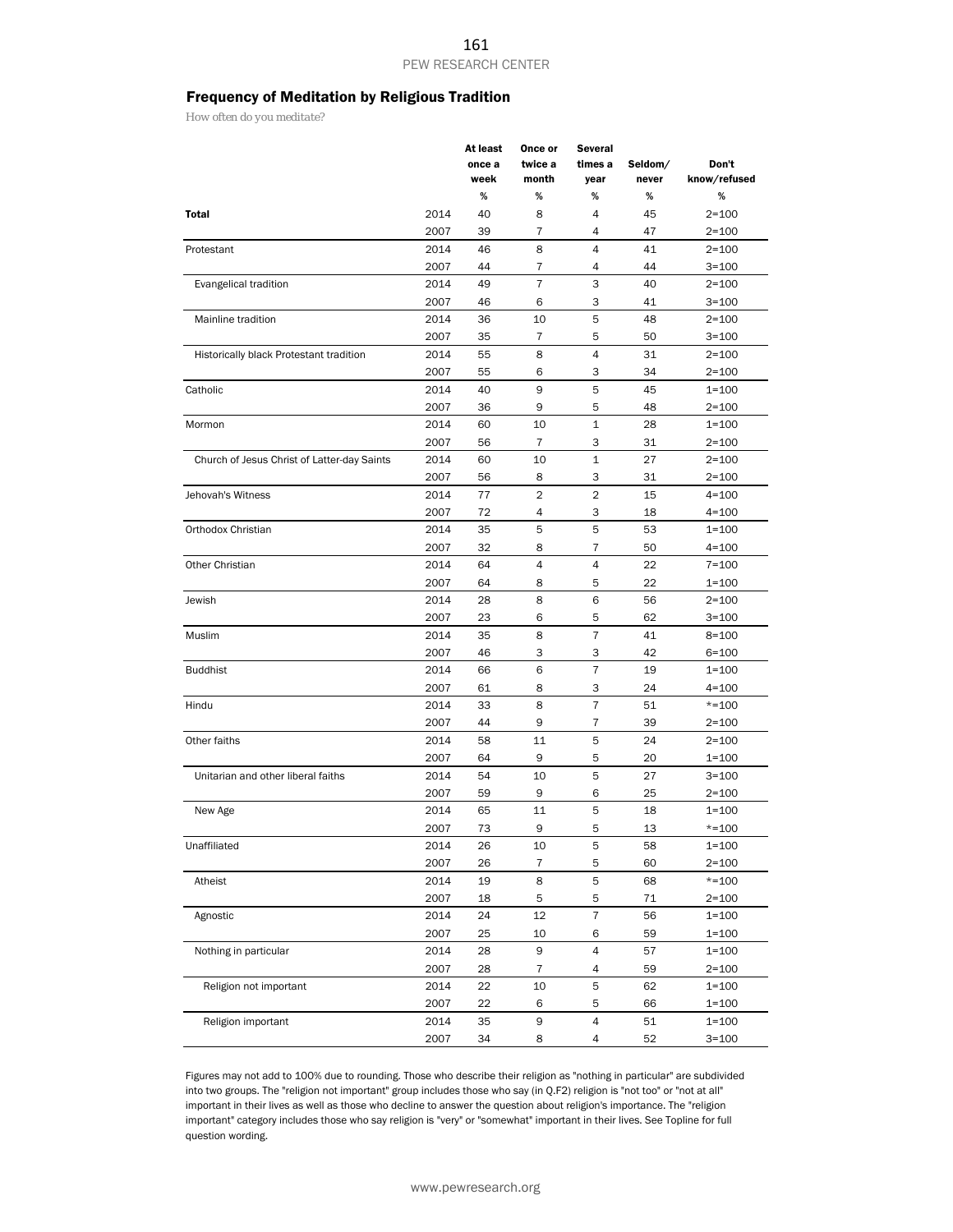#### Frequency of Meditation by Religious Tradition

*How often do you meditate?*

|                                             |      | At least<br>once a | Once or<br>twice a | <b>Several</b><br>times a | Seldom/ | Don't        |
|---------------------------------------------|------|--------------------|--------------------|---------------------------|---------|--------------|
|                                             |      | week               | month              | year                      | never   | know/refused |
|                                             |      | %                  | %                  | %                         | %       | $\%$         |
| Total                                       | 2014 | 40                 | 8                  | $\overline{4}$            | 45      | $2 = 100$    |
|                                             | 2007 | 39                 | 7                  | 4                         | 47      | $2 = 100$    |
| Protestant                                  | 2014 | 46                 | 8                  | 4                         | 41      | $2 = 100$    |
|                                             | 2007 | 44                 | 7                  | 4                         | 44      | $3 = 100$    |
| Evangelical tradition                       | 2014 | 49                 | $\overline{7}$     | 3                         | 40      | $2 = 100$    |
|                                             | 2007 | 46                 | 6                  | 3                         | 41      | $3 = 100$    |
| Mainline tradition                          | 2014 | 36                 | 10                 | 5                         | 48      | $2 = 100$    |
|                                             | 2007 | 35                 | $\overline{7}$     | 5                         | 50      | $3 = 100$    |
| Historically black Protestant tradition     | 2014 | 55                 | 8                  | 4                         | 31      | $2 = 100$    |
|                                             | 2007 | 55                 | 6                  | 3                         | 34      | $2 = 100$    |
| Catholic                                    | 2014 | 40                 | 9                  | 5                         | 45      | $1 = 100$    |
|                                             | 2007 | 36                 | 9                  | 5                         | 48      | $2 = 100$    |
| Mormon                                      | 2014 | 60                 | 10                 | 1                         | 28      | $1 = 100$    |
|                                             | 2007 | 56                 | $\overline{7}$     | 3                         | 31      | $2 = 100$    |
| Church of Jesus Christ of Latter-day Saints | 2014 | 60                 | 10                 | $\mathbf{1}$              | 27      | $2 = 100$    |
|                                             | 2007 | 56                 | 8                  | 3                         | 31      | $2 = 100$    |
| Jehovah's Witness                           | 2014 | 77                 | $\overline{2}$     | $\overline{2}$            | 15      | $4 = 100$    |
|                                             | 2007 | 72                 | $\overline{4}$     | 3                         | 18      | $4 = 100$    |
| Orthodox Christian                          | 2014 | 35                 | 5                  | 5                         | 53      | $1 = 100$    |
|                                             | 2007 | 32                 | 8                  | 7                         | 50      | $4 = 100$    |
| Other Christian                             | 2014 | 64                 | 4                  | 4                         | 22      | $7 = 100$    |
|                                             | 2007 | 64                 | 8                  | 5                         | 22      | $1 = 100$    |
| Jewish                                      | 2014 | 28                 | 8                  | 6                         | 56      | $2 = 100$    |
|                                             | 2007 | 23                 | 6                  | 5                         | 62      | $3 = 100$    |
| Muslim                                      | 2014 | 35                 | 8                  | $\overline{7}$            | 41      | $8 = 100$    |
|                                             | 2007 | 46                 | 3                  | 3                         | 42      | $6 = 100$    |
| <b>Buddhist</b>                             | 2014 | 66                 | 6                  | $\overline{7}$            | 19      | $1 = 100$    |
|                                             | 2007 | 61                 | 8                  | 3                         | 24      | $4 = 100$    |
| Hindu                                       | 2014 | 33                 | 8                  | $\overline{7}$            | 51      | $* = 100$    |
|                                             | 2007 | 44                 | 9                  | 7                         | 39      | $2 = 100$    |
| Other faiths                                | 2014 | 58                 | 11                 | 5                         | 24      | $2 = 100$    |
|                                             | 2007 | 64                 | 9                  | 5                         | 20      | $1 = 100$    |
| Unitarian and other liberal faiths          | 2014 | 54                 | 10                 | 5                         | 27      | $3 = 100$    |
|                                             | 2007 | 59                 | 9                  | 6                         | 25      | $2 = 100$    |
| New Age                                     | 2014 | 65                 | 11                 | 5                         | 18      | $1 = 100$    |
|                                             | 2007 | 73                 | 9                  | 5                         | 13      | *=100        |
| Unaffiliated                                | 2014 | 26                 | 10                 | 5                         | 58      | $1 = 100$    |
|                                             | 2007 | 26                 | $\overline{7}$     | 5                         | 60      | $2 = 100$    |
| Atheist                                     | 2014 | 19                 | 8                  | 5                         | 68      | $* = 100$    |
|                                             | 2007 | 18                 | 5                  | 5                         | 71      | $2 = 100$    |
| Agnostic                                    | 2014 | 24                 | 12                 | $\overline{\mathcal{I}}$  | 56      | $1 = 100$    |
|                                             | 2007 | 25                 | 10                 | 6                         | 59      | $1 = 100$    |
| Nothing in particular                       | 2014 | 28                 | 9                  | 4                         | 57      | $1 = 100$    |
|                                             | 2007 | 28                 | 7                  | 4                         | 59      | $2 = 100$    |
| Religion not important                      | 2014 | 22                 | 10                 | 5                         | 62      | $1 = 100$    |
|                                             | 2007 | 22                 | 6                  | 5                         | 66      | $1 = 100$    |
| Religion important                          | 2014 | 35                 | 9                  | $\overline{4}$            | 51      | $1 = 100$    |
|                                             | 2007 | 34                 | 8                  | 4                         | 52      | $3 = 100$    |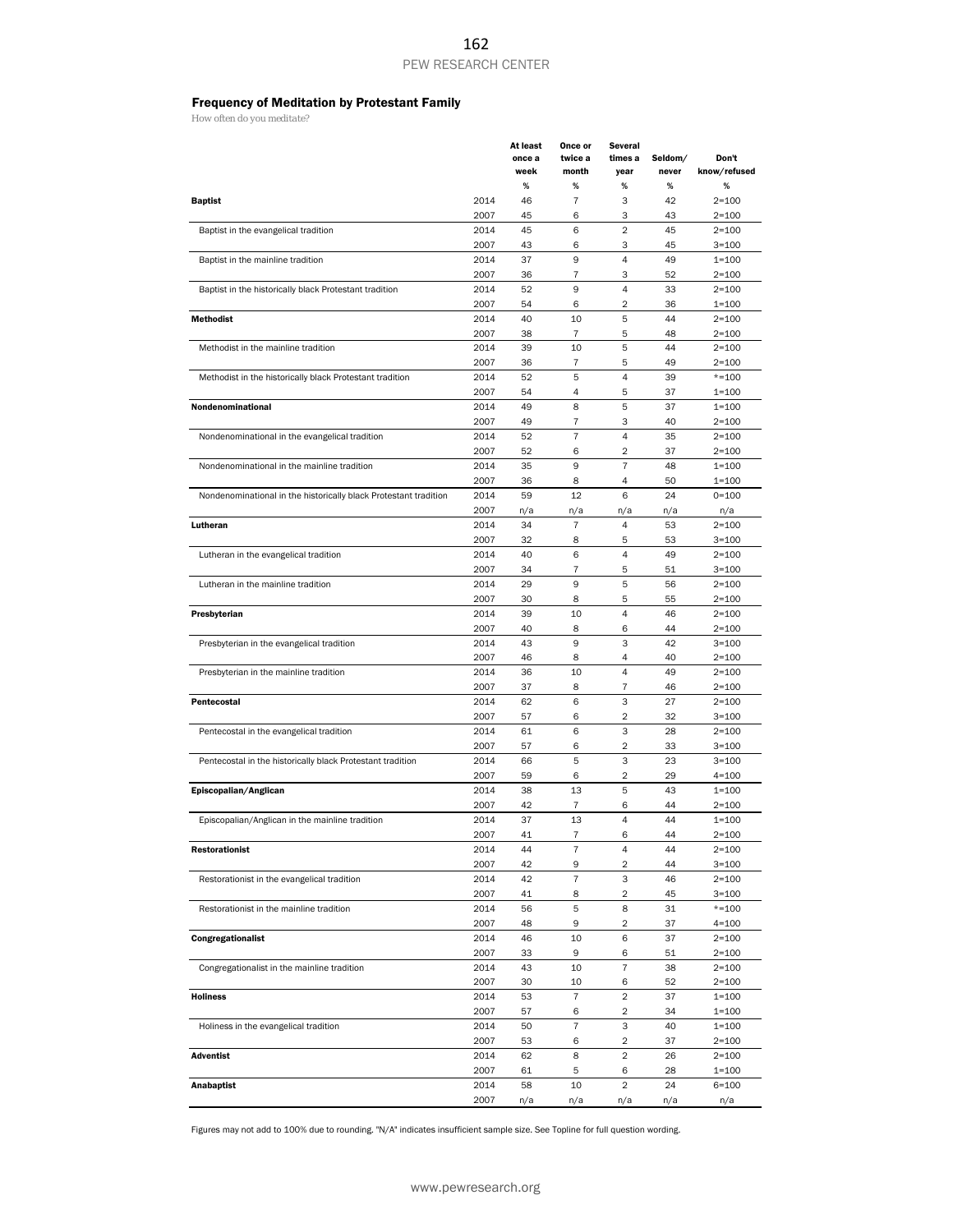#### Frequency of Meditation by Protestant Family

*How often do you meditate?*

|                                                                  |      | At least       | Once or                   | <b>Several</b>          |                  |                       |
|------------------------------------------------------------------|------|----------------|---------------------------|-------------------------|------------------|-----------------------|
|                                                                  |      | once a<br>week | twice a<br>month          | times a<br>year         | Seldom/<br>never | Don't<br>know/refused |
|                                                                  |      | $\%$           | %                         | %                       | %                | %                     |
| <b>Baptist</b>                                                   | 2014 | 46             | $\overline{7}$            | 3                       | 42               | $2 = 100$             |
|                                                                  | 2007 | 45             | 6                         | 3                       | 43               | $2 = 100$             |
| Baptist in the evangelical tradition                             | 2014 | 45             | 6                         | $\overline{2}$          | 45               | $2 = 100$             |
|                                                                  | 2007 | 43             | 6                         | 3                       | 45               | $3 = 100$             |
| Baptist in the mainline tradition                                | 2014 | 37             | 9                         | 4                       | 49               | $1 = 100$             |
|                                                                  | 2007 | 36             | 7                         | 3                       | 52               | $2 = 100$             |
| Baptist in the historically black Protestant tradition           | 2014 | 52             | 9                         | 4                       | 33               | $2 = 100$             |
|                                                                  | 2007 | 54             | 6                         | 2                       | 36               | $1 = 100$             |
| <b>Methodist</b>                                                 | 2014 | 40             | 10                        | 5                       | 44               | $2 = 100$             |
|                                                                  | 2007 | 38             | 7                         | 5                       | 48               | $2 = 100$             |
| Methodist in the mainline tradition                              | 2014 | 39             | 10                        | 5                       | 44               | $2 = 100$             |
|                                                                  | 2007 | 36             | 7                         | 5                       | 49               | $2 = 100$             |
| Methodist in the historically black Protestant tradition         | 2014 | 52             | 5                         | 4                       | 39               | $*=100$               |
|                                                                  | 2007 | 54             | 4                         | 5                       | 37               | $1 = 100$             |
| Nondenominational                                                | 2014 | 49             | 8                         | 5                       | 37               | $1 = 100$             |
|                                                                  | 2007 | 49             | 7                         | 3                       | 40               | $2 = 100$             |
| Nondenominational in the evangelical tradition                   | 2014 | 52             | $\overline{7}$            | 4                       | 35               | $2 = 100$             |
|                                                                  | 2007 | 52             | 6                         | 2                       | 37               | $2 = 100$             |
| Nondenominational in the mainline tradition                      | 2014 | 35             | 9                         | $\overline{7}$          | 48               | $1 = 100$             |
|                                                                  | 2007 | 36             | 8                         | 4                       | 50               | $1 = 100$             |
| Nondenominational in the historically black Protestant tradition | 2014 | 59             | 12                        | 6                       | 24               | $0 = 100$             |
|                                                                  | 2007 | n/a            | n/a                       | n/a                     | n/a              | n/a                   |
| Lutheran                                                         | 2014 | 34             | $\overline{7}$            | 4                       | 53               | $2 = 100$             |
|                                                                  | 2007 | 32             | 8                         | 5                       | 53               | $3 = 100$             |
| Lutheran in the evangelical tradition                            | 2014 | 40             | 6                         | 4                       | 49               | $2 = 100$             |
|                                                                  | 2007 | 34             | 7                         | 5                       | 51               | $3 = 100$             |
| Lutheran in the mainline tradition                               | 2014 | 29             | 9                         | 5                       | 56               | $2 = 100$             |
|                                                                  | 2007 | 30             | 8                         | 5                       | 55               | $2 = 100$             |
| Presbyterian                                                     | 2014 | 39             | 10                        | 4                       | 46               | $2 = 100$             |
|                                                                  | 2007 | 40             | 8                         | 6                       | 44               | $2 = 100$             |
| Presbyterian in the evangelical tradition                        | 2014 | 43             | 9                         | 3                       | 42               | $3 = 100$             |
|                                                                  | 2007 | 46             | 8                         | 4                       | 40               | $2 = 100$             |
| Presbyterian in the mainline tradition                           | 2014 | 36             | 10                        | 4                       | 49               | $2 = 100$             |
|                                                                  | 2007 | 37             | 8                         | 7                       | 46               | $2 = 100$             |
| Pentecostal                                                      | 2014 | 62             | 6                         | 3                       | 27               | $2 = 100$             |
|                                                                  | 2007 | 57             | 6                         | 2                       | 32               | $3 = 100$             |
| Pentecostal in the evangelical tradition                         | 2014 | 61             | 6                         | 3                       | 28               | $2 = 100$             |
|                                                                  | 2007 | 57             | 6                         | $\overline{2}$          | 33               | $3 = 100$             |
| Pentecostal in the historically black Protestant tradition       | 2014 | 66             | 5                         | 3                       | 23               | $3 = 100$             |
|                                                                  | 2007 | 59             | 6                         | 2                       | 29               | $4 = 100$             |
| Episcopalian/Anglican                                            | 2014 | 38             | 13                        | 5                       | 43               | $1 = 100$             |
|                                                                  | 2007 | 42             | 7                         | 6                       | 44               | $2 = 100$             |
| Episcopalian/Anglican in the mainline tradition                  | 2014 | 37             | 13                        | 4                       | 44               | $1 = 100$             |
|                                                                  | 2007 | 41             | $\overline{7}$            | 6                       | 44               | $2 = 100$             |
| <b>Restorationist</b>                                            | 2014 | 44             | $\overline{\mathfrak{c}}$ | 4                       | 44               | $2 = 100$             |
|                                                                  | 2007 | 42             | 9                         | 2                       | 44               | $3 = 100$             |
| Restorationist in the evangelical tradition                      | 2014 | 42             | 7                         | 3                       | 46               | $2 = 100$             |
|                                                                  | 2007 | 41             | 8                         | 2                       | 45               | $3 = 100$             |
| Restorationist in the mainline tradition                         | 2014 | 56             | 5                         | 8                       | 31               | $* = 100$             |
|                                                                  | 2007 | 48             | 9                         | 2                       | 37               | $4 = 100$             |
| Congregationalist                                                | 2014 | 46             | 10                        | 6                       | 37               | $2 = 100$             |
|                                                                  | 2007 | 33             | 9                         | 6                       | 51               | $2 = 100$             |
| Congregationalist in the mainline tradition                      | 2014 | 43             | 10                        | $\overline{7}$          | 38               | $2 = 100$             |
|                                                                  | 2007 | 30             | 10                        | 6                       | 52               | $2 = 100$             |
| <b>Holiness</b>                                                  | 2014 | 53             | $\overline{7}$            | $\overline{2}$          | 37               | $1 = 100$             |
|                                                                  | 2007 | 57             | 6                         | 2                       | 34               | $1 = 100$             |
| Holiness in the evangelical tradition                            | 2014 | 50             | $\overline{7}$            | 3                       | 40               | $1 = 100$             |
|                                                                  | 2007 | 53             | 6                         | 2                       | 37               | $2 = 100$             |
| <b>Adventist</b>                                                 | 2014 | 62             | 8                         | 2                       | 26               | $2 = 100$             |
|                                                                  | 2007 | 61             | 5                         | 6                       | 28               | $1 = 100$             |
| Anabaptist                                                       | 2014 | 58             | 10                        | $\overline{\mathbf{c}}$ | 24               | $6 = 100$             |
|                                                                  | 2007 | n/a            | n/a                       | n/a                     | n/a              | n/a                   |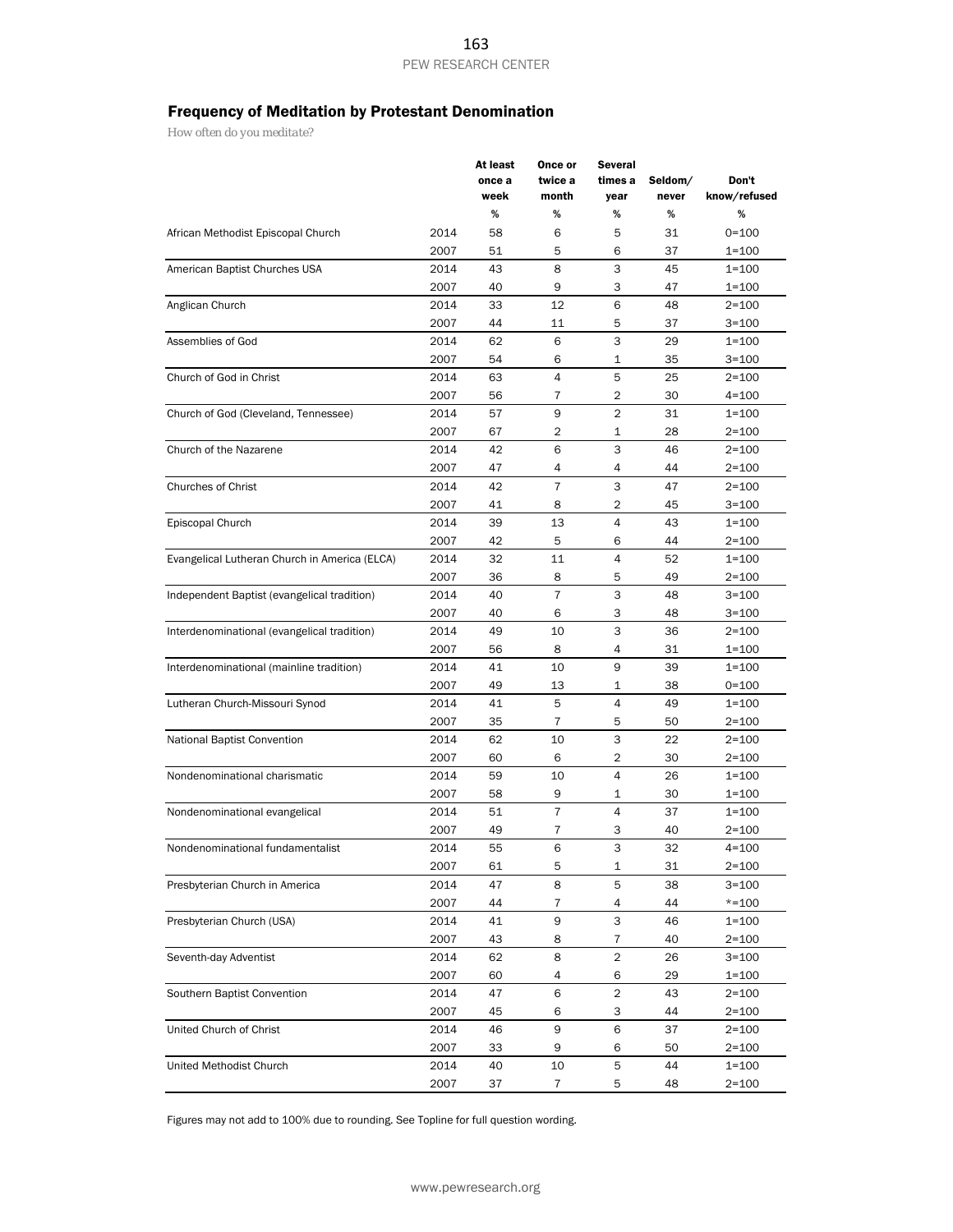# Frequency of Meditation by Protestant Denomination

*How often do you meditate?*

|                                               |      | At least | Once or        | <b>Several</b> |         |              |  |
|-----------------------------------------------|------|----------|----------------|----------------|---------|--------------|--|
|                                               |      | once a   | twice a        | times a        | Seldom/ | Don't        |  |
|                                               |      | week     | month          | year           | never   | know/refused |  |
|                                               |      | %        | %              | $\%$           | %       | %            |  |
| African Methodist Episcopal Church            | 2014 | 58       | 6              | 5              | 31      | $0 = 100$    |  |
|                                               | 2007 | 51       | 5              | 6              | 37      | $1 = 100$    |  |
| American Baptist Churches USA                 | 2014 | 43       | 8              | 3              | 45      | $1 = 100$    |  |
|                                               | 2007 | 40       | 9              | 3              | 47      | $1 = 100$    |  |
| Anglican Church                               | 2014 | 33       | 12             | 6              | 48      | $2 = 100$    |  |
|                                               | 2007 | 44       | 11             | 5              | 37      | $3 = 100$    |  |
| Assemblies of God                             | 2014 | 62       | 6              | 3              | 29      | $1 = 100$    |  |
|                                               | 2007 | 54       | 6              | 1              | 35      | $3=100$      |  |
| Church of God in Christ                       | 2014 | 63       | 4              | 5              | 25      | $2 = 100$    |  |
|                                               | 2007 | 56       | 7              | 2              | 30      | $4 = 100$    |  |
| Church of God (Cleveland, Tennessee)          | 2014 | 57       | 9              | $\overline{2}$ | 31      | $1 = 100$    |  |
|                                               | 2007 | 67       | 2              | 1              | 28      | $2 = 100$    |  |
| Church of the Nazarene                        | 2014 | 42       | 6              | 3              | 46      | $2 = 100$    |  |
|                                               | 2007 | 47       | 4              | 4              | 44      | $2 = 100$    |  |
| <b>Churches of Christ</b>                     | 2014 | 42       | $\overline{7}$ | 3              | 47      | $2 = 100$    |  |
|                                               | 2007 | 41       | 8              | $\overline{2}$ | 45      | $3 = 100$    |  |
| Episcopal Church                              | 2014 | 39       | 13             | $\overline{4}$ | 43      | $1 = 100$    |  |
|                                               | 2007 | 42       | 5              | 6              | 44      | $2 = 100$    |  |
| Evangelical Lutheran Church in America (ELCA) | 2014 | 32       | 11             | $\overline{4}$ | 52      | $1 = 100$    |  |
|                                               | 2007 | 36       | 8              | 5              | 49      | $2 = 100$    |  |
| Independent Baptist (evangelical tradition)   | 2014 | 40       | $\overline{7}$ | 3              | 48      | $3 = 100$    |  |
|                                               | 2007 | 40       | 6              | 3              | 48      | $3 = 100$    |  |
| Interdenominational (evangelical tradition)   | 2014 | 49       | 10             | 3              | 36      | $2 = 100$    |  |
|                                               | 2007 | 56       | 8              | 4              | 31      | $1 = 100$    |  |
| Interdenominational (mainline tradition)      | 2014 | 41       | 10             | 9              | 39      | $1 = 100$    |  |
|                                               | 2007 | 49       | 13             | $\mathbf{1}$   | 38      | $0 = 100$    |  |
| Lutheran Church-Missouri Synod                | 2014 | 41       | 5              | $\overline{4}$ | 49      | $1 = 100$    |  |
|                                               | 2007 | 35       | $\overline{7}$ | 5              | 50      | $2 = 100$    |  |
| National Baptist Convention                   | 2014 | 62       | 10             | 3              | 22      | $2 = 100$    |  |
|                                               | 2007 | 60       | 6              | $\overline{2}$ | 30      | $2 = 100$    |  |
| Nondenominational charismatic                 | 2014 | 59       | 10             | $\overline{4}$ | 26      | $1 = 100$    |  |
|                                               | 2007 | 58       | 9              | 1              | 30      | $1 = 100$    |  |
| Nondenominational evangelical                 | 2014 | 51       | $\overline{7}$ | $\overline{4}$ | 37      | $1 = 100$    |  |
|                                               | 2007 | 49       | 7              | 3              | 40      | $2 = 100$    |  |
| Nondenominational fundamentalist              | 2014 | 55       | 6              | 3              | 32      | $4 = 100$    |  |
|                                               | 2007 | 61       | 5              | $\mathbf 1$    | 31      | $2 = 100$    |  |
| Presbyterian Church in America                | 2014 | 47       | 8              | 5              | 38      | $3 = 100$    |  |
|                                               | 2007 | 44       | 7              | 4              | 44      | $* = 100$    |  |
| Presbyterian Church (USA)                     | 2014 | 41       | 9              | 3              | 46      | $1 = 100$    |  |
|                                               | 2007 | 43       | 8              | 7              | 40      | $2 = 100$    |  |
| Seventh-day Adventist                         | 2014 | 62       | 8              | $\overline{c}$ | 26      | $3 = 100$    |  |
|                                               | 2007 | 60       | 4              | 6              | 29      | $1 = 100$    |  |
| Southern Baptist Convention                   | 2014 | 47       | 6              | $\overline{c}$ | 43      | $2 = 100$    |  |
|                                               | 2007 | 45       | 6              | 3              | 44      | $2 = 100$    |  |
| United Church of Christ                       | 2014 | 46       | 9              | 6              | 37      | $2 = 100$    |  |
|                                               | 2007 | 33       | 9              | 6              | 50      | $2 = 100$    |  |
| United Methodist Church                       | 2014 | 40       | 10             | $\mathbf 5$    | 44      | $1 = 100$    |  |
|                                               | 2007 | 37       | 7              | 5              | 48      | $2 = 100$    |  |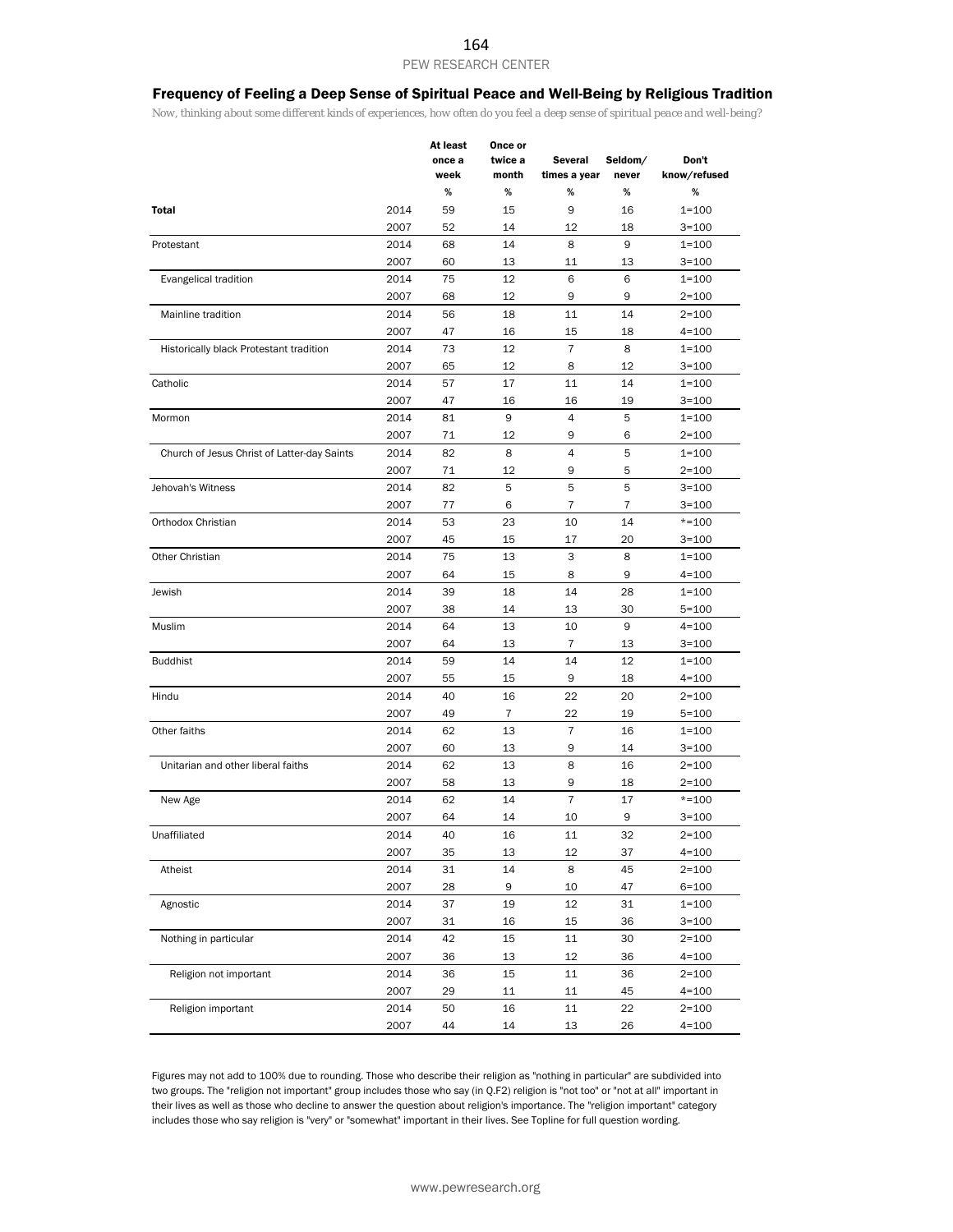#### Frequency of Feeling a Deep Sense of Spiritual Peace and Well-Being by Religious Tradition

*Now, thinking about some different kinds of experiences, how often do you feel a deep sense of spiritual peace and well-being?*

|                                             |      | At least<br>once a<br>week | Once or<br>twice a<br>month | Several<br>times a year | Seldom/<br>never | Don't<br>know/refused |
|---------------------------------------------|------|----------------------------|-----------------------------|-------------------------|------------------|-----------------------|
|                                             |      | %                          | $\%$                        | %                       | %                | $\%$                  |
| Total                                       | 2014 | 59                         | 15                          | 9                       | 16               | $1 = 100$             |
|                                             | 2007 | 52                         | 14                          | 12                      | 18               | $3 = 100$             |
| Protestant                                  | 2014 | 68                         | 14                          | 8                       | 9                | $1 = 100$             |
|                                             | 2007 | 60                         | 13                          | 11                      | 13               | $3 = 100$             |
| Evangelical tradition                       | 2014 | 75                         | 12                          | 6                       | 6                | $1 = 100$             |
|                                             | 2007 | 68                         | 12                          | 9                       | 9                | $2 = 100$             |
| Mainline tradition                          | 2014 | 56                         | 18                          | 11                      | 14               | $2 = 100$             |
|                                             | 2007 | 47                         | 16                          | 15                      | 18               | $4 = 100$             |
| Historically black Protestant tradition     | 2014 | 73                         | 12                          | $\overline{7}$          | 8                | 1=100                 |
|                                             | 2007 | 65                         | 12                          | 8                       | 12               | $3 = 100$             |
| Catholic                                    | 2014 | 57                         | 17                          | 11                      | 14               | $1 = 100$             |
|                                             | 2007 | 47                         | 16                          | 16                      | 19               | $3 = 100$             |
| Mormon                                      | 2014 | 81                         | 9                           | 4                       | 5                | $1 = 100$             |
|                                             | 2007 | 71                         | 12                          | 9                       | 6                | $2 = 100$             |
| Church of Jesus Christ of Latter-day Saints | 2014 | 82                         | 8                           | $\overline{4}$          | 5                | $1 = 100$             |
|                                             | 2007 | 71                         | 12                          | 9                       | 5                | $2 = 100$             |
| Jehovah's Witness                           | 2014 | 82                         | 5                           | 5                       | 5                | $3 = 100$             |
|                                             | 2007 | 77                         | 6                           | 7                       | 7                | $3 = 100$             |
| Orthodox Christian                          | 2014 | 53                         | 23                          | 10                      | 14               | $* = 100$             |
|                                             | 2007 | 45                         | 15                          | 17                      | 20               | $3 = 100$             |
| Other Christian                             | 2014 | 75                         | 13                          | 3                       | 8                | $1 = 100$             |
|                                             | 2007 | 64                         | 15                          | 8                       | 9                | $4 = 100$             |
| Jewish                                      | 2014 | 39                         | 18                          | 14                      | 28               | $1 = 100$             |
|                                             | 2007 | 38                         | 14                          | 13                      | 30               | $5 = 100$             |
| Muslim                                      | 2014 | 64                         | 13                          | 10                      | 9                | $4 = 100$             |
|                                             | 2007 | 64                         | 13                          | $\overline{7}$          | 13               | $3 = 100$             |
| <b>Buddhist</b>                             | 2014 | 59                         | 14                          | 14                      | 12               | $1 = 100$             |
|                                             | 2007 | 55                         | 15                          | 9                       | 18               | $4 = 100$             |
| Hindu                                       | 2014 | 40                         | 16                          | 22                      | 20               | $2 = 100$             |
|                                             | 2007 | 49                         | $\overline{7}$              | 22                      | 19               | $5 = 100$             |
| Other faiths                                | 2014 | 62                         | 13                          | $\overline{7}$          | 16               | $1 = 100$             |
|                                             | 2007 | 60                         | 13                          | 9                       | 14               | $3 = 100$             |
| Unitarian and other liberal faiths          | 2014 | 62                         | 13                          | 8                       | 16               | $2 = 100$             |
|                                             | 2007 | 58                         | 13                          | 9                       | 18               | 2=100                 |
| New Age                                     | 2014 | 62                         | 14                          | $\overline{7}$          | 17               | $* = 100$             |
|                                             | 2007 | 64                         | 14                          | 10                      | 9                | 3=100                 |
| Unaffiliated                                | 2014 | 40                         | 16                          | 11                      | 32               | $2 = 100$             |
|                                             | 2007 | 35                         | 13                          | 12                      | 37               | $4 = 100$             |
| Atheist                                     | 2014 | 31                         | 14                          | 8                       | 45               | $2 = 100$             |
|                                             | 2007 | 28                         | 9                           | 10                      | 47               | $6 = 100$             |
| Agnostic                                    | 2014 | 37                         | 19                          | 12                      | 31               | $1 = 100$             |
|                                             | 2007 | 31                         | 16                          | 15                      | 36               | $3 = 100$             |
| Nothing in particular                       | 2014 | 42                         | 15                          | 11                      | 30               | $2 = 100$             |
|                                             | 2007 | 36                         | 13                          | 12                      | 36               | $4 = 100$             |
| Religion not important                      | 2014 | 36                         | 15                          | 11                      | 36               | $2 = 100$             |
|                                             | 2007 | 29                         | 11                          | 11                      | 45               | $4 = 100$             |
| Religion important                          | 2014 | 50                         | 16                          | 11                      | 22               | $2 = 100$             |
|                                             | 2007 |                            |                             |                         |                  |                       |
|                                             |      | 44                         | 14                          | 13                      | 26               | $4 = 100$             |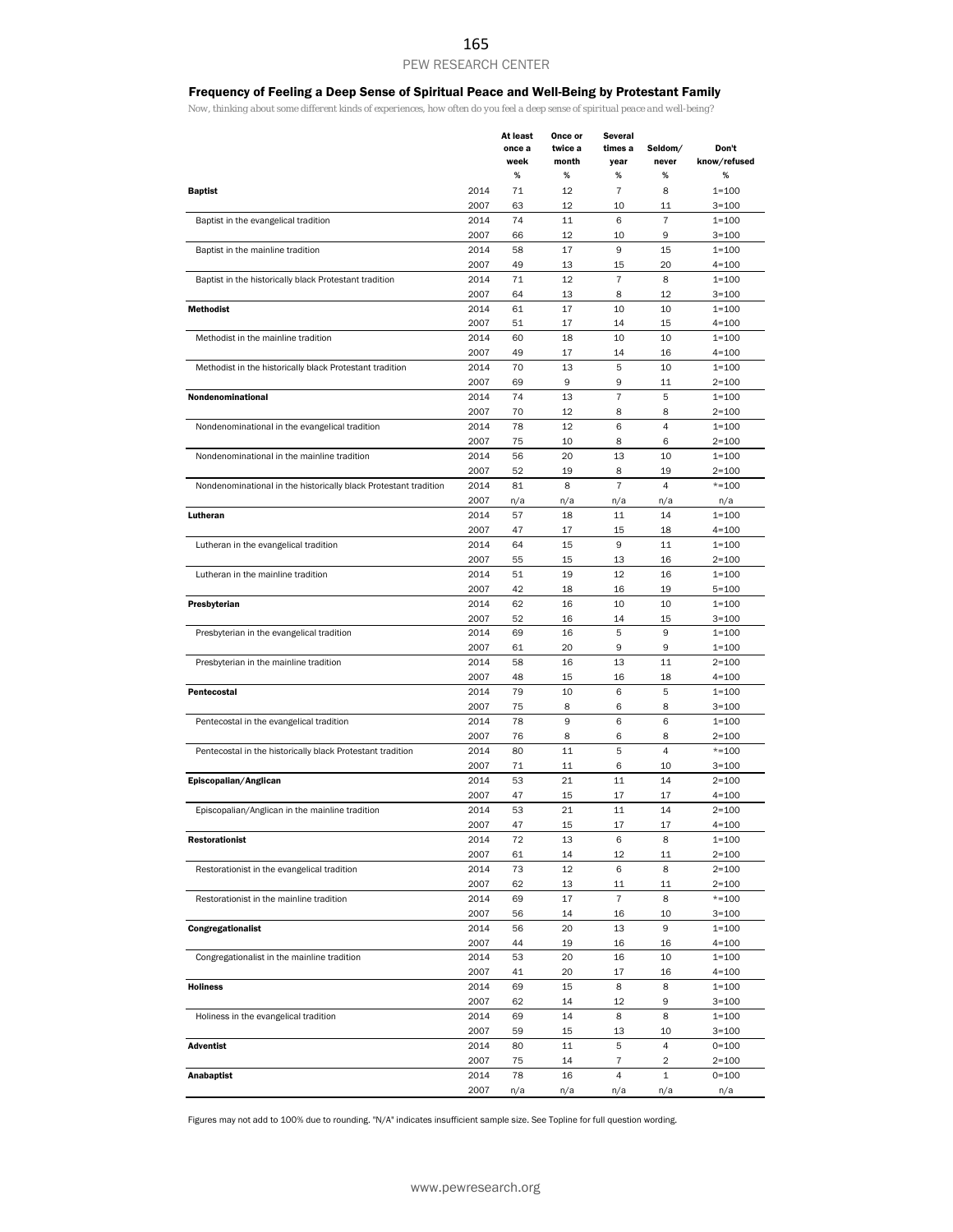#### Frequency of Feeling a Deep Sense of Spiritual Peace and Well-Being by Protestant Family

*Now, thinking about some different kinds of experiences, how often do you feel a deep sense of spiritual peace and well-being?*

|                                                                  |              | At least<br>once a<br>week | Once or<br>twice a<br>month | Several<br>times a<br>year | Seldom/<br>never | Don't<br>know/refused  |
|------------------------------------------------------------------|--------------|----------------------------|-----------------------------|----------------------------|------------------|------------------------|
|                                                                  |              | %                          | %                           | %                          | %                | %                      |
| <b>Baptist</b>                                                   | 2014         | 71                         | 12                          | 7                          | 8                | $1 = 100$              |
|                                                                  | 2007         | 63                         | 12                          | 10                         | 11               | $3 = 100$              |
| Baptist in the evangelical tradition                             | 2014         | 74                         | 11                          | 6                          | 7                | $1 = 100$              |
|                                                                  | 2007         | 66                         | 12                          | 10                         | 9                | $3 = 100$              |
| Baptist in the mainline tradition                                | 2014         | 58                         | 17                          | 9                          | 15               | $1 = 100$              |
|                                                                  | 2007         | 49                         | 13                          | 15                         | 20               | $4 = 100$              |
| Baptist in the historically black Protestant tradition           | 2014         | 71                         | 12                          | 7                          | 8                | $1 = 100$              |
|                                                                  | 2007         | 64                         | 13                          | 8                          | 12               | $3=100$                |
| <b>Methodist</b>                                                 | 2014         | 61                         | 17                          | 10                         | 10               | $1 = 100$              |
|                                                                  | 2007         | 51                         | 17                          | 14                         | 15               | $4 = 100$              |
| Methodist in the mainline tradition                              | 2014         | 60                         | 18                          | 10                         | 10               | $1 = 100$              |
|                                                                  | 2007         | 49                         | 17                          | 14                         | 16               | $4 = 100$              |
| Methodist in the historically black Protestant tradition         | 2014         | 70                         | 13                          | 5                          | 10               | $1 = 100$              |
| Nondenominational                                                | 2007         | 69<br>74                   | 9<br>13                     | 9<br>$\overline{7}$        | 11<br>5          | $2 = 100$              |
|                                                                  | 2014<br>2007 | 70                         | 12                          | 8                          | 8                | $1 = 100$<br>$2 = 100$ |
| Nondenominational in the evangelical tradition                   | 2014         | 78                         | 12                          | 6                          | 4                | $1 = 100$              |
|                                                                  | 2007         | 75                         | 10                          | 8                          | 6                | $2 = 100$              |
| Nondenominational in the mainline tradition                      | 2014         | 56                         | 20                          | 13                         | 10               | $1 = 100$              |
|                                                                  | 2007         | 52                         | 19                          | 8                          | 19               | $2 = 100$              |
| Nondenominational in the historically black Protestant tradition | 2014         | 81                         | 8                           | $\overline{7}$             | 4                | $*=100$                |
|                                                                  | 2007         | n/a                        | n/a                         | n/a                        | n/a              | n/a                    |
| Lutheran                                                         | 2014         | 57                         | 18                          | 11                         | 14               | $1 = 100$              |
|                                                                  | 2007         | 47                         | 17                          | 15                         | 18               | $4 = 100$              |
| Lutheran in the evangelical tradition                            | 2014         | 64                         | 15                          | 9                          | 11               | $1 = 100$              |
|                                                                  | 2007         | 55                         | 15                          | 13                         | 16               | $2 = 100$              |
| Lutheran in the mainline tradition                               | 2014         | 51                         | 19                          | 12                         | 16               | $1 = 100$              |
|                                                                  | 2007         | 42                         | 18                          | 16                         | 19               | $5 = 100$              |
| Presbyterian                                                     | 2014         | 62                         | 16                          | 10                         | 10               | $1 = 100$              |
|                                                                  | 2007         | 52                         | 16                          | 14                         | 15               | $3=100$                |
| Presbyterian in the evangelical tradition                        | 2014         | 69                         | 16                          | 5                          | 9                | $1 = 100$              |
|                                                                  | 2007         | 61                         | 20                          | 9                          | 9                | $1 = 100$              |
| Presbyterian in the mainline tradition                           | 2014         | 58                         | 16                          | 13                         | 11               | $2 = 100$              |
|                                                                  | 2007         | 48                         | 15                          | 16                         | 18               | $4 = 100$              |
| Pentecostal                                                      | 2014         | 79                         | 10                          | 6                          | 5                | $1 = 100$              |
|                                                                  | 2007         | 75                         | 8                           | 6                          | 8                | $3 = 100$              |
| Pentecostal in the evangelical tradition                         | 2014         | 78                         | 9                           | 6                          | 6                | $1 = 100$              |
|                                                                  | 2007         | 76                         | 8                           | 6                          | 8                | $2 = 100$              |
| Pentecostal in the historically black Protestant tradition       | 2014         | 80                         | 11                          | 5                          | 4                | $*=100$                |
|                                                                  | 2007         | 71                         | 11                          | 6                          | 10               | $3 = 100$              |
| Episcopalian/Anglican                                            | 2014         | 53                         | 21                          | 11                         | 14               | $2 = 100$              |
|                                                                  | 2007         | 47                         | 15                          | 17                         | 17               | $4 = 100$              |
| Episcopalian/Anglican in the mainline tradition                  | 2014         | 53                         | 21                          | 11                         | 14               | $2 = 100$              |
|                                                                  | 2007         | 47<br>72                   | 15<br>13                    | 17<br>6                    | 17<br>8          | 4=100<br>$1 = 100$     |
| <b>Restorationist</b>                                            | 2014<br>2007 | 61                         | 14                          | 12                         | 11               | $2 = 100$              |
| Restorationist in the evangelical tradition                      | 2014         | 73                         | 12                          | 6                          | 8                | $2 = 100$              |
|                                                                  | 2007         | 62                         | 13                          | 11                         | 11               | $2 = 100$              |
| Restorationist in the mainline tradition                         | 2014         | 69                         | 17                          | $\overline{7}$             | 8                | $* = 100$              |
|                                                                  | 2007         | 56                         | 14                          | 16                         | 10               | $3 = 100$              |
| Congregationalist                                                | 2014         | 56                         | 20                          | 13                         | 9                | $1 = 100$              |
|                                                                  | 2007         | 44                         | 19                          | 16                         | 16               | $4 = 100$              |
| Congregationalist in the mainline tradition                      | 2014         | 53                         | 20                          | 16                         | 10               | $1 = 100$              |
|                                                                  | 2007         | 41                         | 20                          | 17                         | 16               | 4=100                  |
| <b>Holiness</b>                                                  | 2014         | 69                         | 15                          | 8                          | 8                | $1 = 100$              |
|                                                                  | 2007         | 62                         | 14                          | 12                         | 9                | $3 = 100$              |
| Holiness in the evangelical tradition                            | 2014         | 69                         | 14                          | 8                          | 8                | $1 = 100$              |
|                                                                  | 2007         | 59                         | 15                          | 13                         | 10               | $3 = 100$              |
| <b>Adventist</b>                                                 | 2014         | 80                         | 11                          | 5                          | 4                | $0 = 100$              |
|                                                                  | 2007         | 75                         | 14                          | 7                          | 2                | $2 = 100$              |
| Anabaptist                                                       | 2014         | 78                         | 16                          | 4                          | 1                | $0 = 100$              |
|                                                                  | 2007         | n/a                        | n/a                         | n/a                        | n/a              | n/a                    |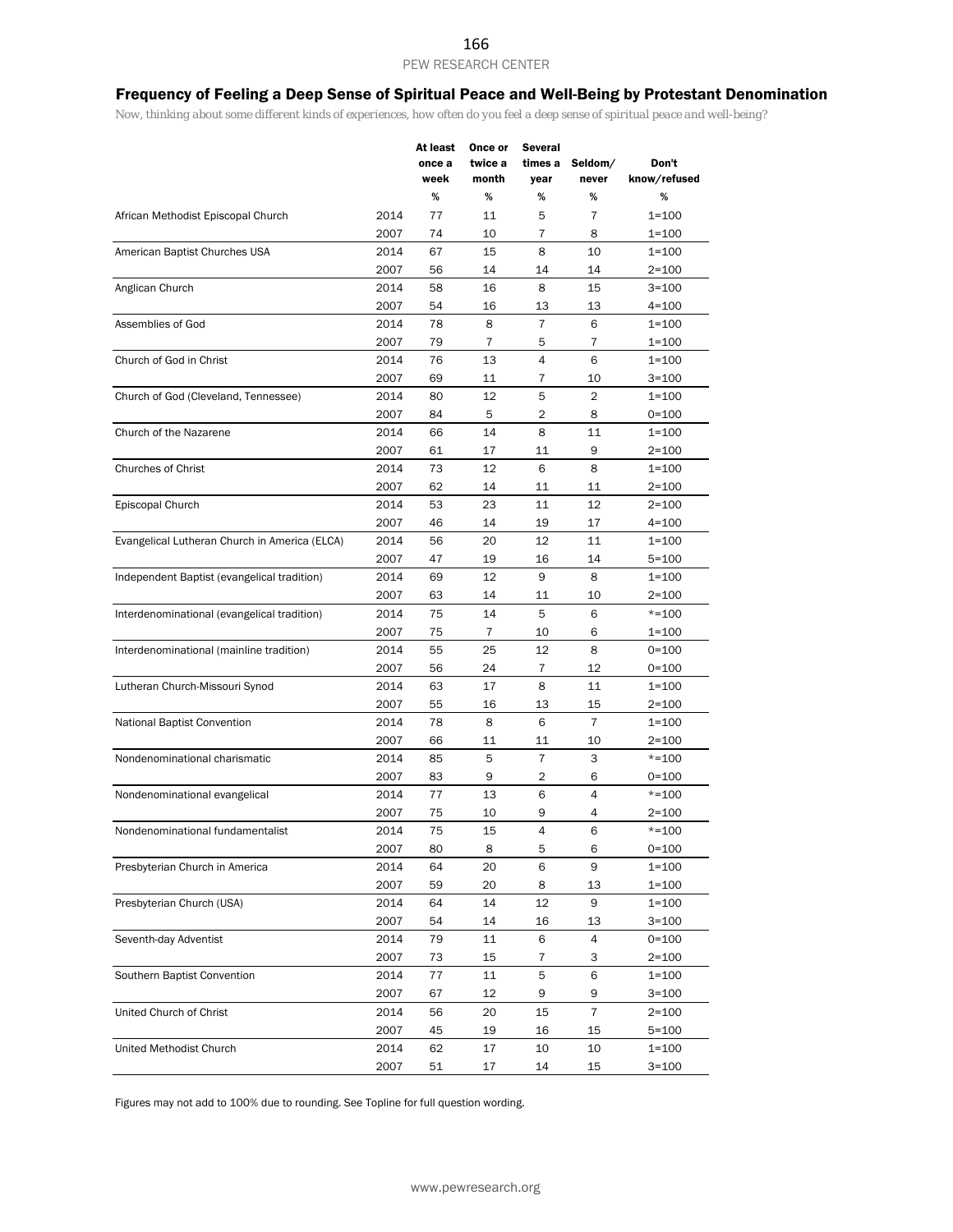## Frequency of Feeling a Deep Sense of Spiritual Peace and Well-Being by Protestant Denomination

*Now, thinking about some different kinds of experiences, how often do you feel a deep sense of spiritual peace and well-being?*

|                                               |      | At least<br>once a<br>week | Once or<br>twice a<br>month | Several<br>times a<br>year | Seldom/<br>never | Don't<br>know/refused |
|-----------------------------------------------|------|----------------------------|-----------------------------|----------------------------|------------------|-----------------------|
|                                               |      | %                          | $\%$                        | $\%$                       | %                | %                     |
| African Methodist Episcopal Church            | 2014 | 77                         | 11                          | 5                          | $\overline{7}$   | $1 = 100$             |
|                                               | 2007 | 74                         | 10                          | $\overline{7}$             | 8                | $1 = 100$             |
| American Baptist Churches USA                 | 2014 | 67                         | 15                          | 8                          | 10               | $1 = 100$             |
|                                               | 2007 | 56                         | 14                          | 14                         | 14               | $2 = 100$             |
| Anglican Church                               | 2014 | 58                         | 16                          | 8                          | 15               | $3 = 100$             |
|                                               | 2007 | 54                         | 16                          | 13                         | 13               | 4=100                 |
| Assemblies of God                             | 2014 | 78                         | 8                           | $\overline{7}$             | 6                | $1 = 100$             |
|                                               | 2007 | 79                         | 7                           | 5                          | 7                | $1 = 100$             |
| Church of God in Christ                       | 2014 | 76                         | 13                          | $\overline{4}$             | 6                | $1 = 100$             |
|                                               | 2007 | 69                         | 11                          | $\overline{7}$             | 10               | $3=100$               |
| Church of God (Cleveland, Tennessee)          | 2014 | 80                         | 12                          | 5                          | $\overline{2}$   | $1 = 100$             |
|                                               | 2007 | 84                         | 5                           | $\overline{c}$             | 8                | $0 = 100$             |
| Church of the Nazarene                        | 2014 | 66                         | 14                          | 8                          | 11               | $1 = 100$             |
|                                               | 2007 | 61                         | 17                          | 11                         | 9                | $2 = 100$             |
| <b>Churches of Christ</b>                     | 2014 | 73                         | 12                          | 6                          | 8                | $1 = 100$             |
|                                               | 2007 | 62                         | 14                          | 11                         | 11               | $2 = 100$             |
| Episcopal Church                              | 2014 | 53                         | 23                          | 11                         | 12               | $2 = 100$             |
|                                               | 2007 | 46                         | 14                          | 19                         | 17               | 4=100                 |
| Evangelical Lutheran Church in America (ELCA) | 2014 | 56                         | 20                          | 12                         | 11               | $1 = 100$             |
|                                               | 2007 | 47                         | 19                          | 16                         | 14               | $5 = 100$             |
| Independent Baptist (evangelical tradition)   | 2014 | 69                         | 12                          | 9                          | 8                | $1 = 100$             |
|                                               | 2007 | 63                         | 14                          | 11                         | 10               | $2 = 100$             |
| Interdenominational (evangelical tradition)   | 2014 | 75                         | 14                          | 5                          | 6                | $*=100$               |
|                                               | 2007 | 75                         | 7                           | 10                         | 6                | $1 = 100$             |
| Interdenominational (mainline tradition)      | 2014 | 55                         | 25                          | 12                         | 8                | $0 = 100$             |
|                                               | 2007 | 56                         | 24                          | 7                          | 12               | $0 = 100$             |
| Lutheran Church-Missouri Synod                | 2014 | 63                         | 17                          | 8                          | 11               | $1 = 100$             |
|                                               | 2007 | 55                         | 16                          | 13                         | 15               | $2 = 100$             |
| <b>National Baptist Convention</b>            | 2014 | 78                         | 8                           | 6                          | $\overline{7}$   | $1 = 100$             |
|                                               | 2007 | 66                         | 11                          | 11                         | 10               | $2 = 100$             |
| Nondenominational charismatic                 | 2014 | 85                         | 5                           | $\overline{7}$             | 3                | $*=100$               |
|                                               | 2007 | 83                         | 9                           | 2                          | 6                | $0 = 100$             |
| Nondenominational evangelical                 | 2014 | 77                         | 13                          | 6                          | 4                | $*=100$               |
|                                               | 2007 | 75                         | 10                          | 9                          | 4                | $2 = 100$             |
| Nondenominational fundamentalist              | 2014 | 75                         | 15                          | 4                          | 6                | $* = 100$             |
|                                               | 2007 | 80                         | 8                           | 5                          | 6                | $0 = 100$             |
| Presbyterian Church in America                | 2014 | 64                         | 20                          | 6                          | 9                | $1 = 100$             |
|                                               | 2007 | 59                         | 20                          | 8                          | 13               | $1 = 100$             |
| Presbyterian Church (USA)                     | 2014 | 64                         | 14                          | 12                         | 9                | $1 = 100$             |
|                                               | 2007 | 54                         | 14                          | 16                         | 13               | $3 = 100$             |
| Seventh-day Adventist                         | 2014 | 79                         | 11                          | 6                          | 4                | $0 = 100$             |
|                                               | 2007 | 73                         | 15                          | 7                          | 3                | $2 = 100$             |
| Southern Baptist Convention                   | 2014 | 77                         | 11                          | 5                          | 6                | $1 = 100$             |
|                                               | 2007 | 67                         | 12                          | 9                          | 9                | $3 = 100$             |
| United Church of Christ                       | 2014 | 56                         | 20                          | 15                         | 7                | $2 = 100$             |
|                                               | 2007 | 45                         | 19                          | 16                         | 15               | $5 = 100$             |
| United Methodist Church                       | 2014 | 62                         | 17                          | 10                         | 10               | $1 = 100$             |
|                                               | 2007 | 51                         | 17                          | 14                         | 15               | $3 = 100$             |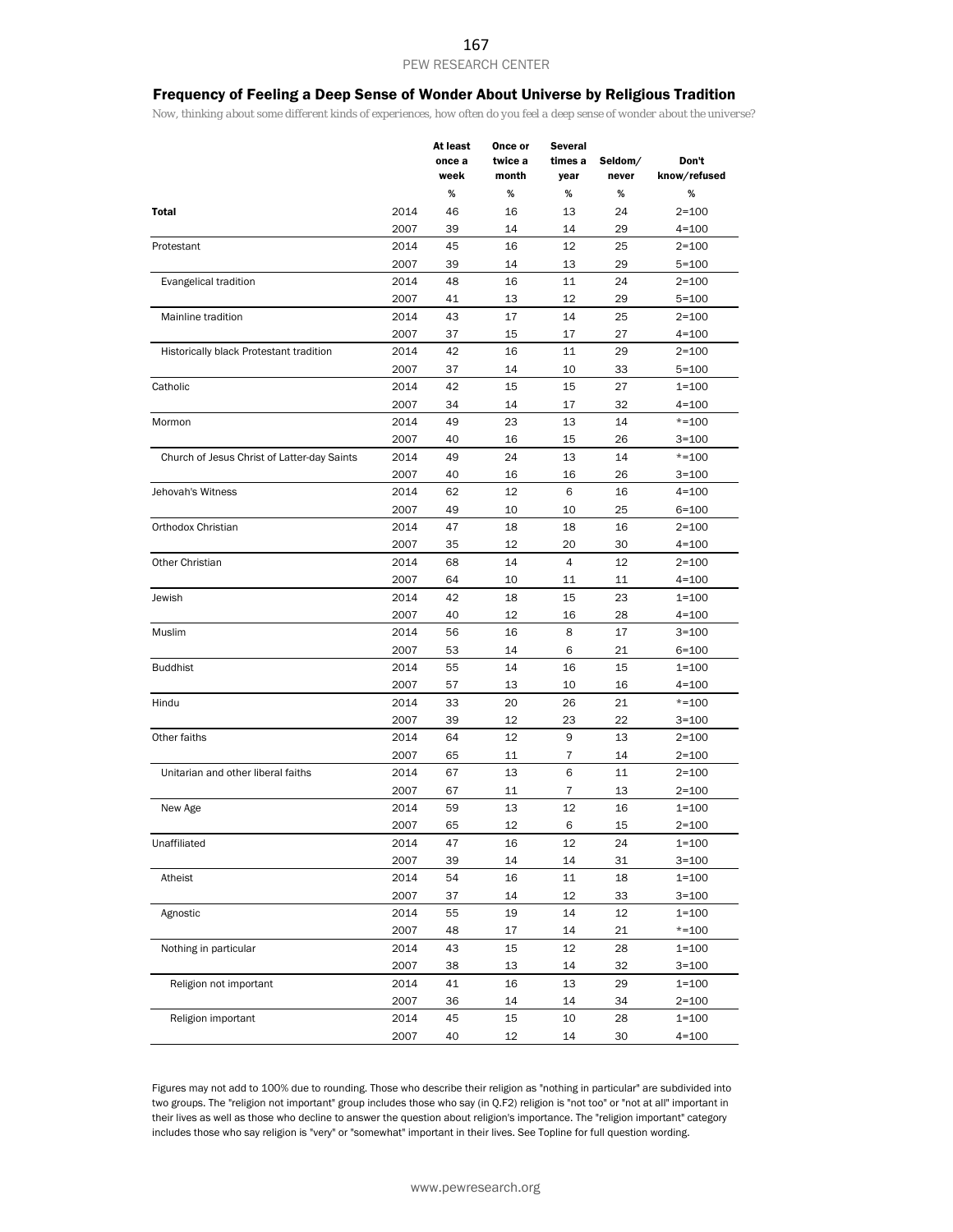#### Frequency of Feeling a Deep Sense of Wonder About Universe by Religious Tradition

*Now, thinking about some different kinds of experiences, how often do you feel a deep sense of wonder about the universe?*

|                                             |      | At least<br>once a<br>week | Once or<br>twice a<br>month | <b>Several</b><br>times a<br>year | Seldom/<br>never | Don't<br>know/refused |
|---------------------------------------------|------|----------------------------|-----------------------------|-----------------------------------|------------------|-----------------------|
|                                             |      | %                          | %                           | %                                 | %                | %                     |
| Total                                       | 2014 | 46                         | 16                          | 13                                | 24               | $2 = 100$             |
|                                             | 2007 | 39                         | 14                          | 14                                | 29               | $4 = 100$             |
| Protestant                                  | 2014 | 45                         | 16                          | 12                                | 25               | $2 = 100$             |
|                                             | 2007 | 39                         | 14                          | 13                                | 29               | $5 = 100$             |
| Evangelical tradition                       | 2014 | 48                         | 16                          | 11                                | 24               | $2 = 100$             |
|                                             | 2007 | 41                         | 13                          | 12                                | 29               | $5 = 100$             |
| Mainline tradition                          | 2014 | 43                         | 17                          | 14                                | 25               | $2 = 100$             |
|                                             | 2007 | 37                         | 15                          | 17                                | 27               | $4 = 100$             |
| Historically black Protestant tradition     | 2014 | 42                         | 16                          | 11                                | 29               | $2 = 100$             |
|                                             | 2007 | 37                         | 14                          | 10                                | 33               | $5 = 100$             |
| Catholic                                    | 2014 | 42                         | 15                          | 15                                | 27               | $1 = 100$             |
|                                             | 2007 | 34                         | 14                          | 17                                | 32               | $4 = 100$             |
| Mormon                                      | 2014 | 49                         | 23                          | 13                                | 14               | $* = 100$             |
|                                             | 2007 | 40                         | 16                          | 15                                | 26               | $3 = 100$             |
| Church of Jesus Christ of Latter-day Saints | 2014 | 49                         | 24                          | 13                                | 14               | $*=100$               |
|                                             | 2007 | 40                         | 16                          | 16                                | 26               | $3 = 100$             |
| Jehovah's Witness                           | 2014 | 62                         | 12                          | 6                                 | 16               | $4 = 100$             |
|                                             | 2007 | 49                         | 10                          | 10                                | 25               | $6 = 100$             |
| Orthodox Christian                          | 2014 | 47                         | 18                          | 18                                | 16               | $2 = 100$             |
|                                             | 2007 | 35                         | 12                          | 20                                | 30               | $4 = 100$             |
| Other Christian                             | 2014 | 68                         | 14                          | 4                                 | 12               | $2 = 100$             |
|                                             | 2007 | 64                         | 10                          | 11                                | 11               | $4 = 100$             |
| Jewish                                      | 2014 | 42                         | 18                          | 15                                | 23               | $1 = 100$             |
|                                             | 2007 | 40                         | 12                          | 16                                | 28               | $4 = 100$             |
| Muslim                                      | 2014 | 56                         | 16                          | 8                                 | 17               | $3 = 100$             |
|                                             | 2007 | 53                         | 14                          | 6                                 | 21               | $6 = 100$             |
| <b>Buddhist</b>                             | 2014 | 55                         | 14                          | 16                                | 15               | $1 = 100$             |
|                                             | 2007 | 57                         | 13                          | 10                                | 16               | $4 = 100$             |
| Hindu                                       | 2014 | 33                         | 20                          | 26                                | 21               | $* = 100$             |
|                                             | 2007 | 39                         | 12                          | 23                                | 22               | $3 = 100$             |
| Other faiths                                | 2014 | 64                         | 12                          | 9                                 | 13               | $2 = 100$             |
|                                             | 2007 | 65                         | 11                          | 7                                 | 14               | $2 = 100$             |
| Unitarian and other liberal faiths          | 2014 | 67                         | 13                          | 6                                 | 11               | $2 = 100$             |
|                                             | 2007 | 67                         | 11                          | 7                                 | 13               | $2 = 100$             |
| New Age                                     | 2014 | 59                         | 13                          | 12                                | 16               | $1 = 100$             |
|                                             | 2007 | 65                         | 12                          | 6                                 | 15               | $2 = 100$             |
| Unaffiliated                                | 2014 | 47                         | 16                          | 12                                | 24               | $1 = 100$             |
|                                             | 2007 | 39                         | 14                          | 14                                | 31               | $3 = 100$             |
| Atheist                                     | 2014 | 54                         | 16                          | 11                                | 18               | $1 = 100$             |
|                                             | 2007 | 37                         | 14                          | 12                                | 33               | $3 = 100$             |
| Agnostic                                    | 2014 | 55                         | 19                          | 14                                | 12               | $1 = 100$             |
|                                             | 2007 | 48                         | 17                          | 14                                | 21               | $* = 100$             |
| Nothing in particular                       | 2014 | 43                         | 15                          | 12                                | 28               | $1 = 100$             |
|                                             | 2007 | 38                         | 13                          | 14                                | 32               | $3 = 100$             |
| Religion not important                      | 2014 | 41                         | 16                          | 13                                | 29               | $1 = 100$             |
|                                             | 2007 | 36                         | 14                          | 14                                | 34               | $2 = 100$             |
| Religion important                          | 2014 | 45                         | 15                          | 10                                | 28               | $1 = 100$             |
|                                             | 2007 | 40                         | 12                          | 14                                | 30               | $4 = 100$             |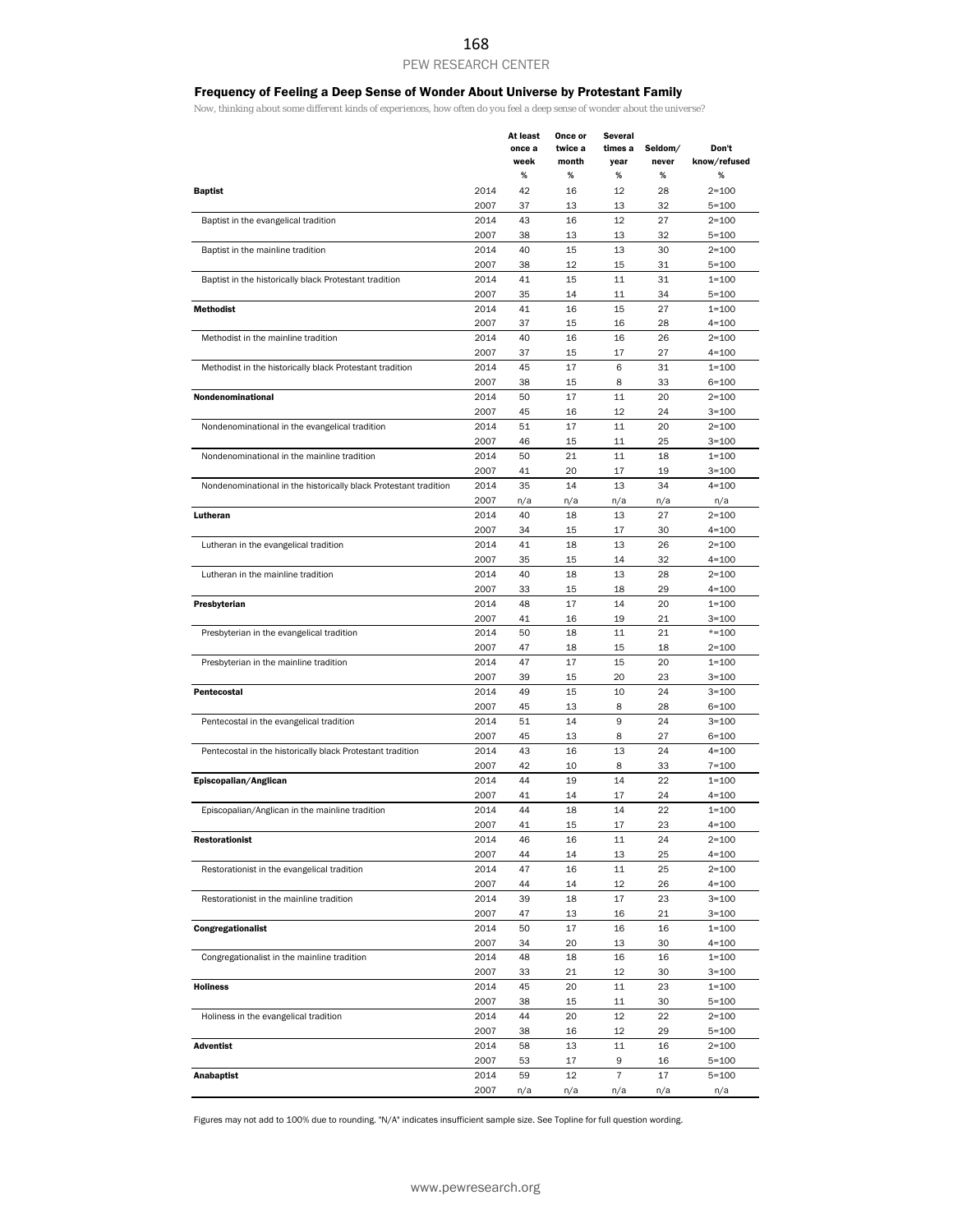#### Frequency of Feeling a Deep Sense of Wonder About Universe by Protestant Family

*Now, thinking about some different kinds of experiences, how often do you feel a deep sense of wonder about the universe?*

|                                                                  |      | At least | Once or | <b>Several</b> |         |              |
|------------------------------------------------------------------|------|----------|---------|----------------|---------|--------------|
|                                                                  |      | once a   | twice a | times a        | Seldom/ | Don't        |
|                                                                  |      | week     | month   | year           | never   | know/refused |
|                                                                  |      | $\%$     | $\%$    | $\%$           | $\%$    | %            |
| <b>Baptist</b>                                                   | 2014 | 42       | 16      | 12             | 28      | $2 = 100$    |
|                                                                  | 2007 | 37       | 13      | 13             | 32      | $5 = 100$    |
| Baptist in the evangelical tradition                             | 2014 | 43       | 16      | 12             | 27      | $2 = 100$    |
|                                                                  | 2007 | 38       | 13      | 13             | 32      | $5 = 100$    |
| Baptist in the mainline tradition                                | 2014 | 40       | 15      | 13             | 30      | $2 = 100$    |
|                                                                  | 2007 | 38       | 12      | 15             | 31      | $5 = 100$    |
| Baptist in the historically black Protestant tradition           | 2014 | 41       | 15      | 11             | 31      | $1 = 100$    |
|                                                                  | 2007 | 35       | 14      | 11             | 34      | $5 = 100$    |
| <b>Methodist</b>                                                 | 2014 | 41       | 16      | 15             | 27      | $1 = 100$    |
|                                                                  | 2007 | 37       | 15      | 16             | 28      | $4 = 100$    |
| Methodist in the mainline tradition                              | 2014 | 40       | 16      | 16             | 26      | $2 = 100$    |
|                                                                  | 2007 | 37       | 15      | 17             | 27      | $4 = 100$    |
| Methodist in the historically black Protestant tradition         | 2014 | 45       | 17      | 6              | 31      | $1 = 100$    |
|                                                                  | 2007 | 38       | 15      | 8              | 33      |              |
|                                                                  |      |          |         |                |         | $6 = 100$    |
| Nondenominational                                                | 2014 | 50       | 17      | 11             | 20      | $2 = 100$    |
|                                                                  | 2007 | 45       | 16      | 12             | 24      | $3 = 100$    |
| Nondenominational in the evangelical tradition                   | 2014 | 51       | 17      | 11             | 20      | $2 = 100$    |
|                                                                  | 2007 | 46       | 15      | 11             | 25      | $3 = 100$    |
| Nondenominational in the mainline tradition                      | 2014 | 50       | 21      | 11             | 18      | $1 = 100$    |
|                                                                  | 2007 | 41       | 20      | 17             | 19      | $3 = 100$    |
| Nondenominational in the historically black Protestant tradition | 2014 | 35       | 14      | 13             | 34      | $4 = 100$    |
|                                                                  | 2007 | n/a      | n/a     | n/a            | n/a     | n/a          |
| Lutheran                                                         | 2014 | 40       | 18      | 13             | 27      | $2 = 100$    |
|                                                                  | 2007 | 34       | 15      | 17             | 30      | $4 = 100$    |
| Lutheran in the evangelical tradition                            | 2014 | 41       | 18      | 13             | 26      | $2 = 100$    |
|                                                                  | 2007 | 35       | 15      | 14             | 32      | $4 = 100$    |
| Lutheran in the mainline tradition                               | 2014 | 40       | 18      | 13             | 28      | $2 = 100$    |
|                                                                  | 2007 | 33       | 15      | 18             | 29      | $4 = 100$    |
| Presbyterian                                                     | 2014 | 48       | 17      | 14             | 20      | $1 = 100$    |
|                                                                  | 2007 | 41       | 16      | 19             | 21      | $3 = 100$    |
| Presbyterian in the evangelical tradition                        | 2014 | 50       | 18      | 11             | 21      | $*=100$      |
|                                                                  | 2007 | 47       | 18      | 15             | 18      | $2 = 100$    |
| Presbyterian in the mainline tradition                           | 2014 | 47       | 17      | 15             | 20      | $1 = 100$    |
|                                                                  | 2007 | 39       | 15      | 20             | 23      | $3 = 100$    |
| Pentecostal                                                      | 2014 | 49       | 15      | 10             | 24      | $3 = 100$    |
|                                                                  | 2007 | 45       | 13      | 8              | 28      | $6 = 100$    |
| Pentecostal in the evangelical tradition                         | 2014 | 51       | 14      | 9              | 24      | $3 = 100$    |
|                                                                  | 2007 | 45       | 13      | 8              | 27      | $6 = 100$    |
| Pentecostal in the historically black Protestant tradition       | 2014 | 43       | 16      | 13             | 24      | $4 = 100$    |
|                                                                  | 2007 | 42       | 10      | 8              | 33      | $7 = 100$    |
| Episcopalian/Anglican                                            | 2014 | 44       | 19      | 14             | 22      | $1 = 100$    |
|                                                                  |      |          |         |                |         |              |
|                                                                  | 2007 | 41       | 14      | 17             | 24      | $4 = 100$    |
| Episcopalian/Anglican in the mainline tradition                  | 2014 | 44       | 18      | 14             | 22      | $1 = 100$    |
|                                                                  | 2007 | 41       | 15      | 17             | 23      | $4=100$      |
| <b>Restorationist</b>                                            | 2014 | 46       | 16      | 11             | 24      | $2 = 100$    |
|                                                                  | 2007 | 44       | 14      | 13             | 25      | $4 = 100$    |
| Restorationist in the evangelical tradition                      | 2014 | 47       | 16      | 11             | 25      | $2 = 100$    |
|                                                                  | 2007 | 44       | 14      | 12             | 26      | $4 = 100$    |
| Restorationist in the mainline tradition                         | 2014 | 39       | 18      | 17             | 23      | $3 = 100$    |
|                                                                  | 2007 | 47       | 13      | 16             | 21      | $3 = 100$    |
| Congregationalist                                                | 2014 | 50       | 17      | 16             | 16      | $1 = 100$    |
|                                                                  | 2007 | 34       | 20      | 13             | 30      | $4 = 100$    |
| Congregationalist in the mainline tradition                      | 2014 | 48       | 18      | 16             | 16      | $1 = 100$    |
|                                                                  | 2007 | 33       | 21      | 12             | 30      | $3 = 100$    |
| <b>Holiness</b>                                                  | 2014 | 45       | 20      | 11             | 23      | $1 = 100$    |
|                                                                  | 2007 | 38       | 15      | 11             | 30      | $5 = 100$    |
| Holiness in the evangelical tradition                            | 2014 | 44       | 20      | 12             | 22      | $2 = 100$    |
|                                                                  | 2007 | 38       | 16      | 12             | 29      | $5 = 100$    |
| <b>Adventist</b>                                                 | 2014 | 58       | 13      | 11             | 16      | $2 = 100$    |
|                                                                  | 2007 | 53       | 17      | 9              | 16      | $5 = 100$    |
| Anabaptist                                                       | 2014 | 59       | 12      | $\overline{7}$ | 17      | $5 = 100$    |
|                                                                  | 2007 | n/a      | n/a     | n/a            | n/a     | n/a          |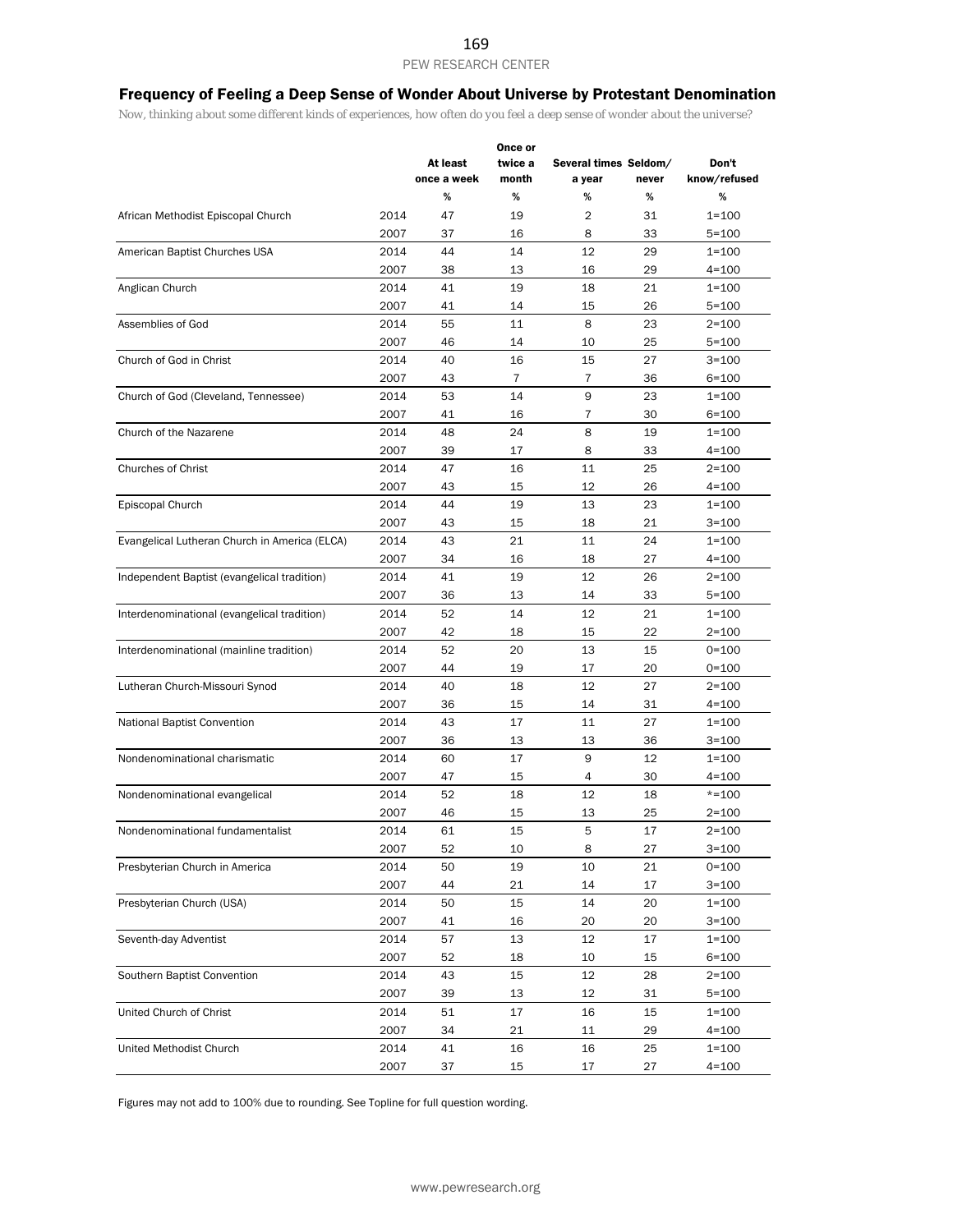## Frequency of Feeling a Deep Sense of Wonder About Universe by Protestant Denomination

*Now, thinking about some different kinds of experiences, how often do you feel a deep sense of wonder about the universe?*

|                                               |      | At least<br>once a week | Once or<br>twice a<br>month | Several times Seldom/<br>a year | never             | Don't<br>know/refused |
|-----------------------------------------------|------|-------------------------|-----------------------------|---------------------------------|-------------------|-----------------------|
|                                               |      | %                       | %                           | %                               | $\%$              | %                     |
| African Methodist Episcopal Church            | 2014 | 47                      | 19                          | 2                               | 31                | $1 = 100$             |
|                                               | 2007 | 37                      | 16                          | 8                               | 33                | $5 = 100$             |
| American Baptist Churches USA                 | 2014 | 44                      | 14                          | 12                              | 29                | $1 = 100$             |
|                                               | 2007 | 38                      | 13                          | 16                              | 29                | $4 = 100$             |
| Anglican Church                               | 2014 | 41                      | 19                          | 18                              | 21                | $1 = 100$             |
|                                               | 2007 | 41                      | 14                          | 15                              | 26                | 5=100                 |
| Assemblies of God                             | 2014 | 55                      | 11                          | 8                               | 23                | $2 = 100$             |
|                                               | 2007 | 46                      | 14                          | 10                              | 25                | 5=100                 |
| Church of God in Christ                       | 2014 | 40                      | 16                          | 15                              | 27                | $3 = 100$             |
|                                               | 2007 | 43                      | 7                           | 7                               | 36                | $6 = 100$             |
| Church of God (Cleveland, Tennessee)          | 2014 | 53                      | 14                          | 9                               | 23                | $1 = 100$             |
|                                               | 2007 | 41                      | 16                          | 7                               | 30                | $6 = 100$             |
| Church of the Nazarene                        | 2014 | 48                      | 24                          | 8                               | 19                | $1 = 100$             |
|                                               | 2007 | 39                      | 17                          | 8                               | 33                | $4 = 100$             |
| <b>Churches of Christ</b>                     | 2014 | 47                      | 16                          | 11                              | 25                | $2 = 100$             |
|                                               | 2007 | 43                      | 15                          | 12                              | 26                | $4 = 100$             |
| Episcopal Church                              | 2014 | 44                      | 19                          | 13                              | 23                | $1 = 100$             |
|                                               | 2007 | 43                      | 15                          | 18                              | 21                | $3 = 100$             |
| Evangelical Lutheran Church in America (ELCA) | 2014 | 43                      | 21                          | 11                              | 24                | $1 = 100$             |
|                                               | 2007 | 34                      | 16                          | 18                              | 27                | $4 = 100$             |
| Independent Baptist (evangelical tradition)   | 2014 | 41                      | 19                          | 12                              | 26                | $2 = 100$             |
|                                               | 2007 | 36                      | 13                          | 14                              | 33                | 5=100                 |
| Interdenominational (evangelical tradition)   | 2014 | 52                      | 14                          | 12                              | 21                | $1 = 100$             |
|                                               | 2007 | 42                      | 18                          | 15                              | 22                | 2=100                 |
| Interdenominational (mainline tradition)      | 2014 | 52                      | 20                          | 13                              | 15                | $0 = 100$             |
|                                               | 2007 | 44                      | 19                          | 17                              | 20                | $0 = 100$             |
| Lutheran Church-Missouri Synod                | 2014 | 40                      | 18                          | 12                              | 27                | $2 = 100$             |
|                                               | 2007 | 36                      | 15                          | 14                              | 31                | $4 = 100$             |
| National Baptist Convention                   | 2014 | 43                      | 17                          | 11                              | 27                | $1 = 100$             |
|                                               | 2007 | 36                      | 13                          | 13                              | 36                | 3=100                 |
| Nondenominational charismatic                 | 2014 | 60                      | 17                          | 9                               | $12 \overline{ }$ | $1 = 100$             |
|                                               | 2007 | 47                      | 15                          | 4                               | 30                | $4 = 100$             |
| Nondenominational evangelical                 | 2014 | 52                      | 18                          | 12                              | 18                | $* = 100$             |
|                                               | 2007 | 46                      | 15                          | 13                              | 25                | $2 = 100$             |
| Nondenominational fundamentalist              | 2014 | 61                      | 15                          | 5                               | 17                | $2 = 100$             |
|                                               | 2007 | 52                      | 10                          | 8                               | 27                | $3 = 100$             |
| Presbyterian Church in America                | 2014 | 50                      | 19                          | 10                              | 21                | $0 = 100$             |
|                                               | 2007 | 44                      | 21                          | 14                              | 17                | $3 = 100$             |
| Presbyterian Church (USA)                     | 2014 | 50                      | 15                          | 14                              | 20                | $1 = 100$             |
|                                               | 2007 | 41                      | 16                          | 20                              | 20                | $3 = 100$             |
| Seventh-day Adventist                         | 2014 | 57                      | 13                          | 12                              | 17                | $1 = 100$             |
|                                               | 2007 | 52                      | 18                          | 10                              | 15                | 6=100                 |
| Southern Baptist Convention                   | 2014 | 43                      | 15                          | 12                              | 28                | $2 = 100$             |
|                                               | 2007 | 39                      | 13                          | 12                              | 31                | $5 = 100$             |
| United Church of Christ                       | 2014 | 51                      | 17                          | 16                              | 15                | $1 = 100$             |
|                                               | 2007 | 34                      | 21                          | 11                              | 29                | $4 = 100$             |
| United Methodist Church                       | 2014 | 41                      | 16                          | 16                              | 25                | $1 = 100$             |
|                                               | 2007 | 37                      | $15\,$                      | 17                              | 27                | $4 = 100$             |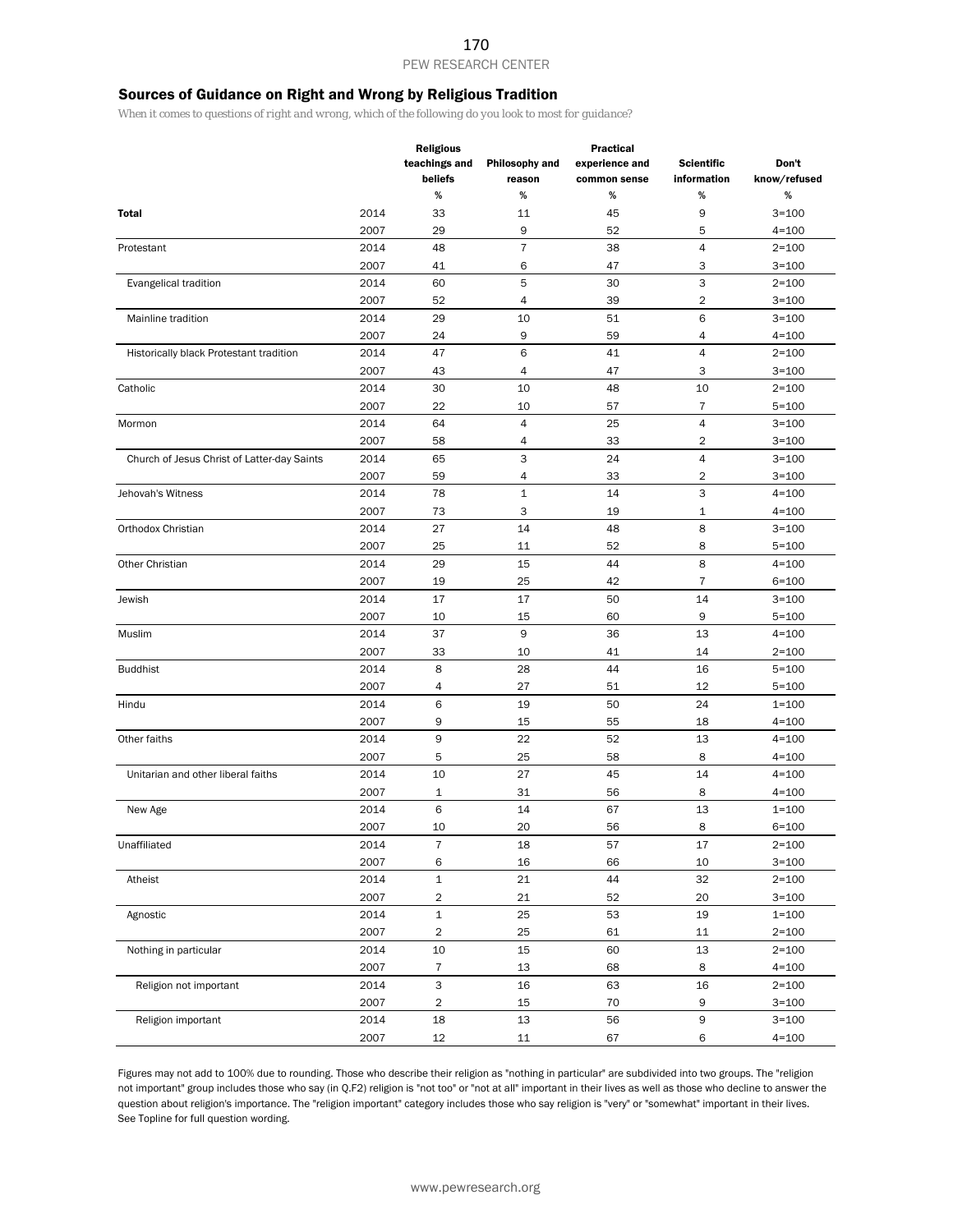#### Sources of Guidance on Right and Wrong by Religious Tradition

*When it comes to questions of right and wrong, which of the following do you look to most for guidance?*

|                                             |      | <b>Religious</b><br>teachings and | Philosophy and | <b>Practical</b><br>experience and | <b>Scientific</b> | Don't        |
|---------------------------------------------|------|-----------------------------------|----------------|------------------------------------|-------------------|--------------|
|                                             |      | beliefs                           | reason         | common sense                       | information       | know/refused |
|                                             |      | $\%$                              | $\%$           | $\%$                               | $\%$              | $\%$         |
| Total                                       | 2014 | 33                                | 11             | 45                                 | 9                 | $3 = 100$    |
|                                             | 2007 | 29                                | 9              | 52                                 | 5                 | $4 = 100$    |
| Protestant                                  | 2014 | 48                                | $\overline{7}$ | 38                                 | $\overline{4}$    | $2 = 100$    |
|                                             | 2007 | 41                                | 6              | 47                                 | 3                 | $3 = 100$    |
| Evangelical tradition                       | 2014 | 60                                | 5              | 30                                 | 3                 | $2 = 100$    |
|                                             | 2007 | 52                                | 4              | 39                                 | 2                 | $3 = 100$    |
| Mainline tradition                          | 2014 | 29                                | 10             | 51                                 | 6                 | $3 = 100$    |
|                                             | 2007 | 24                                | 9              | 59                                 | 4                 | $4 = 100$    |
| Historically black Protestant tradition     | 2014 | 47                                | 6              | 41                                 | $\overline{4}$    | $2 = 100$    |
|                                             | 2007 | 43                                | 4              | 47                                 | 3                 | $3 = 100$    |
| Catholic                                    | 2014 | 30                                | 10             | 48                                 | 10                | $2 = 100$    |
|                                             | 2007 | 22                                | 10             | 57                                 | $\overline{7}$    | $5 = 100$    |
| Mormon                                      | 2014 | 64                                | $\overline{4}$ | 25                                 | $\overline{4}$    | $3 = 100$    |
|                                             | 2007 | 58                                | 4              | 33                                 | 2                 | $3 = 100$    |
| Church of Jesus Christ of Latter-day Saints | 2014 | 65                                | 3              | 24                                 | $\overline{4}$    | $3 = 100$    |
|                                             | 2007 | 59                                | 4              | 33                                 | $\overline{2}$    | $3 = 100$    |
| Jehovah's Witness                           | 2014 | 78                                | $\mathbf 1$    | 14                                 | 3                 | $4 = 100$    |
|                                             | 2007 | 73                                | 3              | 19                                 | 1                 | $4 = 100$    |
| Orthodox Christian                          | 2014 | 27                                | 14             | 48                                 | 8                 | $3 = 100$    |
|                                             | 2007 | 25                                | 11             | 52                                 | 8                 | $5 = 100$    |
| Other Christian                             | 2014 | 29                                | 15             | 44                                 | 8                 | $4 = 100$    |
|                                             | 2007 | 19                                | 25             | 42                                 | 7                 | $6 = 100$    |
| Jewish                                      | 2014 | 17                                | 17             | 50                                 | 14                | $3 = 100$    |
|                                             | 2007 | 10                                | 15             | 60                                 | 9                 | $5 = 100$    |
| Muslim                                      | 2014 | 37                                | 9              | 36                                 | 13                | $4 = 100$    |
|                                             | 2007 | 33                                | 10             | 41                                 | 14                | $2 = 100$    |
| <b>Buddhist</b>                             | 2014 | 8                                 | 28             | 44                                 | 16                | $5 = 100$    |
|                                             | 2007 | 4                                 | 27             | 51                                 | 12                | $5 = 100$    |
| Hindu                                       | 2014 | 6                                 | 19             | 50                                 | 24                | $1 = 100$    |
|                                             | 2007 | 9                                 | 15             | 55                                 | 18                | $4 = 100$    |
| Other faiths                                | 2014 | 9                                 | 22             | 52                                 | 13                | $4 = 100$    |
|                                             | 2007 | 5                                 | 25             | 58                                 | 8                 | $4 = 100$    |
| Unitarian and other liberal faiths          | 2014 | 10                                | 27             | 45                                 | 14                | $4 = 100$    |
|                                             | 2007 | 1                                 | 31             | 56                                 | 8                 | $4 = 100$    |
| New Age                                     | 2014 | 6                                 | 14             | 67                                 | 13                | $1 = 100$    |
|                                             | 2007 | 10                                | 20             | 56                                 | 8                 | $6 = 100$    |
| Unaffiliated                                | 2014 | 7                                 | 18             | 57                                 | 17                | $2 = 100$    |
|                                             | 2007 | 6                                 | 16             | 66                                 | 10                | $3 = 100$    |
| Atheist                                     | 2014 | $\mathbf 1$                       | 21             | 44                                 | 32                | $2 = 100$    |
|                                             | 2007 | 2                                 | 21             | 52                                 | 20                | $3 = 100$    |
| Agnostic                                    | 2014 | $\mathbf 1$                       | 25             | 53                                 | 19                | $1 = 100$    |
|                                             | 2007 | 2                                 | 25             | 61                                 | 11                | $2 = 100$    |
| Nothing in particular                       | 2014 | 10                                | 15             | 60                                 | 13                | $2 = 100$    |
|                                             | 2007 | 7                                 | 13             | 68                                 | 8                 | $4 = 100$    |
| Religion not important                      | 2014 | 3                                 | 16             | 63                                 | 16                | $2 = 100$    |
|                                             | 2007 | 2                                 | 15             | 70                                 | 9                 | $3 = 100$    |
| Religion important                          | 2014 | 18                                | 13             | 56                                 | 9                 | $3 = 100$    |
|                                             | 2007 | 12                                | ${\bf 11}$     | 67                                 | 6                 | $4 = 100$    |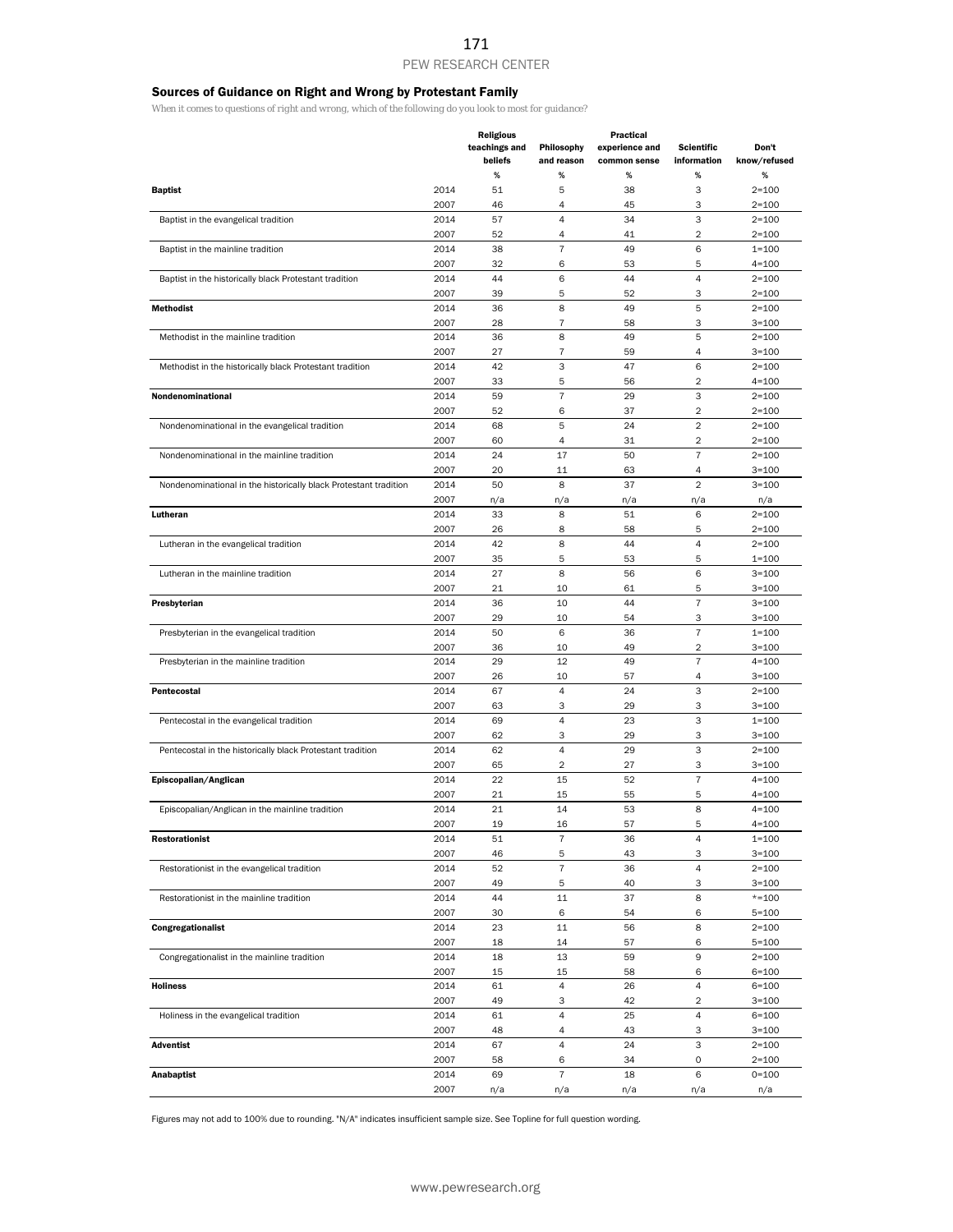#### Sources of Guidance on Right and Wrong by Protestant Family

*When it comes to questions of right and wrong, which of the following do you look to most for guidance?*

|                                                                  |              | <b>Religious</b><br>teachings and | Philosophy                       | <b>Practical</b><br>experience and | <b>Scientific</b> | Don't                  |
|------------------------------------------------------------------|--------------|-----------------------------------|----------------------------------|------------------------------------|-------------------|------------------------|
|                                                                  |              | beliefs                           | and reason                       | common sense                       | information       | know/refused           |
|                                                                  |              | %                                 | %                                | %                                  | %                 | %                      |
| <b>Baptist</b>                                                   | 2014         | 51                                | 5                                | 38                                 | 3                 | $2 = 100$              |
| Baptist in the evangelical tradition                             | 2007<br>2014 | 46<br>57                          | $\overline{4}$<br>$\overline{4}$ | 45<br>34                           | 3<br>3            | $2 = 100$<br>$2 = 100$ |
|                                                                  | 2007         | 52                                | $\overline{4}$                   | 41                                 | 2                 | $2 = 100$              |
| Baptist in the mainline tradition                                | 2014         | 38                                | $\overline{7}$                   | 49                                 | 6                 | $1 = 100$              |
|                                                                  | 2007         | 32                                | 6                                | 53                                 | 5                 | $4 = 100$              |
| Baptist in the historically black Protestant tradition           | 2014         | 44                                | 6                                | 44                                 | $\overline{4}$    | $2 = 100$              |
|                                                                  | 2007         | 39                                | 5                                | 52                                 | 3                 | $2 = 100$              |
| <b>Methodist</b>                                                 | 2014         | 36                                | 8                                | 49                                 | 5                 | $2 = 100$              |
| Methodist in the mainline tradition                              | 2007<br>2014 | 28<br>36                          | 7<br>8                           | 58<br>49                           | 3<br>5            | $3 = 100$<br>$2 = 100$ |
|                                                                  | 2007         | 27                                | $\overline{7}$                   | 59                                 | 4                 | $3 = 100$              |
| Methodist in the historically black Protestant tradition         | 2014         | 42                                | 3                                | 47                                 | 6                 | $2 = 100$              |
|                                                                  | 2007         | 33                                | 5                                | 56                                 | 2                 | $4 = 100$              |
| Nondenominational                                                | 2014         | 59                                | $\overline{7}$                   | 29                                 | 3                 | $2 = 100$              |
|                                                                  | 2007         | 52                                | 6                                | 37                                 | 2                 | $2 = 100$              |
| Nondenominational in the evangelical tradition                   | 2014         | 68                                | 5                                | 24                                 | 2<br>2            | $2 = 100$              |
| Nondenominational in the mainline tradition                      | 2007<br>2014 | 60<br>24                          | 4<br>17                          | 31<br>50                           | 7                 | $2 = 100$<br>$2 = 100$ |
|                                                                  | 2007         | 20                                | 11                               | 63                                 | 4                 | $3 = 100$              |
| Nondenominational in the historically black Protestant tradition | 2014         | 50                                | 8                                | 37                                 | $\overline{2}$    | $3 = 100$              |
|                                                                  | 2007         | n/a                               | n/a                              | n/a                                | n/a               | n/a                    |
| Lutheran                                                         | 2014         | 33                                | 8                                | 51                                 | 6                 | $2 = 100$              |
|                                                                  | 2007         | 26                                | 8                                | 58                                 | 5                 | $2 = 100$              |
| Lutheran in the evangelical tradition                            | 2014         | 42                                | 8                                | 44                                 | $\overline{4}$    | $2 = 100$              |
|                                                                  | 2007<br>2014 | 35<br>27                          | 5<br>8                           | 53<br>56                           | 5<br>6            | $1 = 100$              |
| Lutheran in the mainline tradition                               | 2007         | 21                                | 10                               | 61                                 | 5                 | $3 = 100$<br>$3 = 100$ |
| Presbyterian                                                     | 2014         | 36                                | 10                               | 44                                 | 7                 | $3 = 100$              |
|                                                                  | 2007         | 29                                | 10                               | 54                                 | 3                 | $3 = 100$              |
| Presbyterian in the evangelical tradition                        | 2014         | 50                                | 6                                | 36                                 | $\overline{7}$    | $1 = 100$              |
|                                                                  | 2007         | 36                                | 10                               | 49                                 | 2                 | $3 = 100$              |
| Presbyterian in the mainline tradition                           | 2014         | 29                                | 12                               | 49                                 | $\overline{7}$    | $4 = 100$              |
|                                                                  | 2007         | 26                                | 10                               | 57                                 | 4                 | $3 = 100$              |
| Pentecostal                                                      | 2014<br>2007 | 67<br>63                          | $\overline{4}$<br>3              | 24<br>29                           | 3<br>3            | $2 = 100$              |
| Pentecostal in the evangelical tradition                         | 2014         | 69                                | $\overline{4}$                   | 23                                 | 3                 | $3 = 100$<br>$1 = 100$ |
|                                                                  | 2007         | 62                                | 3                                | 29                                 | 3                 | $3 = 100$              |
| Pentecostal in the historically black Protestant tradition       | 2014         | 62                                | $\overline{4}$                   | 29                                 | 3                 | $2 = 100$              |
|                                                                  | 2007         | 65                                | $\overline{2}$                   | 27                                 | 3                 | $3 = 100$              |
| Episcopalian/Anglican                                            | 2014         | 22                                | 15                               | 52                                 | 7                 | $4 = 100$              |
|                                                                  | 2007         | 21                                | 15                               | 55                                 | 5                 | $4 = 100$              |
| Episcopalian/Anglican in the mainline tradition                  | 2014         | 21                                | 14                               | 53                                 | 8                 | $4 = 100$              |
| <b>Restorationist</b>                                            | 2007<br>2014 | 19<br>51                          | 16<br>$\overline{7}$             | 57<br>36                           | 5<br>4            | 4=100<br>$1 = 100$     |
|                                                                  | 2007         | 46                                | 5                                | 43                                 | 3                 | $3 = 100$              |
| Restorationist in the evangelical tradition                      | 2014         | 52                                | $\overline{7}$                   | 36                                 | 4                 | $2 = 100$              |
|                                                                  | 2007         | 49                                | 5                                | 40                                 | 3                 | $3 = 100$              |
| Restorationist in the mainline tradition                         | 2014         | 44                                | 11                               | 37                                 | 8                 | $* = 100$              |
|                                                                  | 2007         | 30                                | 6                                | 54                                 | 6                 | $5 = 100$              |
| Congregationalist                                                | 2014         | 23                                | 11                               | 56                                 | 8                 | $2 = 100$              |
| Congregationalist in the mainline tradition                      | 2007         | 18                                | 14<br>13                         | 57<br>59                           | 6<br>9            | $5 = 100$              |
|                                                                  | 2014<br>2007 | 18<br>15                          | 15                               | 58                                 | 6                 | $2 = 100$<br>$6 = 100$ |
| <b>Holiness</b>                                                  | 2014         | 61                                | $\overline{4}$                   | 26                                 | 4                 | $6 = 100$              |
|                                                                  | 2007         | 49                                | 3                                | 42                                 | 2                 | $3 = 100$              |
| Holiness in the evangelical tradition                            | 2014         | 61                                | $\overline{4}$                   | 25                                 | 4                 | $6 = 100$              |
|                                                                  | 2007         | 48                                | 4                                | 43                                 | 3                 | $3 = 100$              |
| <b>Adventist</b>                                                 | 2014         | 67                                | $\overline{4}$                   | 24                                 | 3                 | $2 = 100$              |
|                                                                  | 2007         | 58                                | 6<br>$\overline{7}$              | 34                                 | 0                 | $2 = 100$              |
| Anabaptist                                                       | 2014<br>2007 | 69<br>n/a                         | n/a                              | 18<br>n/a                          | 6<br>n/a          | $0 = 100$<br>n/a       |
|                                                                  |              |                                   |                                  |                                    |                   |                        |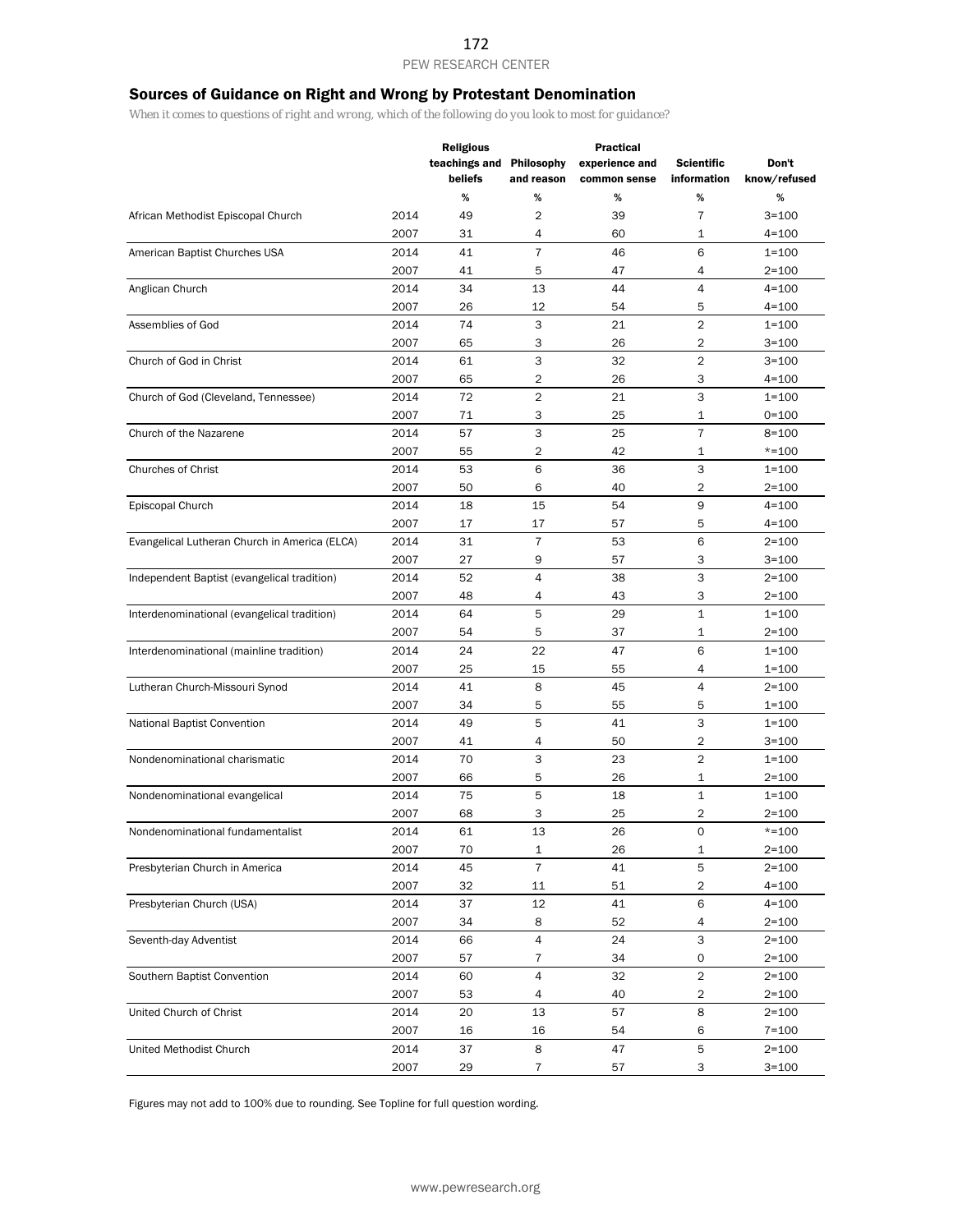## Sources of Guidance on Right and Wrong by Protestant Denomination

*When it comes to questions of right and wrong, which of the following do you look to most for guidance?*

|                                               |      | <b>Religious</b><br>teachings and Philosophy<br>beliefs | and reason     | <b>Practical</b><br>experience and<br>common sense | <b>Scientific</b><br>information | Don't<br>know/refused |
|-----------------------------------------------|------|---------------------------------------------------------|----------------|----------------------------------------------------|----------------------------------|-----------------------|
|                                               |      | %                                                       | %              | %                                                  | %                                | %                     |
| African Methodist Episcopal Church            | 2014 | 49                                                      | 2              | 39                                                 | $\overline{7}$                   | $3 = 100$             |
|                                               | 2007 | 31                                                      | 4              | 60                                                 | $\mathbf 1$                      | $4 = 100$             |
| American Baptist Churches USA                 | 2014 | 41                                                      | $\overline{7}$ | 46                                                 | 6                                | $1 = 100$             |
|                                               | 2007 | 41                                                      | 5              | 47                                                 | 4                                | $2 = 100$             |
| Anglican Church                               | 2014 | 34                                                      | 13             | 44                                                 | $\overline{4}$                   | $4 = 100$             |
|                                               | 2007 | 26                                                      | 12             | 54                                                 | 5                                | $4 = 100$             |
| Assemblies of God                             | 2014 | 74                                                      | 3              | 21                                                 | $\overline{\mathbf{c}}$          | $1 = 100$             |
|                                               | 2007 | 65                                                      | 3              | 26                                                 | 2                                | $3 = 100$             |
| Church of God in Christ                       | 2014 | 61                                                      | 3              | 32                                                 | $\overline{2}$                   | $3 = 100$             |
|                                               | 2007 | 65                                                      | 2              | 26                                                 | 3                                | $4 = 100$             |
| Church of God (Cleveland, Tennessee)          | 2014 | 72                                                      | $\overline{2}$ | 21                                                 | 3                                | $1 = 100$             |
|                                               | 2007 | 71                                                      | 3              | 25                                                 | 1                                | $0 = 100$             |
| Church of the Nazarene                        | 2014 | 57                                                      | 3              | 25                                                 | $\overline{7}$                   | $8 = 100$             |
|                                               | 2007 | 55                                                      | 2              | 42                                                 | 1                                | $*=100$               |
| <b>Churches of Christ</b>                     | 2014 | 53                                                      | 6              | 36                                                 | 3                                | $1 = 100$             |
|                                               | 2007 | 50                                                      | 6              | 40                                                 | $\overline{c}$                   | $2 = 100$             |
| Episcopal Church                              | 2014 | 18                                                      | 15             | 54                                                 | 9                                | $4 = 100$             |
|                                               | 2007 | 17                                                      | 17             | 57                                                 | 5                                | $4 = 100$             |
| Evangelical Lutheran Church in America (ELCA) | 2014 | 31                                                      | $\overline{7}$ | 53                                                 | 6                                | $2 = 100$             |
|                                               | 2007 | 27                                                      | 9              | 57                                                 | 3                                | $3 = 100$             |
| Independent Baptist (evangelical tradition)   | 2014 | 52                                                      | 4              | 38                                                 | 3                                | $2 = 100$             |
|                                               | 2007 | 48                                                      | 4              | 43                                                 | 3                                | $2 = 100$             |
| Interdenominational (evangelical tradition)   | 2014 | 64                                                      | 5              | 29                                                 | $\mathbf 1$                      | $1 = 100$             |
|                                               | 2007 | 54                                                      | 5              | 37                                                 | $\mathbf 1$                      | $2 = 100$             |
| Interdenominational (mainline tradition)      | 2014 | 24                                                      | 22             | 47                                                 | 6                                | $1 = 100$             |
|                                               | 2007 | 25                                                      | 15             | 55                                                 | 4                                | $1 = 100$             |
| Lutheran Church-Missouri Synod                | 2014 | 41                                                      | 8              | 45                                                 | $\overline{4}$                   | $2 = 100$             |
|                                               | 2007 | 34                                                      | 5              | 55                                                 | 5                                | $1 = 100$             |
| National Baptist Convention                   | 2014 | 49                                                      | 5              | 41                                                 | 3                                | $1 = 100$             |
|                                               | 2007 | 41                                                      | 4              | 50                                                 | 2                                | $3 = 100$             |
| Nondenominational charismatic                 | 2014 | 70                                                      | 3              | 23                                                 | $\overline{2}$                   | $1 = 100$             |
|                                               | 2007 | 66                                                      | 5              | 26                                                 | 1                                | $2 = 100$             |
| Nondenominational evangelical                 | 2014 | 75                                                      | 5              | 18                                                 | $\mathbf{1}$                     | $1 = 100$             |
|                                               | 2007 | 68                                                      | 3              | 25                                                 | $\overline{c}$                   | $2 = 100$             |
| Nondenominational fundamentalist              | 2014 | 61                                                      | 13             | 26                                                 | 0                                | $* = 100$             |
|                                               | 2007 | 70                                                      | 1              | 26                                                 | 1                                | $2 = 100$             |
| Presbyterian Church in America                | 2014 | 45                                                      | $\overline{7}$ | 41                                                 | 5                                | $2 = 100$             |
|                                               | 2007 | 32                                                      | 11             | 51                                                 | $\overline{\mathbf{c}}$          | $4 = 100$             |
| Presbyterian Church (USA)                     | 2014 | 37                                                      | 12             | 41                                                 | 6                                | $4 = 100$             |
|                                               | 2007 | 34                                                      | 8              | 52                                                 | 4                                | $2 = 100$             |
| Seventh-day Adventist                         | 2014 | 66                                                      | 4              | 24                                                 | 3                                | $2 = 100$             |
|                                               | 2007 | 57                                                      | 7              | 34                                                 | 0                                | $2 = 100$             |
| Southern Baptist Convention                   | 2014 | 60                                                      | 4              | 32                                                 | $\overline{2}$                   | $2 = 100$             |
|                                               | 2007 | 53                                                      | 4              | 40                                                 | $\overline{c}$                   | $2 = 100$             |
| United Church of Christ                       | 2014 | 20                                                      | 13             | 57                                                 | 8                                | $2 = 100$             |
|                                               | 2007 | 16                                                      | 16             | 54                                                 | 6                                | $7 = 100$             |
| United Methodist Church                       | 2014 | 37                                                      | 8              | 47                                                 | 5                                | $2 = 100$             |
|                                               | 2007 | 29                                                      | $\bf 7$        | 57                                                 | 3                                | $3 = 100$             |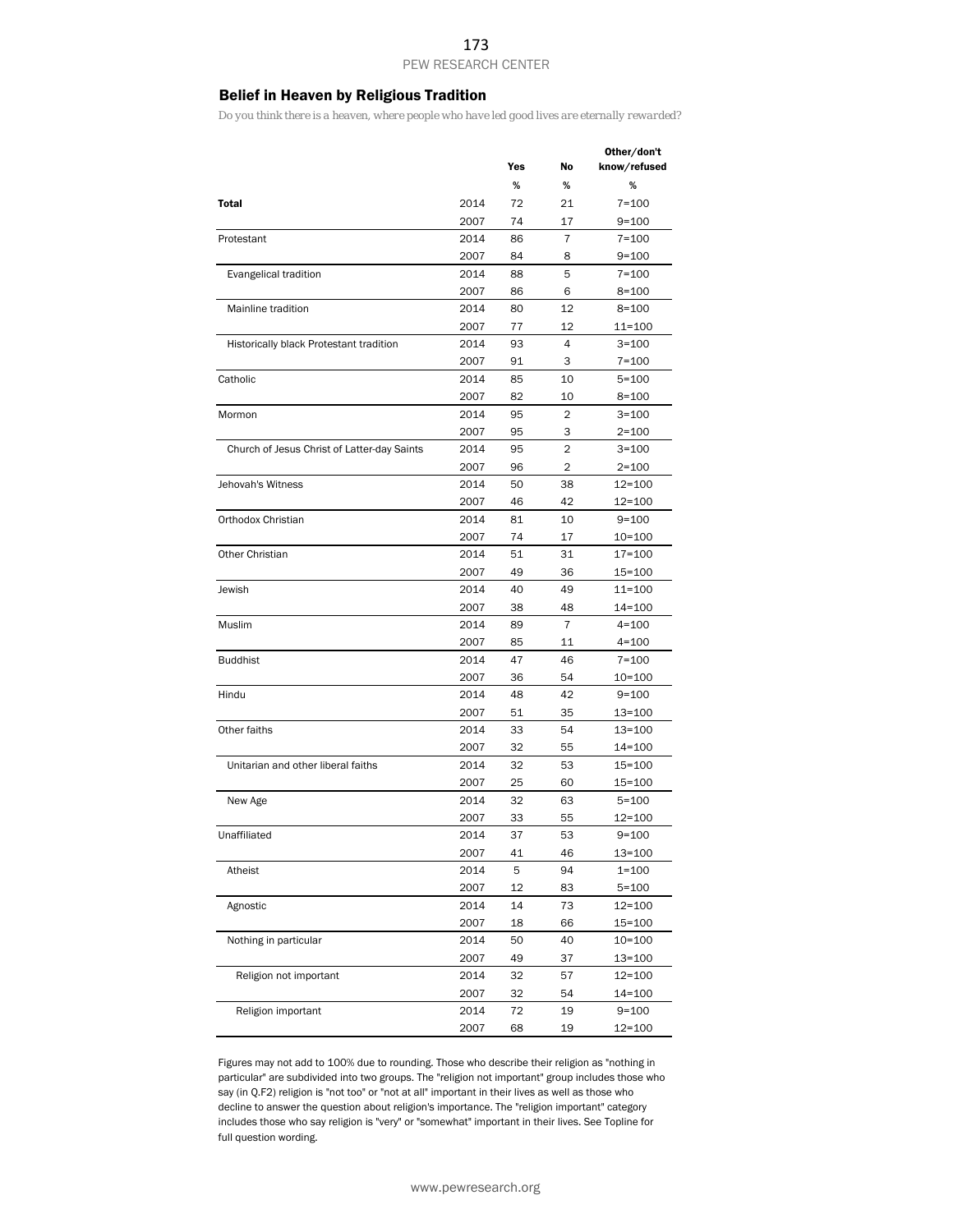#### Belief in Heaven by Religious Tradition

*Do you think there is a heaven, where people who have led good lives are eternally rewarded?*

|                                             |      |     |                | Other/don't  |
|---------------------------------------------|------|-----|----------------|--------------|
|                                             |      | Yes | No             | know/refused |
|                                             |      | %   | %              | %            |
| Total                                       | 2014 | 72  | 21             | $7 = 100$    |
|                                             | 2007 | 74  | 17             | $9 = 100$    |
| Protestant                                  | 2014 | 86  | 7              | $7 = 100$    |
|                                             | 2007 | 84  | 8              | $9 = 100$    |
| Evangelical tradition                       | 2014 | 88  | 5              | $7 = 100$    |
|                                             | 2007 | 86  | 6              | 8=100        |
| Mainline tradition                          | 2014 | 80  | 12             | $8 = 100$    |
|                                             | 2007 | 77  | 12             | 11=100       |
| Historically black Protestant tradition     | 2014 | 93  | 4              | $3 = 100$    |
|                                             | 2007 | 91  | 3              | $7 = 100$    |
| Catholic                                    | 2014 | 85  | 10             | $5 = 100$    |
|                                             | 2007 | 82  | 10             | $8 = 100$    |
| Mormon                                      | 2014 | 95  | 2              | $3 = 100$    |
|                                             | 2007 | 95  | 3              | $2 = 100$    |
| Church of Jesus Christ of Latter-day Saints | 2014 | 95  | $\overline{2}$ | $3 = 100$    |
|                                             | 2007 | 96  | $\overline{2}$ | $2 = 100$    |
| Jehovah's Witness                           | 2014 | 50  | 38             | $12 = 100$   |
|                                             | 2007 | 46  | 42             | $12 = 100$   |
| Orthodox Christian                          | 2014 | 81  | 10             | $9 = 100$    |
|                                             | 2007 | 74  | 17             | $10 = 100$   |
| Other Christian                             | 2014 | 51  | 31             | $17 = 100$   |
|                                             | 2007 | 49  | 36             | 15=100       |
| Jewish                                      | 2014 | 40  | 49             | 11=100       |
|                                             | 2007 | 38  | 48             | 14=100       |
| Muslim                                      | 2014 | 89  | $\overline{7}$ | $4 = 100$    |
|                                             | 2007 | 85  | 11             | 4=100        |
| <b>Buddhist</b>                             | 2014 | 47  | 46             | $7 = 100$    |
|                                             | 2007 | 36  | 54             | 10=100       |
| Hindu                                       | 2014 | 48  | 42             | 9=100        |
|                                             | 2007 | 51  | 35             | 13=100       |
| Other faiths                                | 2014 | 33  | 54             | 13=100       |
|                                             | 2007 | 32  | 55             | 14=100       |
| Unitarian and other liberal faiths          | 2014 | 32  | 53             | 15=100       |
|                                             | 2007 | 25  | 60             | 15=100       |
| New Age                                     | 2014 | 32  | 63             | $5 = 100$    |
|                                             | 2007 | 33  | 55             | 12=100       |
| Unaffiliated                                | 2014 | 37  | 53             | $9 = 100$    |
|                                             | 2007 | 41  | 46             | 13=100       |
|                                             | 2014 |     | 94             |              |
| Atheist                                     | 2007 | 5   |                | $1 = 100$    |
|                                             |      | 12  | 83             | $5 = 100$    |
| Agnostic                                    | 2014 | 14  | 73             | 12=100       |
|                                             | 2007 | 18  | 66             | 15=100       |
| Nothing in particular                       | 2014 | 50  | 40             | 10=100       |
|                                             | 2007 | 49  | 37             | 13=100       |
| Religion not important                      | 2014 | 32  | 57             | 12=100       |
|                                             | 2007 | 32  | 54             | 14=100       |
| Religion important                          | 2014 | 72  | 19             | $9 = 100$    |
|                                             | 2007 | 68  | 19             | 12=100       |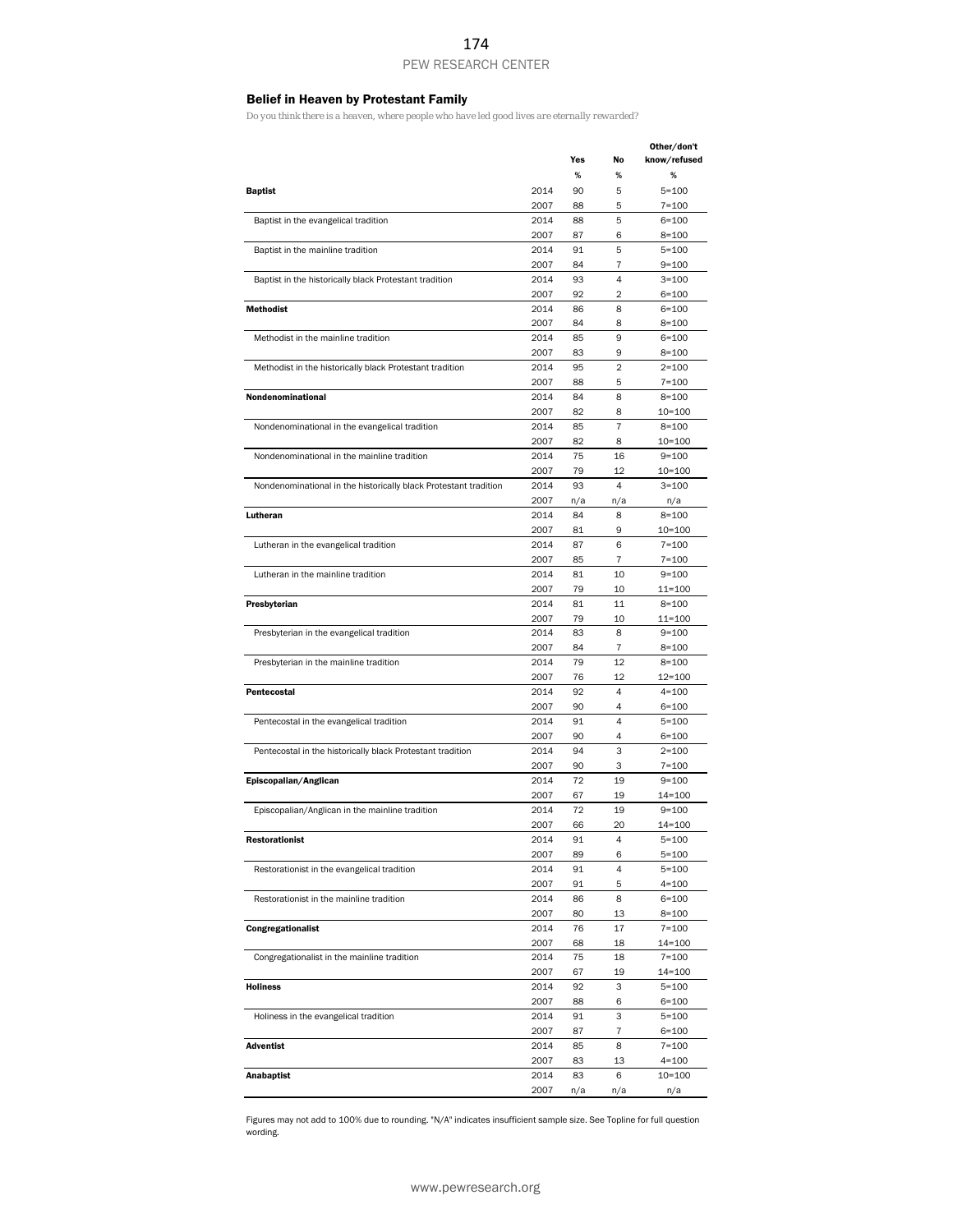#### Belief in Heaven by Protestant Family

*Do you think there is a heaven, where people who have led good lives are eternally rewarded?*

|                                                                  |      |     |                | Other/don't  |
|------------------------------------------------------------------|------|-----|----------------|--------------|
|                                                                  |      | Yes | No             | know/refused |
|                                                                  |      | %   | %              | %            |
| <b>Baptist</b>                                                   | 2014 | 90  | 5              | $5 = 100$    |
|                                                                  | 2007 | 88  | 5              | $7 = 100$    |
| Baptist in the evangelical tradition                             | 2014 | 88  | 5              | $6 = 100$    |
|                                                                  | 2007 | 87  | 6              | $8 = 100$    |
| Baptist in the mainline tradition                                | 2014 | 91  | 5              | $5 = 100$    |
|                                                                  | 2007 | 84  | 7              | $9 = 100$    |
| Baptist in the historically black Protestant tradition           | 2014 | 93  | 4              | $3 = 100$    |
|                                                                  | 2007 | 92  | 2              | $6 = 100$    |
| <b>Methodist</b>                                                 | 2014 | 86  | 8              | $6 = 100$    |
|                                                                  | 2007 | 84  | 8              | 8=100        |
| Methodist in the mainline tradition                              | 2014 | 85  | 9              | $6 = 100$    |
|                                                                  | 2007 | 83  | 9              | $8 = 100$    |
| Methodist in the historically black Protestant tradition         | 2014 | 95  | $\overline{2}$ | $2 = 100$    |
|                                                                  | 2007 | 88  | 5              | $7 = 100$    |
| Nondenominational                                                | 2014 | 84  | 8              | $8 = 100$    |
|                                                                  | 2007 | 82  | 8              | 10=100       |
| Nondenominational in the evangelical tradition                   | 2014 | 85  | 7              | $8 = 100$    |
|                                                                  | 2007 | 82  | 8              | $10 = 100$   |
| Nondenominational in the mainline tradition                      | 2014 | 75  | 16             | $9 = 100$    |
|                                                                  | 2007 | 79  | 12             | $10 = 100$   |
| Nondenominational in the historically black Protestant tradition | 2014 | 93  | 4              | $3 = 100$    |
|                                                                  | 2007 | n/a | n/a            | n/a          |
| Lutheran                                                         | 2014 | 84  | 8              | $8 = 100$    |
|                                                                  | 2007 | 81  | 9              | $10 = 100$   |
| Lutheran in the evangelical tradition                            | 2014 | 87  | 6              | $7 = 100$    |
|                                                                  | 2007 | 85  | 7              | $7 = 100$    |
| Lutheran in the mainline tradition                               | 2014 | 81  | 10             | $9 = 100$    |
|                                                                  | 2007 | 79  | 10             | 11=100       |
| Presbyterian                                                     | 2014 | 81  | 11             | $8 = 100$    |
|                                                                  | 2007 | 79  | 10             | $11 = 100$   |
| Presbyterian in the evangelical tradition                        | 2014 | 83  | 8              | $9 = 100$    |
|                                                                  | 2007 | 84  | 7              | $8 = 100$    |
| Presbyterian in the mainline tradition                           | 2014 | 79  | 12             | $8 = 100$    |
|                                                                  | 2007 | 76  | 12             | $12 = 100$   |
| Pentecostal                                                      | 2014 | 92  | 4              | $4 = 100$    |
|                                                                  | 2007 | 90  | 4              | 6=100        |
| Pentecostal in the evangelical tradition                         | 2014 | 91  | 4              | $5 = 100$    |
|                                                                  | 2007 | 90  | 4              | 6=100        |
| Pentecostal in the historically black Protestant tradition       | 2014 | 94  | 3              | $2 = 100$    |
|                                                                  | 2007 | 90  | 3              | $7 = 100$    |
| Episcopalian/Anglican                                            | 2014 | 72  | 19             | $9 = 100$    |
|                                                                  | 2007 | 67  | 19             | $14 = 100$   |
| Episcopalian/Anglican in the mainline tradition                  | 2014 | 72  | 19             | $9 = 100$    |
|                                                                  | 2007 | 66  | 20             | $14 = 100$   |
| <b>Restorationist</b>                                            | 2014 | 91  | 4              | 5=100        |
|                                                                  | 2007 | 89  | 6              | 5=100        |
| Restorationist in the evangelical tradition                      | 2014 | 91  | 4              | $5 = 100$    |
|                                                                  | 2007 | 91  | 5              | 4=100        |
| Restorationist in the mainline tradition                         | 2014 | 86  | 8              | $6 = 100$    |
|                                                                  | 2007 | 80  | 13             | $8 = 100$    |
| Congregationalist                                                | 2014 | 76  | 17             | $7 = 100$    |
|                                                                  | 2007 | 68  | 18             | 14=100       |
| Congregationalist in the mainline tradition                      | 2014 | 75  | 18             | $7 = 100$    |
|                                                                  | 2007 | 67  | 19             | 14=100       |
| <b>Holiness</b>                                                  | 2014 | 92  | 3              | $5 = 100$    |
|                                                                  | 2007 | 88  | 6              | 6=100        |
| Holiness in the evangelical tradition                            | 2014 | 91  | 3              | 5=100        |
|                                                                  | 2007 | 87  | 7              | 6=100        |
| <b>Adventist</b>                                                 | 2014 | 85  | 8              | $7 = 100$    |
|                                                                  | 2007 | 83  | 13             | 4=100        |
| Anabaptist                                                       | 2014 | 83  | 6              | $10 = 100$   |
|                                                                  | 2007 | n/a | n/a            | n/a          |
|                                                                  |      |     |                |              |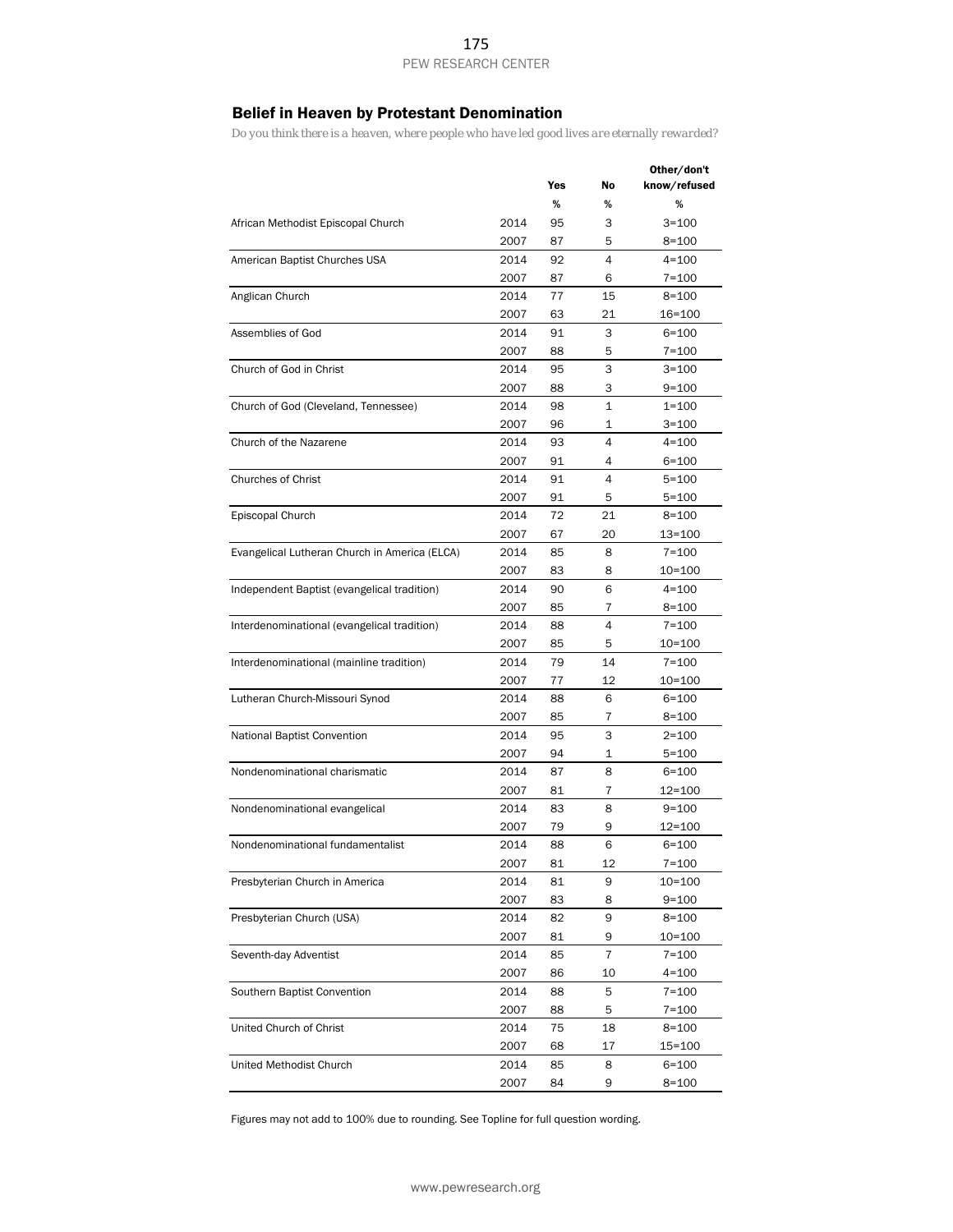## Belief in Heaven by Protestant Denomination

*Do you think there is a heaven, where people who have led good lives are eternally rewarded?*

|                                               |      |     |                | Other/don't  |
|-----------------------------------------------|------|-----|----------------|--------------|
|                                               |      | Yes | No             | know/refused |
|                                               |      | %   | %              | %            |
| African Methodist Episcopal Church            | 2014 | 95  | 3              | $3 = 100$    |
|                                               | 2007 | 87  | 5              | 8=100        |
| American Baptist Churches USA                 | 2014 | 92  | 4              | $4 = 100$    |
|                                               | 2007 | 87  | 6              | $7 = 100$    |
| Anglican Church                               | 2014 | 77  | 15             | $8 = 100$    |
|                                               | 2007 | 63  | 21             | 16=100       |
| Assemblies of God                             | 2014 | 91  | 3              | $6 = 100$    |
|                                               | 2007 | 88  | 5              | $7 = 100$    |
| Church of God in Christ                       | 2014 | 95  | 3              | 3=100        |
|                                               | 2007 | 88  | 3              | 9=100        |
| Church of God (Cleveland, Tennessee)          | 2014 | 98  | $\mathbf{1}$   | $1 = 100$    |
|                                               | 2007 | 96  | 1              | 3=100        |
| Church of the Nazarene                        | 2014 | 93  | $\overline{4}$ | $4 = 100$    |
|                                               | 2007 | 91  | 4              | 6=100        |
| <b>Churches of Christ</b>                     | 2014 | 91  | $\overline{4}$ | $5 = 100$    |
|                                               | 2007 | 91  | 5              | 5=100        |
| Episcopal Church                              | 2014 | 72  | 21             | $8 = 100$    |
|                                               | 2007 | 67  | 20             | 13=100       |
| Evangelical Lutheran Church in America (ELCA) | 2014 | 85  | 8              | $7 = 100$    |
|                                               | 2007 | 83  | 8              | 10=100       |
| Independent Baptist (evangelical tradition)   | 2014 | 90  | 6              | $4 = 100$    |
|                                               | 2007 | 85  | 7              | 8=100        |
| Interdenominational (evangelical tradition)   | 2014 | 88  | 4              | $7 = 100$    |
|                                               | 2007 | 85  | 5              | 10=100       |
| Interdenominational (mainline tradition)      | 2014 | 79  | 14             | $7 = 100$    |
|                                               | 2007 | 77  | 12             | 10=100       |
| Lutheran Church-Missouri Synod                | 2014 | 88  | 6              | $6 = 100$    |
|                                               | 2007 | 85  | 7              | 8=100        |
| <b>National Baptist Convention</b>            | 2014 | 95  | 3              | $2 = 100$    |
|                                               | 2007 | 94  | 1              | 5=100        |
| Nondenominational charismatic                 | 2014 | 87  | 8              | 6=100        |
|                                               | 2007 | 81  | 7              | 12=100       |
| Nondenominational evangelical                 | 2014 | 83  | 8              | $9 = 100$    |
|                                               | 2007 | 79  | 9              | 12=100       |
| Nondenominational fundamentalist              | 2014 | 88  | 6              | $6 = 100$    |
|                                               | 2007 | 81  | 12             | $7 = 100$    |
| Presbyterian Church in America                | 2014 | 81  | 9              | 10=100       |
|                                               | 2007 | 83  | 8              | 9=100        |
| Presbyterian Church (USA)                     | 2014 | 82  | 9              | $8 = 100$    |
|                                               | 2007 | 81  | 9              | 10=100       |
| Seventh-day Adventist                         | 2014 | 85  | $\overline{7}$ | $7 = 100$    |
|                                               | 2007 | 86  | 10             | 4=100        |
| Southern Baptist Convention                   | 2014 | 88  | 5              | $7 = 100$    |
|                                               | 2007 | 88  | 5              | $7 = 100$    |
| United Church of Christ                       | 2014 | 75  | 18             | $8 = 100$    |
|                                               | 2007 | 68  | 17             | 15=100       |
| United Methodist Church                       | 2014 | 85  | 8              | 6=100        |
|                                               | 2007 | 84  | 9              | 8=100        |
|                                               |      |     |                |              |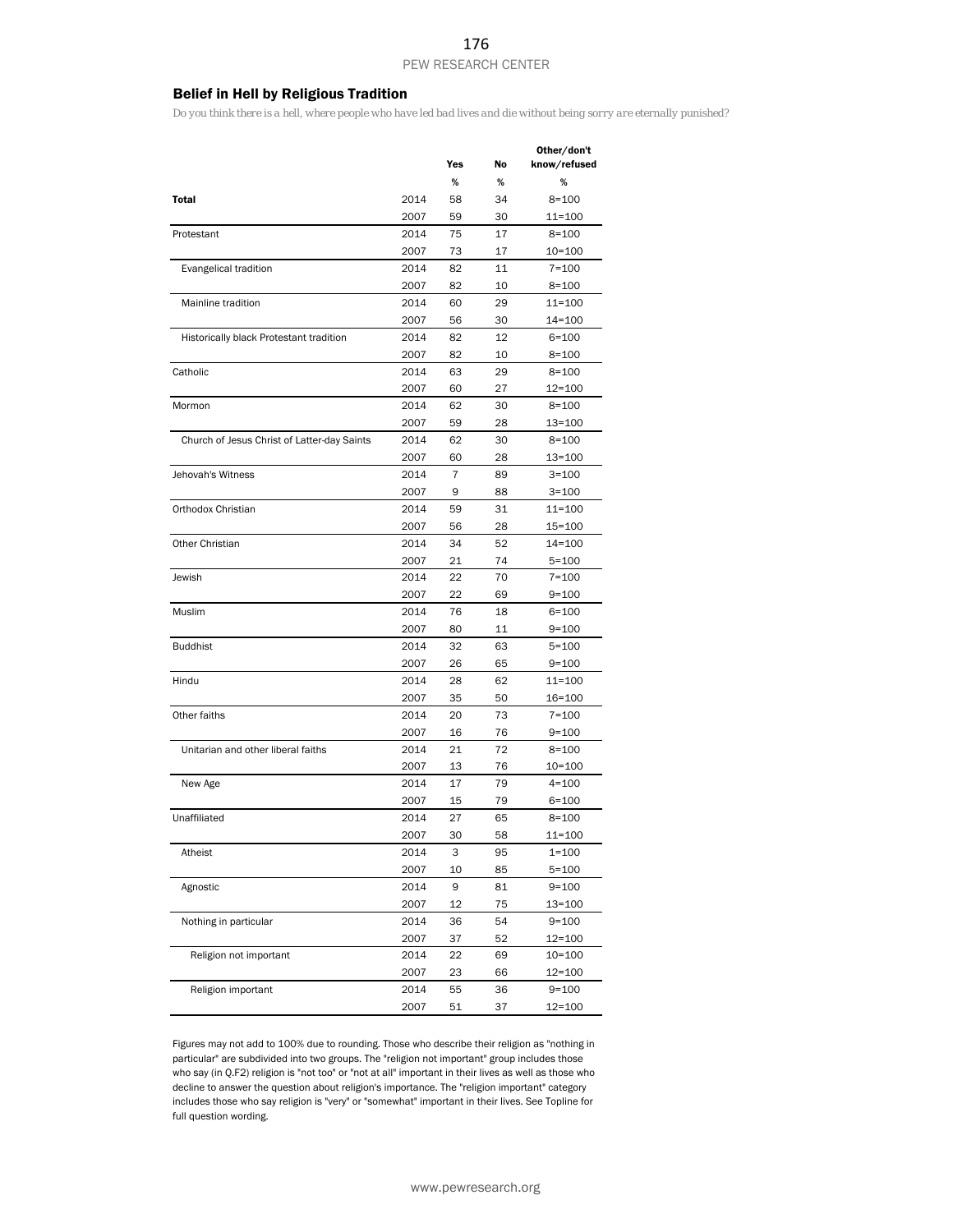#### Belief in Hell by Religious Tradition

*Do you think there is a hell, where people who have led bad lives and die without being sorry are eternally punished?*

|                                             |              |                |          | Other/don't         |
|---------------------------------------------|--------------|----------------|----------|---------------------|
|                                             |              | Yes            | No       | know/refused        |
|                                             |              | %              | %        | %                   |
| Total                                       | 2014         | 58             | 34       | $8 = 100$           |
|                                             | 2007         | 59             | 30       | $11 = 100$          |
| Protestant                                  | 2014         | 75             | 17       | $8 = 100$           |
|                                             | 2007         | 73             | 17       | 10=100              |
| Evangelical tradition                       | 2014         | 82             | 11       | $7 = 100$           |
|                                             | 2007         | 82             | 10       | $8 = 100$           |
| Mainline tradition                          | 2014         | 60             | 29       | 11=100              |
|                                             | 2007         | 56             | 30       | 14=100              |
| Historically black Protestant tradition     | 2014         | 82             | 12       | $6 = 100$           |
|                                             | 2007         | 82             | 10       | $8 = 100$           |
| Catholic                                    | 2014         | 63             | 29       | $8 = 100$           |
|                                             | 2007         | 60             | 27       | 12=100              |
| Mormon                                      | 2014         | 62             | 30       | 8=100               |
|                                             | 2007         | 59             | 28       | $13 = 100$          |
| Church of Jesus Christ of Latter-day Saints | 2014         | 62             | 30       | $8 = 100$           |
|                                             | 2007         | 60             | 28       | 13=100              |
| Jehovah's Witness                           | 2014         | $\overline{7}$ | 89       | $3 = 100$           |
|                                             | 2007         | 9              | 88       | 3=100               |
| Orthodox Christian                          | 2014         | 59             | 31       | 11=100              |
|                                             | 2007         | 56             | 28       | 15=100              |
| Other Christian                             | 2014         | 34             | 52       | 14=100              |
|                                             | 2007         | 21             | 74       | $5 = 100$           |
| Jewish                                      | 2014         | 22             | 70       | $7 = 100$           |
|                                             | 2007         | 22             | 69       | $9 = 100$           |
| Muslim                                      | 2014         | 76             | 18       | $6 = 100$           |
|                                             | 2007         | 80             | 11       | $9 = 100$           |
| <b>Buddhist</b>                             | 2014         | 32             | 63       | $5 = 100$           |
|                                             | 2007         | 26             | 65       | $9 = 100$           |
| Hindu                                       | 2014         | 28             | 62       | 11=100              |
|                                             | 2007         | 35             | 50       | 16=100              |
| Other faiths                                | 2014         | 20             | 73       | $7 = 100$           |
|                                             | 2007         | 16             | 76       | 9=100               |
| Unitarian and other liberal faiths          | 2014         | 21             | 72       | $8 = 100$           |
|                                             | 2007         | 13             | 76       | 10=100              |
| New Age                                     | 2014         | 17             | 79       | $4 = 100$           |
|                                             | 2007         | 15             | 79       | $6 = 100$           |
| Unaffiliated                                | 2014         | 27             | 65       | $8 = 100$           |
|                                             | 2007         | 30             | 58       | 11=100              |
|                                             |              | 3              |          | $1 = 100$           |
| Atheist                                     | 2014<br>2007 | 10             | 95<br>85 | $5 = 100$           |
|                                             |              | 9              |          |                     |
| Agnostic                                    | 2014<br>2007 |                | 81       | $9 = 100$           |
|                                             |              | 12             | 75       | 13=100<br>$9 = 100$ |
| Nothing in particular                       | 2014         | 36             | 54       |                     |
|                                             | 2007         | 37             | 52       | 12=100              |
| Religion not important                      | 2014         | 22             | 69       | 10=100              |
|                                             | 2007         | 23             | 66       | 12=100              |
| Religion important                          | 2014         | 55             | 36       | $9 = 100$           |
|                                             | 2007         | 51             | 37       | 12=100              |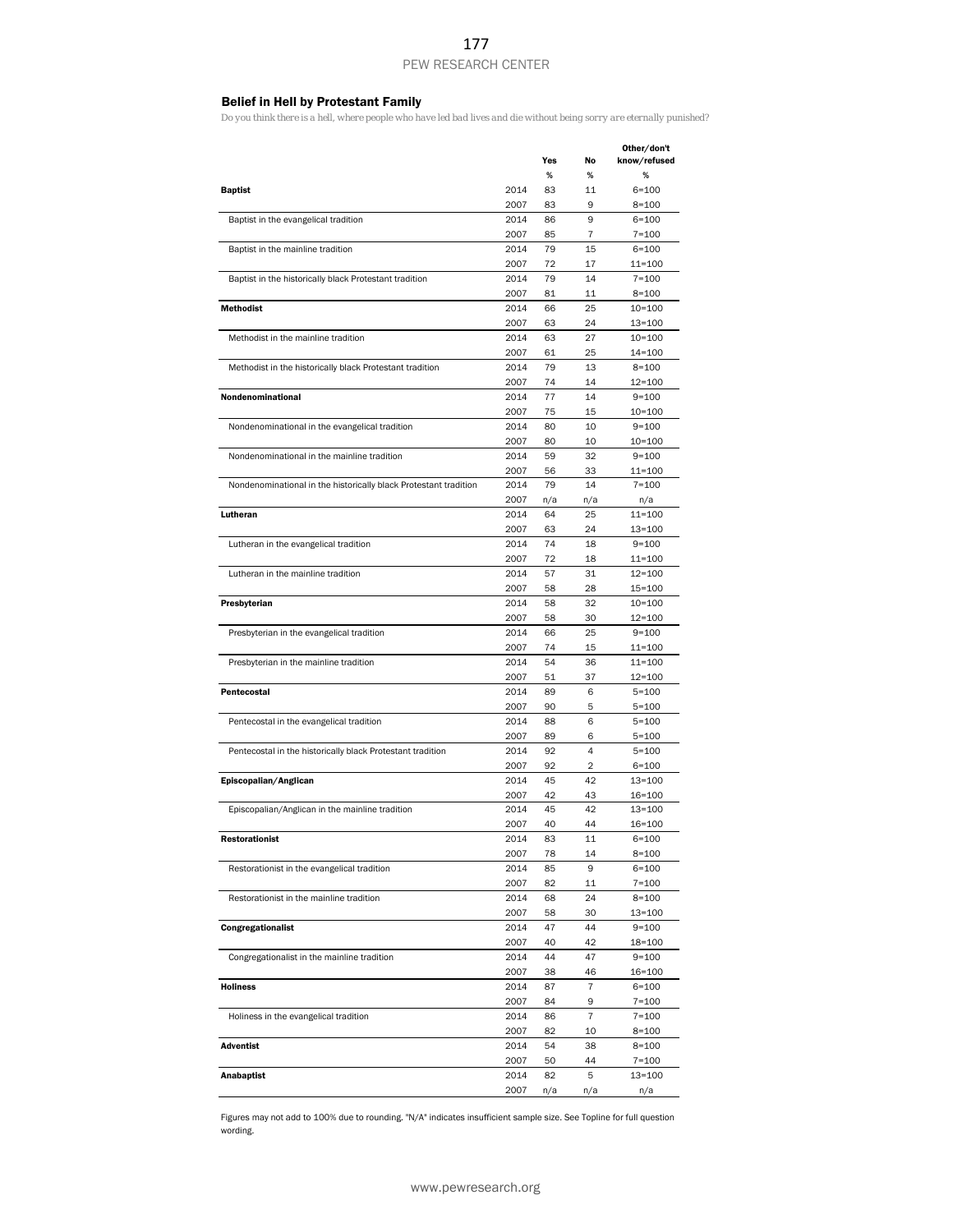#### Belief in Hell by Protestant Family

*Do you think there is a hell, where people who have led bad lives and die without being sorry are eternally punished?*

|                                                                  |      |     |      | Other/don't  |
|------------------------------------------------------------------|------|-----|------|--------------|
|                                                                  |      | Yes | No   | know/refused |
|                                                                  |      | %   | $\%$ | %            |
| <b>Baptist</b>                                                   | 2014 | 83  | 11   | $6 = 100$    |
|                                                                  | 2007 | 83  | 9    | $8 = 100$    |
|                                                                  |      |     |      |              |
| Baptist in the evangelical tradition                             | 2014 | 86  | 9    | $6 = 100$    |
|                                                                  | 2007 | 85  | 7    | $7 = 100$    |
| Baptist in the mainline tradition                                | 2014 | 79  | 15   | $6 = 100$    |
|                                                                  | 2007 | 72  | 17   | $11 = 100$   |
| Baptist in the historically black Protestant tradition           | 2014 | 79  | 14   | $7 = 100$    |
|                                                                  | 2007 | 81  | 11   | $8 = 100$    |
| <b>Methodist</b>                                                 | 2014 | 66  | 25   | $10 = 100$   |
|                                                                  | 2007 | 63  | 24   | 13=100       |
| Methodist in the mainline tradition                              | 2014 | 63  | 27   | $10 = 100$   |
|                                                                  | 2007 | 61  | 25   | 14=100       |
|                                                                  |      |     |      |              |
| Methodist in the historically black Protestant tradition         | 2014 | 79  | 13   | $8 = 100$    |
|                                                                  | 2007 | 74  | 14   | $12 = 100$   |
| Nondenominational                                                | 2014 | 77  | 14   | $9 = 100$    |
|                                                                  | 2007 | 75  | 15   | $10 = 100$   |
| Nondenominational in the evangelical tradition                   | 2014 | 80  | 10   | $9 = 100$    |
|                                                                  | 2007 | 80  | 10   | 10=100       |
| Nondenominational in the mainline tradition                      | 2014 | 59  | 32   | $9 = 100$    |
|                                                                  | 2007 | 56  | 33   | 11=100       |
| Nondenominational in the historically black Protestant tradition | 2014 | 79  | 14   | $7 = 100$    |
|                                                                  | 2007 | n/a | n/a  | n/a          |
| Lutheran                                                         | 2014 | 64  | 25   | 11=100       |
|                                                                  |      |     |      |              |
|                                                                  | 2007 | 63  | 24   | 13=100       |
| Lutheran in the evangelical tradition                            | 2014 | 74  | 18   | $9 = 100$    |
|                                                                  | 2007 | 72  | 18   | 11=100       |
| Lutheran in the mainline tradition                               | 2014 | 57  | 31   | $12 = 100$   |
|                                                                  | 2007 | 58  | 28   | $15 = 100$   |
| Presbyterian                                                     | 2014 | 58  | 32   | $10 = 100$   |
|                                                                  | 2007 | 58  | 30   | $12 = 100$   |
| Presbyterian in the evangelical tradition                        | 2014 | 66  | 25   | $9 = 100$    |
|                                                                  | 2007 | 74  | 15   | $11 = 100$   |
| Presbyterian in the mainline tradition                           | 2014 | 54  | 36   | $11 = 100$   |
|                                                                  | 2007 | 51  | 37   | $12 = 100$   |
| Pentecostal                                                      | 2014 | 89  | 6    | $5 = 100$    |
|                                                                  |      |     |      |              |
|                                                                  | 2007 | 90  | 5    | $5 = 100$    |
| Pentecostal in the evangelical tradition                         | 2014 | 88  | 6    | $5 = 100$    |
|                                                                  | 2007 | 89  | 6    | 5=100        |
| Pentecostal in the historically black Protestant tradition       | 2014 | 92  | 4    | $5 = 100$    |
|                                                                  | 2007 | 92  | 2    | $6 = 100$    |
| Episcopalian/Anglican                                            | 2014 | 45  | 42   | 13=100       |
|                                                                  | 2007 | 42  | 43   | 16=100       |
| Episcopalian/Anglican in the mainline tradition                  | 2014 | 45  | 42   | $13 = 100$   |
|                                                                  | 2007 | 40  | 44   | 16=100       |
| <b>Restorationist</b>                                            | 2014 | 83  | 11   | $6 = 100$    |
|                                                                  | 2007 | 78  | 14   | 8=100        |
|                                                                  | 2014 |     | 9    | $6 = 100$    |
| Restorationist in the evangelical tradition                      |      | 85  |      |              |
|                                                                  | 2007 | 82  | 11   | $7 = 100$    |
| Restorationist in the mainline tradition                         | 2014 | 68  | 24   | $8 = 100$    |
|                                                                  | 2007 | 58  | 30   | 13=100       |
| Congregationalist                                                | 2014 | 47  | 44   | $9 = 100$    |
|                                                                  | 2007 | 40  | 42   | 18=100       |
| Congregationalist in the mainline tradition                      | 2014 | 44  | 47   | $9 = 100$    |
|                                                                  | 2007 | 38  | 46   | 16=100       |
| <b>Holiness</b>                                                  | 2014 | 87  | 7    | $6 = 100$    |
|                                                                  | 2007 | 84  | 9    | $7 = 100$    |
| Holiness in the evangelical tradition                            | 2014 | 86  | 7    | $7 = 100$    |
|                                                                  |      |     |      |              |
|                                                                  | 2007 | 82  | 10   | 8=100        |
| Adventist                                                        | 2014 | 54  | 38   | 8=100        |
|                                                                  | 2007 | 50  | 44   | 7=100        |
| Anabaptist                                                       | 2014 | 82  | 5    | 13=100       |
|                                                                  | 2007 | n/a | n/a  | n/a          |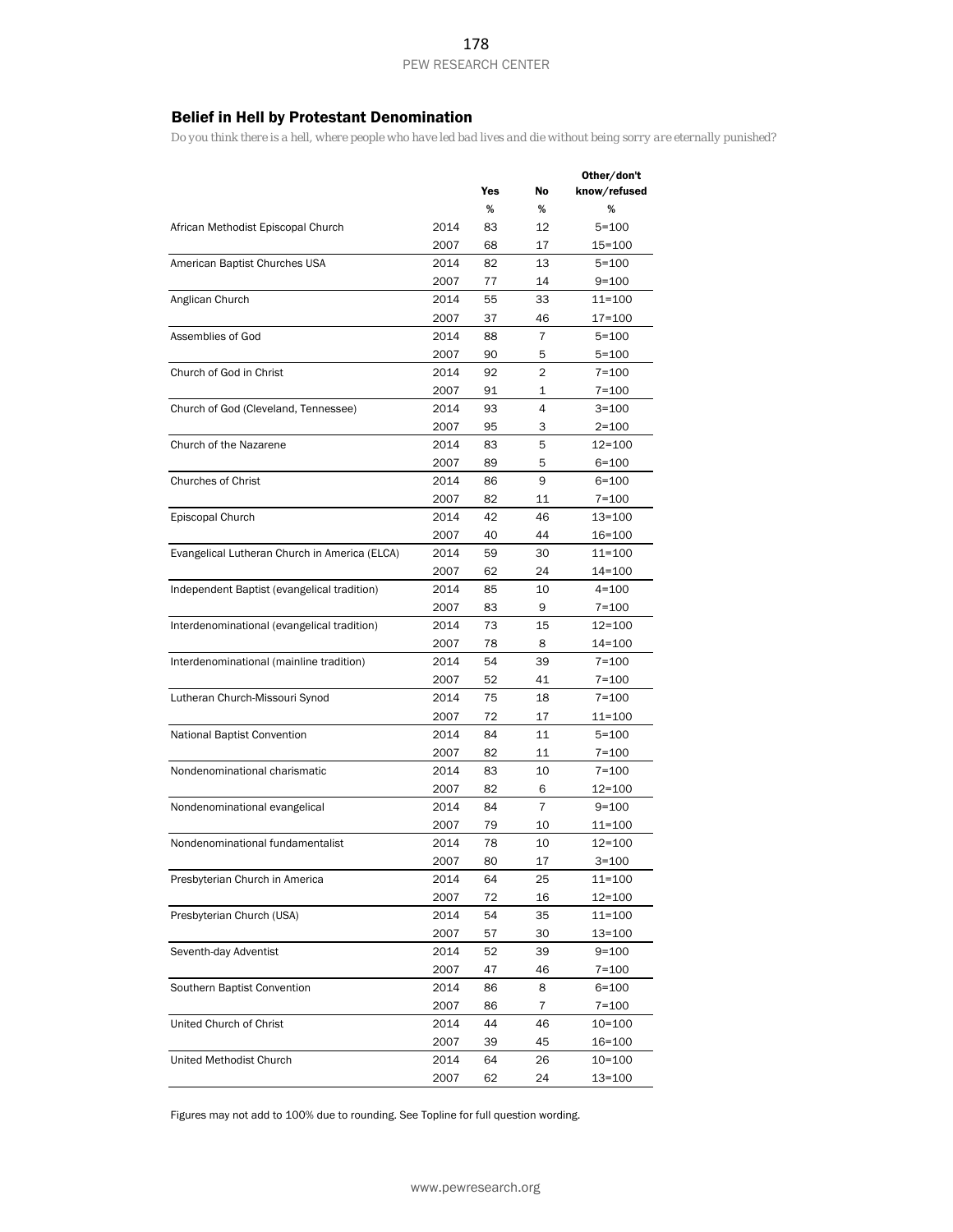# Belief in Hell by Protestant Denomination

*Do you think there is a hell, where people who have led bad lives and die without being sorry are eternally punished?*

|                                               |      |     |                | Other/don't  |
|-----------------------------------------------|------|-----|----------------|--------------|
|                                               |      | Yes | No             | know/refused |
|                                               |      | %   | %              | %            |
| African Methodist Episcopal Church            | 2014 | 83  | 12             | $5 = 100$    |
|                                               | 2007 | 68  | 17             | 15=100       |
| American Baptist Churches USA                 | 2014 | 82  | 13             | $5 = 100$    |
|                                               | 2007 | 77  | 14             | $9 = 100$    |
| Anglican Church                               | 2014 | 55  | 33             | 11=100       |
|                                               | 2007 | 37  | 46             | 17=100       |
| Assemblies of God                             | 2014 | 88  | 7              | $5 = 100$    |
|                                               | 2007 | 90  | 5              | $5 = 100$    |
| Church of God in Christ                       | 2014 | 92  | $\overline{2}$ | $7 = 100$    |
|                                               | 2007 | 91  | 1              | $7 = 100$    |
| Church of God (Cleveland, Tennessee)          | 2014 | 93  | 4              | $3 = 100$    |
|                                               | 2007 | 95  | 3              | $2 = 100$    |
| Church of the Nazarene                        | 2014 | 83  | 5              | 12=100       |
|                                               | 2007 | 89  | 5              | $6 = 100$    |
| <b>Churches of Christ</b>                     | 2014 | 86  | 9              | $6 = 100$    |
|                                               | 2007 | 82  | 11             | $7 = 100$    |
|                                               | 2014 | 42  | 46             | 13=100       |
| Episcopal Church                              |      |     | 44             |              |
|                                               | 2007 | 40  |                | 16=100       |
| Evangelical Lutheran Church in America (ELCA) | 2014 | 59  | 30             | 11=100       |
|                                               | 2007 | 62  | 24             | 14=100       |
| Independent Baptist (evangelical tradition)   | 2014 | 85  | 10             | $4 = 100$    |
|                                               | 2007 | 83  | 9              | 7=100        |
| Interdenominational (evangelical tradition)   | 2014 | 73  | 15             | 12=100       |
|                                               | 2007 | 78  | 8              | 14=100       |
| Interdenominational (mainline tradition)      | 2014 | 54  | 39             | $7 = 100$    |
|                                               | 2007 | 52  | 41             | $7 = 100$    |
| Lutheran Church-Missouri Synod                | 2014 | 75  | 18             | $7 = 100$    |
|                                               | 2007 | 72  | 17             | 11=100       |
| National Baptist Convention                   | 2014 | 84  | 11             | $5 = 100$    |
|                                               | 2007 | 82  | 11             | $7 = 100$    |
| Nondenominational charismatic                 | 2014 | 83  | 10             | $7 = 100$    |
|                                               | 2007 | 82  | 6              | $12 = 100$   |
| Nondenominational evangelical                 | 2014 | 84  | $\overline{7}$ | $9 = 100$    |
|                                               | 2007 | 79  | 10             | 11=100       |
| Nondenominational fundamentalist              | 2014 | 78  | 10             | 12=100       |
|                                               | 2007 | 80  | 17             | 3=100        |
| Presbyterian Church in America                | 2014 | 64  | 25             | 11=100       |
|                                               | 2007 | 72  | 16             | $12 = 100$   |
| Presbyterian Church (USA)                     | 2014 | 54  | 35             | 11=100       |
|                                               | 2007 | 57  | 30             | 13=100       |
| Seventh-day Adventist                         | 2014 | 52  | 39             | $9 = 100$    |
|                                               | 2007 | 47  | 46             | 7=100        |
| Southern Baptist Convention                   | 2014 | 86  | 8              | $6 = 100$    |
|                                               | 2007 | 86  | 7              | $7 = 100$    |
| United Church of Christ                       | 2014 | 44  | 46             | 10=100       |
|                                               | 2007 | 39  | 45             | 16=100       |
| United Methodist Church                       | 2014 | 64  | 26             | 10=100       |
|                                               | 2007 | 62  | 24             | 13=100       |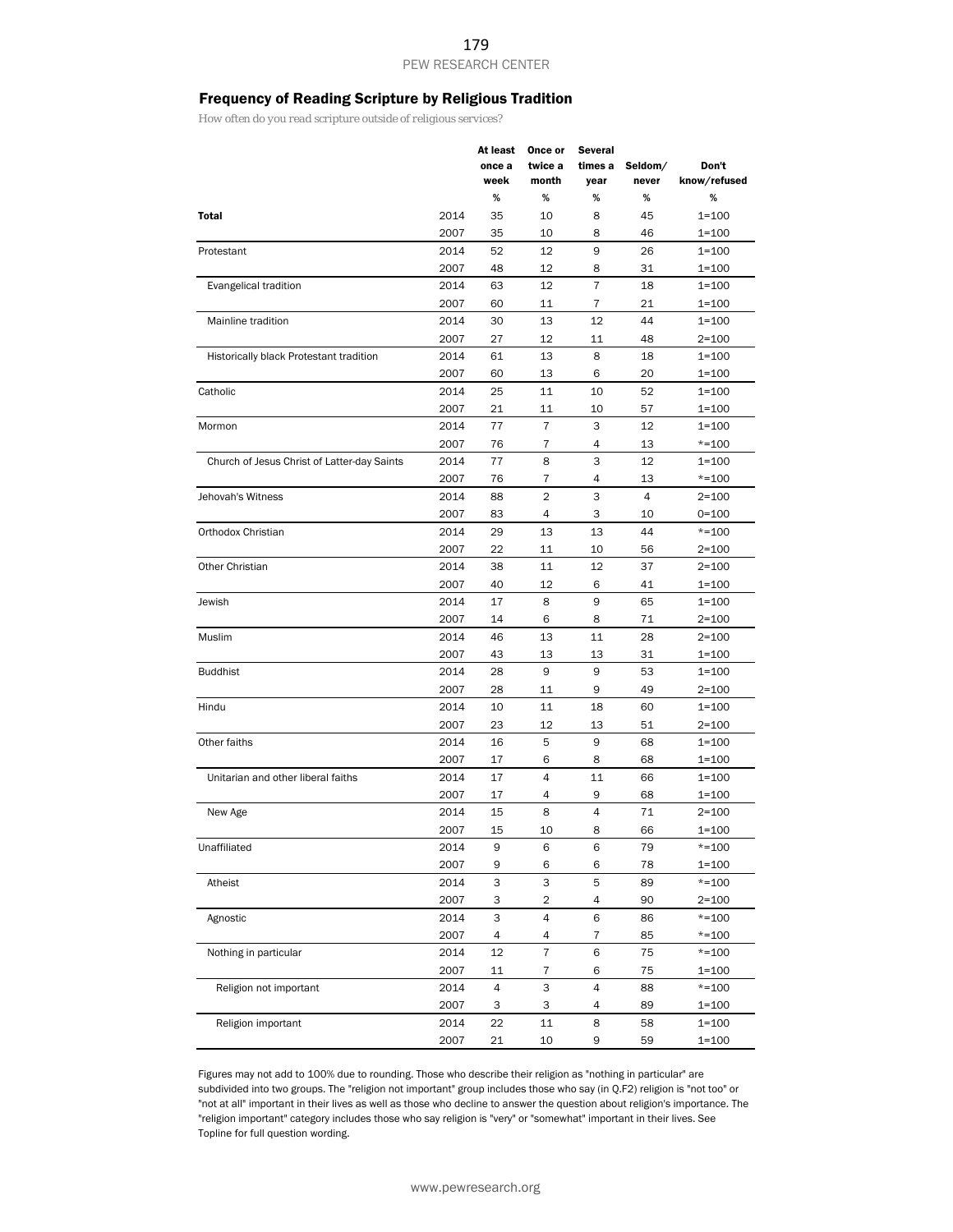## Frequency of Reading Scripture by Religious Tradition

*How often do you read scripture outside of religious services?*

|                                             |      | At least<br>once a<br>week | Once or<br>twice a<br>month | <b>Several</b><br>times a<br>year | Seldom/<br>never | Don't<br>know/refused |
|---------------------------------------------|------|----------------------------|-----------------------------|-----------------------------------|------------------|-----------------------|
|                                             |      | %                          | %                           | %                                 | %                | %                     |
| Total                                       | 2014 | 35                         | 10                          | 8                                 | 45               | 1=100                 |
|                                             | 2007 | 35                         | 10                          | 8                                 | 46               | 1=100                 |
| Protestant                                  | 2014 | 52                         | 12                          | 9                                 | 26               | $1 = 100$             |
|                                             | 2007 | 48                         | 12                          | 8                                 | 31               | $1 = 100$             |
| Evangelical tradition                       | 2014 | 63                         | 12                          | $\overline{7}$                    | 18               | $1 = 100$             |
|                                             | 2007 | 60                         | 11                          | 7                                 | 21               | 1=100                 |
| Mainline tradition                          | 2014 | 30                         | 13                          | 12                                | 44               | 1=100                 |
|                                             | 2007 | 27                         | 12                          | 11                                | 48               | $2 = 100$             |
| Historically black Protestant tradition     | 2014 | 61                         | 13                          | 8                                 | 18               | 1=100                 |
|                                             | 2007 | 60                         | 13                          | 6                                 | 20               | $1 = 100$             |
| Catholic                                    | 2014 | 25                         | 11                          | 10                                | 52               | 1=100                 |
|                                             | 2007 | 21                         | 11                          | 10                                | 57               | $1 = 100$             |
| Mormon                                      | 2014 | 77                         | 7                           | 3                                 | 12               | 1=100                 |
|                                             | 2007 | 76                         | 7                           | 4                                 | 13               | $* = 100$             |
| Church of Jesus Christ of Latter-day Saints | 2014 | 77                         | 8                           | 3                                 | 12               | $1 = 100$             |
|                                             | 2007 | 76                         | 7                           | 4                                 | 13               | $* = 100$             |
| Jehovah's Witness                           | 2014 | 88                         | $\overline{2}$              | 3                                 | 4                | 2=100                 |
|                                             | 2007 | 83                         | 4                           | 3                                 | 10               | 0=100                 |
| Orthodox Christian                          | 2014 | 29                         | 13                          | 13                                | 44               | $*=100$               |
|                                             | 2007 | 22                         | 11                          | 10                                | 56               | 2=100                 |
| Other Christian                             | 2014 | 38                         | 11                          | 12                                | 37               | $2 = 100$             |
|                                             | 2007 | 40                         | 12                          | 6                                 | 41               | 1=100                 |
| Jewish                                      | 2014 | 17                         | 8                           | 9                                 | 65               | 1=100                 |
|                                             | 2007 | 14                         | 6                           | 8                                 | 71               | $2 = 100$             |
| Muslim                                      | 2014 | 46                         | 13                          | 11                                | 28               | 2=100                 |
|                                             | 2007 | 43                         | 13                          | 13                                | 31               | 1=100                 |
| <b>Buddhist</b>                             | 2014 | 28                         | 9                           | 9                                 | 53               | 1=100                 |
|                                             | 2007 | 28                         | 11                          | 9                                 | 49               | $2 = 100$             |
| Hindu                                       | 2014 | 10                         | 11                          | 18                                | 60               | $1 = 100$             |
|                                             | 2007 | 23                         | 12                          | 13                                | 51               | $2 = 100$             |
| Other faiths                                | 2014 | 16                         | 5                           | 9                                 | 68               | 1=100                 |
|                                             | 2007 | 17                         | 6                           | 8                                 | 68               | 1=100                 |
| Unitarian and other liberal faiths          | 2014 | 17                         | 4                           | 11                                | 66               | $1 = 100$             |
|                                             | 2007 | 17                         | 4                           | 9                                 | 68               | $1 = 100$             |
| New Age                                     | 2014 | 15                         | 8                           | 4                                 | 71               | $2 = 100$             |
|                                             | 2007 | 15                         | 10                          | 8                                 | 66               | 1=100                 |
| Unaffiliated                                | 2014 | 9                          | 6                           | 6                                 | 79               | $*=100$               |
|                                             | 2007 | 9                          | 6                           | 6                                 | 78               | $1 = 100$             |
| Atheist                                     | 2014 | 3                          | 3                           | 5                                 | 89               | $* = 100$             |
|                                             | 2007 | 3                          | 2                           | 4                                 | 90               | 2=100                 |
| Agnostic                                    | 2014 | 3                          | 4                           | 6                                 | 86               | $* = 100$             |
|                                             | 2007 | 4                          | 4                           | 7                                 | 85               | $* = 100$             |
| Nothing in particular                       | 2014 | 12                         | $\overline{7}$              | 6                                 | 75               | $* = 100$             |
|                                             | 2007 | 11                         | 7                           | 6                                 | 75               | $1 = 100$             |
| Religion not important                      | 2014 | 4                          | 3                           | 4                                 | 88               | $*=100$               |
|                                             | 2007 | 3                          | З                           | 4                                 | 89               | 1=100                 |
| Religion important                          | 2014 | 22                         | 11                          | 8                                 | 58               | $1 = 100$             |
|                                             | 2007 | 21                         | 10                          | 9                                 | 59               | 1=100                 |
|                                             |      |                            |                             |                                   |                  |                       |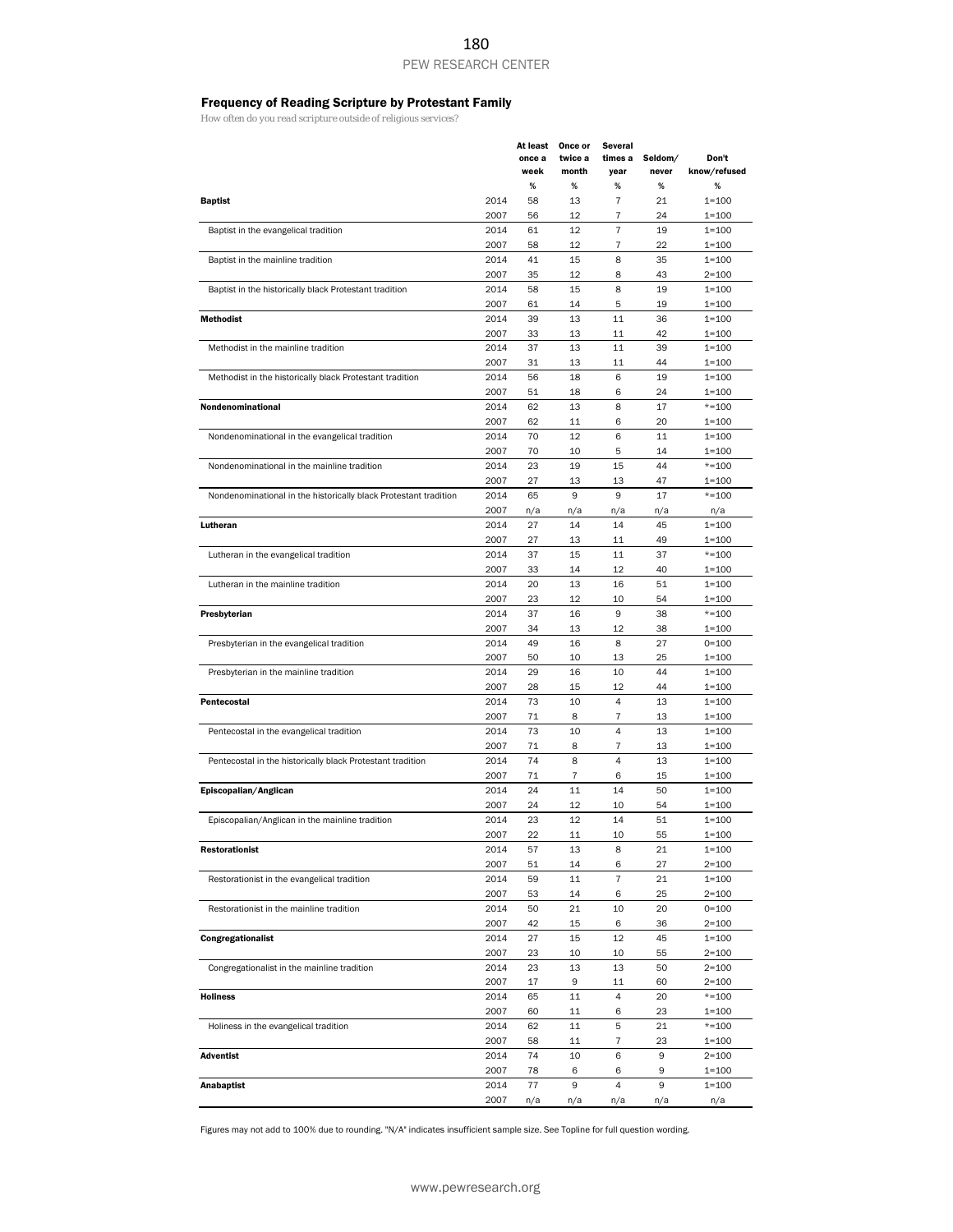## Frequency of Reading Scripture by Protestant Family

*How often do you read scripture outside of religious services?*

|                                                                  |      | At least | Once or | Several        |         |              |
|------------------------------------------------------------------|------|----------|---------|----------------|---------|--------------|
|                                                                  |      | once a   | twice a | times a        | Seldom/ | Don't        |
|                                                                  |      | week     | month   | year           | never   | know/refused |
|                                                                  |      | %        | $\%$    | %              | %       | %            |
| <b>Baptist</b>                                                   | 2014 | 58       | 13      | 7              | 21      | $1 = 100$    |
|                                                                  | 2007 | 56       | 12      | 7              | 24      | $1 = 100$    |
| Baptist in the evangelical tradition                             | 2014 | 61       | 12      | $\overline{7}$ | 19      | $1 = 100$    |
|                                                                  | 2007 | 58       | 12      | 7              | 22      | $1 = 100$    |
| Baptist in the mainline tradition                                | 2014 | 41       | 15      | 8              | 35      | $1 = 100$    |
|                                                                  | 2007 | 35       | 12      | 8              | 43      | $2 = 100$    |
|                                                                  |      |          |         | 8              |         |              |
| Baptist in the historically black Protestant tradition           | 2014 | 58       | 15      |                | 19      | $1 = 100$    |
|                                                                  | 2007 | 61       | 14      | 5              | 19      | $1 = 100$    |
| <b>Methodist</b>                                                 | 2014 | 39       | 13      | 11             | 36      | $1 = 100$    |
|                                                                  | 2007 | 33       | 13      | 11             | 42      | $1 = 100$    |
| Methodist in the mainline tradition                              | 2014 | 37       | 13      | 11             | 39      | $1 = 100$    |
|                                                                  | 2007 | 31       | 13      | 11             | 44      | $1 = 100$    |
| Methodist in the historically black Protestant tradition         | 2014 | 56       | 18      | 6              | 19      | $1 = 100$    |
|                                                                  | 2007 | 51       | 18      | 6              | 24      | $1 = 100$    |
| Nondenominational                                                | 2014 | 62       | 13      | 8              | 17      | $*=100$      |
|                                                                  | 2007 | 62       | 11      | 6              | 20      | $1 = 100$    |
|                                                                  |      |          |         |                |         |              |
| Nondenominational in the evangelical tradition                   | 2014 | 70       | 12      | 6              | 11      | $1 = 100$    |
|                                                                  | 2007 | 70       | 10      | 5              | 14      | $1 = 100$    |
| Nondenominational in the mainline tradition                      | 2014 | 23       | 19      | 15             | 44      | $*=100$      |
|                                                                  | 2007 | 27       | 13      | 13             | 47      | $1 = 100$    |
| Nondenominational in the historically black Protestant tradition | 2014 | 65       | 9       | 9              | 17      | $*=100$      |
|                                                                  | 2007 | n/a      | n/a     | n/a            | n/a     | n/a          |
| Lutheran                                                         | 2014 | 27       | 14      | 14             | 45      | $1 = 100$    |
|                                                                  | 2007 | 27       | 13      | 11             | 49      | $1 = 100$    |
|                                                                  |      | 37       |         |                |         | $*=100$      |
| Lutheran in the evangelical tradition                            | 2014 |          | 15      | 11             | 37      |              |
|                                                                  | 2007 | 33       | 14      | 12             | 40      | 1=100        |
| Lutheran in the mainline tradition                               | 2014 | 20       | 13      | 16             | 51      | $1 = 100$    |
|                                                                  | 2007 | 23       | 12      | 10             | 54      | $1 = 100$    |
| Presbyterian                                                     | 2014 | 37       | 16      | 9              | 38      | $*=100$      |
|                                                                  | 2007 | 34       | 13      | 12             | 38      | $1 = 100$    |
| Presbyterian in the evangelical tradition                        | 2014 | 49       | 16      | 8              | 27      | $0 = 100$    |
|                                                                  | 2007 | 50       | 10      | 13             | 25      | $1 = 100$    |
| Presbyterian in the mainline tradition                           | 2014 | 29       | 16      | 10             | 44      | $1 = 100$    |
|                                                                  | 2007 | 28       | 15      | 12             | 44      | $1 = 100$    |
|                                                                  |      |          |         |                |         |              |
| Pentecostal                                                      | 2014 | 73       | 10      | $\overline{4}$ | 13      | $1 = 100$    |
|                                                                  | 2007 | 71       | 8       | 7              | 13      | $1 = 100$    |
| Pentecostal in the evangelical tradition                         | 2014 | 73       | 10      | $\overline{4}$ | 13      | $1 = 100$    |
|                                                                  | 2007 | 71       | 8       | 7              | 13      | $1 = 100$    |
| Pentecostal in the historically black Protestant tradition       | 2014 | 74       | 8       | 4              | 13      | $1 = 100$    |
|                                                                  | 2007 | 71       | 7       | 6              | 15      | $1 = 100$    |
| Episcopalian/Anglican                                            | 2014 | 24       | 11      | 14             | 50      | $1 = 100$    |
|                                                                  | 2007 | 24       | 12      | 10             | 54      | 1=100        |
|                                                                  |      |          | 12      | 14             |         |              |
| Episcopalian/Anglican in the mainline tradition                  | 2014 | 23       |         |                | 51      | $1 = 100$    |
|                                                                  | 2007 | 22       | 11      | 10             | 55      | $1 = 100$    |
| <b>Restorationist</b>                                            | 2014 | 57       | 13      | 8              | 21      | $1 = 100$    |
|                                                                  | 2007 | 51       | 14      | 6              | 27      | $2 = 100$    |
| Restorationist in the evangelical tradition                      | 2014 | 59       | 11      | 7              | 21      | $1 = 100$    |
|                                                                  | 2007 | 53       | 14      | 6              | 25      | $2 = 100$    |
| Restorationist in the mainline tradition                         | 2014 | 50       | 21      | 10             | 20      | $0 = 100$    |
|                                                                  | 2007 | 42       | 15      | 6              | 36      | $2 = 100$    |
| Congregationalist                                                | 2014 | 27       | 15      | 12             | 45      | $1 = 100$    |
|                                                                  |      |          |         |                |         |              |
|                                                                  | 2007 | 23       | 10      | 10             | 55      | $2 = 100$    |
| Congregationalist in the mainline tradition                      | 2014 | 23       | 13      | 13             | 50      | $2 = 100$    |
|                                                                  | 2007 | 17       | 9       | 11             | 60      | $2 = 100$    |
| <b>Holiness</b>                                                  | 2014 | 65       | 11      | 4              | 20      | $* = 100$    |
|                                                                  | 2007 | 60       | 11      | 6              | 23      | $1 = 100$    |
| Holiness in the evangelical tradition                            | 2014 | 62       | 11      | 5              | 21      | $* = 100$    |
|                                                                  | 2007 | 58       | 11      | 7              | 23      | $1 = 100$    |
| <b>Adventist</b>                                                 | 2014 | 74       | 10      | 6              | 9       | $2 = 100$    |
|                                                                  | 2007 | 78       | 6       | 6              | 9       | $1 = 100$    |
|                                                                  |      |          |         |                |         |              |
| Anabaptist                                                       | 2014 | 77       | 9       | 4              | 9       | $1 = 100$    |
|                                                                  | 2007 | n/a      | n/a     | n/a            | n/a     | n/a          |

Figures may not add to 100% due to rounding. "N/A" indicates insufficient sample size. See Topline for full question wording.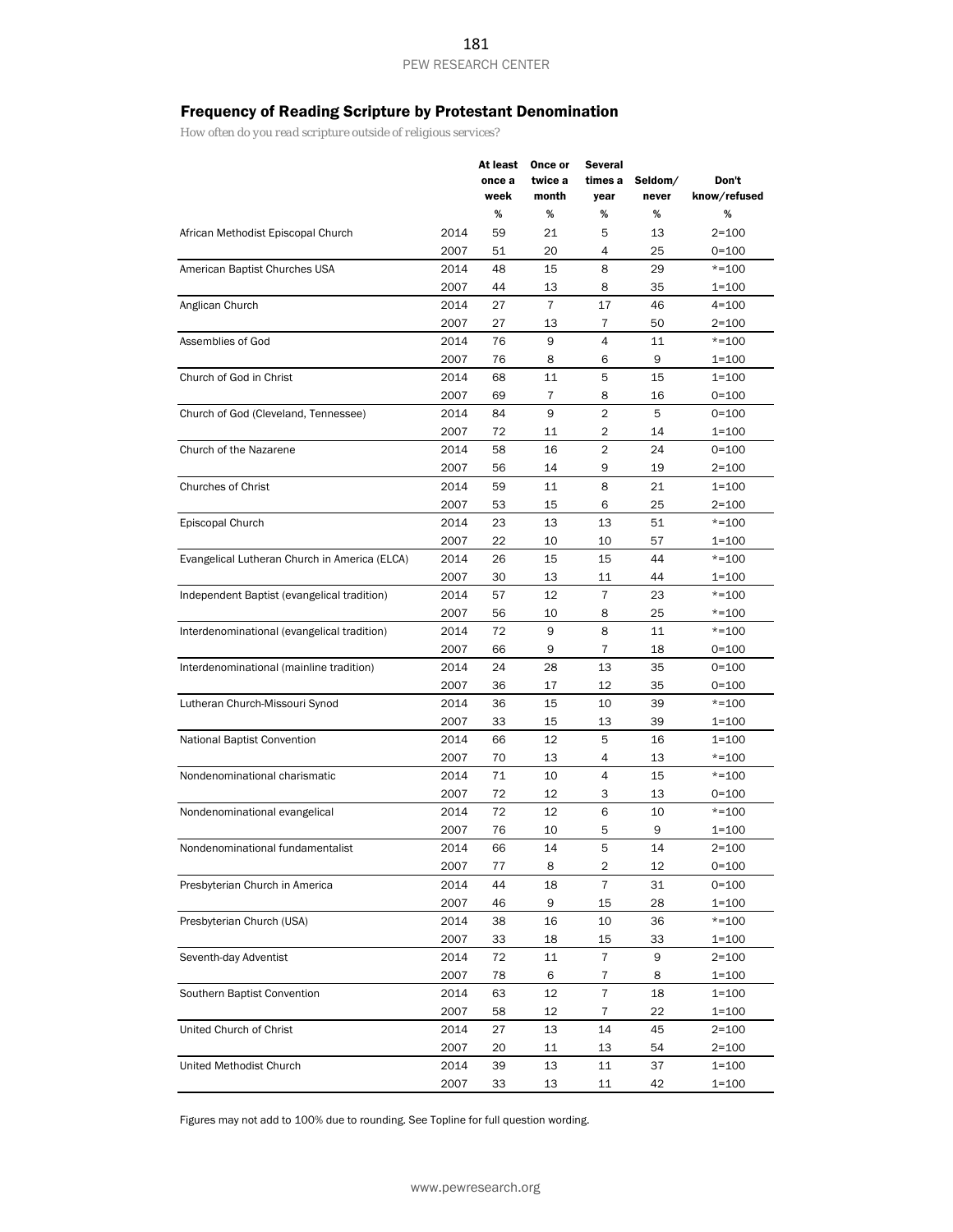# Frequency of Reading Scripture by Protestant Denomination

*How often do you read scripture outside of religious services?*

|                                               |      | At least | Once or        | Several        |         |              |
|-----------------------------------------------|------|----------|----------------|----------------|---------|--------------|
|                                               |      | once a   | twice a        | times a        | Seldom/ | Don't        |
|                                               |      | week     | month          | year           | never   | know/refused |
|                                               |      | $\%$     | %              | %              | %       | %            |
| African Methodist Episcopal Church            | 2014 | 59       | 21             | 5              | 13      | $2 = 100$    |
|                                               | 2007 | 51       | 20             | 4              | 25      | $0 = 100$    |
| American Baptist Churches USA                 | 2014 | 48       | 15             | 8              | 29      | $* = 100$    |
|                                               | 2007 | 44       | 13             | 8              | 35      | $1 = 100$    |
| Anglican Church                               | 2014 | 27       | $\overline{7}$ | 17             | 46      | $4 = 100$    |
|                                               | 2007 | 27       | 13             | 7              | 50      | $2 = 100$    |
| Assemblies of God                             | 2014 | 76       | 9              | 4              | 11      | $* = 100$    |
|                                               | 2007 | 76       | 8              | 6              | 9       | $1 = 100$    |
| Church of God in Christ                       | 2014 | 68       | 11             | 5              | 15      | $1 = 100$    |
|                                               | 2007 | 69       | 7              | 8              | 16      | $0 = 100$    |
| Church of God (Cleveland, Tennessee)          | 2014 | 84       | 9              | $\overline{2}$ | 5       | $0 = 100$    |
|                                               | 2007 | 72       | 11             | $\overline{2}$ | 14      | $1 = 100$    |
| Church of the Nazarene                        | 2014 | 58       | 16             | $\overline{2}$ | 24      | $0 = 100$    |
|                                               | 2007 | 56       | 14             | 9              | 19      | $2 = 100$    |
| <b>Churches of Christ</b>                     | 2014 | 59       | 11             | 8              | 21      | $1 = 100$    |
|                                               | 2007 | 53       | 15             | 6              | 25      | $2 = 100$    |
| Episcopal Church                              | 2014 | 23       | 13             | 13             | 51      | $* = 100$    |
|                                               | 2007 | 22       | 10             | 10             | 57      | $1 = 100$    |
| Evangelical Lutheran Church in America (ELCA) | 2014 | 26       | 15             | 15             | 44      | $* = 100$    |
|                                               | 2007 | 30       | 13             | 11             | 44      | $1 = 100$    |
| Independent Baptist (evangelical tradition)   | 2014 | 57       | 12             | $\overline{7}$ | 23      | $*=100$      |
|                                               | 2007 | 56       | 10             | 8              | 25      | $* = 100$    |
| Interdenominational (evangelical tradition)   | 2014 | 72       | 9              | 8              | 11      | $* = 100$    |
|                                               | 2007 | 66       | 9              | $\overline{7}$ | 18      | $0 = 100$    |
| Interdenominational (mainline tradition)      | 2014 | 24       | 28             | 13             | 35      | $0 = 100$    |
|                                               | 2007 | 36       | 17             | 12             | 35      | $0 = 100$    |
| Lutheran Church-Missouri Synod                | 2014 | 36       | 15             | 10             | 39      | $* = 100$    |
|                                               | 2007 | 33       | 15             | 13             | 39      | $1 = 100$    |
| <b>National Baptist Convention</b>            | 2014 | 66       | 12             | 5              | 16      | $1 = 100$    |
|                                               | 2007 | 70       | 13             | 4              | 13      | $* = 100$    |
| Nondenominational charismatic                 | 2014 | 71       | 10             | 4              | 15      | $* = 100$    |
|                                               | 2007 | 72       | 12             | 3              | 13      | $0 = 100$    |
| Nondenominational evangelical                 | 2014 | 72       | 12             | 6              | 10      | $* = 100$    |
|                                               | 2007 | 76       | 10             | 5              | 9       | 1=100        |
| Nondenominational fundamentalist              | 2014 | 66       | 14             | 5              | 14      | $2 = 100$    |
|                                               | 2007 | 77       | 8              | 2              | 12      | $0 = 100$    |
| Presbyterian Church in America                | 2014 | 44       | 18             | $\overline{7}$ | 31      | $0 = 100$    |
|                                               | 2007 | 46       | 9              | 15             | 28      | $1 = 100$    |
| Presbyterian Church (USA)                     | 2014 | 38       | 16             | 10             | 36      | $* = 100$    |
|                                               | 2007 | 33       | 18             | 15             | 33      | $1 = 100$    |
| Seventh-day Adventist                         | 2014 | 72       | 11             | $\overline{7}$ | 9       | $2 = 100$    |
|                                               | 2007 | 78       | 6              | 7              | 8       | $1 = 100$    |
| Southern Baptist Convention                   | 2014 | 63       | 12             | $\overline{7}$ | 18      | $1 = 100$    |
|                                               | 2007 | 58       | 12             | $\overline{7}$ | 22      | $1 = 100$    |
| United Church of Christ                       | 2014 | 27       | 13             | 14             | 45      | $2 = 100$    |
|                                               | 2007 | 20       | 11             | 13             | 54      | $2 = 100$    |
| United Methodist Church                       | 2014 | 39       | 13             | 11             | 37      | $1 = 100$    |
|                                               | 2007 | 33       | 13             | 11             | 42      | $1 = 100$    |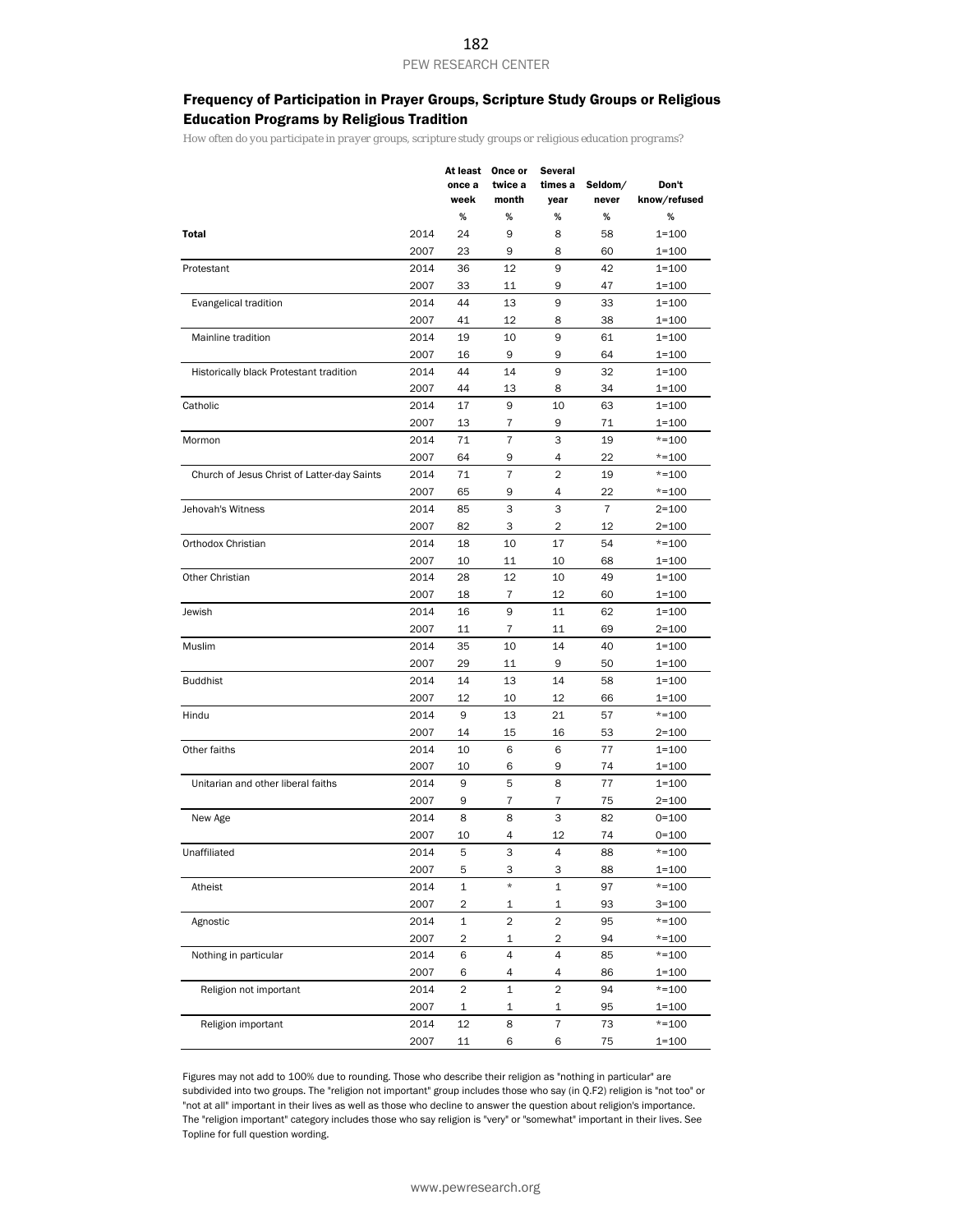# Frequency of Participation in Prayer Groups, Scripture Study Groups or Religious Education Programs by Religious Tradition

*How often do you participate in prayer groups, scripture study groups or religious education programs?*

|                                             |      | once a<br>week | At least Once or<br>twice a<br>month | Several<br>times a<br>year | Seldom/<br>never | Don't<br>know/refused |
|---------------------------------------------|------|----------------|--------------------------------------|----------------------------|------------------|-----------------------|
|                                             |      | $\%$           | $\%$                                 | %                          | $\%$             | %                     |
| <b>Total</b>                                | 2014 | 24             | 9                                    | 8                          | 58               | $1 = 100$             |
|                                             | 2007 | 23             | 9                                    | 8                          | 60               | $1 = 100$             |
| Protestant                                  | 2014 | 36             | 12                                   | 9                          | 42               | $1 = 100$             |
|                                             | 2007 | 33             | 11                                   | 9                          | 47               | $1 = 100$             |
| Evangelical tradition                       | 2014 | 44             | 13                                   | 9                          | 33               | $1 = 100$             |
|                                             | 2007 | 41             | 12                                   | 8                          | 38               | $1 = 100$             |
| Mainline tradition                          | 2014 | 19             | 10                                   | 9                          | 61               | $1 = 100$             |
|                                             | 2007 | 16             | 9                                    | 9                          | 64               | $1 = 100$             |
| Historically black Protestant tradition     | 2014 | 44             | 14                                   | 9                          | 32               | $1 = 100$             |
|                                             | 2007 | 44             | 13                                   | 8                          | 34               | $1 = 100$             |
| Catholic                                    | 2014 | 17             | 9                                    | 10                         | 63               | $1 = 100$             |
|                                             | 2007 | 13             | 7                                    | 9                          | 71               | 1=100                 |
| Mormon                                      | 2014 | 71             | $\overline{7}$                       | 3                          | 19               | $*=100$               |
|                                             | 2007 | 64             | 9                                    | 4                          | 22               | $* = 100$             |
| Church of Jesus Christ of Latter-day Saints | 2014 | 71             | $\overline{7}$                       | $\overline{2}$             | 19               | $*=100$               |
|                                             | 2007 | 65             | 9                                    | 4                          | 22               | $* = 100$             |
| Jehovah's Witness                           | 2014 | 85             | 3                                    | 3                          | $\overline{7}$   | $2 = 100$             |
|                                             | 2007 | 82             | 3                                    | 2                          | 12               | $2 = 100$             |
| Orthodox Christian                          | 2014 | 18             | 10                                   | 17                         | 54               | $* = 100$             |
|                                             | 2007 | 10             | 11                                   | 10                         | 68               | $1 = 100$             |
| Other Christian                             | 2014 | 28             | 12                                   | 10                         | 49               | $1 = 100$             |
|                                             | 2007 | 18             | $\overline{7}$                       | 12                         | 60               | $1 = 100$             |
| Jewish                                      | 2014 | 16             | 9                                    | 11                         | 62               | $1 = 100$             |
|                                             | 2007 | 11             | 7                                    | 11                         | 69               | $2 = 100$             |
| Muslim                                      | 2014 | 35             | 10                                   | 14                         | 40               | $1 = 100$             |
|                                             | 2007 | 29             | 11                                   | 9                          | 50               | 1=100                 |
| <b>Buddhist</b>                             | 2014 | 14             | 13                                   | 14                         | 58               | $1 = 100$             |
|                                             | 2007 | 12             | 10                                   | 12                         | 66               | $1 = 100$             |
| Hindu                                       | 2014 | 9              | 13                                   | 21                         | 57               | $*=100$               |
|                                             | 2007 | 14             | 15                                   | 16                         | 53               | $2 = 100$             |
| Other faiths                                | 2014 | 10             | 6                                    | 6                          | 77               | $1 = 100$             |
|                                             | 2007 | 10             | 6                                    | 9                          | 74               | $1 = 100$             |
| Unitarian and other liberal faiths          | 2014 | 9              | 5                                    | 8                          | 77               | $1 = 100$             |
|                                             | 2007 | 9              | 7                                    | $\overline{7}$             | 75               | $2 = 100$             |
| New Age                                     | 2014 | 8              | 8                                    | 3                          | 82               | $0 = 100$             |
|                                             | 2007 | 10             | 4                                    | 12                         | 74               | $0 = 100$             |
| Unaffiliated                                | 2014 | 5              | 3                                    | 4                          | 88               | $* = 100$             |
|                                             | 2007 | 5              | 3                                    | 3                          | 88               | $1 = 100$             |
| Atheist                                     | 2014 | $\mathbf 1$    | $\star$                              | $\mathbf{1}$               | 97               | $* = 100$             |
|                                             | 2007 | 2              | 1                                    | 1                          | 93               | $3 = 100$             |
| Agnostic                                    | 2014 | 1              | 2                                    | 2                          | 95               | $* = 100$             |
|                                             | 2007 | 2              | 1                                    | 2                          | 94               | $* = 100$             |
| Nothing in particular                       | 2014 | 6              | 4                                    | 4                          | 85               | $* = 100$             |
|                                             | 2007 | 6              | 4                                    | 4                          | 86               | $1 = 100$             |
| Religion not important                      | 2014 | $\overline{c}$ | 1                                    | $\overline{c}$             | 94               | $* = 100$             |
|                                             | 2007 | 1              | 1                                    | 1                          | 95               | $1 = 100$             |
| Religion important                          | 2014 | 12             | 8                                    | $\overline{\mathfrak{c}}$  | 73               | $* = 100$             |
|                                             | 2007 | 11             | 6                                    | 6                          | 75               | $1 = 100$             |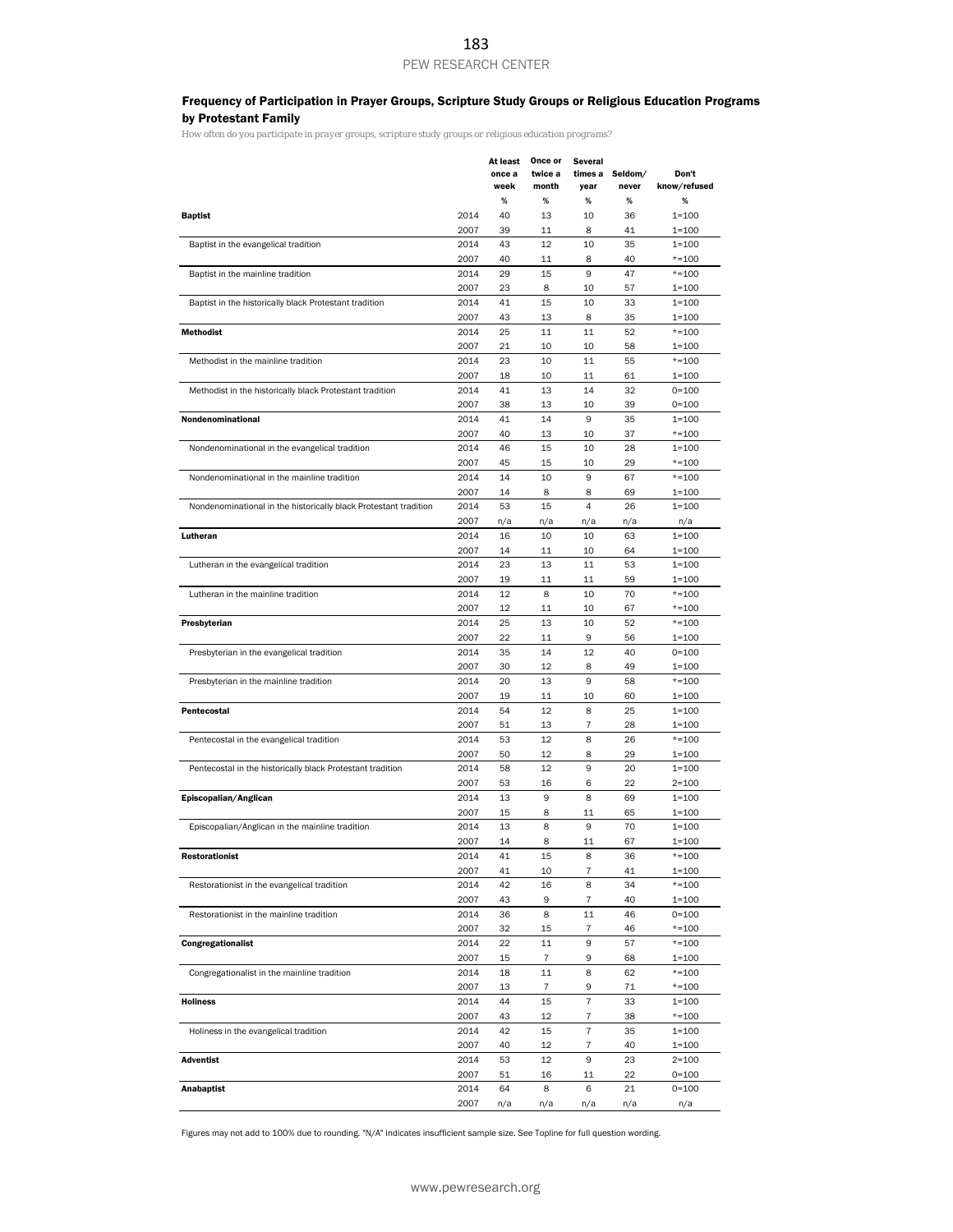#### Frequency of Participation in Prayer Groups, Scripture Study Groups or Religious Education Programs by Protestant Family

*How often do you participate in prayer groups, scripture study groups or religious education programs?*

|                                                                  |      | At least | Once or | Several                  |                 |              |
|------------------------------------------------------------------|------|----------|---------|--------------------------|-----------------|--------------|
|                                                                  |      | once a   | twice a |                          | times a Seldom/ | Don't        |
|                                                                  |      | week     | month   | year                     | never           | know/refused |
|                                                                  |      | $\%$     | $\%$    | %                        | %               | %            |
| <b>Baptist</b>                                                   | 2014 | 40       | 13      | 10                       | 36              | $1 = 100$    |
|                                                                  | 2007 | 39       | 11      | 8                        | 41              | $1 = 100$    |
| Baptist in the evangelical tradition                             | 2014 | 43       | 12      | 10                       | 35              | $1 = 100$    |
|                                                                  | 2007 | 40       | 11      | 8                        | 40              | $*=100$      |
| Baptist in the mainline tradition                                | 2014 | 29       | 15      | 9                        | 47              | $*=100$      |
|                                                                  |      |          |         |                          |                 |              |
|                                                                  | 2007 | 23       | 8       | 10                       | 57              | $1 = 100$    |
| Baptist in the historically black Protestant tradition           | 2014 | 41       | 15      | 10                       | 33              | $1 = 100$    |
|                                                                  | 2007 | 43       | 13      | 8                        | 35              | $1 = 100$    |
| <b>Methodist</b>                                                 | 2014 | 25       | 11      | 11                       | 52              | $* = 100$    |
|                                                                  | 2007 | 21       | 10      | 10                       | 58              | $1 = 100$    |
| Methodist in the mainline tradition                              | 2014 | 23       | 10      | 11                       | 55              | $* = 100$    |
|                                                                  | 2007 | 18       | 10      | 11                       | 61              | $1 = 100$    |
| Methodist in the historically black Protestant tradition         | 2014 | 41       | 13      | 14                       | 32              | $0 = 100$    |
|                                                                  | 2007 | 38       | 13      | 10                       | 39              | $0 = 100$    |
| Nondenominational                                                | 2014 | 41       | 14      | 9                        | 35              | $1 = 100$    |
|                                                                  | 2007 | 40       | 13      | 10                       | 37              | $*=100$      |
| Nondenominational in the evangelical tradition                   | 2014 | 46       | 15      | 10                       | 28              | $1 = 100$    |
|                                                                  | 2007 | 45       | 15      | 10                       | 29              | $*=100$      |
|                                                                  |      |          |         |                          |                 |              |
| Nondenominational in the mainline tradition                      | 2014 | 14       | 10      | 9                        | 67              | $* = 100$    |
|                                                                  | 2007 | 14       | 8       | 8                        | 69              | $1 = 100$    |
| Nondenominational in the historically black Protestant tradition | 2014 | 53       | 15      | $\overline{4}$           | 26              | $1 = 100$    |
|                                                                  | 2007 | n/a      | n/a     | n/a                      | n/a             | n/a          |
| Lutheran                                                         | 2014 | 16       | 10      | 10                       | 63              | $1 = 100$    |
|                                                                  | 2007 | 14       | 11      | 10                       | 64              | $1 = 100$    |
| Lutheran in the evangelical tradition                            | 2014 | 23       | 13      | 11                       | 53              | $1 = 100$    |
|                                                                  | 2007 | 19       | 11      | 11                       | 59              | $1 = 100$    |
| Lutheran in the mainline tradition                               | 2014 | 12       | 8       | 10                       | 70              | $* = 100$    |
|                                                                  | 2007 | 12       | 11      | 10                       | 67              | $*=100$      |
| Presbyterian                                                     | 2014 | 25       | 13      | 10                       | 52              | $*=100$      |
|                                                                  |      | 22       |         |                          |                 |              |
|                                                                  | 2007 |          | 11      | 9                        | 56              | $1 = 100$    |
| Presbyterian in the evangelical tradition                        | 2014 | 35       | 14      | 12                       | 40              | $0 = 100$    |
|                                                                  | 2007 | 30       | 12      | 8                        | 49              | 1=100        |
| Presbyterian in the mainline tradition                           | 2014 | 20       | 13      | 9                        | 58              | $* = 100$    |
|                                                                  | 2007 | 19       | 11      | 10                       | 60              | $1 = 100$    |
| Pentecostal                                                      | 2014 | 54       | 12      | 8                        | 25              | $1 = 100$    |
|                                                                  | 2007 | 51       | 13      | 7                        | 28              | $1 = 100$    |
| Pentecostal in the evangelical tradition                         | 2014 | 53       | 12      | 8                        | 26              | $* = 100$    |
|                                                                  | 2007 | 50       | 12      | 8                        | 29              | $1 = 100$    |
| Pentecostal in the historically black Protestant tradition       | 2014 | 58       | 12      | 9                        | 20              | $1 = 100$    |
|                                                                  | 2007 | 53       | 16      | 6                        | 22              | $2 = 100$    |
| Episcopalian/Anglican                                            | 2014 | 13       | 9       | 8                        | 69              | $1 = 100$    |
|                                                                  | 2007 | 15       | 8       | 11                       | 65              | $1 = 100$    |
|                                                                  |      | 13       | 8       | 9                        | 70              |              |
| Episcopalian/Anglican in the mainline tradition                  | 2014 |          |         |                          |                 | $1 = 100$    |
|                                                                  | 2007 | 14       | 8       | 11                       | 67              | $1 = 100$    |
| Restorationist                                                   | 2014 | 41       | 15      | 8                        | 36              | $* = 100$    |
|                                                                  | 2007 | 41       | 10      | 7                        | 41              | $1 = 100$    |
| Restorationist in the evangelical tradition                      | 2014 | 42       | 16      | 8                        | 34              | $* = 100$    |
|                                                                  | 2007 | 43       | 9       | 7                        | 40              | $1 = 100$    |
| Restorationist in the mainline tradition                         | 2014 | 36       | 8       | 11                       | 46              | $0 = 100$    |
|                                                                  | 2007 | 32       | 15      | 7                        | 46              | $*=100$      |
| Congregationalist                                                | 2014 | 22       | 11      | 9                        | 57              | $*=100$      |
|                                                                  | 2007 | 15       | 7       | 9                        | 68              | $1 = 100$    |
| Congregationalist in the mainline tradition                      | 2014 | 18       | 11      | 8                        | 62              | $* = 100$    |
|                                                                  | 2007 | 13       | 7       | 9                        | 71              | $* = 100$    |
| <b>Holiness</b>                                                  | 2014 | 44       | 15      | $\overline{\mathcal{I}}$ | 33              | $1 = 100$    |
|                                                                  |      |          |         |                          |                 |              |
|                                                                  | 2007 | 43       | 12      | 7                        | 38              | $* = 100$    |
| Holiness in the evangelical tradition                            | 2014 | 42       | 15      | $\overline{7}$           | 35              | $1 = 100$    |
|                                                                  | 2007 | 40       | 12      | 7                        | 40              | $1 = 100$    |
| Adventist                                                        | 2014 | 53       | 12      | 9                        | 23              | $2 = 100$    |
|                                                                  | 2007 | 51       | 16      | 11                       | 22              | $0 = 100$    |
| <b>Anabaptist</b>                                                | 2014 | 64       | 8       | 6                        | 21              | $0 = 100$    |
|                                                                  | 2007 | n/a      | n/a     | n/a                      | n/a             | n/a          |

Figures may not add to 100% due to rounding. "N/A" indicates insufficient sample size. See Topline for full question wording.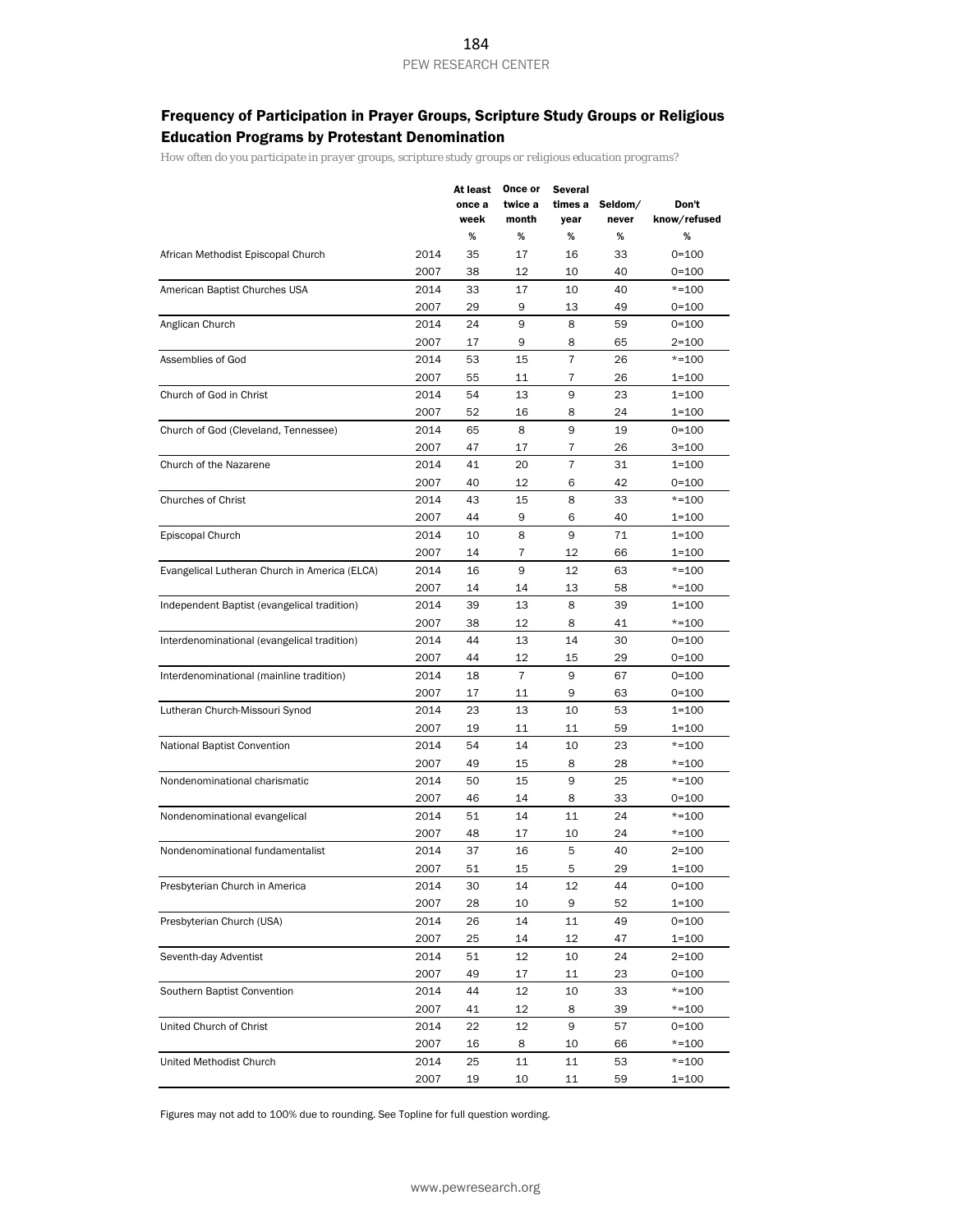# Frequency of Participation in Prayer Groups, Scripture Study Groups or Religious Education Programs by Protestant Denomination

*How often do you participate in prayer groups, scripture study groups or religious education programs?*

|                                               |      | At least<br>once a<br>week | Once or<br>twice a<br>month | <b>Several</b><br>year | times a Seldom/<br>never | Don't<br>know/refused |
|-----------------------------------------------|------|----------------------------|-----------------------------|------------------------|--------------------------|-----------------------|
|                                               |      | $\%$                       | %                           | %                      | %                        | %                     |
| African Methodist Episcopal Church            | 2014 | 35                         | 17                          | 16                     | 33                       | $0 = 100$             |
|                                               | 2007 | 38                         | 12                          | 10                     | 40                       | 0=100                 |
| American Baptist Churches USA                 | 2014 | 33                         | 17                          | 10                     | 40                       | $* = 100$             |
|                                               | 2007 | 29                         | 9                           | 13                     | 49                       | $0 = 100$             |
| Anglican Church                               | 2014 | 24                         | 9                           | 8                      | 59                       | $0 = 100$             |
|                                               | 2007 | 17                         | 9                           | 8                      | 65                       | $2 = 100$             |
| Assemblies of God                             | 2014 | 53                         | 15                          | $\overline{7}$         | 26                       | $* = 100$             |
|                                               | 2007 | 55                         | 11                          | 7                      | 26                       | 1=100                 |
| Church of God in Christ                       | 2014 | 54                         | 13                          | 9                      | 23                       | 1=100                 |
|                                               | 2007 | 52                         | 16                          | 8                      | 24                       | $1 = 100$             |
| Church of God (Cleveland, Tennessee)          | 2014 | 65                         | 8                           | 9                      | 19                       | $0 = 100$             |
|                                               | 2007 | 47                         | 17                          | 7                      | 26                       | $3 = 100$             |
| Church of the Nazarene                        | 2014 | 41                         | 20                          | 7                      | 31                       | 1=100                 |
|                                               | 2007 | 40                         | 12                          | 6                      | 42                       | $0 = 100$             |
| <b>Churches of Christ</b>                     | 2014 | 43                         | 15                          | 8                      | 33                       | $* = 100$             |
|                                               | 2007 | 44                         | 9                           | 6                      | 40                       | 1=100                 |
| Episcopal Church                              | 2014 | 10                         | 8                           | 9                      | 71                       | 1=100                 |
|                                               | 2007 | 14                         | 7                           | 12                     | 66                       | $1 = 100$             |
| Evangelical Lutheran Church in America (ELCA) | 2014 | 16                         | 9                           | 12                     | 63                       | $* = 100$             |
|                                               | 2007 | 14                         | 14                          | 13                     | 58                       | $* = 100$             |
| Independent Baptist (evangelical tradition)   | 2014 | 39                         | 13                          | 8                      | 39                       | 1=100                 |
|                                               | 2007 | 38                         | 12                          | 8                      | 41                       | $* = 100$             |
| Interdenominational (evangelical tradition)   | 2014 | 44                         | 13                          | 14                     | 30                       | $0 = 100$             |
|                                               | 2007 | 44                         | 12                          | 15                     | 29                       | $0 = 100$             |
| Interdenominational (mainline tradition)      | 2014 | 18                         | 7                           | 9                      | 67                       | $0 = 100$             |
|                                               | 2007 | 17                         | 11                          | 9                      | 63                       | 0=100                 |
| Lutheran Church-Missouri Synod                | 2014 | 23                         | 13                          | 10                     | 53                       | 1=100                 |
|                                               | 2007 | 19                         | 11                          | 11                     | 59                       | $1 = 100$             |
| <b>National Baptist Convention</b>            | 2014 | 54                         | 14                          | 10                     | 23                       | $* = 100$             |
|                                               | 2007 | 49                         | 15                          | 8                      | 28                       | $* = 100$             |
| Nondenominational charismatic                 | 2014 | 50                         | 15                          | 9                      | 25                       | $* = 100$             |
|                                               | 2007 | 46                         | 14                          | 8                      | 33                       | $0 = 100$             |
| Nondenominational evangelical                 | 2014 | 51                         | 14                          | 11                     | 24                       | $* = 100$             |
|                                               | 2007 | 48                         | 17                          | 10                     | 24                       | *=100                 |
| Nondenominational fundamentalist              | 2014 | 37                         | 16                          | 5                      | 40                       | $2 = 100$             |
|                                               | 2007 | 51                         | 15                          | 5                      | 29                       | 1=100                 |
| Presbyterian Church in America                | 2014 | 30                         | 14                          | 12                     | 44                       | $0 = 100$             |
|                                               | 2007 | 28                         | 10                          | 9                      | 52                       | $1 = 100$             |
| Presbyterian Church (USA)                     | 2014 | 26                         | 14                          | 11                     | 49                       | $0 = 100$             |
|                                               | 2007 | 25                         | 14                          | 12                     | 47                       | 1=100                 |
| Seventh-day Adventist                         | 2014 | 51                         | 12                          | 10                     | 24                       | $2 = 100$             |
|                                               | 2007 | 49                         | 17                          | 11                     | 23                       | 0=100                 |
| Southern Baptist Convention                   | 2014 | 44                         | 12                          | 10                     | 33                       | $* = 100$             |
|                                               | 2007 | 41                         | 12                          | 8                      | 39                       | $* = 100$             |
| United Church of Christ                       | 2014 | 22                         | 12                          | 9                      | 57                       | $0 = 100$             |
|                                               | 2007 | 16                         | 8                           | 10                     | 66                       | $* = 100$             |
| United Methodist Church                       | 2014 | 25                         | 11                          | 11                     | 53                       | $* = 100$             |
|                                               |      |                            |                             |                        |                          |                       |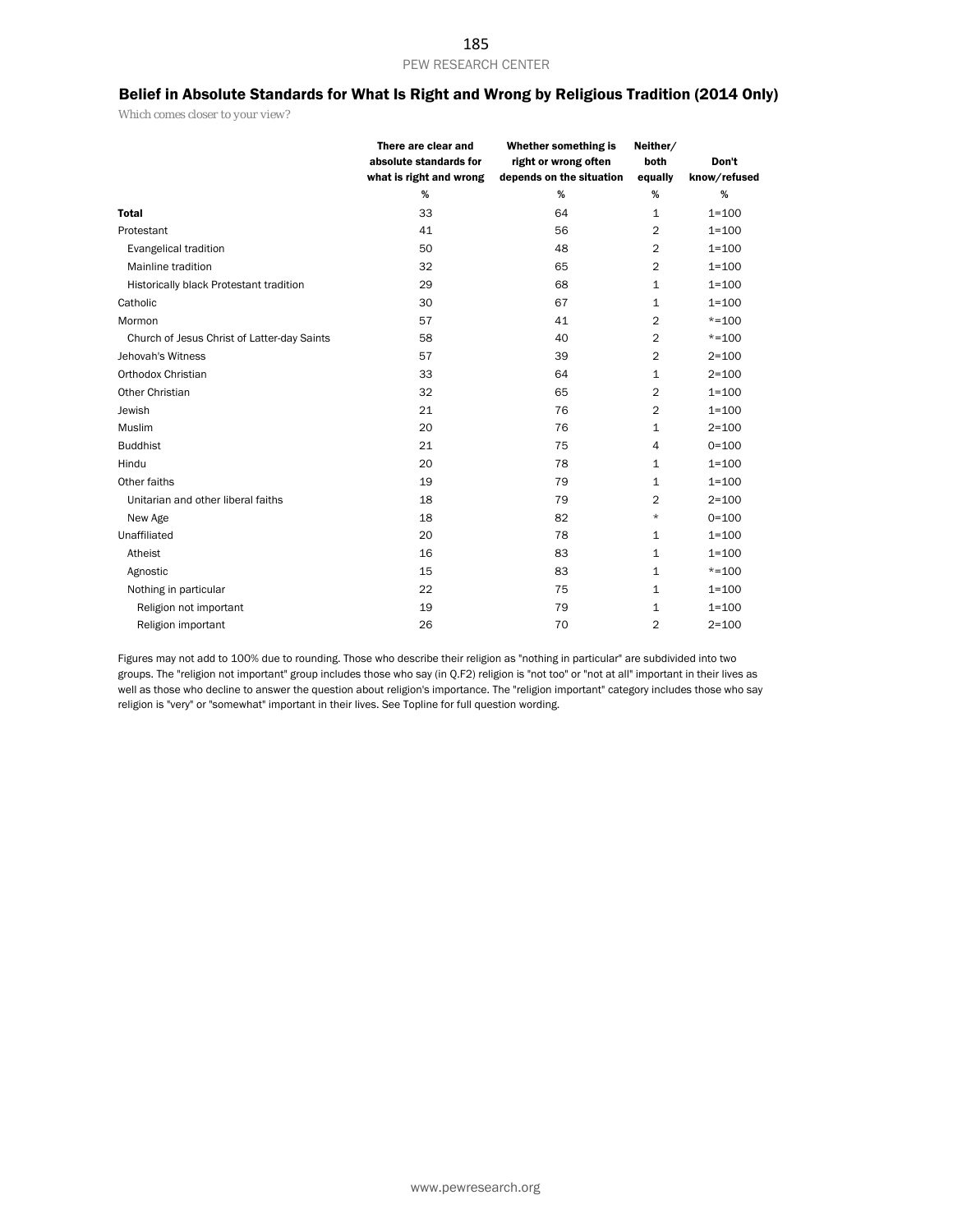# Belief in Absolute Standards for What Is Right and Wrong by Religious Tradition (2014 Only)

*Which comes closer to your view?*

|                                             | There are clear and<br>absolute standards for<br>what is right and wrong | Whether something is<br>right or wrong often<br>depends on the situation | Neither/<br>both<br>equally | Don't<br>know/refused |
|---------------------------------------------|--------------------------------------------------------------------------|--------------------------------------------------------------------------|-----------------------------|-----------------------|
|                                             | %                                                                        | %                                                                        | %                           | %                     |
| <b>Total</b>                                | 33                                                                       | 64                                                                       | 1                           | $1 = 100$             |
| Protestant                                  | 41                                                                       | 56                                                                       | $\overline{2}$              | $1 = 100$             |
| Evangelical tradition                       | 50                                                                       | 48                                                                       | $\overline{2}$              | $1 = 100$             |
| Mainline tradition                          | 32                                                                       | 65                                                                       | $\overline{2}$              | $1 = 100$             |
| Historically black Protestant tradition     | 29                                                                       | 68                                                                       | 1                           | $1 = 100$             |
| Catholic                                    | 30                                                                       | 67                                                                       | 1                           | $1 = 100$             |
| Mormon                                      | 57                                                                       | 41                                                                       | 2                           | $*=100$               |
| Church of Jesus Christ of Latter-day Saints | 58                                                                       | 40                                                                       | 2                           | $* = 100$             |
| Jehovah's Witness                           | 57                                                                       | 39                                                                       | $\overline{2}$              | $2 = 100$             |
| Orthodox Christian                          | 33                                                                       | 64                                                                       | 1                           | $2 = 100$             |
| <b>Other Christian</b>                      | 32                                                                       | 65                                                                       | $\overline{2}$              | $1 = 100$             |
| Jewish                                      | 21                                                                       | 76                                                                       | 2                           | $1 = 100$             |
| Muslim                                      | 20                                                                       | 76                                                                       | 1                           | $2 = 100$             |
| <b>Buddhist</b>                             | 21                                                                       | 75                                                                       | 4                           | $0 = 100$             |
| Hindu                                       | 20                                                                       | 78                                                                       | 1                           | $1 = 100$             |
| Other faiths                                | 19                                                                       | 79                                                                       | 1                           | $1 = 100$             |
| Unitarian and other liberal faiths          | 18                                                                       | 79                                                                       | 2                           | $2 = 100$             |
| New Age                                     | 18                                                                       | 82                                                                       | *                           | $0 = 100$             |
| Unaffiliated                                | 20                                                                       | 78                                                                       | 1                           | $1 = 100$             |
| Atheist                                     | 16                                                                       | 83                                                                       | 1                           | $1 = 100$             |
| Agnostic                                    | 15                                                                       | 83                                                                       | 1                           | $*=100$               |
| Nothing in particular                       | 22                                                                       | 75                                                                       | 1                           | $1 = 100$             |
| Religion not important                      | 19                                                                       | 79                                                                       | 1                           | $1 = 100$             |
| Religion important                          | 26                                                                       | 70                                                                       | $\overline{2}$              | $2 = 100$             |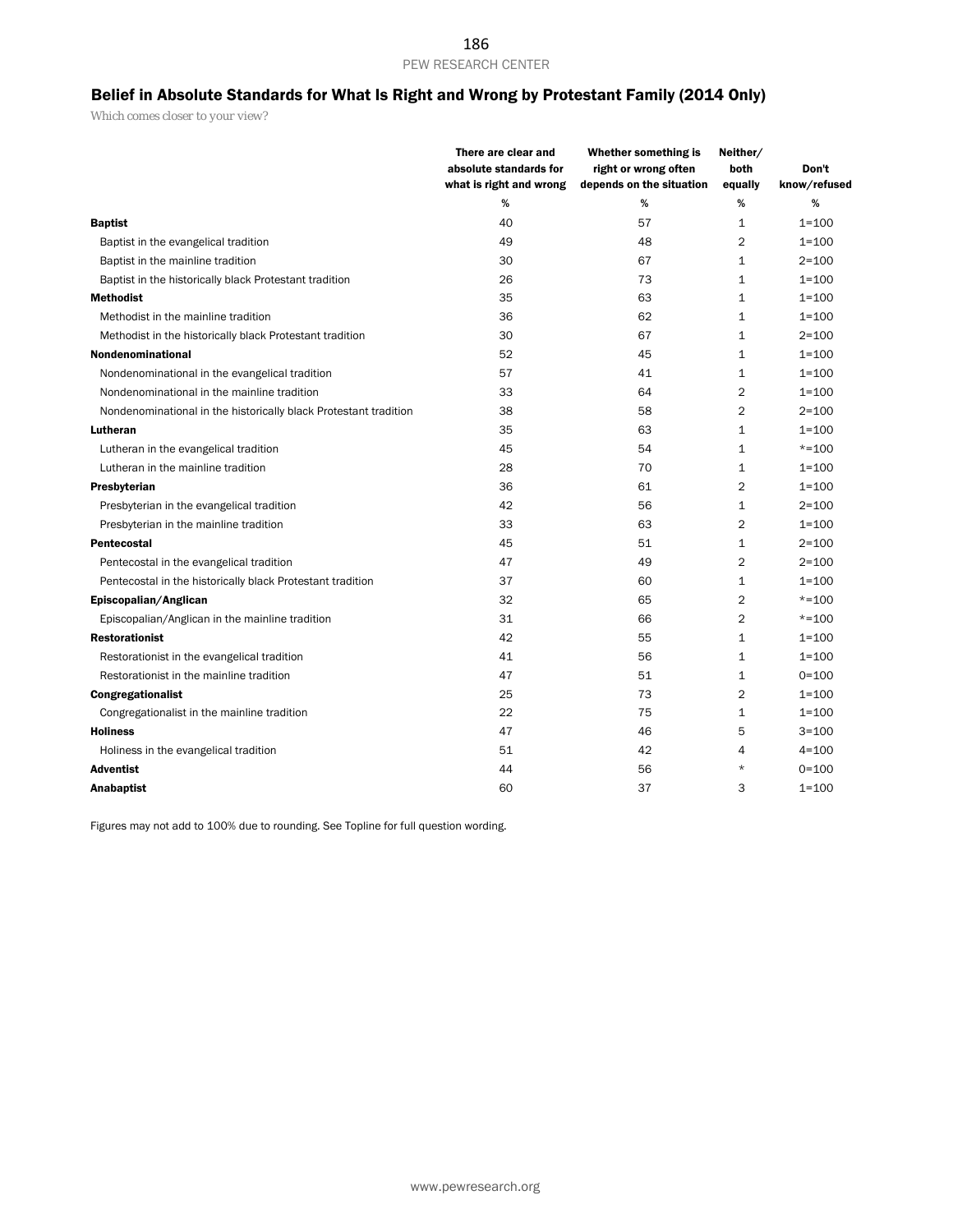# Belief in Absolute Standards for What Is Right and Wrong by Protestant Family (2014 Only)

*Which comes closer to your view?*

|                                                                  | There are clear and<br>absolute standards for<br>what is right and wrong | Whether something is<br>right or wrong often<br>depends on the situation | Neither/<br>both<br>equally | Don't<br>know/refused |
|------------------------------------------------------------------|--------------------------------------------------------------------------|--------------------------------------------------------------------------|-----------------------------|-----------------------|
|                                                                  | %                                                                        | %                                                                        | %                           | %                     |
| <b>Baptist</b>                                                   | 40                                                                       | 57                                                                       | 1                           | $1 = 100$             |
| Baptist in the evangelical tradition                             | 49                                                                       | 48                                                                       | 2                           | $1 = 100$             |
| Baptist in the mainline tradition                                | 30                                                                       | 67                                                                       | 1                           | $2 = 100$             |
| Baptist in the historically black Protestant tradition           | 26                                                                       | 73                                                                       | $\mathbf{1}$                | $1 = 100$             |
| <b>Methodist</b>                                                 | 35                                                                       | 63                                                                       | 1                           | $1 = 100$             |
| Methodist in the mainline tradition                              | 36                                                                       | 62                                                                       | 1                           | $1 = 100$             |
| Methodist in the historically black Protestant tradition         | 30                                                                       | 67                                                                       | $\mathbf{1}$                | $2 = 100$             |
| <b>Nondenominational</b>                                         | 52                                                                       | 45                                                                       | 1                           | $1 = 100$             |
| Nondenominational in the evangelical tradition                   | 57                                                                       | 41                                                                       | $\mathbf{1}$                | $1 = 100$             |
| Nondenominational in the mainline tradition                      | 33                                                                       | 64                                                                       | 2                           | $1 = 100$             |
| Nondenominational in the historically black Protestant tradition | 38                                                                       | 58                                                                       | 2                           | $2 = 100$             |
| Lutheran                                                         | 35                                                                       | 63                                                                       | 1                           | $1 = 100$             |
| Lutheran in the evangelical tradition                            | 45                                                                       | 54                                                                       | $\mathbf{1}$                | $* = 100$             |
| Lutheran in the mainline tradition                               | 28                                                                       | 70                                                                       | 1                           | $1 = 100$             |
| Presbyterian                                                     | 36                                                                       | 61                                                                       | 2                           | $1 = 100$             |
| Presbyterian in the evangelical tradition                        | 42                                                                       | 56                                                                       | 1                           | $2 = 100$             |
| Presbyterian in the mainline tradition                           | 33                                                                       | 63                                                                       | 2                           | $1 = 100$             |
| <b>Pentecostal</b>                                               | 45                                                                       | 51                                                                       | 1                           | $2 = 100$             |
| Pentecostal in the evangelical tradition                         | 47                                                                       | 49                                                                       | $\overline{2}$              | $2 = 100$             |
| Pentecostal in the historically black Protestant tradition       | 37                                                                       | 60                                                                       | $\mathbf{1}$                | $1 = 100$             |
| Episcopalian/Anglican                                            | 32                                                                       | 65                                                                       | 2                           | $* = 100$             |
| Episcopalian/Anglican in the mainline tradition                  | 31                                                                       | 66                                                                       | 2                           | $* = 100$             |
| <b>Restorationist</b>                                            | 42                                                                       | 55                                                                       | 1                           | $1 = 100$             |
| Restorationist in the evangelical tradition                      | 41                                                                       | 56                                                                       | $\mathbf{1}$                | $1 = 100$             |
| Restorationist in the mainline tradition                         | 47                                                                       | 51                                                                       | 1                           | $0 = 100$             |
| <b>Congregationalist</b>                                         | 25                                                                       | 73                                                                       | 2                           | $1 = 100$             |
| Congregationalist in the mainline tradition                      | 22                                                                       | 75                                                                       | 1                           | $1 = 100$             |
| <b>Holiness</b>                                                  | 47                                                                       | 46                                                                       | 5                           | $3 = 100$             |
| Holiness in the evangelical tradition                            | 51                                                                       | 42                                                                       | 4                           | $4 = 100$             |
| Adventist                                                        | 44                                                                       | 56                                                                       | $\star$                     | $0 = 100$             |
| <b>Anabaptist</b>                                                | 60                                                                       | 37                                                                       | 3                           | $1 = 100$             |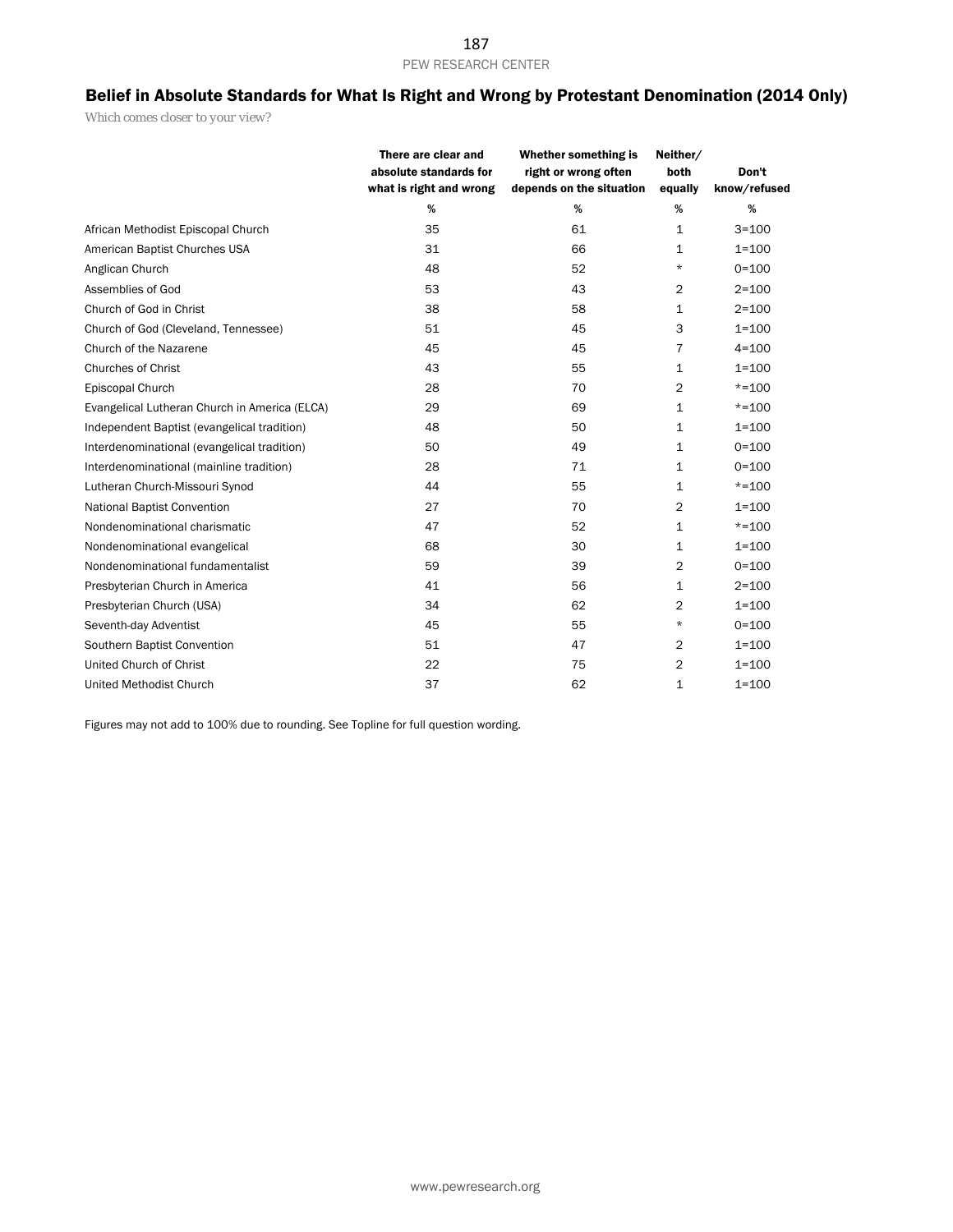# Belief in Absolute Standards for What Is Right and Wrong by Protestant Denomination (2014 Only)

*Which comes closer to your view?*

|                                               | There are clear and<br>absolute standards for<br>what is right and wrong | Whether something is<br>right or wrong often<br>depends on the situation | Neither/<br>both<br>equally | Don't<br>know/refused |
|-----------------------------------------------|--------------------------------------------------------------------------|--------------------------------------------------------------------------|-----------------------------|-----------------------|
|                                               | %                                                                        | %                                                                        | %                           | %                     |
| African Methodist Episcopal Church            | 35                                                                       | 61                                                                       | 1                           | $3 = 100$             |
| American Baptist Churches USA                 | 31                                                                       | 66                                                                       | 1                           | $1 = 100$             |
| Anglican Church                               | 48                                                                       | 52                                                                       | $\star$                     | $0 = 100$             |
| Assemblies of God                             | 53                                                                       | 43                                                                       | 2                           | $2 = 100$             |
| Church of God in Christ                       | 38                                                                       | 58                                                                       | $\mathbf{1}$                | $2 = 100$             |
| Church of God (Cleveland, Tennessee)          | 51                                                                       | 45                                                                       | 3                           | $1 = 100$             |
| Church of the Nazarene                        | 45                                                                       | 45                                                                       | 7                           | $4 = 100$             |
| <b>Churches of Christ</b>                     | 43                                                                       | 55                                                                       | $\mathbf{1}$                | $1 = 100$             |
| Episcopal Church                              | 28                                                                       | 70                                                                       | $\overline{2}$              | $* = 100$             |
| Evangelical Lutheran Church in America (ELCA) | 29                                                                       | 69                                                                       | 1                           | $* = 100$             |
| Independent Baptist (evangelical tradition)   | 48                                                                       | 50                                                                       | 1                           | $1 = 100$             |
| Interdenominational (evangelical tradition)   | 50                                                                       | 49                                                                       | $\mathbf{1}$                | $0 = 100$             |
| Interdenominational (mainline tradition)      | 28                                                                       | 71                                                                       | 1                           | $0 = 100$             |
| Lutheran Church-Missouri Synod                | 44                                                                       | 55                                                                       | 1                           | $* = 100$             |
| National Baptist Convention                   | 27                                                                       | 70                                                                       | 2                           | $1 = 100$             |
| Nondenominational charismatic                 | 47                                                                       | 52                                                                       | 1                           | $* = 100$             |
| Nondenominational evangelical                 | 68                                                                       | 30                                                                       | 1                           | $1 = 100$             |
| Nondenominational fundamentalist              | 59                                                                       | 39                                                                       | 2                           | $0 = 100$             |
| Presbyterian Church in America                | 41                                                                       | 56                                                                       | 1                           | $2 = 100$             |
| Presbyterian Church (USA)                     | 34                                                                       | 62                                                                       | $\overline{2}$              | $1 = 100$             |
| Seventh-day Adventist                         | 45                                                                       | 55                                                                       | $\star$                     | $0 = 100$             |
| Southern Baptist Convention                   | 51                                                                       | 47                                                                       | 2                           | $1 = 100$             |
| United Church of Christ                       | 22                                                                       | 75                                                                       | $\overline{2}$              | $1 = 100$             |
| <b>United Methodist Church</b>                | 37                                                                       | 62                                                                       | 1                           | $1 = 100$             |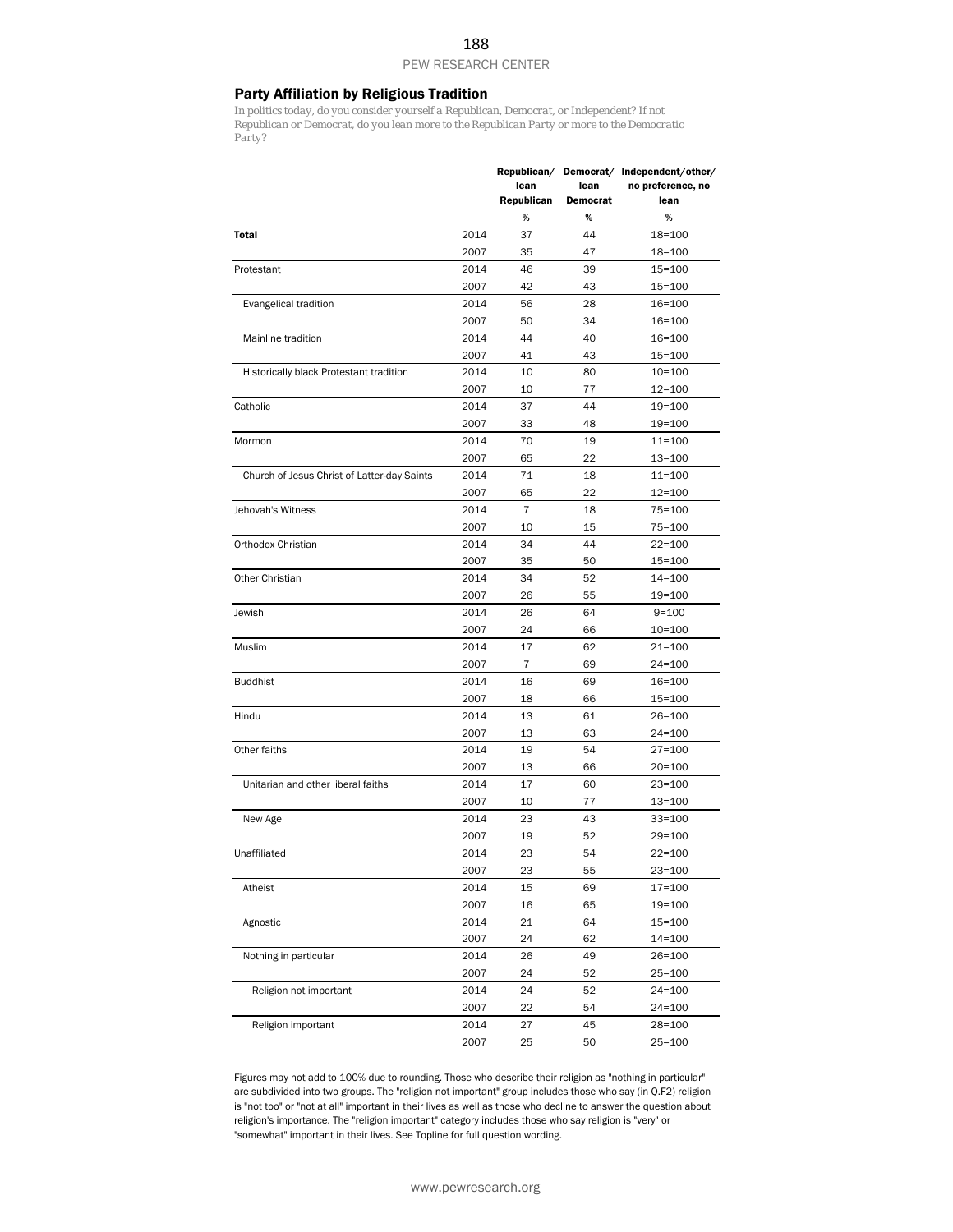## Party Affiliation by Religious Tradition

*In politics today, do you consider yourself a Republican, Democrat, or Independent? If not Republican or Democrat, do you lean more to the Republican Party or more to the Democratic Party?*

|                                             |      | lean<br>Republican | lean<br><b>Democrat</b> | Republican/ Democrat/ Independent/other/<br>no preference, no<br>lean |
|---------------------------------------------|------|--------------------|-------------------------|-----------------------------------------------------------------------|
|                                             |      | %                  | %                       | %                                                                     |
| Total                                       | 2014 | 37                 | 44                      | 18=100                                                                |
|                                             | 2007 | 35                 | 47                      | 18=100                                                                |
| Protestant                                  | 2014 | 46                 | 39                      | 15=100                                                                |
|                                             | 2007 | 42                 | 43                      | 15=100                                                                |
| Evangelical tradition                       | 2014 | 56                 | 28                      | 16=100                                                                |
|                                             | 2007 | 50                 | 34                      | 16=100                                                                |
| Mainline tradition                          | 2014 | 44                 | 40                      | 16=100                                                                |
|                                             | 2007 | 41                 | 43                      | 15=100                                                                |
| Historically black Protestant tradition     | 2014 | 10                 | 80                      | 10=100                                                                |
|                                             | 2007 | 10                 | 77                      | 12=100                                                                |
| Catholic                                    | 2014 | 37                 | 44                      | 19=100                                                                |
|                                             | 2007 | 33                 | 48                      | 19=100                                                                |
| Mormon                                      | 2014 | 70                 | 19                      | $11 = 100$                                                            |
|                                             | 2007 | 65                 | 22                      | 13=100                                                                |
| Church of Jesus Christ of Latter-day Saints | 2014 | 71                 | 18                      | 11=100                                                                |
|                                             | 2007 | 65                 | 22                      | 12=100                                                                |
| Jehovah's Witness                           | 2014 | $\overline{7}$     | 18                      | 75=100                                                                |
|                                             | 2007 | 10                 | 15                      | 75=100                                                                |
| Orthodox Christian                          | 2014 | 34                 | 44                      | $22 = 100$                                                            |
|                                             | 2007 | 35                 | 50                      | 15=100                                                                |
| Other Christian                             | 2014 | 34                 | 52                      | $14 = 100$                                                            |
|                                             | 2007 | 26                 | 55                      | 19=100                                                                |
| Jewish                                      | 2014 | 26                 | 64                      | $9 = 100$                                                             |
|                                             | 2007 | 24                 | 66                      | 10=100                                                                |
| Muslim                                      | 2014 | 17                 | 62                      | $21 = 100$                                                            |
|                                             | 2007 | $\overline{7}$     | 69                      | $24 = 100$                                                            |
| <b>Buddhist</b>                             | 2014 | 16                 | 69                      | 16=100                                                                |
|                                             | 2007 | 18                 | 66                      | 15=100                                                                |
| Hindu                                       | 2014 | 13                 | 61                      | $26 = 100$                                                            |
|                                             | 2007 | 13                 | 63                      | $24 = 100$                                                            |
| Other faiths                                | 2014 | 19                 | 54                      | $27 = 100$                                                            |
|                                             | 2007 | 13                 | 66                      | $20 = 100$                                                            |
| Unitarian and other liberal faiths          | 2014 | 17                 | 60                      | $23 = 100$                                                            |
|                                             | 2007 | 10                 | 77                      | 13=100                                                                |
| New Age                                     | 2014 | 23                 | 43                      | 33=100                                                                |
|                                             | 2007 | 19                 | 52                      | 29=100                                                                |
| Unaffiliated                                | 2014 | 23                 | 54                      | $22 = 100$                                                            |
|                                             | 2007 | 23                 | 55                      | $23 = 100$                                                            |
| Atheist                                     | 2014 | 15                 | 69                      | $17 = 100$                                                            |
|                                             | 2007 | 16                 | 65                      | 19=100                                                                |
| Agnostic                                    | 2014 | 21                 | 64                      | $15 = 100$                                                            |
|                                             | 2007 | 24                 | 62                      | 14=100                                                                |
| Nothing in particular                       | 2014 | 26                 | 49                      | $26 = 100$                                                            |
|                                             | 2007 | 24                 | 52                      | 25=100                                                                |
| Religion not important                      | 2014 | 24                 | 52                      | $24 = 100$                                                            |
|                                             | 2007 | 22                 | 54                      | 24=100                                                                |
| Religion important                          | 2014 | 27                 | 45                      | 28=100                                                                |
|                                             | 2007 | 25                 | 50                      | 25=100                                                                |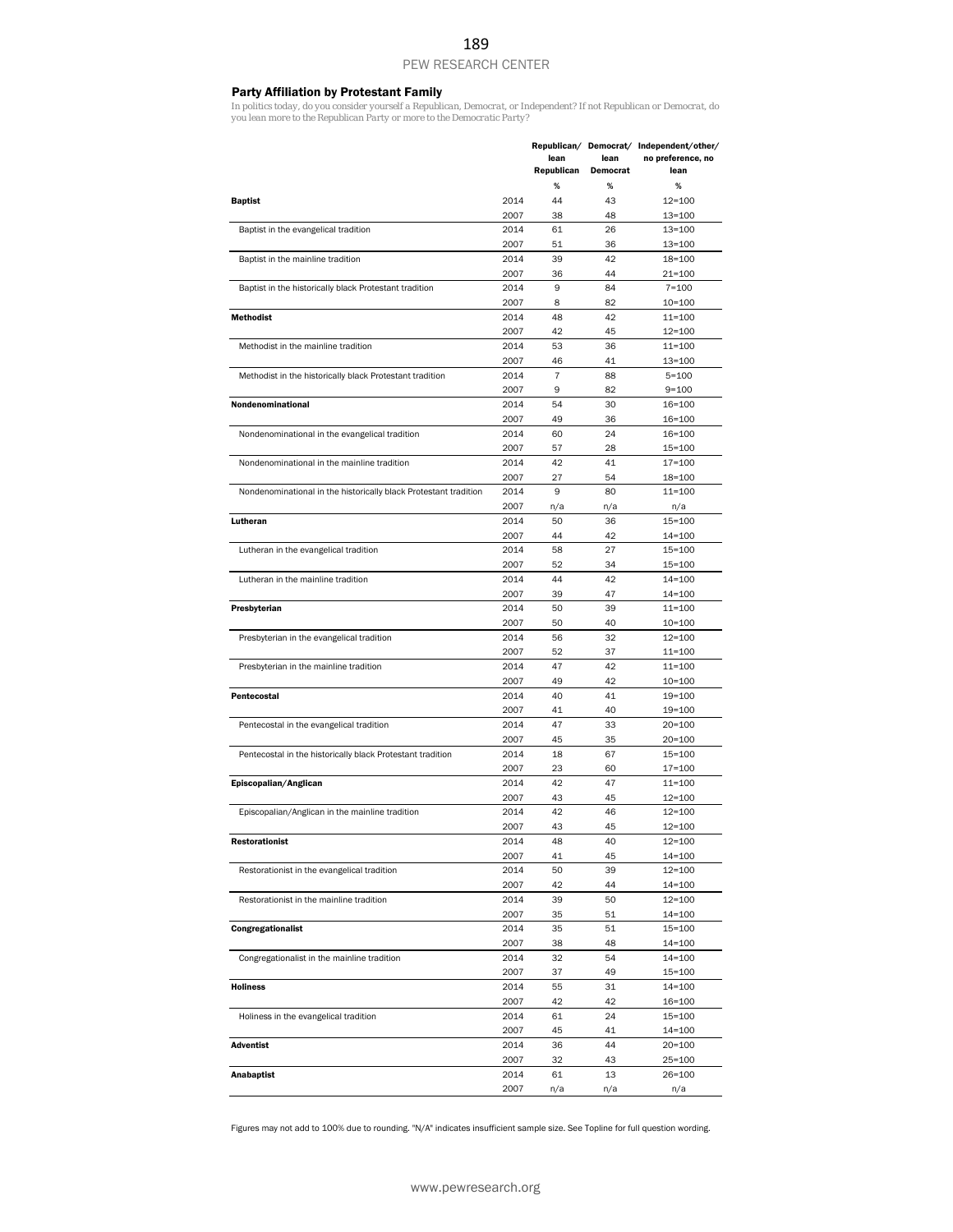#### Party Affiliation by Protestant Family

*In politics today, do you consider yourself a Republican, Democrat, or Independent? If not Republican or Democrat, do you lean more to the Republican Party or more to the Democratic Party?*

|                                                                  |              | Republican/        |                         | Democrat/ Independent/other/ |
|------------------------------------------------------------------|--------------|--------------------|-------------------------|------------------------------|
|                                                                  |              | lean<br>Republican | lean<br><b>Democrat</b> | no preference, no<br>lean    |
|                                                                  |              | %                  | %                       | %                            |
|                                                                  |              |                    |                         |                              |
| <b>Baptist</b>                                                   | 2014         | 44                 | 43                      | $12 = 100$                   |
|                                                                  | 2007         | 38<br>61           | 48<br>26                | $13 = 100$                   |
| Baptist in the evangelical tradition                             | 2014<br>2007 | 51                 | 36                      | $13 = 100$                   |
|                                                                  |              | 39                 | 42                      | $13 = 100$                   |
| Baptist in the mainline tradition                                | 2014         |                    |                         | 18=100                       |
|                                                                  | 2007         | 36<br>9            | 44<br>84                | $21 = 100$                   |
| Baptist in the historically black Protestant tradition           | 2014<br>2007 | 8                  | 82                      | $7 = 100$<br>$10 = 100$      |
| <b>Methodist</b>                                                 | 2014         | 48                 | 42                      | $11 = 100$                   |
|                                                                  | 2007         | 42                 | 45                      | $12 = 100$                   |
| Methodist in the mainline tradition                              | 2014         | 53                 | 36                      | $11 = 100$                   |
|                                                                  | 2007         | 46                 | 41                      | $13 = 100$                   |
| Methodist in the historically black Protestant tradition         | 2014         | $\overline{7}$     | 88                      | $5 = 100$                    |
|                                                                  | 2007         | 9                  | 82                      | $9 = 100$                    |
| Nondenominational                                                | 2014         | 54                 | 30                      | 16=100                       |
|                                                                  |              | 49                 | 36                      |                              |
|                                                                  | 2007<br>2014 | 60                 | 24                      | 16=100<br>16=100             |
| Nondenominational in the evangelical tradition                   |              | 57                 | 28                      |                              |
| Nondenominational in the mainline tradition                      | 2007         | 42                 |                         | 15=100                       |
|                                                                  | 2014         |                    | 41                      | $17 = 100$                   |
|                                                                  | 2007         | 27<br>9            | 54                      | 18=100                       |
| Nondenominational in the historically black Protestant tradition | 2014         |                    | 80                      | 11=100                       |
|                                                                  | 2007<br>2014 | n/a                | n/a                     | n/a                          |
| Lutheran                                                         |              | 50                 | 36                      | $15 = 100$                   |
|                                                                  | 2007         | 44                 | 42                      | $14 = 100$                   |
| Lutheran in the evangelical tradition                            | 2014         | 58                 | 27                      | $15 = 100$                   |
|                                                                  | 2007         | 52                 | 34                      | 15=100                       |
| Lutheran in the mainline tradition                               | 2014         | 44                 | 42                      | $14 = 100$                   |
|                                                                  | 2007         | 39                 | 47                      | $14 = 100$                   |
| Presbyterian                                                     | 2014         | 50                 | 39                      | $11 = 100$                   |
|                                                                  | 2007         | 50                 | 40                      | 10=100                       |
| Presbyterian in the evangelical tradition                        | 2014         | 56                 | 32                      | $12 = 100$                   |
|                                                                  | 2007         | 52                 | 37                      | $11 = 100$                   |
| Presbyterian in the mainline tradition                           | 2014         | 47                 | 42                      | $11 = 100$                   |
|                                                                  | 2007         | 49                 | 42                      | $10 = 100$                   |
| Pentecostal                                                      | 2014         | 40                 | 41                      | $19 = 100$                   |
|                                                                  | 2007<br>2014 | 41<br>47           | 40<br>33                | 19=100                       |
| Pentecostal in the evangelical tradition                         |              |                    |                         | $20 = 100$                   |
|                                                                  | 2007         | 45                 | 35                      | $20 = 100$                   |
| Pentecostal in the historically black Protestant tradition       | 2014         | 18                 | 67                      | 15=100                       |
|                                                                  | 2007         | 23                 | 60                      | $17 = 100$                   |
| Episcopalian/Anglican                                            | 2014         | 42                 | 47                      | $11 = 100$<br>$12 = 100$     |
|                                                                  | 2007         | 43                 | 45                      |                              |
| Episcopalian/Anglican in the mainline tradition                  | 2014<br>2007 | 42                 | 46                      | $12 = 100$                   |
|                                                                  |              | 43                 | 45                      | $12 = 100$                   |
| Restorationist                                                   | 2014         | 48                 | 40                      | $12 = 100$                   |
|                                                                  | 2007         | 41                 | 45                      | 14=100                       |
| Restorationist in the evangelical tradition                      | 2014         | 50                 | 39                      | 12=100                       |
|                                                                  | 2007         | 42                 | 44                      | 14=100                       |
| Restorationist in the mainline tradition                         | 2014         | 39                 | 50                      | 12=100                       |
|                                                                  | 2007<br>2014 | 35                 | 51                      | 14=100                       |
| Congregationalist                                                |              | 35                 | 51                      | 15=100                       |
|                                                                  | 2007         | 38                 | 48                      | 14=100                       |
| Congregationalist in the mainline tradition                      | 2014<br>2007 | 32                 | 54<br>49                | $14 = 100$<br>15=100         |
|                                                                  |              | 37                 |                         |                              |
| <b>Holiness</b>                                                  | 2014         | 55                 | 31                      | 14=100                       |
|                                                                  | 2007         | 42                 | 42                      | 16=100                       |
| Holiness in the evangelical tradition                            | 2014         | 61                 | 24                      | 15=100                       |
|                                                                  | 2007         | 45                 | 41<br>44                | 14=100                       |
| <b>Adventist</b>                                                 | 2014         | 36                 |                         | $20 = 100$                   |
|                                                                  | 2007         | 32                 | 43                      | 25=100                       |
| Anabaptist                                                       | 2014         | 61                 | 13                      | 26=100                       |
|                                                                  | 2007         | n/a                | n/a                     | n/a                          |

Figures may not add to 100% due to rounding. "N/A" indicates insufficient sample size. See Topline for full question wording.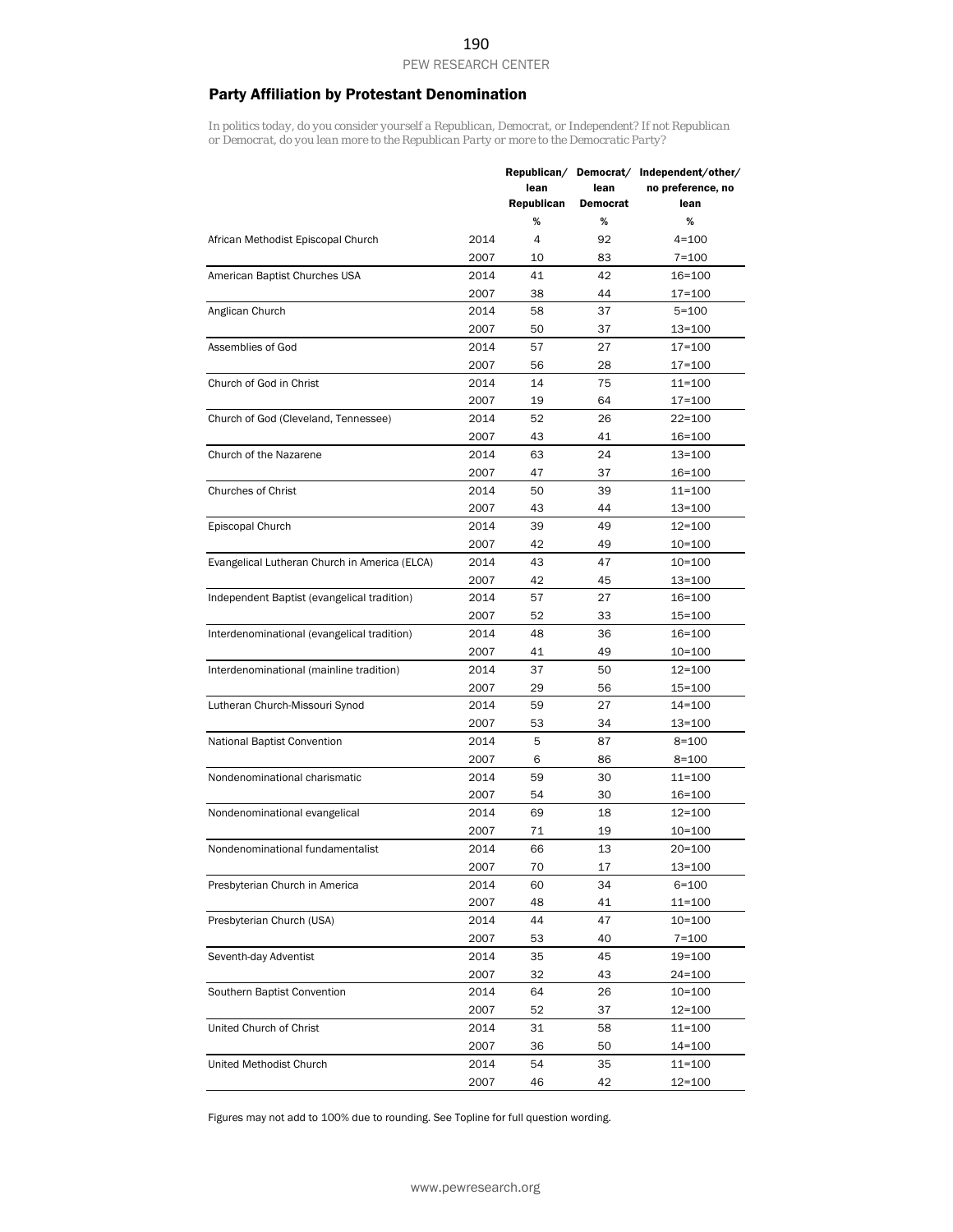# Party Affiliation by Protestant Denomination

*In politics today, do you consider yourself a Republican, Democrat, or Independent? If not Republican or Democrat, do you lean more to the Republican Party or more to the Democratic Party?*

|                                               |              | Republican/    |          | Democrat/ Independent/other/ |
|-----------------------------------------------|--------------|----------------|----------|------------------------------|
|                                               |              | lean           | lean     | no preference, no            |
|                                               |              | Republican     | Democrat | lean                         |
|                                               |              | %              | %        | %                            |
| African Methodist Episcopal Church            | 2014         | $\overline{4}$ | 92       | $4 = 100$                    |
|                                               | 2007         | 10             | 83       | $7 = 100$                    |
| American Baptist Churches USA                 | 2014         | 41             | 42       | 16=100                       |
|                                               | 2007         | 38             | 44       | $17 = 100$                   |
| Anglican Church                               | 2014         | 58             | 37       | $5 = 100$                    |
|                                               | 2007         | 50             | 37       | 13=100                       |
| Assemblies of God                             | 2014         | 57             | 27       | $17 = 100$                   |
|                                               | 2007         | 56             | 28       | $17 = 100$                   |
| Church of God in Christ                       | 2014         | 14             | 75       | $11 = 100$                   |
|                                               | 2007         | 19             | 64       | $17 = 100$                   |
| Church of God (Cleveland, Tennessee)          | 2014         | 52             | 26       | $22 = 100$                   |
|                                               | 2007         | 43             | 41       | 16=100                       |
| Church of the Nazarene                        | 2014         | 63             | 24       | $13 = 100$                   |
|                                               | 2007         | 47             | 37       | 16=100                       |
| <b>Churches of Christ</b>                     | 2014         | 50             | 39       | $11 = 100$                   |
|                                               | 2007         | 43             | 44       | $13 = 100$                   |
| Episcopal Church                              | 2014         | 39             | 49       | $12 = 100$                   |
|                                               | 2007         | 42             | 49       | $10 = 100$                   |
| Evangelical Lutheran Church in America (ELCA) | 2014         | 43             | 47       | $10 = 100$                   |
|                                               | 2007         | 42             | 45       | $13 = 100$                   |
| Independent Baptist (evangelical tradition)   | 2014         | 57             | 27       | 16=100                       |
|                                               | 2007         | 52             | 33       | $15 = 100$                   |
| Interdenominational (evangelical tradition)   | 2014         | 48             | 36       | 16=100                       |
|                                               | 2007         | 41             | 49       | $10 = 100$                   |
| Interdenominational (mainline tradition)      | 2014         | 37             | 50       | $12 = 100$                   |
|                                               | 2007         | 29             | 56       | $15 = 100$                   |
| Lutheran Church-Missouri Synod                | 2014         | 59             | 27       | $14 = 100$                   |
|                                               | 2007         | 53             | 34       | 13=100                       |
| <b>National Baptist Convention</b>            | 2014         | 5              | 87       | $8 = 100$                    |
|                                               | 2007         | 6              | 86       | $8 = 100$                    |
| Nondenominational charismatic                 | 2014         | 59             | 30       | $11=100$                     |
|                                               | 2007         | 54             | 30       | 16=100                       |
| Nondenominational evangelical                 | 2014         | 69             | 18       | $12 = 100$                   |
|                                               | 2007         | 71             | 19       | $10 = 100$                   |
| Nondenominational fundamentalist              | 2014         | 66             | 13       | $20 = 100$                   |
|                                               | 2007         | 70             | 17       | $13 = 100$                   |
| Presbyterian Church in America                | 2014         | 60             | 34       | $6 = 100$                    |
|                                               | 2007         | 48             | 41       | 11=100                       |
| Presbyterian Church (USA)                     | 2014         | 44             | 47       | 10=100                       |
|                                               |              | 53             | 40       | $7 = 100$                    |
| Seventh-day Adventist                         | 2007<br>2014 | 35             | 45       | 19=100                       |
|                                               |              |                | 43       |                              |
|                                               | 2007         | 32             |          | 24=100                       |
| Southern Baptist Convention                   | 2014         | 64             | 26       | 10=100                       |
|                                               | 2007         | 52             | 37       | $12 = 100$                   |
| United Church of Christ                       | 2014         | 31             | 58       | 11=100                       |
|                                               | 2007         | 36             | 50       | 14=100                       |
| United Methodist Church                       | 2014         | 54             | 35       | 11=100                       |
|                                               | 2007         | 46             | 42       | 12=100                       |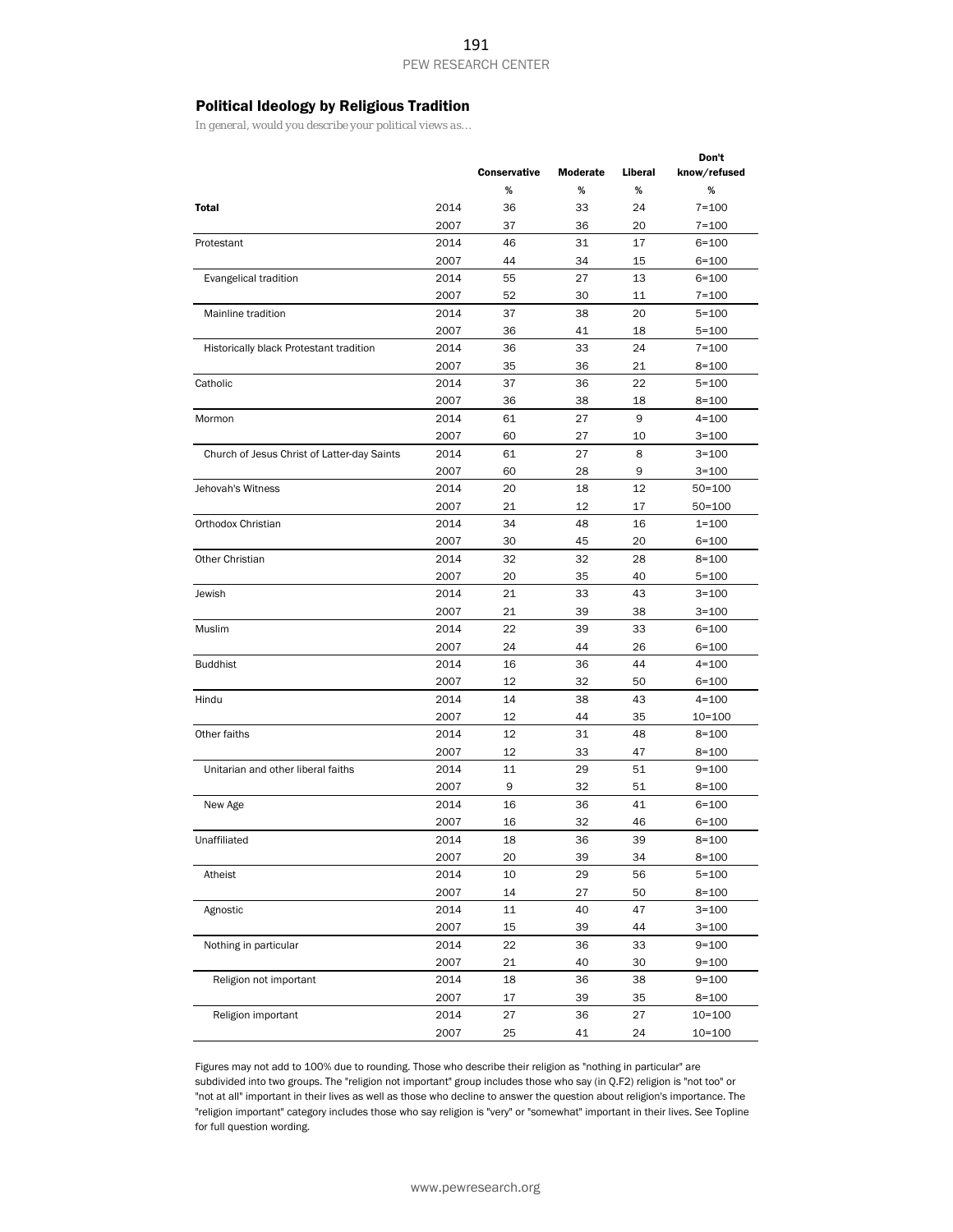## Political Ideology by Religious Tradition

*In general, would you describe your political views as…*

|                                             |      |                     |                 |         | Don't        |
|---------------------------------------------|------|---------------------|-----------------|---------|--------------|
|                                             |      | <b>Conservative</b> | <b>Moderate</b> | Liberal | know/refused |
|                                             |      | %                   | %               | %       | $\%$         |
| Total                                       | 2014 | 36                  | 33              | 24      | $7 = 100$    |
|                                             | 2007 | 37                  | 36              | 20      | $7 = 100$    |
| Protestant                                  | 2014 | 46                  | 31              | 17      | $6 = 100$    |
|                                             | 2007 | 44                  | 34              | 15      | $6 = 100$    |
| Evangelical tradition                       | 2014 | 55                  | 27              | 13      | $6 = 100$    |
|                                             | 2007 | 52                  | 30              | 11      | $7 = 100$    |
| Mainline tradition                          | 2014 | 37                  | 38              | 20      | $5 = 100$    |
|                                             | 2007 | 36                  | 41              | 18      | 5=100        |
| Historically black Protestant tradition     | 2014 | 36                  | 33              | 24      | $7 = 100$    |
|                                             | 2007 | 35                  | 36              | 21      | 8=100        |
| Catholic                                    | 2014 | 37                  | 36              | 22      | $5 = 100$    |
|                                             | 2007 | 36                  | 38              | 18      | 8=100        |
| Mormon                                      | 2014 | 61                  | 27              | 9       | $4 = 100$    |
|                                             | 2007 | 60                  | 27              | 10      | $3 = 100$    |
| Church of Jesus Christ of Latter-day Saints | 2014 | 61                  | 27              | 8       | $3 = 100$    |
|                                             | 2007 | 60                  | 28              | 9       | $3 = 100$    |
| Jehovah's Witness                           | 2014 | 20                  | 18              | 12      | $50 = 100$   |
|                                             | 2007 | 21                  | 12              | 17      | $50 = 100$   |
| Orthodox Christian                          | 2014 | 34                  | 48              | 16      | $1 = 100$    |
|                                             | 2007 | 30                  | 45              | 20      | $6 = 100$    |
| Other Christian                             | 2014 | 32                  | 32              | 28      | $8 = 100$    |
|                                             | 2007 | 20                  | 35              | 40      | $5 = 100$    |
| Jewish                                      | 2014 | 21                  | 33              | 43      | $3 = 100$    |
|                                             | 2007 | 21                  | 39              | 38      | $3 = 100$    |
| Muslim                                      | 2014 | 22                  | 39              | 33      | $6 = 100$    |
|                                             | 2007 | 24                  | 44              | 26      | $6 = 100$    |
| <b>Buddhist</b>                             | 2014 | 16                  | 36              | 44      | $4 = 100$    |
|                                             | 2007 | 12                  | 32              | 50      | $6 = 100$    |
| Hindu                                       | 2014 | 14                  | 38              | 43      | $4 = 100$    |
|                                             | 2007 | 12                  | 44              | 35      | $10 = 100$   |
| Other faiths                                | 2014 | 12                  | 31              | 48      | $8 = 100$    |
|                                             | 2007 | 12                  | 33              | 47      | $8 = 100$    |
| Unitarian and other liberal faiths          | 2014 | 11                  | 29              | 51      | $9 = 100$    |
|                                             | 2007 | 9                   | 32              | 51      | $8 = 100$    |
| New Age                                     | 2014 | 16                  | 36              | 41      | $6 = 100$    |
|                                             | 2007 | 16                  | 32              | 46      | $6 = 100$    |
| Unaffiliated                                | 2014 | 18                  | 36              | 39      | 8=100        |
|                                             | 2007 | 20                  | 39              | 34      | $8 = 100$    |
| Atheist                                     | 2014 | 10                  | 29              | 56      | $5 = 100$    |
|                                             | 2007 | 14                  | 27              | 50      | $8 = 100$    |
| Agnostic                                    | 2014 | 11                  | 40              | 47      | $3 = 100$    |
|                                             | 2007 | 15                  | 39              | 44      | $3 = 100$    |
|                                             |      |                     |                 |         |              |
| Nothing in particular                       | 2014 | 22                  | 36              | 33      | $9 = 100$    |
|                                             | 2007 | 21                  | 40              | 30      | $9 = 100$    |
| Religion not important                      | 2014 | 18                  | 36              | 38      | $9 = 100$    |
|                                             | 2007 | 17                  | 39              | 35      | $8 = 100$    |
| Religion important                          | 2014 | 27                  | 36              | 27      | 10=100       |
|                                             | 2007 | 25                  | 41              | 24      | 10=100       |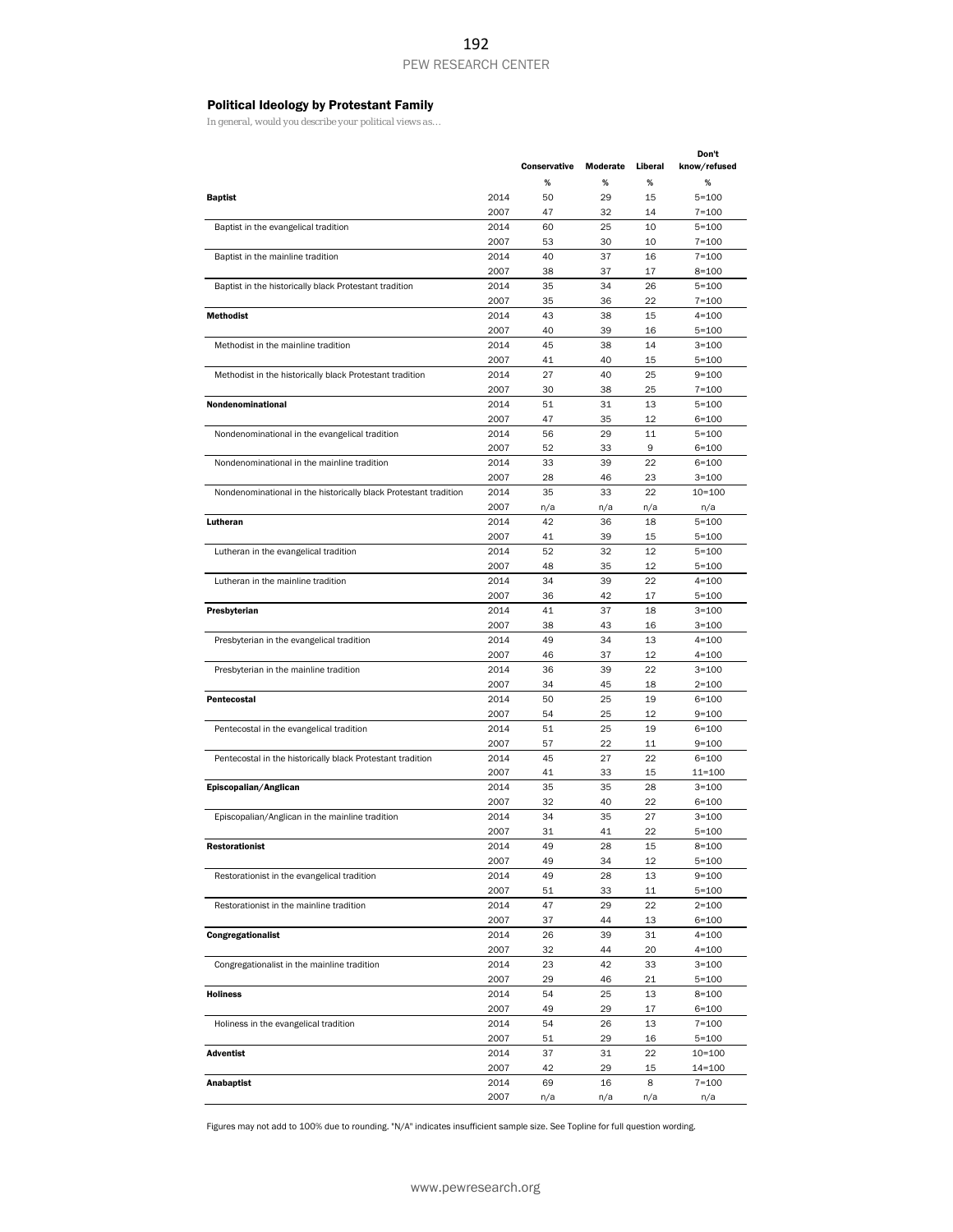## Political Ideology by Protestant Family

*In general, would you describe your political views as…*

|                                                                  |              |              |          |          | Don't                  |
|------------------------------------------------------------------|--------------|--------------|----------|----------|------------------------|
|                                                                  |              | Conservative | Moderate | Liberal  | know/refused           |
|                                                                  |              | %            | %        | %        | %                      |
| <b>Baptist</b>                                                   | 2014         | 50           | 29       | 15       | $5 = 100$              |
|                                                                  | 2007         | 47           | 32       | 14       | $7 = 100$              |
| Baptist in the evangelical tradition                             | 2014         | 60           | 25       | 10       | $5 = 100$              |
|                                                                  | 2007         | 53           | 30       | 10       | $7 = 100$              |
| Baptist in the mainline tradition                                | 2014         | 40           | 37       | 16       | $7 = 100$              |
|                                                                  | 2007         | 38           | 37       | 17       | $8 = 100$              |
| Baptist in the historically black Protestant tradition           | 2014         | 35           | 34       | 26       | $5 = 100$              |
|                                                                  | 2007         | 35           | 36       | 22       | $7 = 100$              |
| <b>Methodist</b>                                                 | 2014         | 43           | 38       | 15       | $4 = 100$              |
|                                                                  | 2007         | 40           | 39       | 16       | $5 = 100$              |
| Methodist in the mainline tradition                              | 2014         | 45           | 38       | 14       | $3 = 100$              |
|                                                                  | 2007         | 41           | 40       | 15       | $5 = 100$              |
| Methodist in the historically black Protestant tradition         | 2014         | 27           | 40       | 25       | $9 = 100$              |
|                                                                  | 2007         | 30           | 38       | 25       | $7 = 100$              |
| Nondenominational                                                | 2014         | 51           | 31       | 13       | $5 = 100$              |
|                                                                  | 2007         | 47           | 35       | 12       | 6=100                  |
| Nondenominational in the evangelical tradition                   | 2014         | 56           | 29       | 11       | $5 = 100$              |
|                                                                  | 2007         | 52           | 33       | 9        | 6=100                  |
| Nondenominational in the mainline tradition                      | 2014         | 33           | 39       | 22       | $6 = 100$              |
|                                                                  | 2007         | 28           | 46       | 23       | $3 = 100$              |
| Nondenominational in the historically black Protestant tradition | 2014         | 35           | 33       | 22       | $10 = 100$             |
|                                                                  | 2007         | n/a          | n/a      | n/a      | n/a                    |
| Lutheran                                                         | 2014         | 42           | 36       | 18       | $5 = 100$              |
|                                                                  | 2007         | 41           | 39       | 15       | $5 = 100$              |
| Lutheran in the evangelical tradition                            | 2014         | 52           | 32       | 12       | $5 = 100$              |
|                                                                  | 2007         | 48           | 35       | 12       |                        |
| Lutheran in the mainline tradition                               | 2014         | 34           | 39       | 22       | $5 = 100$<br>$4 = 100$ |
|                                                                  |              |              | 42       |          |                        |
|                                                                  | 2007<br>2014 | 36<br>41     | 37       | 17<br>18 | $5 = 100$              |
| Presbyterian                                                     |              |              |          |          | $3 = 100$              |
|                                                                  | 2007         | 38           | 43       | 16       | $3 = 100$              |
| Presbyterian in the evangelical tradition                        | 2014         | 49           | 34       | 13       | $4 = 100$              |
|                                                                  | 2007         | 46           | 37       | 12       | $4 = 100$              |
| Presbyterian in the mainline tradition                           | 2014         | 36           | 39       | 22       | $3 = 100$              |
|                                                                  | 2007         | 34           | 45       | 18       | $2 = 100$              |
| Pentecostal                                                      | 2014         | 50           | 25       | 19       | $6 = 100$              |
|                                                                  | 2007         | 54           | 25       | 12       | $9 = 100$              |
| Pentecostal in the evangelical tradition                         | 2014         | 51           | 25       | 19       | $6 = 100$              |
|                                                                  | 2007         | 57           | 22       | 11       | $9 = 100$              |
| Pentecostal in the historically black Protestant tradition       | 2014         | 45           | 27       | 22       | $6 = 100$              |
|                                                                  | 2007         | 41           | 33       | 15       | $11 = 100$             |
| Episcopalian/Anglican                                            | 2014         | 35           | 35       | 28       | $3 = 100$              |
|                                                                  | 2007         | 32           | 40       | 22       | 6=100                  |
| Episcopalian/Anglican in the mainline tradition                  | 2014         | 34           | 35       | 27       | $3 = 100$              |
|                                                                  | 2007         | 31           | 41       | 22       | $5 = 100$              |
| <b>Restorationist</b>                                            | 2014         | 49           | 28       | 15       | $8 = 100$              |
|                                                                  | 2007         | 49           | 34       | 12       | $5 = 100$              |
| Restorationist in the evangelical tradition                      | 2014         | 49           | 28       | 13       | $9 = 100$              |
|                                                                  | 2007         | 51           | 33       | 11       | $5 = 100$              |
| Restorationist in the mainline tradition                         | 2014         | 47           | 29       | 22       | $2 = 100$              |
|                                                                  | 2007         | 37           | 44       | 13       | 6=100                  |
| Congregationalist                                                | 2014         | 26           | 39       | 31       | $4 = 100$              |
|                                                                  | 2007         | 32           | 44       | 20       | $4 = 100$              |
| Congregationalist in the mainline tradition                      | 2014         | 23           | 42       | 33       | $3 = 100$              |
|                                                                  | 2007         | 29           | 46       | 21       | $5 = 100$              |
| <b>Holiness</b>                                                  | 2014         | 54           | 25       | 13       | $8 = 100$              |
|                                                                  | 2007         | 49           | 29       | 17       | $6 = 100$              |
| Holiness in the evangelical tradition                            | 2014         | 54           | 26       | 13       | $7 = 100$              |
|                                                                  | 2007         | 51           | 29       | 16       | $5 = 100$              |
| <b>Adventist</b>                                                 | 2014         | 37           | 31       | 22       | $10 = 100$             |
|                                                                  | 2007         | 42           | 29       | 15       | $14 = 100$             |
| Anabaptist                                                       | 2014         | 69           | 16       | 8        | $7 = 100$              |
|                                                                  | 2007         | n/a          | n/a      | n/a      | n/a                    |

Figures may not add to 100% due to rounding. "N/A" indicates insufficient sample size. See Topline for full question wording.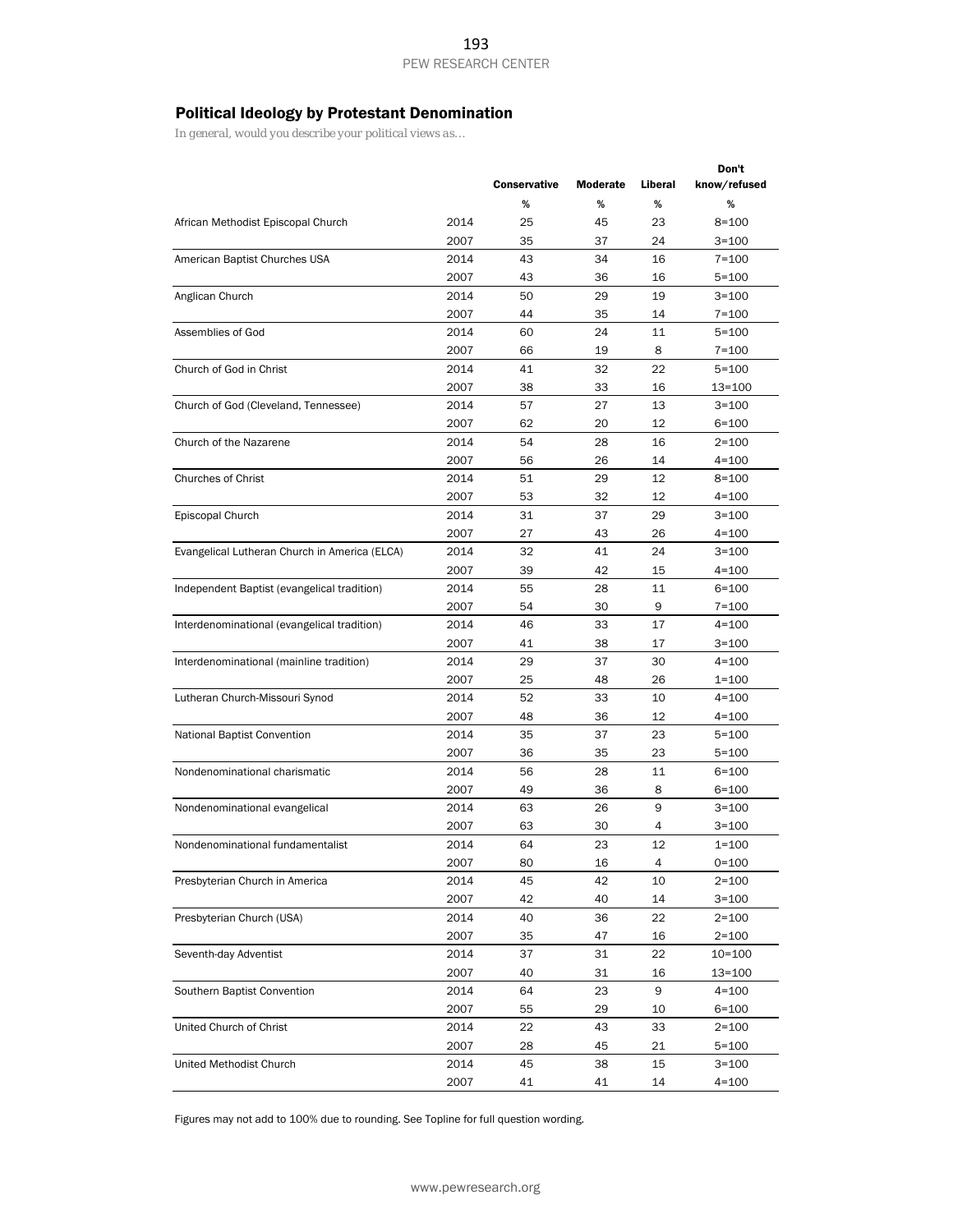# Political Ideology by Protestant Denomination

*In general, would you describe your political views as…*

|                                               |      |                     |          |         | Don't        |
|-----------------------------------------------|------|---------------------|----------|---------|--------------|
|                                               |      | <b>Conservative</b> | Moderate | Liberal | know/refused |
|                                               |      | %                   | %        | %       | %            |
| African Methodist Episcopal Church            | 2014 | 25                  | 45       | 23      | $8 = 100$    |
|                                               | 2007 | 35                  | 37       | 24      | $3 = 100$    |
| American Baptist Churches USA                 | 2014 | 43                  | 34       | 16      | $7 = 100$    |
|                                               | 2007 | 43                  | 36       | 16      | $5 = 100$    |
| Anglican Church                               | 2014 | 50                  | 29       | 19      | $3 = 100$    |
|                                               | 2007 | 44                  | 35       | 14      | $7 = 100$    |
| Assemblies of God                             | 2014 | 60                  | 24       | 11      | $5 = 100$    |
|                                               | 2007 | 66                  | 19       | 8       | $7 = 100$    |
| Church of God in Christ                       | 2014 | 41                  | 32       | 22      | $5 = 100$    |
|                                               |      | 38                  | 33       | 16      |              |
|                                               | 2007 | 57                  |          |         | $13 = 100$   |
| Church of God (Cleveland, Tennessee)          | 2014 |                     | 27       | 13      | $3 = 100$    |
|                                               | 2007 | 62                  | 20       | 12      | $6 = 100$    |
| Church of the Nazarene                        | 2014 | 54                  | 28       | 16      | $2 = 100$    |
|                                               | 2007 | 56                  | 26       | 14      | $4 = 100$    |
| <b>Churches of Christ</b>                     | 2014 | 51                  | 29       | 12      | $8 = 100$    |
|                                               | 2007 | 53                  | 32       | 12      | $4 = 100$    |
| Episcopal Church                              | 2014 | 31                  | 37       | 29      | $3 = 100$    |
|                                               | 2007 | 27                  | 43       | 26      | $4 = 100$    |
| Evangelical Lutheran Church in America (ELCA) | 2014 | 32                  | 41       | 24      | $3 = 100$    |
|                                               | 2007 | 39                  | 42       | 15      | $4 = 100$    |
| Independent Baptist (evangelical tradition)   | 2014 | 55                  | 28       | 11      | $6 = 100$    |
|                                               | 2007 | 54                  | 30       | 9       | $7 = 100$    |
| Interdenominational (evangelical tradition)   | 2014 | 46                  | 33       | 17      | $4 = 100$    |
|                                               | 2007 | 41                  | 38       | 17      | $3 = 100$    |
| Interdenominational (mainline tradition)      | 2014 | 29                  | 37       | 30      | $4 = 100$    |
|                                               | 2007 | 25                  | 48       | 26      | $1 = 100$    |
| Lutheran Church-Missouri Synod                | 2014 | 52                  | 33       | 10      | $4 = 100$    |
|                                               | 2007 | 48                  | 36       | 12      | $4 = 100$    |
| National Baptist Convention                   | 2014 | 35                  | 37       | 23      | $5 = 100$    |
|                                               | 2007 | 36                  | 35       | 23      | $5 = 100$    |
| Nondenominational charismatic                 | 2014 | 56                  | 28       | 11      | $6 = 100$    |
|                                               | 2007 | 49                  | 36       | 8       | $6 = 100$    |
| Nondenominational evangelical                 | 2014 | 63                  | 26       | 9       | $3 = 100$    |
|                                               | 2007 | 63                  | 30       | 4       | $3 = 100$    |
| Nondenominational fundamentalist              | 2014 | 64                  | 23       | 12      | $1 = 100$    |
|                                               | 2007 | 80                  | 16       | 4       | $0 = 100$    |
| Presbyterian Church in America                | 2014 | 45                  | 42       | 10      | $2 = 100$    |
|                                               | 2007 | 42                  | 40       | 14      | $3 = 100$    |
| Presbyterian Church (USA)                     | 2014 | 40                  | 36       | 22      | $2 = 100$    |
|                                               |      |                     |          |         |              |
|                                               | 2007 | 35                  | 47       | 16      | $2 = 100$    |
| Seventh-day Adventist                         | 2014 | 37                  | 31       | 22      | $10 = 100$   |
|                                               | 2007 | 40                  | 31       | 16      | $13 = 100$   |
| Southern Baptist Convention                   | 2014 | 64                  | 23       | 9       | $4 = 100$    |
|                                               | 2007 | 55                  | 29       | 10      | $6 = 100$    |
| United Church of Christ                       | 2014 | 22                  | 43       | 33      | $2 = 100$    |
|                                               | 2007 | 28                  | 45       | 21      | $5 = 100$    |
| United Methodist Church                       | 2014 | 45                  | 38       | 15      | $3 = 100$    |
|                                               | 2007 | 41                  | 41       | 14      | $4 = 100$    |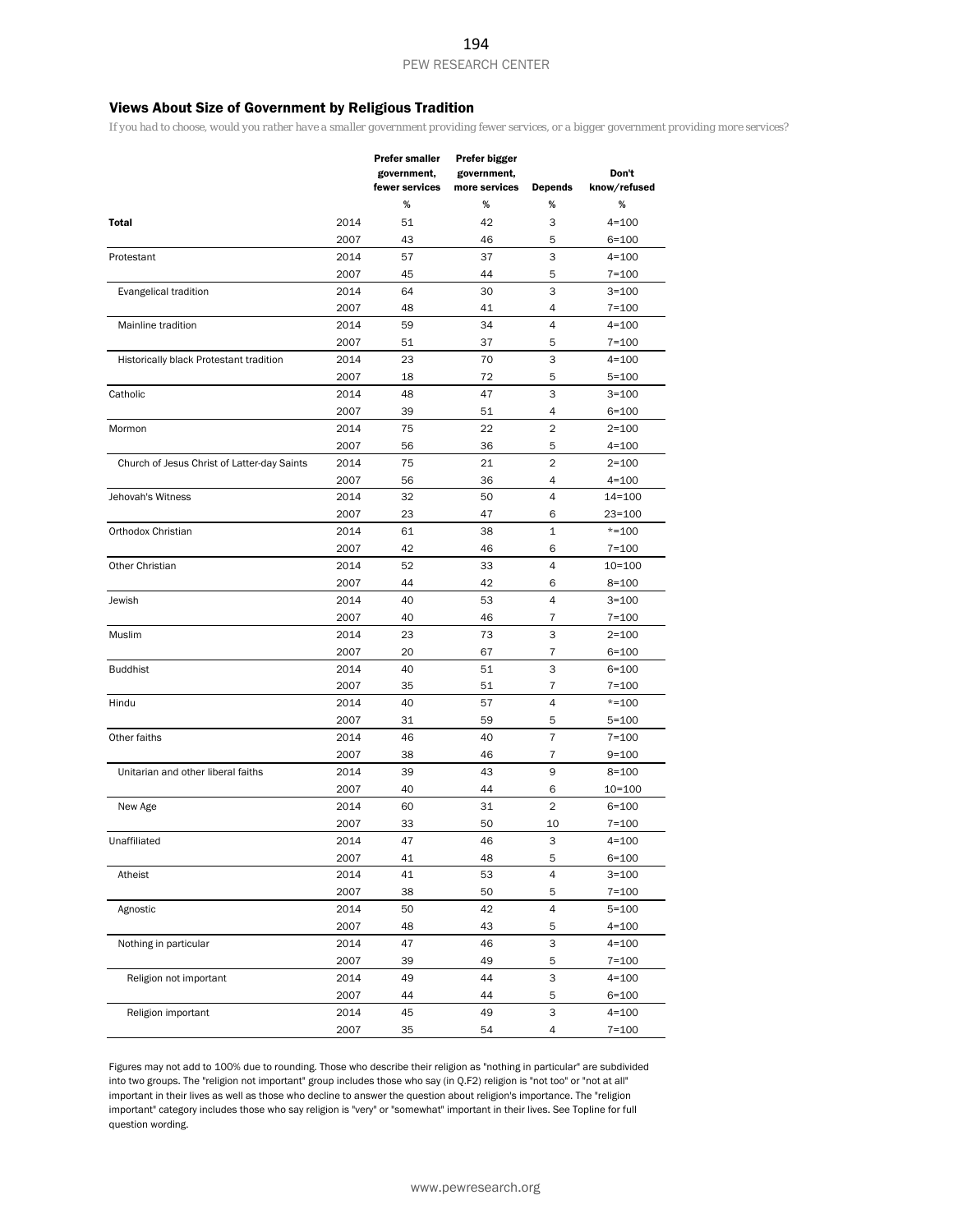## Views About Size of Government by Religious Tradition

*If you had to choose, would you rather have a smaller government providing fewer services, or a bigger government providing more services?*

|                                             |      | <b>Prefer smaller</b> | Prefer bigger |                |              |
|---------------------------------------------|------|-----------------------|---------------|----------------|--------------|
|                                             |      | government,           | government,   |                | Don't        |
|                                             |      | fewer services        | more services | <b>Depends</b> | know/refused |
|                                             |      | %                     | %             | $\%$           | %            |
| <b>Total</b>                                | 2014 | 51                    | 42            | 3              | $4 = 100$    |
|                                             | 2007 | 43                    | 46            | 5              | $6 = 100$    |
| Protestant                                  | 2014 | 57                    | 37            | 3              | $4 = 100$    |
|                                             | 2007 | 45                    | 44            | 5              | $7 = 100$    |
| Evangelical tradition                       | 2014 | 64                    | 30            | 3              | $3 = 100$    |
|                                             | 2007 | 48                    | 41            | $\overline{4}$ | $7 = 100$    |
| Mainline tradition                          | 2014 | 59                    | 34            | $\overline{4}$ | $4 = 100$    |
|                                             | 2007 | 51                    | 37            | 5              | $7 = 100$    |
| Historically black Protestant tradition     | 2014 | 23                    | 70            | 3              | $4 = 100$    |
|                                             | 2007 | 18                    | 72            | 5              | 5=100        |
| Catholic                                    | 2014 | 48                    | 47            | 3              | $3 = 100$    |
|                                             | 2007 | 39                    | 51            | 4              | $6 = 100$    |
| Mormon                                      | 2014 | 75                    | 22            | $\overline{2}$ | $2 = 100$    |
|                                             | 2007 | 56                    | 36            | 5              | $4 = 100$    |
| Church of Jesus Christ of Latter-day Saints | 2014 | 75                    | 21            | $\overline{2}$ | $2 = 100$    |
|                                             | 2007 | 56                    | 36            | 4              | $4 = 100$    |
| Jehovah's Witness                           | 2014 | 32                    | 50            | $\overline{4}$ | $14 = 100$   |
|                                             | 2007 | 23                    | 47            | 6              | $23 = 100$   |
| Orthodox Christian                          | 2014 | 61                    | 38            | $\mathbf{1}$   | $* = 100$    |
|                                             | 2007 | 42                    | 46            | 6              | $7 = 100$    |
| Other Christian                             | 2014 | 52                    | 33            | $\overline{4}$ | $10 = 100$   |
|                                             | 2007 | 44                    | 42            | 6              | $8 = 100$    |
| Jewish                                      | 2014 | 40                    | 53            | 4              | $3 = 100$    |
|                                             | 2007 | 40                    | 46            | $\overline{7}$ | $7 = 100$    |
| Muslim                                      | 2014 | 23                    | 73            | 3              | $2 = 100$    |
|                                             | 2007 | 20                    | 67            | $\overline{7}$ | $6 = 100$    |
| <b>Buddhist</b>                             | 2014 | 40                    | 51            | 3              | $6 = 100$    |
|                                             | 2007 | 35                    | 51            | $\overline{7}$ | $7 = 100$    |
| Hindu                                       | 2014 | 40                    | 57            | $\overline{4}$ | $*=100$      |
|                                             | 2007 | 31                    | 59            | 5              | $5 = 100$    |
| Other faiths                                | 2014 | 46                    | 40            | $\overline{7}$ | $7 = 100$    |
|                                             | 2007 | 38                    | 46            | $\overline{7}$ | $9 = 100$    |
| Unitarian and other liberal faiths          | 2014 | 39                    | 43            | 9              | $8 = 100$    |
|                                             | 2007 | 40                    | 44            | 6              | $10 = 100$   |
| New Age                                     | 2014 | 60                    | 31            | $\overline{2}$ | $6 = 100$    |
|                                             | 2007 | 33                    | 50            | 10             | $7 = 100$    |
| Unaffiliated                                | 2014 | 47                    | 46            | 3              | $4 = 100$    |
|                                             | 2007 | 41                    | 48            | 5              | $6 = 100$    |
| Atheist                                     | 2014 | 41                    | 53            | 4              | $3 = 100$    |
|                                             | 2007 | 38                    | 50            | 5              | $7 = 100$    |
| Agnostic                                    | 2014 | 50                    | 42            | $\overline{4}$ | $5 = 100$    |
|                                             | 2007 | 48                    | 43            | 5              | $4 = 100$    |
| Nothing in particular                       | 2014 | 47                    | 46            | 3              | $4 = 100$    |
|                                             | 2007 | 39                    | 49            | 5              | $7 = 100$    |
| Religion not important                      | 2014 | 49                    | 44            | 3              | $4 = 100$    |
|                                             | 2007 | 44                    | 44            | 5              | $6 = 100$    |
| Religion important                          | 2014 | 45                    | 49            | 3              | $4 = 100$    |
|                                             | 2007 | 35                    | 54            | $\sqrt{4}$     | $7 = 100$    |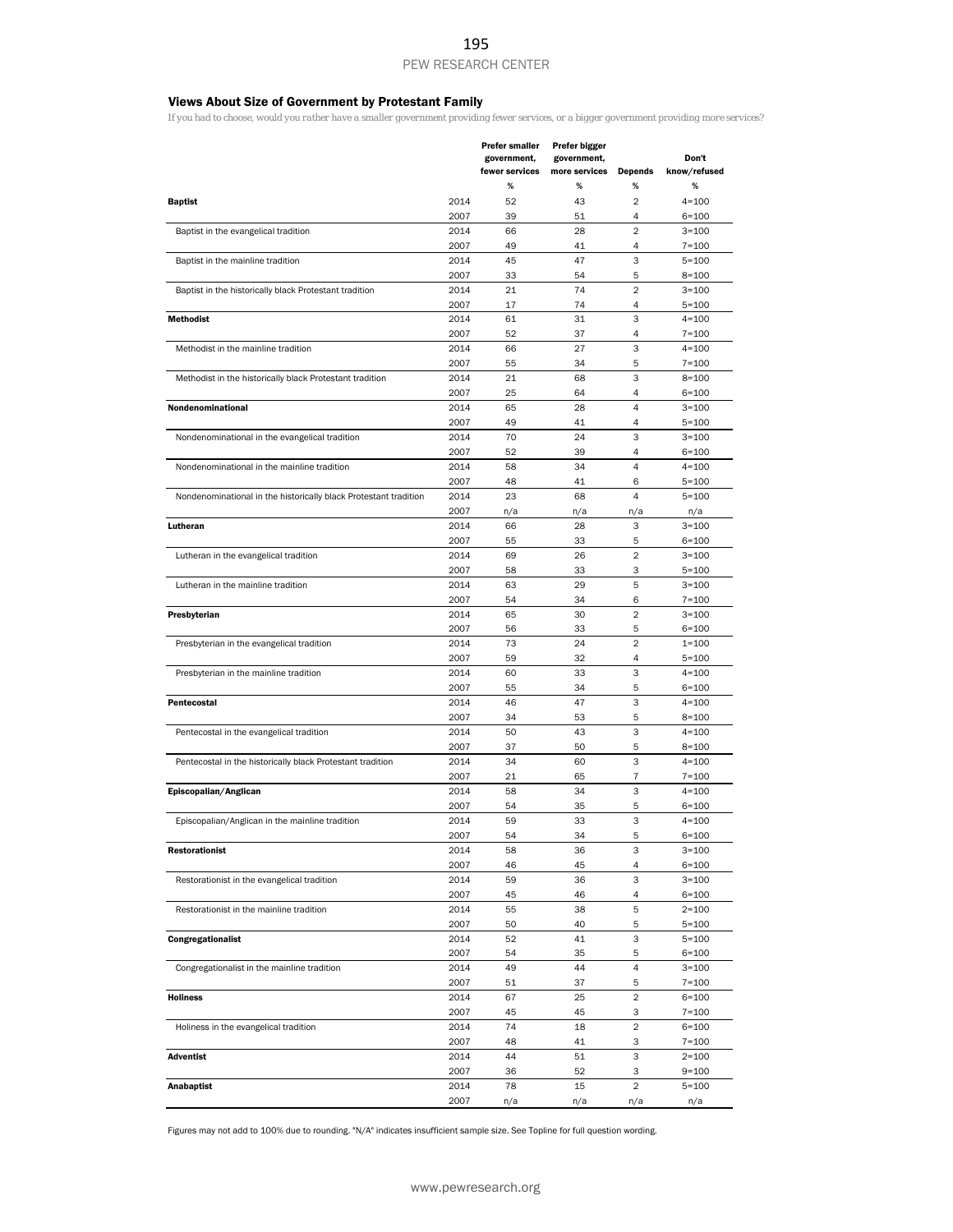## Views About Size of Government by Protestant Family

*If you had to choose, would you rather have a smaller government providing fewer services, or a bigger government providing more services?*

|                                                                  |      | <b>Prefer smaller</b> | Prefer bigger |                         |              |
|------------------------------------------------------------------|------|-----------------------|---------------|-------------------------|--------------|
|                                                                  |      | government,           | government,   |                         | Don't        |
|                                                                  |      | fewer services        | more services | <b>Depends</b>          | know/refused |
|                                                                  |      | %                     | %             | %                       | %            |
| <b>Baptist</b>                                                   | 2014 | 52                    | 43            | $\overline{2}$          | $4 = 100$    |
|                                                                  | 2007 | 39                    | 51            | 4                       | $6 = 100$    |
| Baptist in the evangelical tradition                             | 2014 | 66                    | 28            | $\overline{2}$          | $3 = 100$    |
|                                                                  | 2007 | 49                    | 41            | 4                       | $7 = 100$    |
| Baptist in the mainline tradition                                | 2014 | 45                    | 47            | 3                       | $5 = 100$    |
|                                                                  |      |                       |               | 5                       |              |
|                                                                  | 2007 | 33                    | 54            |                         | $8 = 100$    |
| Baptist in the historically black Protestant tradition           | 2014 | 21                    | 74            | 2                       | $3 = 100$    |
|                                                                  | 2007 | 17                    | 74            | 4                       | $5 = 100$    |
| <b>Methodist</b>                                                 | 2014 | 61                    | 31            | 3                       | $4 = 100$    |
|                                                                  | 2007 | 52                    | 37            | 4                       | $7 = 100$    |
| Methodist in the mainline tradition                              | 2014 | 66                    | 27            | 3                       | $4 = 100$    |
|                                                                  | 2007 | 55                    | 34            | 5                       | $7 = 100$    |
| Methodist in the historically black Protestant tradition         | 2014 | 21                    | 68            | 3                       | $8 = 100$    |
|                                                                  | 2007 | 25                    | 64            | 4                       | $6 = 100$    |
| Nondenominational                                                | 2014 | 65                    | 28            | $\overline{4}$          | $3 = 100$    |
|                                                                  | 2007 | 49                    | 41            | 4                       | $5 = 100$    |
| Nondenominational in the evangelical tradition                   | 2014 | 70                    | 24            | 3                       | $3 = 100$    |
|                                                                  | 2007 | 52                    | 39            | 4                       | $6 = 100$    |
| Nondenominational in the mainline tradition                      | 2014 | 58                    | 34            | $\overline{4}$          | $4 = 100$    |
|                                                                  | 2007 | 48                    | 41            | 6                       | $5 = 100$    |
| Nondenominational in the historically black Protestant tradition | 2014 | 23                    | 68            | $\overline{4}$          | $5 = 100$    |
|                                                                  | 2007 | n/a                   | n/a           | n/a                     | n/a          |
| Lutheran                                                         | 2014 | 66                    | 28            | 3                       | $3 = 100$    |
|                                                                  | 2007 | 55                    | 33            | 5                       | $6 = 100$    |
| Lutheran in the evangelical tradition                            | 2014 | 69                    | 26            | $\overline{2}$          | $3 = 100$    |
|                                                                  | 2007 | 58                    | 33            | 3                       | $5 = 100$    |
| Lutheran in the mainline tradition                               | 2014 | 63                    | 29            | 5                       | $3 = 100$    |
|                                                                  | 2007 | 54                    | 34            | 6                       | $7 = 100$    |
|                                                                  |      |                       |               | $\overline{2}$          |              |
| Presbyterian                                                     | 2014 | 65                    | 30            |                         | $3 = 100$    |
|                                                                  | 2007 | 56                    | 33            | 5                       | $6 = 100$    |
| Presbyterian in the evangelical tradition                        | 2014 | 73                    | 24            | $\overline{2}$          | $1 = 100$    |
|                                                                  | 2007 | 59                    | 32            | 4                       | $5 = 100$    |
| Presbyterian in the mainline tradition                           | 2014 | 60                    | 33            | 3                       | $4 = 100$    |
|                                                                  | 2007 | 55                    | 34            | 5                       | $6 = 100$    |
| Pentecostal                                                      | 2014 | 46                    | 47            | 3                       | $4 = 100$    |
|                                                                  | 2007 | 34                    | 53            | 5                       | $8 = 100$    |
| Pentecostal in the evangelical tradition                         | 2014 | 50                    | 43            | 3                       | $4 = 100$    |
|                                                                  | 2007 | 37                    | 50            | 5                       | $8 = 100$    |
| Pentecostal in the historically black Protestant tradition       | 2014 | 34                    | 60            | 3                       | $4 = 100$    |
|                                                                  | 2007 | 21                    | 65            | 7                       | $7 = 100$    |
| Episcopalian/Anglican                                            | 2014 | 58                    | 34            | 3                       | $4 = 100$    |
|                                                                  | 2007 | 54                    | 35            | 5                       | $6 = 100$    |
| Episcopalian/Anglican in the mainline tradition                  | 2014 | 59                    | 33            | 3                       | $4 = 100$    |
|                                                                  | 2007 | 54                    | 34            | 5                       | $6 = 100$    |
| <b>Restorationist</b>                                            | 2014 | 58                    | 36            | 3                       | $3 = 100$    |
|                                                                  | 2007 | 46                    | 45            | 4                       | $6 = 100$    |
| Restorationist in the evangelical tradition                      | 2014 | 59                    | 36            | 3                       | $3 = 100$    |
|                                                                  | 2007 | 45                    | 46            | 4                       | $6 = 100$    |
| Restorationist in the mainline tradition                         | 2014 | 55                    | 38            | 5                       | $2 = 100$    |
|                                                                  | 2007 | 50                    | 40            | 5                       | $5 = 100$    |
| Congregationalist                                                | 2014 | 52                    | 41            | 3                       | $5 = 100$    |
|                                                                  | 2007 | 54                    | 35            | 5                       | $6 = 100$    |
| Congregationalist in the mainline tradition                      | 2014 | 49                    | 44            | 4                       | $3 = 100$    |
|                                                                  | 2007 | 51                    | 37            | 5                       | $7 = 100$    |
| <b>Holiness</b>                                                  |      | 67                    | 25            | $\overline{2}$          |              |
|                                                                  | 2014 |                       |               |                         | $6 = 100$    |
|                                                                  | 2007 | 45                    | 45            | 3                       | $7 = 100$    |
| Holiness in the evangelical tradition                            | 2014 | 74                    | 18            | $\overline{\mathbf{c}}$ | $6 = 100$    |
|                                                                  | 2007 | 48                    | 41            | 3                       | $7 = 100$    |
| <b>Adventist</b>                                                 | 2014 | 44                    | 51            | 3                       | $2 = 100$    |
|                                                                  | 2007 | 36                    | 52            | 3                       | $9 = 100$    |
| Anabaptist                                                       | 2014 | 78                    | 15            | $\overline{c}$          | $5 = 100$    |
|                                                                  | 2007 | n/a                   | n/a           | n/a                     | n/a          |

Figures may not add to 100% due to rounding. "N/A" indicates insufficient sample size. See Topline for full question wording.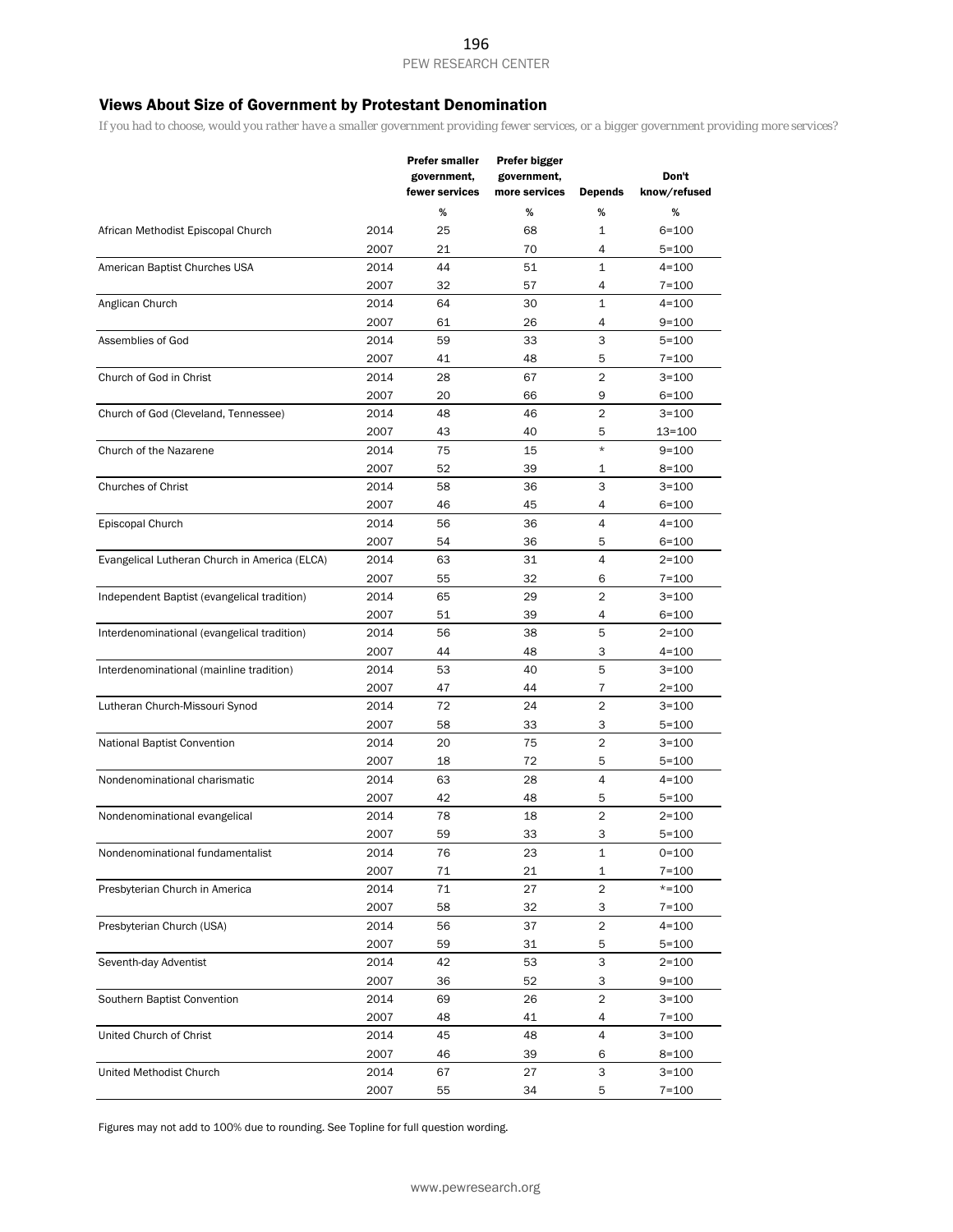# Views About Size of Government by Protestant Denomination

*If you had to choose, would you rather have a smaller government providing fewer services, or a bigger government providing more services?*

|                                               |      | Prefer smaller                | Prefer bigger                |                | Don't        |
|-----------------------------------------------|------|-------------------------------|------------------------------|----------------|--------------|
|                                               |      | government,<br>fewer services | government,<br>more services | <b>Depends</b> | know/refused |
|                                               |      | $\%$                          | $\%$                         | %              | %            |
| African Methodist Episcopal Church            | 2014 | 25                            | 68                           | 1              | 6=100        |
|                                               | 2007 | 21                            | 70                           | 4              | $5 = 100$    |
| American Baptist Churches USA                 | 2014 | 44                            | 51                           | $\mathbf{1}$   | $4 = 100$    |
|                                               | 2007 | 32                            | 57                           | 4              | $7 = 100$    |
| Anglican Church                               | 2014 | 64                            | 30                           | $\mathbf{1}$   | $4 = 100$    |
|                                               | 2007 | 61                            | 26                           | 4              | $9 = 100$    |
| Assemblies of God                             | 2014 | 59                            | 33                           | 3              | $5 = 100$    |
|                                               | 2007 | 41                            | 48                           | 5              | $7 = 100$    |
| Church of God in Christ                       | 2014 | 28                            | 67                           | $\overline{2}$ | $3 = 100$    |
|                                               | 2007 | 20                            | 66                           | 9              | $6 = 100$    |
| Church of God (Cleveland, Tennessee)          | 2014 | 48                            | 46                           | $\overline{c}$ | $3 = 100$    |
|                                               | 2007 | 43                            | 40                           | 5              | 13=100       |
| Church of the Nazarene                        | 2014 | 75                            | 15                           | $\star$        | $9 = 100$    |
|                                               | 2007 | 52                            | 39                           | 1              | $8 = 100$    |
| <b>Churches of Christ</b>                     | 2014 | 58                            | 36                           | 3              | $3 = 100$    |
|                                               | 2007 | 46                            | 45                           | 4              | 6=100        |
| Episcopal Church                              | 2014 | 56                            | 36                           | $\overline{4}$ | $4 = 100$    |
|                                               | 2007 | 54                            | 36                           | 5              | 6=100        |
| Evangelical Lutheran Church in America (ELCA) | 2014 | 63                            | 31                           | 4              | $2 = 100$    |
|                                               | 2007 | 55                            | 32                           | 6              | $7 = 100$    |
| Independent Baptist (evangelical tradition)   | 2014 | 65                            | 29                           | $\overline{c}$ | $3 = 100$    |
|                                               | 2007 | 51                            | 39                           | 4              | 6=100        |
| Interdenominational (evangelical tradition)   | 2014 | 56                            | 38                           | 5              | 2=100        |
|                                               | 2007 | 44                            | 48                           | 3              | 4=100        |
| Interdenominational (mainline tradition)      | 2014 | 53                            | 40                           | 5              | $3=100$      |
|                                               | 2007 | 47                            | 44                           | 7              | $2 = 100$    |
| Lutheran Church-Missouri Synod                | 2014 | 72                            | 24                           | $\overline{2}$ | $3 = 100$    |
|                                               | 2007 | 58                            | 33                           | 3              | $5 = 100$    |
| National Baptist Convention                   | 2014 | 20                            | 75                           | $\overline{2}$ | $3 = 100$    |
|                                               | 2007 | 18                            | 72                           | 5              | $5 = 100$    |
| Nondenominational charismatic                 | 2014 | 63                            | 28                           | 4              | $4 = 100$    |
|                                               | 2007 | 42                            | 48                           | 5              | $5 = 100$    |
| Nondenominational evangelical                 | 2014 | 78                            | 18                           | $\overline{c}$ | $2 = 100$    |
|                                               | 2007 | 59                            | 33                           | 3              | $5 = 100$    |
| Nondenominational fundamentalist              | 2014 | 76                            | 23                           | 1              | $0 = 100$    |
|                                               | 2007 | 71                            | 21                           | 1              | $7 = 100$    |
| Presbyterian Church in America                | 2014 | 71                            | 27                           | $\mathbf 2$    | $* = 100$    |
|                                               | 2007 | 58                            | 32                           | 3              | $7 = 100$    |
| Presbyterian Church (USA)                     | 2014 | 56                            | 37                           | $\overline{2}$ | $4 = 100$    |
|                                               | 2007 | 59                            | 31                           | 5              | $5 = 100$    |
| Seventh-day Adventist                         | 2014 | 42                            | 53                           | 3              | $2 = 100$    |
|                                               | 2007 | 36                            | 52                           | 3              | $9 = 100$    |
| Southern Baptist Convention                   | 2014 | 69                            | 26                           | $\overline{2}$ | $3 = 100$    |
|                                               | 2007 | 48                            | 41                           | 4              | $7 = 100$    |
| United Church of Christ                       | 2014 | 45                            | 48                           | 4              | 3=100        |
|                                               | 2007 | 46                            | 39                           | 6              | 8=100        |
| United Methodist Church                       | 2014 | 67                            | 27                           | 3              | $3 = 100$    |
|                                               | 2007 | 55                            | 34                           | 5              | $7 = 100$    |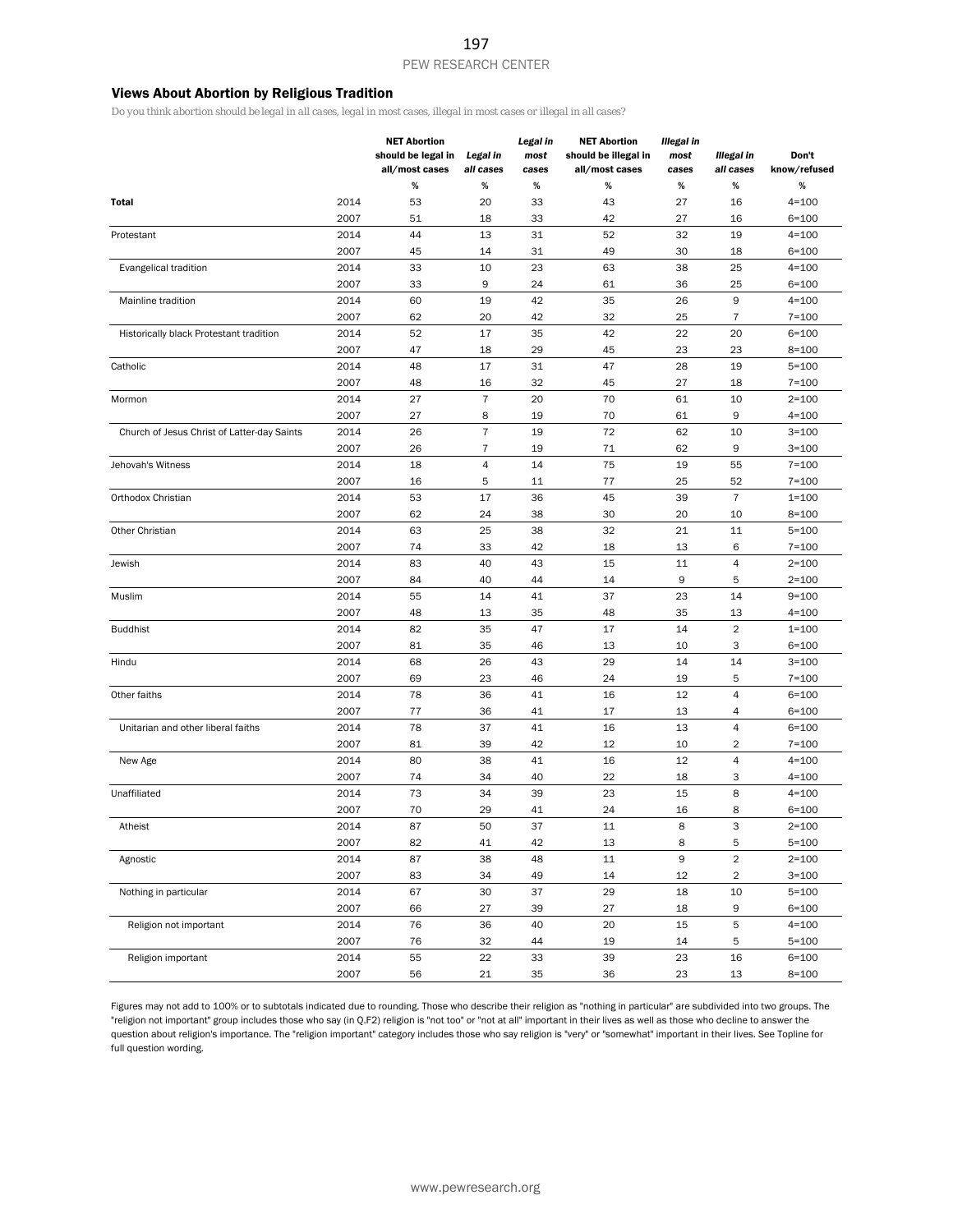#### Views About Abortion by Religious Tradition

*Do you think abortion should be legal in all cases, legal in most cases, illegal in most cases or illegal in all cases?*

|                                             |      | <b>NET Abortion</b><br>should be legal in<br>all/most cases | Legal in<br>all cases | Legal in<br>most<br>cases | <b>NET Abortion</b><br>should be illegal in<br>all/most cases | <b>Illegal</b> in<br>most<br>cases | <b>Illegal</b> in<br>all cases | Don't<br>know/refused |
|---------------------------------------------|------|-------------------------------------------------------------|-----------------------|---------------------------|---------------------------------------------------------------|------------------------------------|--------------------------------|-----------------------|
|                                             |      | $\%$                                                        | $\%$                  | $\%$                      | %                                                             | %                                  | %                              | $\%$                  |
| Total                                       | 2014 | 53                                                          | 20                    | 33                        | 43                                                            | 27                                 | 16                             | $4 = 100$             |
|                                             | 2007 | 51                                                          | 18                    | 33                        | 42                                                            | 27                                 | 16                             | $6 = 100$             |
| Protestant                                  | 2014 | 44                                                          | 13                    | 31                        | 52                                                            | 32                                 | 19                             | $4 = 100$             |
|                                             | 2007 | 45                                                          | 14                    | 31                        | 49                                                            | 30                                 | 18                             | $6 = 100$             |
| Evangelical tradition                       | 2014 | 33                                                          | 10                    | 23                        | 63                                                            | 38                                 | 25                             | $4 = 100$             |
|                                             | 2007 | 33                                                          | 9                     | 24                        | 61                                                            | 36                                 | 25                             | $6 = 100$             |
| Mainline tradition                          | 2014 | 60                                                          | 19                    | 42                        | 35                                                            | 26                                 | 9                              | $4 = 100$             |
|                                             | 2007 | 62                                                          | 20                    | 42                        | 32                                                            | 25                                 | 7                              | $7 = 100$             |
| Historically black Protestant tradition     | 2014 | 52                                                          | 17                    | 35                        | 42                                                            | 22                                 | 20                             | $6 = 100$             |
|                                             | 2007 | 47                                                          | 18                    | 29                        | 45                                                            | 23                                 | 23                             | $8 = 100$             |
| Catholic                                    | 2014 | 48                                                          | 17                    | 31                        | 47                                                            | 28                                 | 19                             | $5 = 100$             |
|                                             | 2007 | 48                                                          | 16                    | 32                        | 45                                                            | 27                                 | 18                             | $7 = 100$             |
| Mormon                                      | 2014 | 27                                                          | $\overline{7}$        | 20                        | 70                                                            | 61                                 | 10                             | $2 = 100$             |
|                                             | 2007 | 27                                                          | 8                     | 19                        | 70                                                            | 61                                 | 9                              | $4 = 100$             |
| Church of Jesus Christ of Latter-day Saints | 2014 | 26                                                          | $\overline{7}$        | 19                        | 72                                                            | 62                                 | 10                             | $3 = 100$             |
|                                             | 2007 | 26                                                          | 7                     | 19                        | 71                                                            | 62                                 | 9                              | $3 = 100$             |
| Jehovah's Witness                           | 2014 | 18                                                          | $\overline{4}$        | 14                        | 75                                                            | 19                                 | 55                             | $7 = 100$             |
|                                             | 2007 | 16                                                          | 5                     | 11                        | 77                                                            | 25                                 | 52                             | $7 = 100$             |
| Orthodox Christian                          | 2014 | 53                                                          | 17                    | 36                        | 45                                                            | 39                                 | 7                              | $1 = 100$             |
|                                             | 2007 | 62                                                          | 24                    | 38                        | 30                                                            | 20                                 | 10                             | $8 = 100$             |
| Other Christian                             | 2014 | 63                                                          | 25                    | 38                        | 32                                                            | 21                                 | 11                             | $5 = 100$             |
|                                             | 2007 | 74                                                          | 33                    | 42                        | 18                                                            | 13                                 | 6                              | $7 = 100$             |
| Jewish                                      | 2014 | 83                                                          | 40                    | 43                        | 15                                                            | 11                                 | 4                              | $2 = 100$             |
|                                             | 2007 | 84                                                          | 40                    | 44                        | 14                                                            | 9                                  | 5                              | $2 = 100$             |
| Muslim                                      | 2014 | 55                                                          | 14                    | 41                        | 37                                                            | 23                                 | 14                             | $9 = 100$             |
|                                             | 2007 | 48                                                          | 13                    | 35                        | 48                                                            | 35                                 | 13                             | $4 = 100$             |
| <b>Buddhist</b>                             | 2014 | 82                                                          | 35                    | 47                        | 17                                                            | 14                                 | $\overline{2}$                 | $1 = 100$             |
|                                             | 2007 | 81                                                          | 35                    | 46                        | 13                                                            | 10                                 | 3                              | $6 = 100$             |
| Hindu                                       | 2014 | 68                                                          | 26                    | 43                        | 29                                                            | 14                                 | 14                             | $3 = 100$             |
|                                             | 2007 | 69                                                          | 23                    | 46                        | 24                                                            | 19                                 | 5                              | $7 = 100$             |
| Other faiths                                | 2014 | 78                                                          | 36                    | 41                        | 16                                                            | 12                                 | 4                              | $6 = 100$             |
|                                             | 2007 | 77                                                          | 36                    | 41                        | 17                                                            | 13                                 | 4                              | $6 = 100$             |
| Unitarian and other liberal faiths          | 2014 | 78                                                          | 37                    | 41                        | 16                                                            | 13                                 | 4                              | $6 = 100$             |
|                                             | 2007 | 81                                                          | 39                    | 42                        | 12                                                            | 10                                 | 2                              | $7 = 100$             |
| New Age                                     | 2014 | 80                                                          | 38                    | 41                        | 16                                                            | 12                                 | 4                              | $4 = 100$             |
|                                             | 2007 | 74                                                          | 34                    | 40                        | 22                                                            | 18                                 | 3                              | $4 = 100$             |
| Unaffiliated                                | 2014 | 73                                                          | 34                    | 39                        | 23                                                            | 15                                 | 8                              | $4 = 100$             |
|                                             | 2007 | 70                                                          | 29                    | 41                        | 24                                                            | 16                                 | 8                              | $6 = 100$             |
| Atheist                                     | 2014 | 87                                                          | 50                    | 37                        | 11                                                            | 8                                  | 3                              | $2 = 100$             |
|                                             | 2007 | 82                                                          | 41                    | 42                        | 13                                                            | 8                                  | 5                              | $5 = 100$             |
| Agnostic                                    | 2014 | 87                                                          | 38                    | 48                        | 11                                                            | 9                                  | $\overline{2}$                 | $2 = 100$             |
|                                             | 2007 | 83                                                          | 34                    | 49                        | 14                                                            | 12                                 | $\overline{\mathbf{c}}$        | $3 = 100$             |
| Nothing in particular                       | 2014 | 67                                                          | 30                    | 37                        | 29                                                            | 18                                 | 10                             | $5 = 100$             |
|                                             | 2007 | 66                                                          | 27                    | 39                        | 27                                                            | 18                                 | 9                              | $6 = 100$             |
| Religion not important                      | 2014 | 76                                                          | 36                    | 40                        | 20                                                            | 15                                 | 5                              | $4 = 100$             |
|                                             | 2007 | 76                                                          | 32                    | 44                        | 19                                                            | 14                                 | 5                              | $5 = 100$             |
| Religion important                          | 2014 | 55                                                          | 22                    | 33                        | 39                                                            | 23                                 | 16                             | $6 = 100$             |
|                                             | 2007 | 56                                                          | 21                    | 35                        | 36                                                            | 23                                 | 13                             | $8 = 100$             |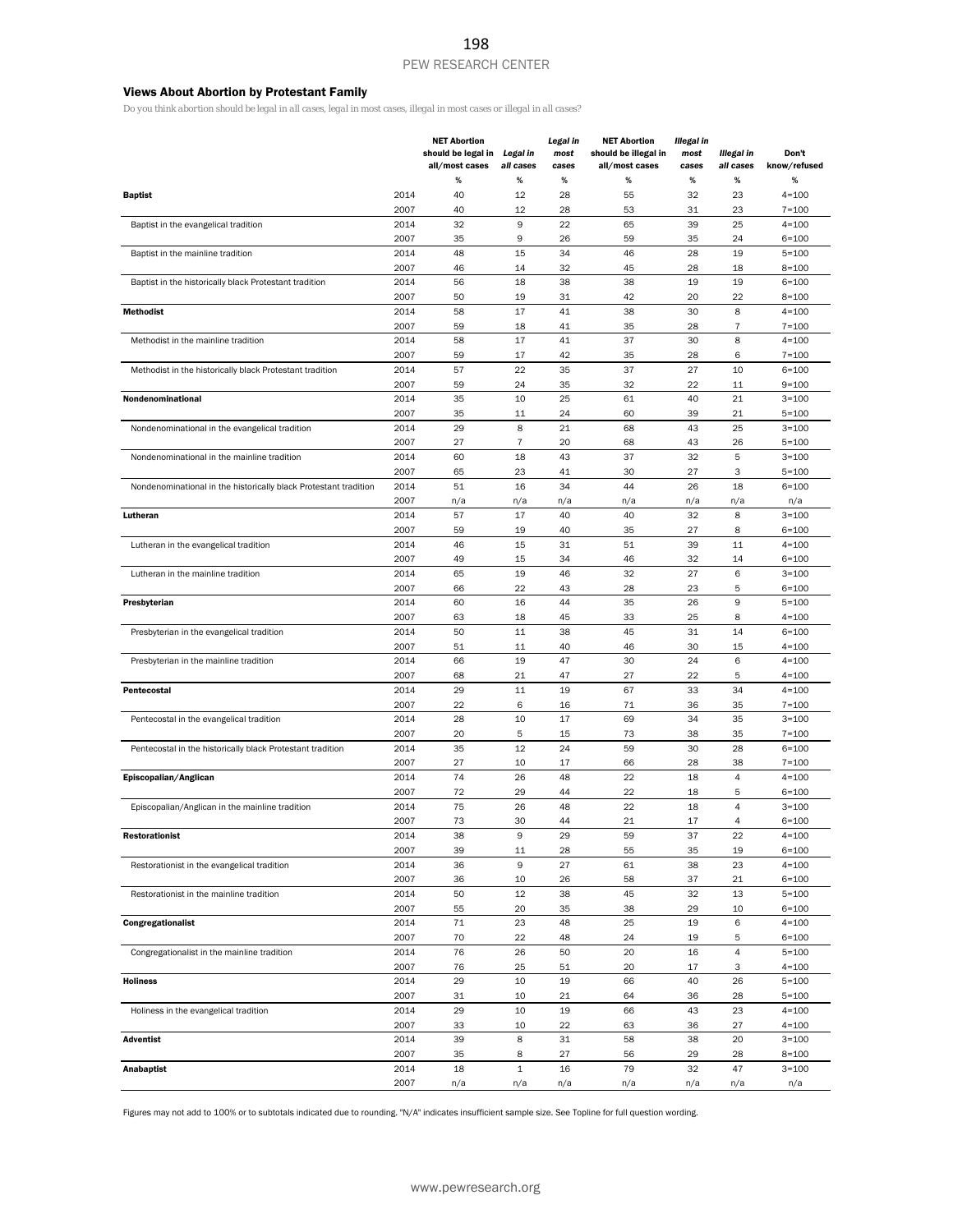#### Views About Abortion by Protestant Family

*Do you think abortion should be legal in all cases, legal in most cases, illegal in most cases or illegal in all cases?*

|                                                                  |              | <b>NET Abortion</b><br>should be legal in Legal in<br>all/most cases | all cases   | Legal in<br>most<br>cases | <b>NET Abortion</b><br>should be illegal in<br>all/most cases | <b>Illegal</b> in<br>most<br>cases | Illegal in<br>all cases | Don't<br>know/refused  |
|------------------------------------------------------------------|--------------|----------------------------------------------------------------------|-------------|---------------------------|---------------------------------------------------------------|------------------------------------|-------------------------|------------------------|
|                                                                  |              | $\%$                                                                 | %           | $\%$                      | %                                                             | $\%$                               | $\%$                    | $\%$                   |
| <b>Baptist</b>                                                   | 2014         | 40                                                                   | 12          | 28                        | 55                                                            | 32                                 | 23                      | $4 = 100$              |
|                                                                  | 2007         | 40                                                                   | 12          | 28                        | 53                                                            | 31                                 | 23                      | $7 = 100$              |
| Baptist in the evangelical tradition                             | 2014         | 32                                                                   | 9           | 22                        | 65                                                            | 39                                 | 25                      | $4 = 100$              |
|                                                                  | 2007         | 35                                                                   | 9           | 26                        | 59                                                            | 35                                 | 24                      | $6 = 100$              |
| Baptist in the mainline tradition                                | 2014         | 48                                                                   | 15          | 34                        | 46                                                            | 28                                 | 19                      | $5 = 100$              |
|                                                                  | 2007         | 46                                                                   | 14          | 32                        | 45                                                            | 28                                 | 18                      | $8 = 100$              |
| Baptist in the historically black Protestant tradition           | 2014         | 56                                                                   | 18          | 38                        | 38                                                            | 19                                 | 19                      | $6 = 100$              |
|                                                                  | 2007         | 50                                                                   | 19          | 31                        | 42                                                            | 20                                 | 22                      | $8 = 100$              |
| <b>Methodist</b>                                                 | 2014         | 58                                                                   | 17          | 41                        | 38                                                            | 30                                 | 8                       | $4 = 100$              |
|                                                                  | 2007         | 59                                                                   | 18          | 41                        | 35                                                            | 28                                 | $\overline{7}$          | $7 = 100$              |
| Methodist in the mainline tradition                              | 2014         | 58                                                                   | 17          | 41                        | 37                                                            | 30                                 | 8                       | $4 = 100$              |
|                                                                  | 2007         | 59                                                                   | 17          | 42                        | 35                                                            | 28                                 | 6                       | $7 = 100$              |
| Methodist in the historically black Protestant tradition         | 2014         | 57                                                                   | 22          | 35                        | 37                                                            | 27                                 | 10                      | $6 = 100$              |
|                                                                  | 2007         | 59                                                                   | 24          | 35                        | 32                                                            | 22                                 | 11                      | $9 = 100$              |
| Nondenominational                                                | 2014         | 35                                                                   | 10          | 25                        | 61                                                            | 40                                 | 21                      | $3 = 100$              |
|                                                                  | 2007         | 35                                                                   | 11          | 24                        | 60                                                            | 39                                 | 21                      | $5 = 100$              |
| Nondenominational in the evangelical tradition                   | 2014         | 29                                                                   | 8<br>7      | 21                        | 68                                                            | 43                                 | 25                      | $3 = 100$              |
| Nondenominational in the mainline tradition                      | 2007<br>2014 | 27<br>60                                                             | 18          | 20<br>43                  | 68<br>37                                                      | 43<br>32                           | 26<br>5                 | $5 = 100$<br>$3 = 100$ |
|                                                                  | 2007         | 65                                                                   | 23          | 41                        | 30                                                            | 27                                 | 3                       | $5 = 100$              |
| Nondenominational in the historically black Protestant tradition | 2014         | 51                                                                   | 16          | 34                        | 44                                                            | 26                                 | 18                      | $6 = 100$              |
|                                                                  | 2007         | n/a                                                                  | n/a         | n/a                       | n/a                                                           | n/a                                | n/a                     | n/a                    |
| Lutheran                                                         | 2014         | 57                                                                   | 17          | 40                        | 40                                                            | 32                                 | 8                       | $3 = 100$              |
|                                                                  | 2007         | 59                                                                   | 19          | 40                        | 35                                                            | 27                                 | 8                       | $6 = 100$              |
| Lutheran in the evangelical tradition                            | 2014         | 46                                                                   | 15          | 31                        | 51                                                            | 39                                 | 11                      | $4 = 100$              |
|                                                                  | 2007         | 49                                                                   | 15          | 34                        | 46                                                            | 32                                 | 14                      | $6 = 100$              |
| Lutheran in the mainline tradition                               | 2014         | 65                                                                   | 19          | 46                        | 32                                                            | 27                                 | 6                       | $3 = 100$              |
|                                                                  | 2007         | 66                                                                   | 22          | 43                        | 28                                                            | 23                                 | 5                       | $6 = 100$              |
| Presbyterian                                                     | 2014         | 60                                                                   | 16          | 44                        | 35                                                            | 26                                 | 9                       | $5 = 100$              |
|                                                                  | 2007         | 63                                                                   | 18          | 45                        | 33                                                            | 25                                 | 8                       | $4 = 100$              |
| Presbyterian in the evangelical tradition                        | 2014         | 50                                                                   | 11          | 38                        | 45                                                            | 31                                 | 14                      | $6 = 100$              |
|                                                                  | 2007         | 51                                                                   | 11          | 40                        | 46                                                            | 30                                 | 15                      | $4 = 100$              |
| Presbyterian in the mainline tradition                           | 2014         | 66                                                                   | 19          | 47                        | 30                                                            | 24                                 | 6                       | $4 = 100$              |
|                                                                  | 2007         | 68                                                                   | 21          | 47                        | 27                                                            | 22                                 | 5                       | $4 = 100$              |
| Pentecostal                                                      | 2014         | 29                                                                   | 11          | 19                        | 67                                                            | 33                                 | 34                      | $4 = 100$              |
|                                                                  | 2007         | 22                                                                   | 6           | 16                        | 71                                                            | 36                                 | 35                      | $7 = 100$              |
| Pentecostal in the evangelical tradition                         | 2014         | 28                                                                   | 10          | 17                        | 69                                                            | 34                                 | 35                      | $3 = 100$              |
|                                                                  | 2007         | 20                                                                   | 5           | 15                        | 73                                                            | 38                                 | 35                      | $7 = 100$              |
| Pentecostal in the historically black Protestant tradition       | 2014         | 35                                                                   | 12          | 24                        | 59                                                            | 30                                 | 28                      | $6 = 100$              |
|                                                                  | 2007         | 27                                                                   | 10          | 17                        | 66                                                            | 28                                 | 38                      | $7 = 100$              |
| Episcopalian/Anglican                                            | 2014         | 74                                                                   | 26          | 48                        | 22                                                            | 18                                 | 4                       | $4 = 100$              |
|                                                                  | 2007         | 72                                                                   | 29          | 44                        | 22                                                            | 18                                 | 5                       | $6 = 100$              |
| Episcopalian/Anglican in the mainline tradition                  | 2014         | 75                                                                   | 26          | 48                        | 22                                                            | 18                                 | 4                       | $3 = 100$              |
|                                                                  | 2007         | 73                                                                   | 30          | 44                        | 21                                                            | 17                                 | 4                       | $6 = 100$              |
| Restorationist                                                   | 2014         | 38                                                                   | 9           | 29                        | 59                                                            | 37                                 | 22                      | $4 = 100$              |
|                                                                  | 2007         | 39                                                                   | 11          | 28                        | 55                                                            | 35                                 | 19                      | $6 = 100$              |
| Restorationist in the evangelical tradition                      | 2014         | 36                                                                   | 9           | 27                        | 61                                                            | 38                                 | 23                      | $4 = 100$              |
|                                                                  | 2007         | 36<br>50                                                             | 10          | 26                        | 58<br>45                                                      | 37                                 | 21                      | $6 = 100$              |
| Restorationist in the mainline tradition                         | 2014         |                                                                      | 12          | 38                        |                                                               | 32                                 | 13                      | $5 = 100$              |
| Congregationalist                                                | 2007<br>2014 | 55<br>71                                                             | 20<br>23    | 35<br>48                  | 38<br>25                                                      | 29<br>19                           | 10<br>6                 | $6 = 100$<br>$4 = 100$ |
|                                                                  | 2007         | 70                                                                   | 22          | 48                        |                                                               | 19                                 | 5                       | $6 = 100$              |
| Congregationalist in the mainline tradition                      | 2014         | 76                                                                   | 26          | 50                        | 24<br>20                                                      | 16                                 | 4                       | $5 = 100$              |
|                                                                  | 2007         | 76                                                                   | 25          | 51                        | 20                                                            | 17                                 | 3                       | $4 = 100$              |
| <b>Holiness</b>                                                  | 2014         | 29                                                                   | 10          | 19                        | 66                                                            | 40                                 | 26                      | $5 = 100$              |
|                                                                  | 2007         | 31                                                                   | 10          | 21                        | 64                                                            | 36                                 | 28                      | $5 = 100$              |
| Holiness in the evangelical tradition                            | 2014         | 29                                                                   | 10          | 19                        | 66                                                            | 43                                 | 23                      | $4 = 100$              |
|                                                                  | 2007         | 33                                                                   | 10          | 22                        | 63                                                            | 36                                 | 27                      | $4 = 100$              |
| <b>Adventist</b>                                                 | 2014         | 39                                                                   | 8           | 31                        | 58                                                            | 38                                 | 20                      | $3 = 100$              |
|                                                                  | 2007         | 35                                                                   | 8           | 27                        | 56                                                            | 29                                 | 28                      | $8 = 100$              |
| Anabaptist                                                       | 2014         | 18                                                                   | $\mathbf 1$ | 16                        | 79                                                            | 32                                 | 47                      | $3 = 100$              |
|                                                                  | 2007         | n/a                                                                  | n/a         | n/a                       | n/a                                                           | n/a                                | n/a                     | n/a                    |

Figures may not add to 100% or to subtotals indicated due to rounding. "N/A" indicates insufficient sample size. See Topline for full question wording.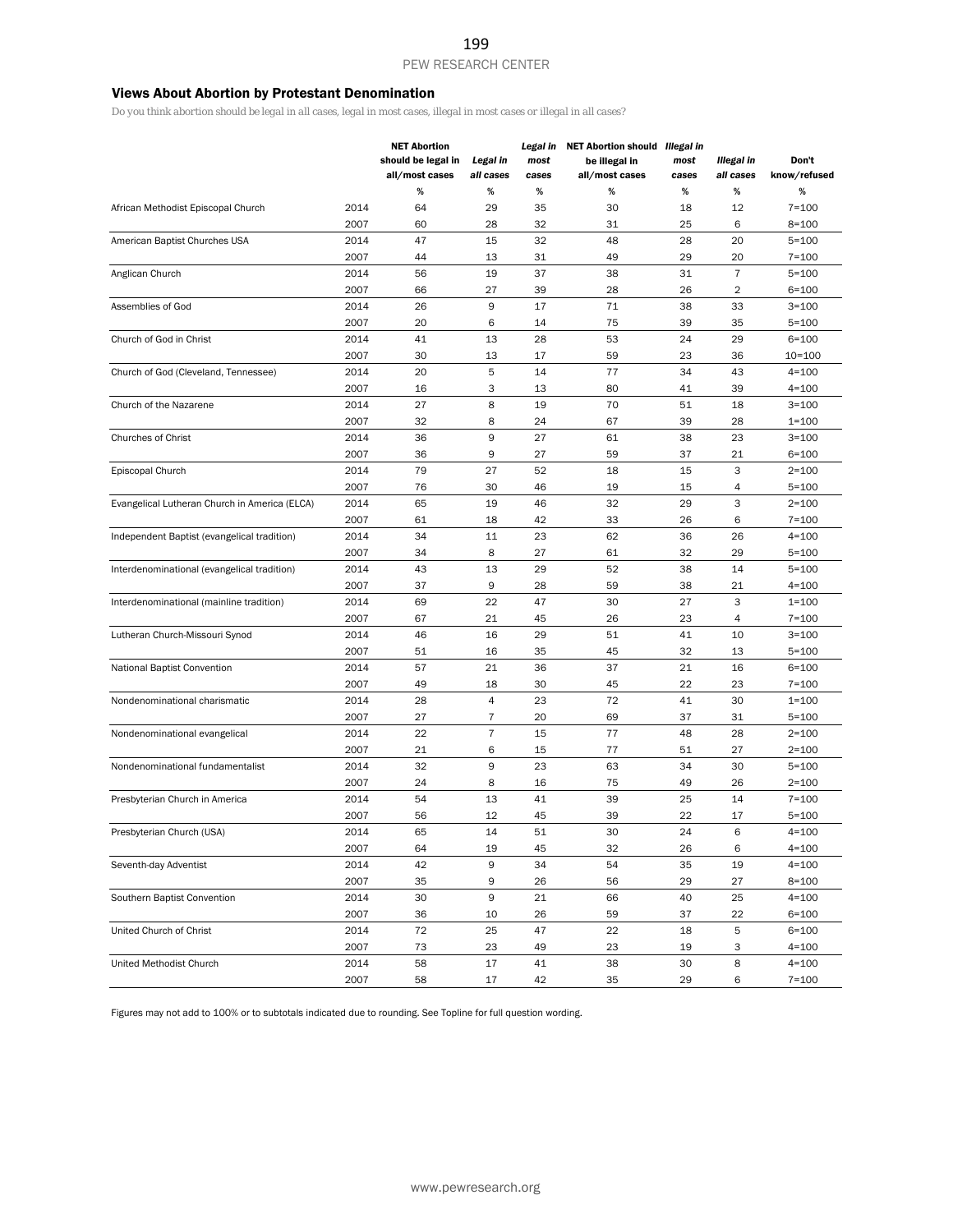## Views About Abortion by Protestant Denomination

*Do you think abortion should be legal in all cases, legal in most cases, illegal in most cases or illegal in all cases?*

|                                               |      | <b>NET Abortion</b><br>should be legal in<br>all/most cases | Legal in<br>all cases | Legal in<br>most<br>cases | <b>NET Abortion should Illegal in</b><br>be illegal in<br>all/most cases | most<br>cases | <b>Illegal in</b><br>all cases | Don't<br>know/refused |
|-----------------------------------------------|------|-------------------------------------------------------------|-----------------------|---------------------------|--------------------------------------------------------------------------|---------------|--------------------------------|-----------------------|
|                                               |      | %                                                           | %                     | %                         | $\%$                                                                     | %             | $\%$                           | %                     |
| African Methodist Episcopal Church            | 2014 | 64                                                          | 29                    | 35                        | 30                                                                       | 18            | 12                             | $7 = 100$             |
|                                               | 2007 | 60                                                          | 28                    | 32                        | 31                                                                       | 25            | 6                              | $8 = 100$             |
| American Baptist Churches USA                 | 2014 | 47                                                          | 15                    | 32                        | 48                                                                       | 28            | 20                             | $5 = 100$             |
|                                               | 2007 | 44                                                          | 13                    | 31                        | 49                                                                       | 29            | 20                             | $7 = 100$             |
| Anglican Church                               | 2014 | 56                                                          | 19                    | 37                        | 38                                                                       | 31            | $\overline{7}$                 | $5 = 100$             |
|                                               | 2007 | 66                                                          | 27                    | 39                        | 28                                                                       | 26            | 2                              | $6 = 100$             |
| Assemblies of God                             | 2014 | 26                                                          | 9                     | 17                        | 71                                                                       | 38            | 33                             | $3 = 100$             |
|                                               | 2007 | 20                                                          | 6                     | 14                        | 75                                                                       | 39            | 35                             | $5 = 100$             |
| Church of God in Christ                       | 2014 | 41                                                          | 13                    | 28                        | 53                                                                       | 24            | 29                             | $6 = 100$             |
|                                               | 2007 | 30                                                          | 13                    | 17                        | 59                                                                       | 23            | 36                             | $10 = 100$            |
| Church of God (Cleveland, Tennessee)          | 2014 | 20                                                          | 5                     | 14                        | 77                                                                       | 34            | 43                             | $4 = 100$             |
|                                               | 2007 | 16                                                          | 3                     | 13                        | 80                                                                       | 41            | 39                             | $4 = 100$             |
| Church of the Nazarene                        | 2014 | 27                                                          | 8                     | 19                        | 70                                                                       | 51            | 18                             | $3 = 100$             |
|                                               | 2007 | 32                                                          | 8                     | 24                        | 67                                                                       | 39            | 28                             | $1 = 100$             |
| Churches of Christ                            | 2014 | 36                                                          | 9                     | 27                        | 61                                                                       | 38            | 23                             | $3 = 100$             |
|                                               | 2007 | 36                                                          | 9                     | 27                        | 59                                                                       | 37            | 21                             | $6 = 100$             |
| Episcopal Church                              | 2014 | 79                                                          | 27                    | 52                        | 18                                                                       | 15            | 3                              | $2 = 100$             |
|                                               | 2007 | 76                                                          | 30                    | 46                        | 19                                                                       | 15            | 4                              | $5 = 100$             |
| Evangelical Lutheran Church in America (ELCA) | 2014 | 65                                                          | 19                    | 46                        | 32                                                                       | 29            | 3                              | $2 = 100$             |
|                                               | 2007 | 61                                                          | 18                    | 42                        | 33                                                                       | 26            | 6                              | $7 = 100$             |
| Independent Baptist (evangelical tradition)   | 2014 | 34                                                          | 11                    | 23                        | 62                                                                       | 36            | 26                             | 4=100                 |
|                                               | 2007 | 34                                                          | 8                     | 27                        | 61                                                                       | 32            | 29                             | $5 = 100$             |
| Interdenominational (evangelical tradition)   | 2014 | 43                                                          | 13                    | 29                        | 52                                                                       | 38            | 14                             | $5 = 100$             |
|                                               | 2007 | 37                                                          | 9                     | 28                        | 59                                                                       | 38            | 21                             | 4=100                 |
| Interdenominational (mainline tradition)      | 2014 | 69                                                          | 22                    | 47                        | 30                                                                       | 27            | 3                              | 1=100                 |
|                                               | 2007 | 67                                                          | 21                    | 45                        | 26                                                                       | 23            | 4                              | $7 = 100$             |
| Lutheran Church-Missouri Synod                | 2014 | 46                                                          | 16                    | 29                        | 51                                                                       | 41            | 10                             | $3 = 100$             |
|                                               | 2007 | 51                                                          | 16                    | 35                        | 45                                                                       | 32            | 13                             | $5 = 100$             |
| National Baptist Convention                   | 2014 | 57                                                          | 21                    | 36                        | 37                                                                       | 21            | 16                             | $6 = 100$             |
|                                               | 2007 | 49                                                          | 18                    | 30                        | 45                                                                       | 22            | 23                             | $7 = 100$             |
| Nondenominational charismatic                 | 2014 | 28                                                          | 4                     | 23                        | 72                                                                       | 41            | 30                             | $1 = 100$             |
|                                               | 2007 | 27                                                          | 7                     | 20                        | 69                                                                       | 37            | 31                             | $5 = 100$             |
| Nondenominational evangelical                 | 2014 | 22                                                          | $\overline{7}$        | 15                        | 77                                                                       | 48            | 28                             | $2 = 100$             |
|                                               | 2007 | 21                                                          | 6                     | 15                        | 77                                                                       | 51            | 27                             | $2 = 100$             |
| Nondenominational fundamentalist              | 2014 | 32                                                          | 9                     | 23                        | 63                                                                       | 34            | 30                             | $5 = 100$             |
|                                               | 2007 | 24                                                          | 8                     | 16                        | 75                                                                       | 49            | 26                             | $2 = 100$             |
| Presbyterian Church in America                | 2014 | 54                                                          | 13                    | 41                        | 39                                                                       | 25            | 14                             | $7 = 100$             |
|                                               | 2007 | 56                                                          | 12                    | 45                        | 39                                                                       | 22            | 17                             | $5 = 100$             |
| Presbyterian Church (USA)                     | 2014 | 65                                                          | 14                    | 51                        | 30                                                                       | 24            | 6                              | $4 = 100$             |
|                                               | 2007 | 64                                                          | 19                    | 45                        | 32                                                                       | 26            | 6                              | $4 = 100$             |
| Seventh-day Adventist                         | 2014 | 42                                                          | 9                     | 34                        | 54                                                                       | 35            | 19                             | $4 = 100$             |
|                                               | 2007 | 35                                                          | 9                     | 26                        | 56                                                                       | 29            | 27                             | $8 = 100$             |
| Southern Baptist Convention                   | 2014 | 30                                                          | 9                     | 21                        | 66                                                                       | 40            | 25                             | $4 = 100$             |
|                                               | 2007 | 36                                                          | 10                    | 26                        | 59                                                                       | 37            | 22                             | $6 = 100$             |
| United Church of Christ                       | 2014 | 72                                                          | 25                    | 47                        | 22                                                                       | 18            | 5                              | 6=100                 |
|                                               | 2007 | 73                                                          | 23                    | 49                        | 23                                                                       | 19            | 3                              | $4 = 100$             |
| United Methodist Church                       | 2014 | 58                                                          | 17                    | 41                        | 38                                                                       | 30            | 8                              | $4 = 100$             |
|                                               | 2007 | 58                                                          | 17                    | 42                        | 35                                                                       | 29            | 6                              | $7 = 100$             |

Figures may not add to 100% or to subtotals indicated due to rounding. See Topline for full question wording.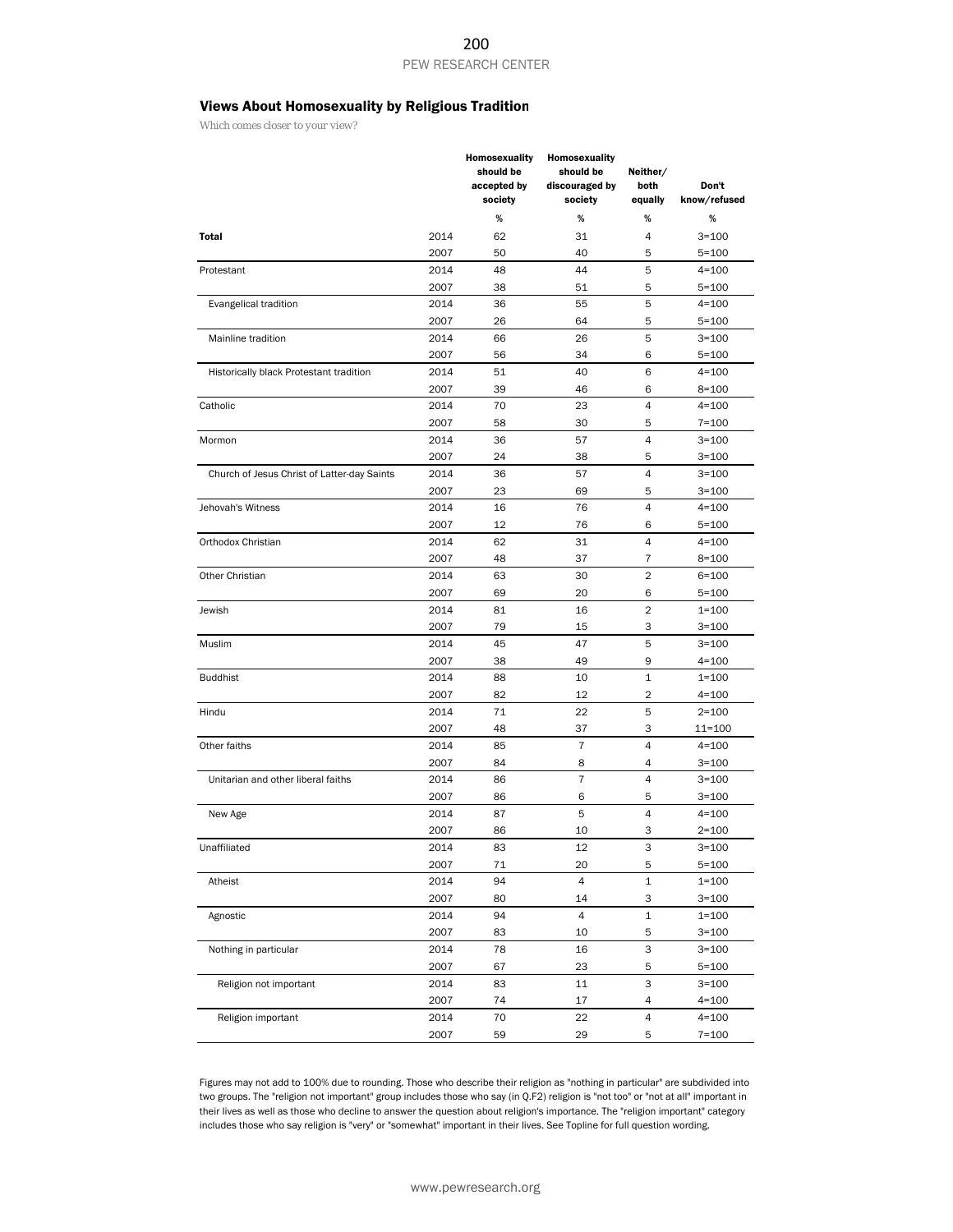## Views About Homosexuality by Religious Tradition

*Which comes closer to your view?*

|                                             |      | Homosexuality<br>should be<br>accepted by | Homosexuality<br>should be<br>discouraged by | Neither/<br>both          | Don't        |
|---------------------------------------------|------|-------------------------------------------|----------------------------------------------|---------------------------|--------------|
|                                             |      | society                                   | society                                      | equally                   | know/refused |
|                                             |      | $\%$                                      | $\%$                                         | %                         | $\%$         |
| <b>Total</b>                                | 2014 | 62                                        | 31                                           | $\overline{4}$            | $3 = 100$    |
|                                             | 2007 | 50                                        | 40                                           | 5                         | $5 = 100$    |
| Protestant                                  | 2014 | 48                                        | 44                                           | 5                         | $4 = 100$    |
|                                             | 2007 | 38                                        | 51                                           | 5                         | 5=100        |
| Evangelical tradition                       | 2014 | 36                                        | 55                                           | 5                         | $4 = 100$    |
|                                             | 2007 | 26                                        | 64                                           | 5                         | 5=100        |
| Mainline tradition                          | 2014 | 66                                        | 26                                           | 5                         | $3 = 100$    |
|                                             | 2007 | 56                                        | 34                                           | 6                         | 5=100        |
| Historically black Protestant tradition     | 2014 | 51                                        | 40                                           | 6                         | 4=100        |
|                                             | 2007 | 39                                        | 46                                           | 6                         | $8 = 100$    |
| Catholic                                    | 2014 | 70                                        | 23                                           | $\overline{4}$            | $4 = 100$    |
|                                             | 2007 | 58                                        | 30                                           | 5                         | $7 = 100$    |
| Mormon                                      | 2014 | 36                                        | 57                                           | $\overline{4}$            | $3 = 100$    |
|                                             | 2007 | 24                                        | 38                                           | 5                         | $3 = 100$    |
| Church of Jesus Christ of Latter-day Saints | 2014 | 36                                        | 57                                           | $\overline{4}$            | $3 = 100$    |
|                                             | 2007 | 23                                        | 69                                           | 5                         | $3 = 100$    |
| Jehovah's Witness                           | 2014 | 16                                        | 76                                           | $\overline{4}$            | $4 = 100$    |
|                                             | 2007 | 12                                        | 76                                           | 6                         | $5 = 100$    |
| Orthodox Christian                          | 2014 | 62                                        | 31                                           | $\overline{4}$            | $4 = 100$    |
|                                             | 2007 | 48                                        | 37                                           | 7                         | $8 = 100$    |
| Other Christian                             | 2014 | 63                                        | 30                                           | $\overline{2}$            | $6 = 100$    |
|                                             | 2007 | 69                                        | 20                                           | 6                         | 5=100        |
| Jewish                                      | 2014 | 81                                        | 16                                           | $\overline{2}$            | $1 = 100$    |
|                                             | 2007 | 79                                        | 15                                           | 3                         | $3 = 100$    |
| Muslim                                      | 2014 | 45                                        | 47                                           | 5                         | $3 = 100$    |
|                                             | 2007 | 38                                        | 49                                           | 9                         | $4 = 100$    |
| <b>Buddhist</b>                             | 2014 | 88                                        | 10                                           | $\mathbf 1$               | $1 = 100$    |
|                                             | 2007 | 82                                        | 12                                           | $\overline{c}$            | $4 = 100$    |
| Hindu                                       | 2014 | 71                                        | 22                                           | 5                         | $2 = 100$    |
|                                             | 2007 | 48                                        | 37                                           | 3                         | $11 = 100$   |
| Other faiths                                | 2014 | 85                                        | 7                                            | $\overline{4}$            | $4 = 100$    |
|                                             | 2007 | 84                                        | 8                                            | 4                         | $3 = 100$    |
| Unitarian and other liberal faiths          | 2014 | 86                                        | $\overline{7}$                               | $\overline{4}$            | $3=100$      |
|                                             | 2007 | 86                                        | 6                                            | 5                         | $3 = 100$    |
| New Age                                     | 2014 | 87                                        | 5                                            | $\overline{4}$            | $4 = 100$    |
|                                             | 2007 | 86                                        | 10                                           | 3                         | $2 = 100$    |
| Unaffiliated                                | 2014 | 83                                        | 12                                           | 3                         | $3=100$      |
|                                             | 2007 | 71                                        | 20                                           | 5                         | $5 = 100$    |
| Atheist                                     | 2014 | 94                                        | 4                                            | 1                         | $1 = 100$    |
|                                             | 2007 | 80                                        | 14                                           | 3                         | $3 = 100$    |
| Agnostic                                    | 2014 | 94                                        | $\overline{4}$                               | 1                         | $1 = 100$    |
|                                             | 2007 | 83                                        | 10                                           | 5                         | $3 = 100$    |
| Nothing in particular                       | 2014 | 78                                        | 16                                           | $\ensuremath{\mathsf{3}}$ | $3 = 100$    |
|                                             | 2007 | 67                                        | 23                                           | 5                         | 5=100        |
| Religion not important                      | 2014 | 83                                        | 11                                           | 3                         | $3 = 100$    |
|                                             | 2007 | 74                                        | 17                                           | 4                         | $4 = 100$    |
| Religion important                          | 2014 | 70                                        | 22                                           | $\overline{4}$            | $4 = 100$    |
|                                             | 2007 | 59                                        | 29                                           | 5                         | $7 = 100$    |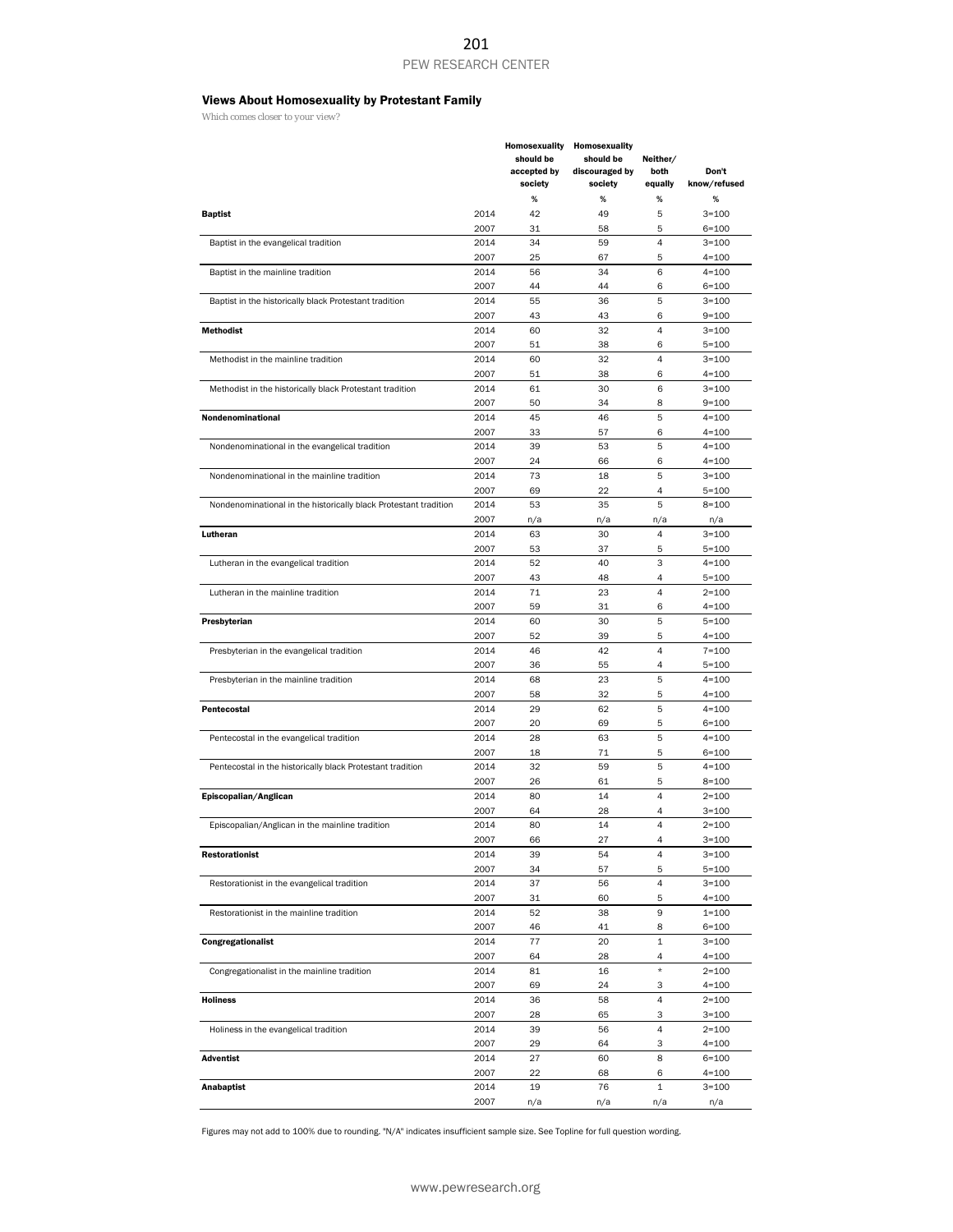## Views About Homosexuality by Protestant Family

*Which comes closer to your view?*

|                                                                  |              | Homosexuality<br>should be<br>accepted by<br>society<br>$\%$ | Homosexuality<br>should be<br>discouraged by<br>society<br>% | Neither/<br>both<br>equally<br>% | Don't<br>know/refused<br>$\%$ |
|------------------------------------------------------------------|--------------|--------------------------------------------------------------|--------------------------------------------------------------|----------------------------------|-------------------------------|
| <b>Baptist</b>                                                   | 2014         | 42                                                           | 49                                                           | 5                                | $3 = 100$                     |
|                                                                  | 2007         | 31                                                           | 58                                                           | 5                                | $6 = 100$                     |
| Baptist in the evangelical tradition                             | 2014         | 34                                                           | 59                                                           | 4                                | $3 = 100$                     |
|                                                                  | 2007         | 25                                                           | 67                                                           | 5                                | $4 = 100$                     |
| Baptist in the mainline tradition                                | 2014         | 56                                                           | 34                                                           | 6                                | $4 = 100$                     |
|                                                                  | 2007         | 44                                                           | 44                                                           | 6                                | $6 = 100$                     |
| Baptist in the historically black Protestant tradition           | 2014<br>2007 | 55<br>43                                                     | 36<br>43                                                     | 5<br>6                           | $3 = 100$<br>$9 = 100$        |
| <b>Methodist</b>                                                 | 2014         | 60                                                           | 32                                                           | $\overline{4}$                   | $3 = 100$                     |
|                                                                  | 2007         | 51                                                           | 38                                                           | 6                                | $5 = 100$                     |
| Methodist in the mainline tradition                              | 2014         | 60                                                           | 32                                                           | $\overline{4}$                   | $3 = 100$                     |
|                                                                  | 2007         | 51                                                           | 38                                                           | 6                                | $4 = 100$                     |
| Methodist in the historically black Protestant tradition         | 2014         | 61                                                           | 30                                                           | 6                                | $3 = 100$                     |
|                                                                  | 2007         | 50                                                           | 34                                                           | 8                                | $9 = 100$                     |
| Nondenominational                                                | 2014         | 45                                                           | 46                                                           | 5                                | $4 = 100$                     |
|                                                                  | 2007         | 33                                                           | 57                                                           | 6                                | $4 = 100$                     |
| Nondenominational in the evangelical tradition                   | 2014         | 39                                                           | 53                                                           | 5                                | $4 = 100$                     |
|                                                                  | 2007         | 24                                                           | 66                                                           | 6                                | $4 = 100$                     |
| Nondenominational in the mainline tradition                      | 2014         | 73                                                           | 18                                                           | 5                                | $3 = 100$                     |
| Nondenominational in the historically black Protestant tradition | 2007<br>2014 | 69<br>53                                                     | 22<br>35                                                     | 4<br>5                           | $5 = 100$<br>$8 = 100$        |
|                                                                  | 2007         | n/a                                                          | n/a                                                          | n/a                              | n/a                           |
| Lutheran                                                         | 2014         | 63                                                           | 30                                                           | $\overline{4}$                   | $3 = 100$                     |
|                                                                  | 2007         | 53                                                           | 37                                                           | 5                                | $5 = 100$                     |
| Lutheran in the evangelical tradition                            | 2014         | 52                                                           | 40                                                           | 3                                | $4 = 100$                     |
|                                                                  | 2007         | 43                                                           | 48                                                           | $\overline{4}$                   | $5 = 100$                     |
| Lutheran in the mainline tradition                               | 2014         | 71                                                           | 23                                                           | 4                                | $2 = 100$                     |
|                                                                  | 2007         | 59                                                           | 31                                                           | 6                                | $4 = 100$                     |
| Presbyterian                                                     | 2014         | 60                                                           | 30                                                           | 5                                | $5 = 100$                     |
|                                                                  | 2007         | 52                                                           | 39                                                           | 5                                | $4 = 100$                     |
| Presbyterian in the evangelical tradition                        | 2014         | 46                                                           | 42                                                           | $\overline{4}$                   | $7 = 100$                     |
|                                                                  | 2007         | 36                                                           | 55                                                           | 4                                | $5 = 100$                     |
| Presbyterian in the mainline tradition                           | 2014         | 68                                                           | 23                                                           | 5                                | $4 = 100$                     |
| Pentecostal                                                      | 2007<br>2014 | 58<br>29                                                     | 32<br>62                                                     | 5<br>5                           | $4 = 100$<br>$4 = 100$        |
|                                                                  | 2007         | 20                                                           | 69                                                           | 5                                | $6 = 100$                     |
| Pentecostal in the evangelical tradition                         | 2014         | 28                                                           | 63                                                           | 5                                | $4 = 100$                     |
|                                                                  | 2007         | 18                                                           | 71                                                           | 5                                | $6 = 100$                     |
| Pentecostal in the historically black Protestant tradition       | 2014         | 32                                                           | 59                                                           | 5                                | $4 = 100$                     |
|                                                                  | 2007         | 26                                                           | 61                                                           | 5                                | $8 = 100$                     |
| Episcopalian/Anglican                                            | 2014         | 80                                                           | 14                                                           | 4                                | $2 = 100$                     |
|                                                                  | 2007         | 64                                                           | 28                                                           | 4                                | $3 = 100$                     |
| Episcopalian/Anglican in the mainline tradition                  | 2014         | 80                                                           | 14                                                           | $\overline{4}$                   | $2 = 100$                     |
|                                                                  | 2007         | 66                                                           | 27                                                           | Δ                                | $3 = 100$                     |
| <b>Restorationist</b>                                            | 2014         | 39                                                           | 54                                                           | 4                                | $3 = 100$                     |
| Restorationist in the evangelical tradition                      | 2007<br>2014 | 34<br>37                                                     | 57<br>56                                                     | 5<br>4                           | $5 = 100$                     |
|                                                                  | 2007         | 31                                                           | 60                                                           | 5                                | $3 = 100$<br>$4 = 100$        |
| Restorationist in the mainline tradition                         | 2014         | 52                                                           | 38                                                           | 9                                | $1 = 100$                     |
|                                                                  | 2007         | 46                                                           | 41                                                           | 8                                | $6 = 100$                     |
| Congregationalist                                                | 2014         | 77                                                           | 20                                                           | $\mathbf 1$                      | $3 = 100$                     |
|                                                                  | 2007         | 64                                                           | 28                                                           | 4                                | $4 = 100$                     |
| Congregationalist in the mainline tradition                      | 2014         | 81                                                           | 16                                                           | $\star$                          | $2 = 100$                     |
|                                                                  | 2007         | 69                                                           | 24                                                           | 3                                | $4 = 100$                     |
| <b>Holiness</b>                                                  | 2014         | 36                                                           | 58                                                           | 4                                | $2 = 100$                     |
|                                                                  | 2007         | 28                                                           | 65                                                           | 3                                | $3 = 100$                     |
| Holiness in the evangelical tradition                            | 2014         | 39                                                           | 56                                                           | $\overline{4}$                   | $2 = 100$                     |
|                                                                  | 2007         | 29                                                           | 64                                                           | 3                                | $4 = 100$                     |
| <b>Adventist</b>                                                 | 2014         | 27                                                           | 60                                                           | 8                                | $6 = 100$                     |
| Anabaptist                                                       | 2007         | 22<br>19                                                     | 68<br>76                                                     | 6<br>1                           | $4 = 100$                     |
|                                                                  | 2014<br>2007 | n/a                                                          | n/a                                                          | n/a                              | $3 = 100$<br>n/a              |
|                                                                  |              |                                                              |                                                              |                                  |                               |

Figures may not add to 100% due to rounding. "N/A" indicates insufficient sample size. See Topline for full question wording.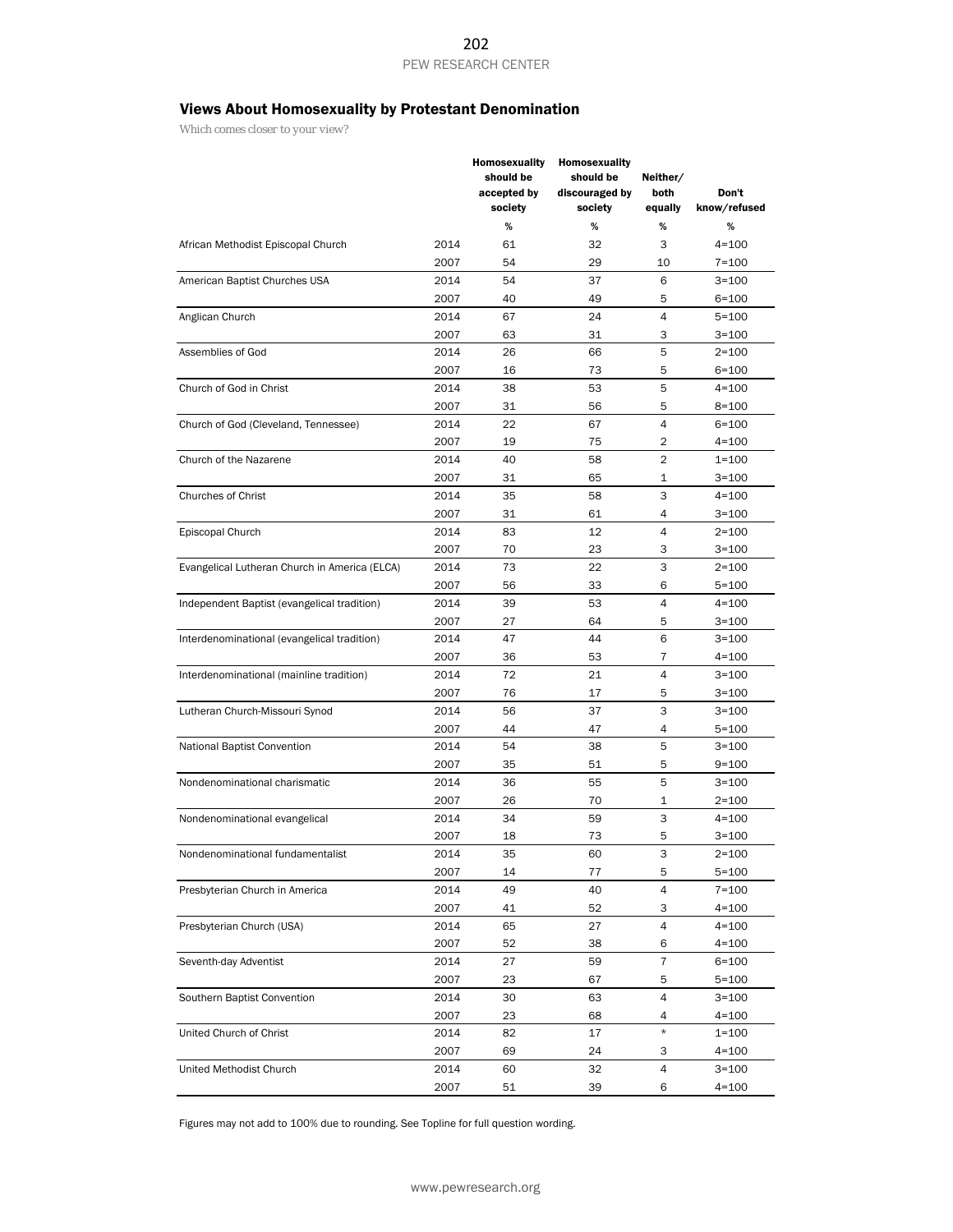# Views About Homosexuality by Protestant Denomination

*Which comes closer to your view?*

|                                               |      | Homosexuality | Homosexuality  |                |              |
|-----------------------------------------------|------|---------------|----------------|----------------|--------------|
|                                               |      | should be     | should be      | Neither/       |              |
|                                               |      | accepted by   | discouraged by | both           | Don't        |
|                                               |      | society       | society        | equally        | know/refused |
|                                               |      | %             | %              | %              | %            |
| African Methodist Episcopal Church            | 2014 | 61            | 32             | 3              | $4 = 100$    |
|                                               | 2007 | 54            | 29             | 10             | $7 = 100$    |
| American Baptist Churches USA                 | 2014 | 54            | 37             | 6              | $3 = 100$    |
|                                               | 2007 | 40            | 49             | 5              | $6 = 100$    |
| Anglican Church                               | 2014 | 67            | 24             | $\overline{4}$ | $5 = 100$    |
|                                               | 2007 | 63            | 31             | 3              | $3 = 100$    |
| Assemblies of God                             | 2014 | 26            | 66             | 5              | $2 = 100$    |
|                                               | 2007 | 16            | 73             | 5              | $6 = 100$    |
| Church of God in Christ                       | 2014 | 38            | 53             | 5              | $4 = 100$    |
|                                               | 2007 | 31            | 56             | 5              | $8 = 100$    |
| Church of God (Cleveland, Tennessee)          | 2014 | 22            | 67             | 4              | $6 = 100$    |
|                                               | 2007 | 19            | 75             | 2              | $4 = 100$    |
| Church of the Nazarene                        | 2014 | 40            | 58             | $\overline{2}$ | $1 = 100$    |
|                                               | 2007 | 31            | 65             | 1              | $3 = 100$    |
| <b>Churches of Christ</b>                     | 2014 | 35            | 58             | 3              | $4 = 100$    |
|                                               | 2007 | 31            | 61             | 4              | $3 = 100$    |
| Episcopal Church                              | 2014 | 83            | 12             | $\overline{4}$ | $2 = 100$    |
|                                               |      |               |                |                |              |
|                                               | 2007 | 70            | 23             | 3              | $3=100$      |
| Evangelical Lutheran Church in America (ELCA) | 2014 | 73            | 22             | 3              | $2 = 100$    |
|                                               | 2007 | 56            | 33             | 6              | $5 = 100$    |
| Independent Baptist (evangelical tradition)   | 2014 | 39            | 53             | 4              | $4 = 100$    |
|                                               | 2007 | 27            | 64             | 5              | $3 = 100$    |
| Interdenominational (evangelical tradition)   | 2014 | 47            | 44             | 6              | $3 = 100$    |
|                                               | 2007 | 36            | 53             | 7              | $4 = 100$    |
| Interdenominational (mainline tradition)      | 2014 | 72            | 21             | $\overline{4}$ | $3 = 100$    |
|                                               | 2007 | 76            | 17             | 5              | $3 = 100$    |
| Lutheran Church-Missouri Synod                | 2014 | 56            | 37             | 3              | $3 = 100$    |
|                                               | 2007 | 44            | 47             | 4              | $5 = 100$    |
| National Baptist Convention                   | 2014 | 54            | 38             | 5              | $3 = 100$    |
|                                               | 2007 | 35            | 51             | 5              | $9 = 100$    |
| Nondenominational charismatic                 | 2014 | 36            | 55             | 5              | $3 = 100$    |
|                                               | 2007 | 26            | 70             | 1              | $2 = 100$    |
| Nondenominational evangelical                 | 2014 | 34            | 59             | 3              | $4 = 100$    |
|                                               | 2007 | 18            | 73             | 5              | $3 = 100$    |
| Nondenominational fundamentalist              | 2014 | 35            | 60             | 3              | $2 = 100$    |
|                                               | 2007 | 14            | 77             | 5              | $5 = 100$    |
| Presbyterian Church in America                | 2014 | 49            | 40             | 4              | $7 = 100$    |
|                                               | 2007 | 41            | 52             | З              | $4 = 100$    |
| Presbyterian Church (USA)                     | 2014 | 65            | 27             | 4              | $4 = 100$    |
|                                               | 2007 | 52            | 38             | 6              | $4 = 100$    |
| Seventh-day Adventist                         | 2014 | 27            | 59             | $\overline{7}$ | $6 = 100$    |
|                                               | 2007 | 23            | 67             | 5              | $5 = 100$    |
| Southern Baptist Convention                   | 2014 | 30            | 63             | 4              | 3=100        |
|                                               | 2007 | 23            | 68             | 4              | $4 = 100$    |
| United Church of Christ                       | 2014 | 82            | 17             | $\star$        | $1 = 100$    |
|                                               | 2007 | 69            | 24             | З              | $4 = 100$    |
| United Methodist Church                       | 2014 | 60            | 32             | 4              | $3 = 100$    |
|                                               | 2007 | 51            | 39             | 6              | $4 = 100$    |
|                                               |      |               |                |                |              |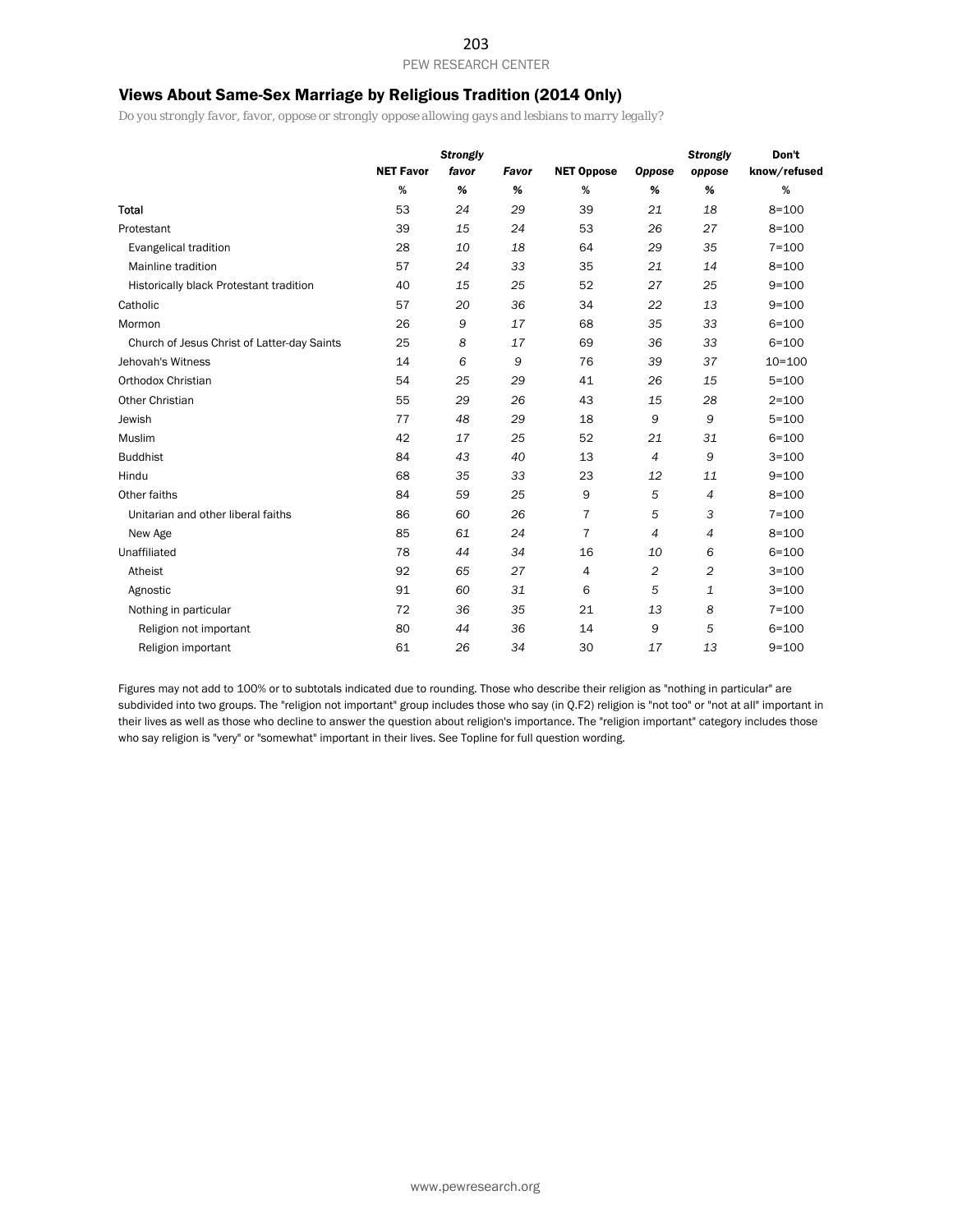# Views About Same-Sex Marriage by Religious Tradition (2014 Only)

*Do you strongly favor, favor, oppose or strongly oppose allowing gays and lesbians to marry legally?*

|                                             |                  | <b>Strongly</b> |       |                   |                | <b>Strongly</b> | Don't        |
|---------------------------------------------|------------------|-----------------|-------|-------------------|----------------|-----------------|--------------|
|                                             | <b>NET Favor</b> | favor           | Favor | <b>NET Oppose</b> | <b>Oppose</b>  | oppose          | know/refused |
|                                             | %                | %               | %     | %                 | %              | %               | %            |
| Total                                       | 53               | 24              | 29    | 39                | 21             | 18              | $8 = 100$    |
| Protestant                                  | 39               | 15              | 24    | 53                | 26             | 27              | $8 = 100$    |
| Evangelical tradition                       | 28               | 10              | 18    | 64                | 29             | 35              | $7 = 100$    |
| Mainline tradition                          | 57               | 24              | 33    | 35                | 21             | 14              | $8 = 100$    |
| Historically black Protestant tradition     | 40               | 15              | 25    | 52                | 27             | 25              | $9 = 100$    |
| Catholic                                    | 57               | 20              | 36    | 34                | 22             | 13              | $9 = 100$    |
| Mormon                                      | 26               | 9               | 17    | 68                | 35             | 33              | $6 = 100$    |
| Church of Jesus Christ of Latter-day Saints | 25               | 8               | 17    | 69                | 36             | 33              | $6 = 100$    |
| Jehovah's Witness                           | 14               | 6               | 9     | 76                | 39             | 37              | $10 = 100$   |
| Orthodox Christian                          | 54               | 25              | 29    | 41                | 26             | 15              | $5 = 100$    |
| Other Christian                             | 55               | 29              | 26    | 43                | 15             | 28              | $2 = 100$    |
| Jewish                                      | 77               | 48              | 29    | 18                | 9              | 9               | $5 = 100$    |
| Muslim                                      | 42               | 17              | 25    | 52                | 21             | 31              | $6 = 100$    |
| <b>Buddhist</b>                             | 84               | 43              | 40    | 13                | $\overline{4}$ | 9               | $3 = 100$    |
| Hindu                                       | 68               | 35              | 33    | 23                | 12             | 11              | $9 = 100$    |
| Other faiths                                | 84               | 59              | 25    | 9                 | 5              | 4               | $8 = 100$    |
| Unitarian and other liberal faiths          | 86               | 60              | 26    | $\overline{7}$    | 5              | 3               | $7 = 100$    |
| New Age                                     | 85               | 61              | 24    | $\overline{7}$    | 4              | 4               | $8 = 100$    |
| Unaffiliated                                | 78               | 44              | 34    | 16                | 10             | 6               | $6 = 100$    |
| Atheist                                     | 92               | 65              | 27    | 4                 | $\overline{2}$ | $\overline{c}$  | $3 = 100$    |
| Agnostic                                    | 91               | 60              | 31    | 6                 | 5              | 1               | $3 = 100$    |
| Nothing in particular                       | 72               | 36              | 35    | 21                | 13             | 8               | $7 = 100$    |
| Religion not important                      | 80               | 44              | 36    | 14                | 9              | 5               | $6 = 100$    |
| Religion important                          | 61               | 26              | 34    | 30                | 17             | 13              | $9 = 100$    |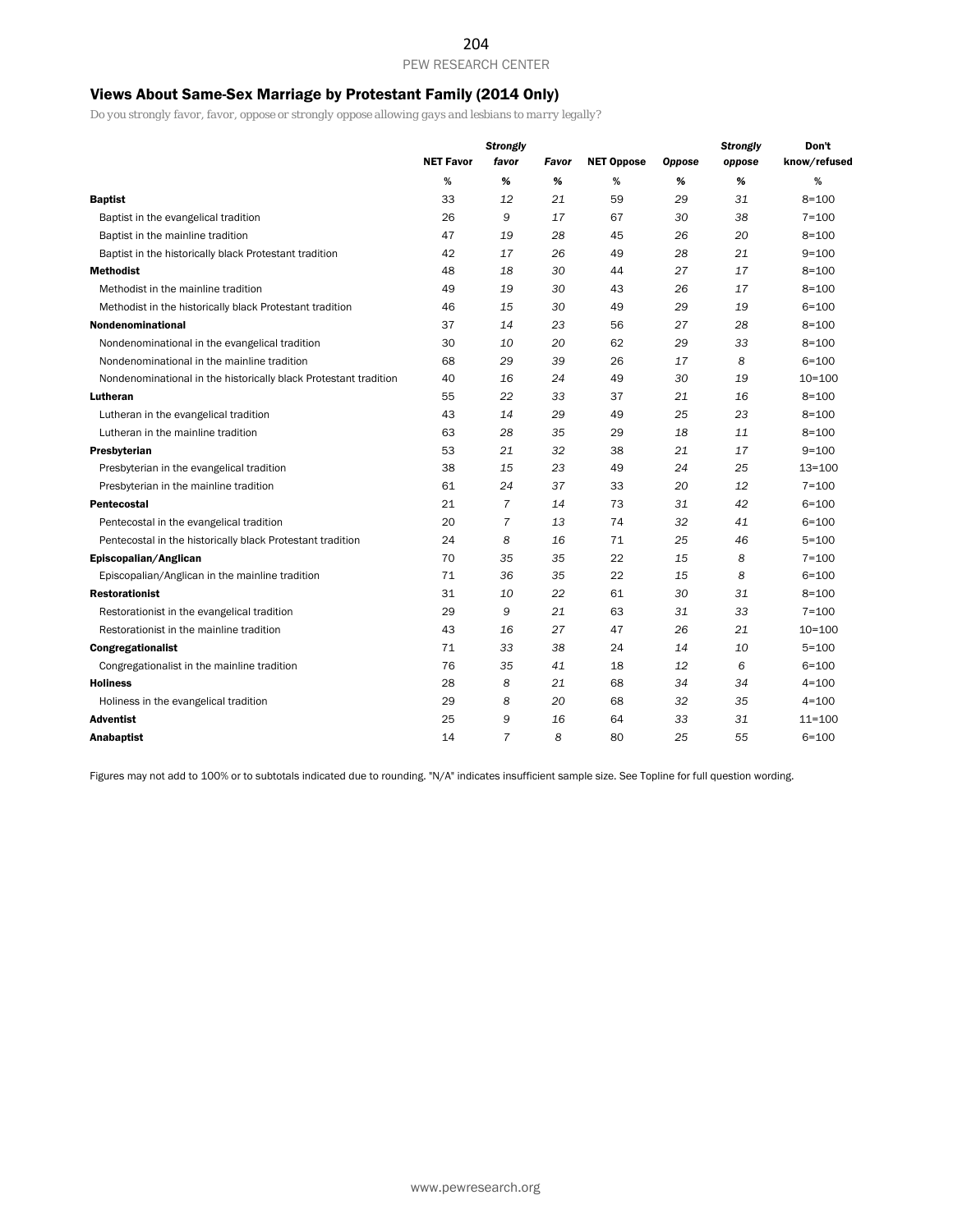# Views About Same-Sex Marriage by Protestant Family (2014 Only)

*Do you strongly favor, favor, oppose or strongly oppose allowing gays and lesbians to marry legally?*

|                                                                  |                  | <b>Strongly</b> |       |                   |               | <b>Strongly</b> | Don't        |
|------------------------------------------------------------------|------------------|-----------------|-------|-------------------|---------------|-----------------|--------------|
|                                                                  | <b>NET Favor</b> | favor           | Favor | <b>NET Oppose</b> | <b>Oppose</b> | oppose          | know/refused |
|                                                                  | %                | %               | %     | %                 | %             | %               | %            |
| <b>Baptist</b>                                                   | 33               | 12              | 21    | 59                | 29            | 31              | $8 = 100$    |
| Baptist in the evangelical tradition                             | 26               | 9               | 17    | 67                | 30            | 38              | $7 = 100$    |
| Baptist in the mainline tradition                                | 47               | 19              | 28    | 45                | 26            | 20              | $8 = 100$    |
| Baptist in the historically black Protestant tradition           | 42               | 17              | 26    | 49                | 28            | 21              | $9 = 100$    |
| <b>Methodist</b>                                                 | 48               | 18              | 30    | 44                | 27            | 17              | $8 = 100$    |
| Methodist in the mainline tradition                              | 49               | 19              | 30    | 43                | 26            | 17              | $8 = 100$    |
| Methodist in the historically black Protestant tradition         | 46               | 15              | 30    | 49                | 29            | 19              | $6 = 100$    |
| <b>Nondenominational</b>                                         | 37               | 14              | 23    | 56                | 27            | 28              | $8 = 100$    |
| Nondenominational in the evangelical tradition                   | 30               | 10              | 20    | 62                | 29            | 33              | $8 = 100$    |
| Nondenominational in the mainline tradition                      | 68               | 29              | 39    | 26                | 17            | 8               | $6 = 100$    |
| Nondenominational in the historically black Protestant tradition | 40               | 16              | 24    | 49                | 30            | 19              | $10 = 100$   |
| Lutheran                                                         | 55               | 22              | 33    | 37                | 21            | 16              | $8 = 100$    |
| Lutheran in the evangelical tradition                            | 43               | 14              | 29    | 49                | 25            | 23              | $8 = 100$    |
| Lutheran in the mainline tradition                               | 63               | 28              | 35    | 29                | 18            | 11              | $8 = 100$    |
| Presbyterian                                                     | 53               | 21              | 32    | 38                | 21            | 17              | $9 = 100$    |
| Presbyterian in the evangelical tradition                        | 38               | 15              | 23    | 49                | 24            | 25              | $13 = 100$   |
| Presbyterian in the mainline tradition                           | 61               | 24              | 37    | 33                | 20            | 12              | $7 = 100$    |
| Pentecostal                                                      | 21               | $\overline{7}$  | 14    | 73                | 31            | 42              | $6 = 100$    |
| Pentecostal in the evangelical tradition                         | 20               | $\overline{7}$  | 13    | 74                | 32            | 41              | $6 = 100$    |
| Pentecostal in the historically black Protestant tradition       | 24               | 8               | 16    | 71                | 25            | 46              | $5 = 100$    |
| Episcopalian/Anglican                                            | 70               | 35              | 35    | 22                | 15            | 8               | $7 = 100$    |
| Episcopalian/Anglican in the mainline tradition                  | 71               | 36              | 35    | 22                | 15            | 8               | $6 = 100$    |
| <b>Restorationist</b>                                            | 31               | 10              | 22    | 61                | 30            | 31              | $8 = 100$    |
| Restorationist in the evangelical tradition                      | 29               | 9               | 21    | 63                | 31            | 33              | $7 = 100$    |
| Restorationist in the mainline tradition                         | 43               | 16              | 27    | 47                | 26            | 21              | $10 = 100$   |
| <b>Congregationalist</b>                                         | 71               | 33              | 38    | 24                | 14            | 10              | $5 = 100$    |
| Congregationalist in the mainline tradition                      | 76               | 35              | 41    | 18                | 12            | 6               | $6 = 100$    |
| <b>Holiness</b>                                                  | 28               | 8               | 21    | 68                | 34            | 34              | $4 = 100$    |
| Holiness in the evangelical tradition                            | 29               | 8               | 20    | 68                | 32            | 35              | $4 = 100$    |
| <b>Adventist</b>                                                 | 25               | 9               | 16    | 64                | 33            | 31              | $11 = 100$   |
| Anabaptist                                                       | 14               | $\overline{7}$  | 8     | 80                | 25            | 55              | $6 = 100$    |

Figures may not add to 100% or to subtotals indicated due to rounding. "N/A" indicates insufficient sample size. See Topline for full question wording.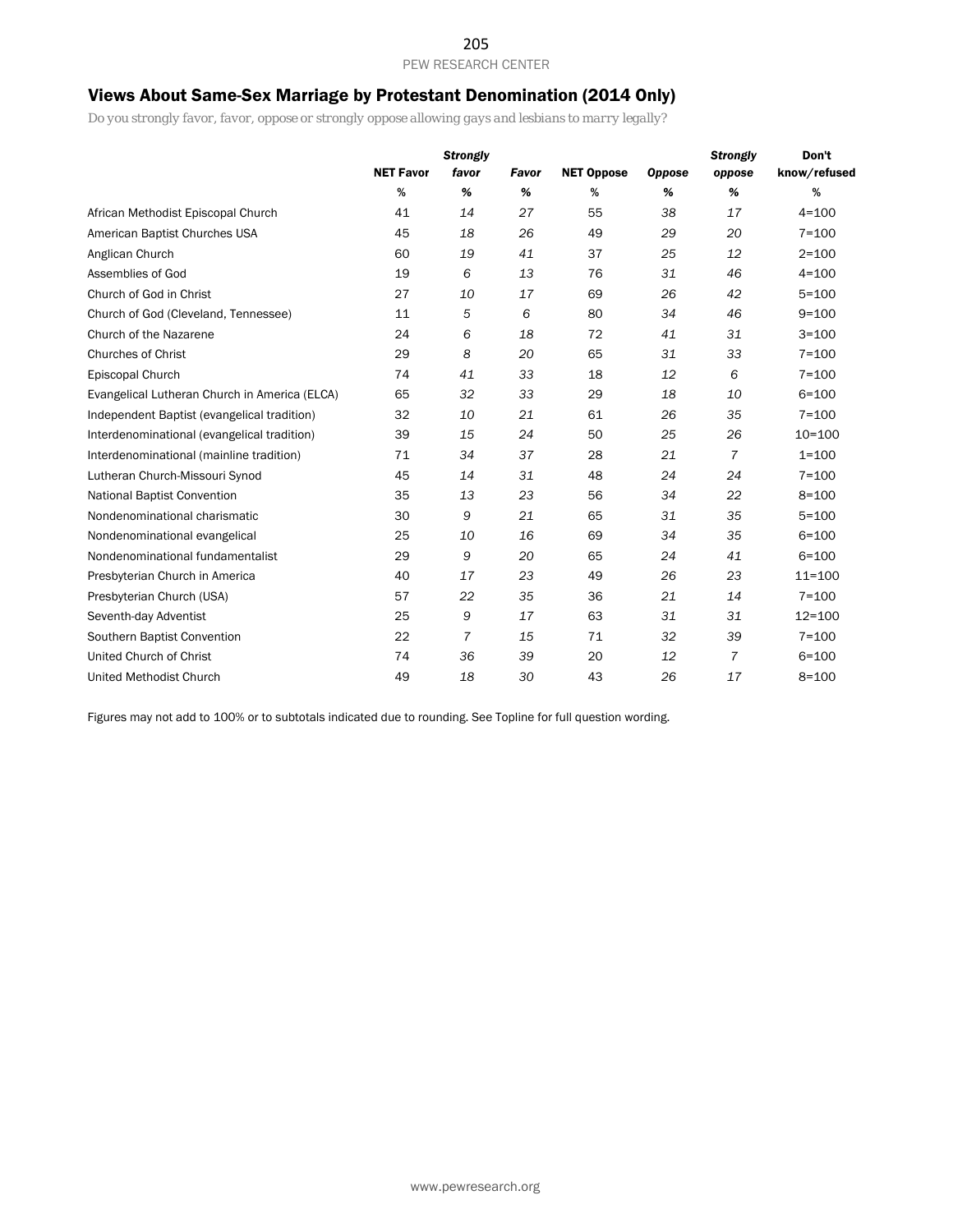# Views About Same-Sex Marriage by Protestant Denomination (2014 Only)

*Do you strongly favor, favor, oppose or strongly oppose allowing gays and lesbians to marry legally?*

|                                               |                  | <b>Strongly</b> |       |                   |               | <b>Strongly</b> | Don't        |
|-----------------------------------------------|------------------|-----------------|-------|-------------------|---------------|-----------------|--------------|
|                                               | <b>NET Favor</b> | favor           | Favor | <b>NET Oppose</b> | <b>Oppose</b> | oppose          | know/refused |
|                                               | %                | %               | %     | %                 | %             | %               | %            |
| African Methodist Episcopal Church            | 41               | 14              | 27    | 55                | 38            | 17              | $4 = 100$    |
| American Baptist Churches USA                 | 45               | 18              | 26    | 49                | 29            | 20              | $7 = 100$    |
| Anglican Church                               | 60               | 19              | 41    | 37                | 25            | 12              | $2 = 100$    |
| Assemblies of God                             | 19               | 6               | 13    | 76                | 31            | 46              | $4 = 100$    |
| Church of God in Christ                       | 27               | 10              | 17    | 69                | 26            | 42              | $5 = 100$    |
| Church of God (Cleveland, Tennessee)          | 11               | 5               | 6     | 80                | 34            | 46              | $9 = 100$    |
| Church of the Nazarene                        | 24               | 6               | 18    | 72                | 41            | 31              | $3 = 100$    |
| <b>Churches of Christ</b>                     | 29               | 8               | 20    | 65                | 31            | 33              | $7 = 100$    |
| Episcopal Church                              | 74               | 41              | 33    | 18                | 12            | 6               | $7 = 100$    |
| Evangelical Lutheran Church in America (ELCA) | 65               | 32              | 33    | 29                | 18            | 10              | $6 = 100$    |
| Independent Baptist (evangelical tradition)   | 32               | 10              | 21    | 61                | 26            | 35              | $7 = 100$    |
| Interdenominational (evangelical tradition)   | 39               | 15              | 24    | 50                | 25            | 26              | $10 = 100$   |
| Interdenominational (mainline tradition)      | 71               | 34              | 37    | 28                | 21            | $\overline{7}$  | $1 = 100$    |
| Lutheran Church-Missouri Synod                | 45               | 14              | 31    | 48                | 24            | 24              | $7 = 100$    |
| National Baptist Convention                   | 35               | 13              | 23    | 56                | 34            | 22              | $8 = 100$    |
| Nondenominational charismatic                 | 30               | 9               | 21    | 65                | 31            | 35              | $5 = 100$    |
| Nondenominational evangelical                 | 25               | 10              | 16    | 69                | 34            | 35              | $6 = 100$    |
| Nondenominational fundamentalist              | 29               | 9               | 20    | 65                | 24            | 41              | $6 = 100$    |
| Presbyterian Church in America                | 40               | 17              | 23    | 49                | 26            | 23              | $11 = 100$   |
| Presbyterian Church (USA)                     | 57               | 22              | 35    | 36                | 21            | 14              | $7 = 100$    |
| Seventh-day Adventist                         | 25               | 9               | 17    | 63                | 31            | 31              | $12 = 100$   |
| Southern Baptist Convention                   | 22               | 7               | 15    | 71                | 32            | 39              | $7 = 100$    |
| United Church of Christ                       | 74               | 36              | 39    | 20                | 12            | $\overline{7}$  | $6 = 100$    |
| United Methodist Church                       | 49               | 18              | 30    | 43                | 26            | 17              | $8 = 100$    |

Figures may not add to 100% or to subtotals indicated due to rounding. See Topline for full question wording.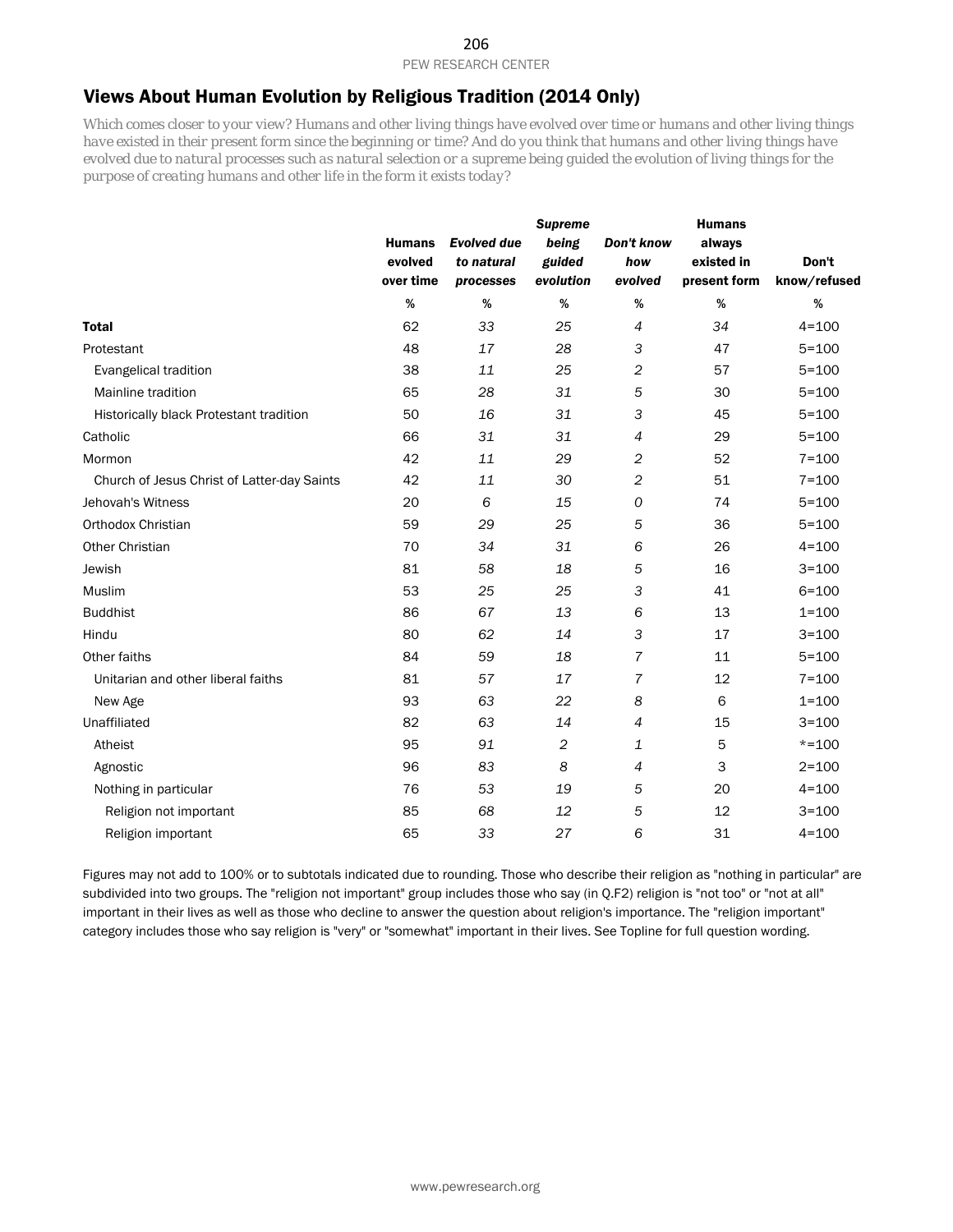# Views About Human Evolution by Religious Tradition (2014 Only)

*Which comes closer to your view? Humans and other living things have evolved over time or humans and other living things have existed in their present form since the beginning or time? And do you think that humans and other living things have evolved due to natural processes such as natural selection or a supreme being guided the evolution of living things for the purpose of creating humans and other life in the form it exists today?*

|                                             |                      |                         | <b>Supreme</b>      |                | <b>Humans</b>              |                       |
|---------------------------------------------|----------------------|-------------------------|---------------------|----------------|----------------------------|-----------------------|
|                                             | <b>Humans</b>        | <b>Evolved due</b>      | being               | Don't know     | always                     |                       |
|                                             | evolved<br>over time | to natural<br>processes | guided<br>evolution | how<br>evolved | existed in<br>present form | Don't<br>know/refused |
|                                             | $\%$                 | $\%$                    | $\%$                | $\%$           | $\%$                       | $\%$                  |
| <b>Total</b>                                | 62                   | 33                      | 25                  | $\overline{4}$ | 34                         | $4 = 100$             |
| Protestant                                  | 48                   | 17                      | 28                  | 3              | 47                         | $5 = 100$             |
| Evangelical tradition                       | 38                   | 11                      | 25                  | $\overline{c}$ | 57                         | $5 = 100$             |
| Mainline tradition                          | 65                   | 28                      | 31                  | 5              | 30                         | $5 = 100$             |
| Historically black Protestant tradition     | 50                   | 16                      | 31                  | 3              | 45                         | $5 = 100$             |
| Catholic                                    | 66                   | 31                      | 31                  | $\overline{4}$ | 29                         | $5 = 100$             |
| Mormon                                      | 42                   | 11                      | 29                  | $\overline{c}$ | 52                         | $7 = 100$             |
| Church of Jesus Christ of Latter-day Saints | 42                   | 11                      | 30                  | $\overline{c}$ | 51                         | $7 = 100$             |
| Jehovah's Witness                           | 20                   | 6                       | 15                  | 0              | 74                         | $5 = 100$             |
| Orthodox Christian                          | 59                   | 29                      | 25                  | 5              | 36                         | $5 = 100$             |
| <b>Other Christian</b>                      | 70                   | 34                      | 31                  | 6              | 26                         | $4 = 100$             |
| Jewish                                      | 81                   | 58                      | 18                  | 5              | 16                         | $3 = 100$             |
| Muslim                                      | 53                   | 25                      | 25                  | 3              | 41                         | $6 = 100$             |
| <b>Buddhist</b>                             | 86                   | 67                      | 13                  | 6              | 13                         | $1 = 100$             |
| Hindu                                       | 80                   | 62                      | 14                  | 3              | 17                         | $3 = 100$             |
| Other faiths                                | 84                   | 59                      | 18                  | $\overline{7}$ | 11                         | $5 = 100$             |
| Unitarian and other liberal faiths          | 81                   | 57                      | 17                  | $\overline{7}$ | 12                         | $7 = 100$             |
| New Age                                     | 93                   | 63                      | 22                  | 8              | 6                          | $1 = 100$             |
| Unaffiliated                                | 82                   | 63                      | 14                  | $\overline{4}$ | 15                         | $3 = 100$             |
| Atheist                                     | 95                   | 91                      | 2                   | $\mathbf{1}$   | 5                          | $* = 100$             |
| Agnostic                                    | 96                   | 83                      | 8                   | $\overline{4}$ | 3                          | $2 = 100$             |
| Nothing in particular                       | 76                   | 53                      | 19                  | 5              | 20                         | $4 = 100$             |
| Religion not important                      | 85                   | 68                      | 12                  | 5              | 12                         | $3 = 100$             |
| Religion important                          | 65                   | 33                      | 27                  | 6              | 31                         | $4 = 100$             |
|                                             |                      |                         |                     |                |                            |                       |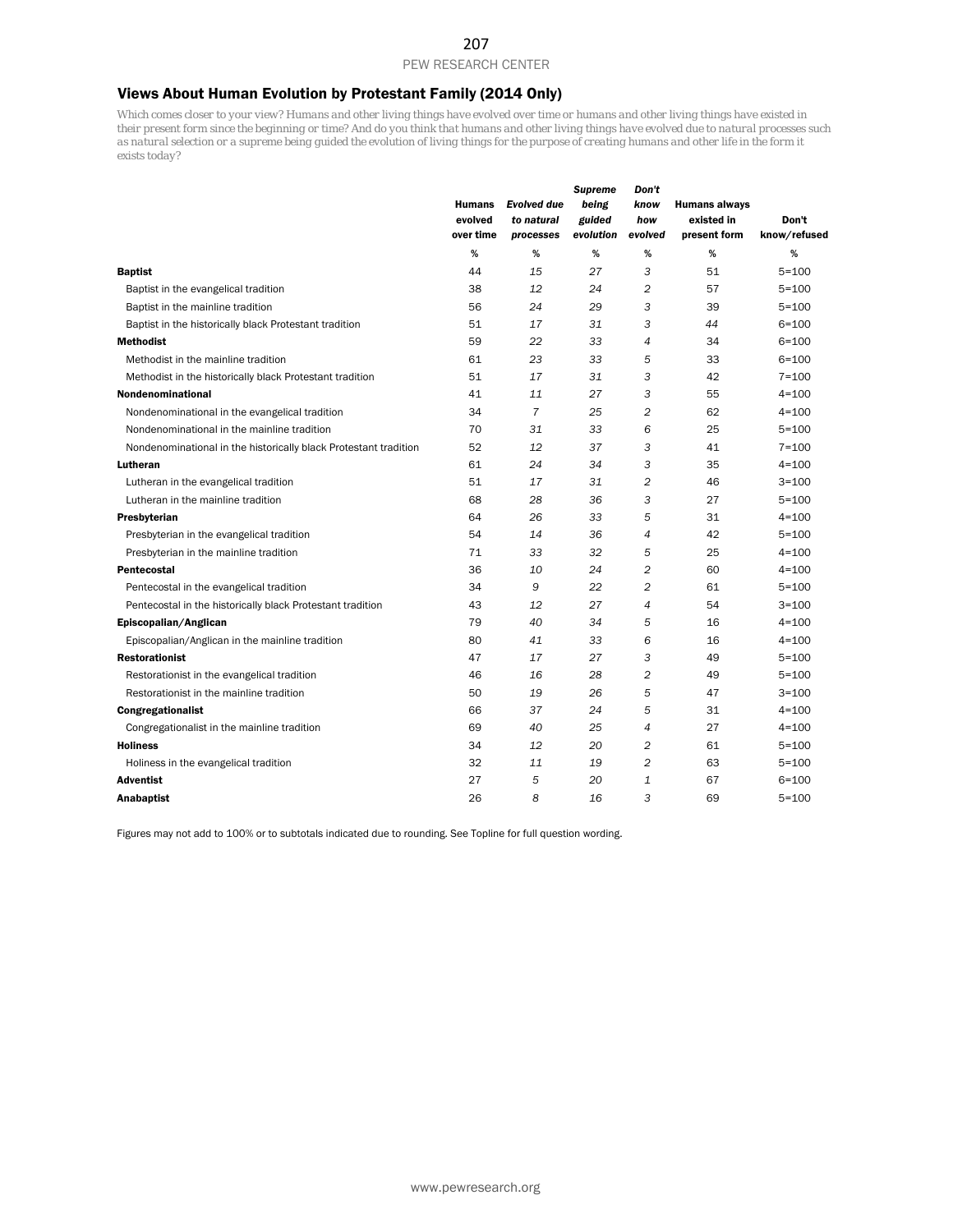## Views About Human Evolution by Protestant Family (2014 Only)

*Which comes closer to your view? Humans and other living things have evolved over time or humans and other living things have existed in their present form since the beginning or time? And do you think that humans and other living things have evolved due to natural processes such as natural selection or a supreme being guided the evolution of living things for the purpose of creating humans and other life in the form it exists today?*

|                                                                  | <b>Humans</b><br>evolved<br>over time | <b>Evolved due</b><br>to natural<br>processes | <b>Supreme</b><br>being<br>guided<br>evolution | Don't<br>know<br>how<br>evolved | <b>Humans always</b><br>existed in<br>present form | Don't<br>know/refused |
|------------------------------------------------------------------|---------------------------------------|-----------------------------------------------|------------------------------------------------|---------------------------------|----------------------------------------------------|-----------------------|
|                                                                  | %                                     | %                                             | %                                              | %                               | %                                                  | %                     |
| <b>Baptist</b>                                                   | 44                                    | 15                                            | 27                                             | 3                               | 51                                                 | $5 = 100$             |
| Baptist in the evangelical tradition                             | 38                                    | 12                                            | 24                                             | $\overline{c}$                  | 57                                                 | $5 = 100$             |
| Baptist in the mainline tradition                                | 56                                    | 24                                            | 29                                             | 3                               | 39                                                 | $5 = 100$             |
| Baptist in the historically black Protestant tradition           | 51                                    | 17                                            | 31                                             | 3                               | 44                                                 | $6 = 100$             |
| <b>Methodist</b>                                                 | 59                                    | 22                                            | 33                                             | 4                               | 34                                                 | $6 = 100$             |
| Methodist in the mainline tradition                              | 61                                    | 23                                            | 33                                             | 5                               | 33                                                 | $6 = 100$             |
| Methodist in the historically black Protestant tradition         | 51                                    | 17                                            | 31                                             | 3                               | 42                                                 | $7 = 100$             |
| Nondenominational                                                | 41                                    | 11                                            | 27                                             | 3                               | 55                                                 | $4 = 100$             |
| Nondenominational in the evangelical tradition                   | 34                                    | 7                                             | 25                                             | 2                               | 62                                                 | $4 = 100$             |
| Nondenominational in the mainline tradition                      | 70                                    | 31                                            | 33                                             | 6                               | 25                                                 | $5 = 100$             |
| Nondenominational in the historically black Protestant tradition | 52                                    | 12                                            | 37                                             | 3                               | 41                                                 | $7 = 100$             |
| Lutheran                                                         | 61                                    | 24                                            | 34                                             | 3                               | 35                                                 | 4=100                 |
| Lutheran in the evangelical tradition                            | 51                                    | 17                                            | 31                                             | $\overline{c}$                  | 46                                                 | $3 = 100$             |
| Lutheran in the mainline tradition                               | 68                                    | 28                                            | 36                                             | 3                               | 27                                                 | $5 = 100$             |
| Presbyterian                                                     | 64                                    | 26                                            | 33                                             | 5                               | 31                                                 | 4=100                 |
| Presbyterian in the evangelical tradition                        | 54                                    | 14                                            | 36                                             | 4                               | 42                                                 | $5 = 100$             |
| Presbyterian in the mainline tradition                           | 71                                    | 33                                            | 32                                             | 5                               | 25                                                 | $4 = 100$             |
| <b>Pentecostal</b>                                               | 36                                    | 10                                            | 24                                             | 2                               | 60                                                 | $4 = 100$             |
| Pentecostal in the evangelical tradition                         | 34                                    | 9                                             | 22                                             | 2                               | 61                                                 | $5 = 100$             |
| Pentecostal in the historically black Protestant tradition       | 43                                    | 12                                            | 27                                             | 4                               | 54                                                 | $3 = 100$             |
| Episcopalian/Anglican                                            | 79                                    | 40                                            | 34                                             | 5                               | 16                                                 | 4=100                 |
| Episcopalian/Anglican in the mainline tradition                  | 80                                    | 41                                            | 33                                             | 6                               | 16                                                 | $4 = 100$             |
| <b>Restorationist</b>                                            | 47                                    | 17                                            | 27                                             | 3                               | 49                                                 | $5 = 100$             |
| Restorationist in the evangelical tradition                      | 46                                    | 16                                            | 28                                             | 2                               | 49                                                 | $5 = 100$             |
| Restorationist in the mainline tradition                         | 50                                    | 19                                            | 26                                             | 5                               | 47                                                 | $3 = 100$             |
| <b>Congregationalist</b>                                         | 66                                    | 37                                            | 24                                             | 5                               | 31                                                 | $4 = 100$             |
| Congregationalist in the mainline tradition                      | 69                                    | 40                                            | 25                                             | 4                               | 27                                                 | 4=100                 |
| <b>Holiness</b>                                                  | 34                                    | 12                                            | 20                                             | $\overline{c}$                  | 61                                                 | $5 = 100$             |
| Holiness in the evangelical tradition                            | 32                                    | 11                                            | 19                                             | $\overline{2}$                  | 63                                                 | 5=100                 |
| <b>Adventist</b>                                                 | 27                                    | 5                                             | 20                                             | 1                               | 67                                                 | $6 = 100$             |
| Anabaptist                                                       | 26                                    | 8                                             | 16                                             | 3                               | 69                                                 | $5 = 100$             |

Figures may not add to 100% or to subtotals indicated due to rounding. See Topline for full question wording.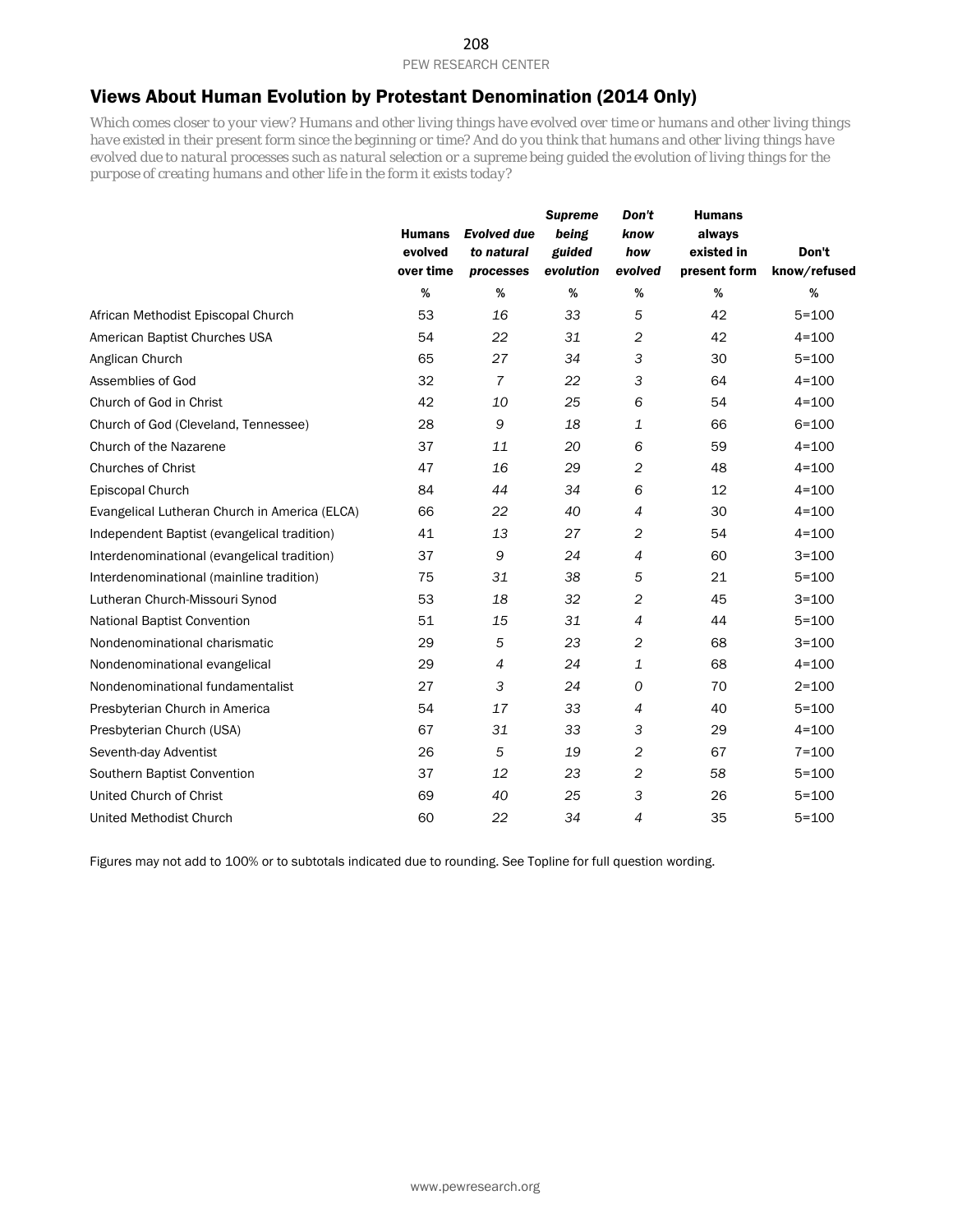# Views About Human Evolution by Protestant Denomination (2014 Only)

*Which comes closer to your view? Humans and other living things have evolved over time or humans and other living things have existed in their present form since the beginning or time? And do you think that humans and other living things have evolved due to natural processes such as natural selection or a supreme being guided the evolution of living things for the purpose of creating humans and other life in the form it exists today?*

|                                               | <b>Humans</b><br>evolved<br>over time | <b>Evolved due</b><br>to natural<br>processes | <b>Supreme</b><br>being<br>guided<br>evolution | Don't<br>know<br>how<br>evolved | <b>Humans</b><br>always<br>existed in<br>present form | Don't<br>know/refused |
|-----------------------------------------------|---------------------------------------|-----------------------------------------------|------------------------------------------------|---------------------------------|-------------------------------------------------------|-----------------------|
|                                               | %                                     | %                                             | %                                              | %                               | %                                                     | %                     |
| African Methodist Episcopal Church            | 53                                    | 16                                            | 33                                             | 5                               | 42                                                    | $5 = 100$             |
| American Baptist Churches USA                 | 54                                    | 22                                            | 31                                             | $\overline{c}$                  | 42                                                    | $4 = 100$             |
| Anglican Church                               | 65                                    | 27                                            | 34                                             | 3                               | 30                                                    | $5 = 100$             |
| Assemblies of God                             | 32                                    | $\overline{7}$                                | 22                                             | 3                               | 64                                                    | $4 = 100$             |
| Church of God in Christ                       | 42                                    | 10                                            | 25                                             | 6                               | 54                                                    | $4 = 100$             |
| Church of God (Cleveland, Tennessee)          | 28                                    | 9                                             | 18                                             | 1                               | 66                                                    | $6 = 100$             |
| Church of the Nazarene                        | 37                                    | 11                                            | 20                                             | 6                               | 59                                                    | $4 = 100$             |
| <b>Churches of Christ</b>                     | 47                                    | 16                                            | 29                                             | 2                               | 48                                                    | $4 = 100$             |
| Episcopal Church                              | 84                                    | 44                                            | 34                                             | 6                               | 12                                                    | $4 = 100$             |
| Evangelical Lutheran Church in America (ELCA) | 66                                    | 22                                            | 40                                             | 4                               | 30                                                    | $4 = 100$             |
| Independent Baptist (evangelical tradition)   | 41                                    | 13                                            | 27                                             | $\overline{c}$                  | 54                                                    | $4 = 100$             |
| Interdenominational (evangelical tradition)   | 37                                    | 9                                             | 24                                             | 4                               | 60                                                    | $3 = 100$             |
| Interdenominational (mainline tradition)      | 75                                    | 31                                            | 38                                             | 5                               | 21                                                    | $5 = 100$             |
| Lutheran Church-Missouri Synod                | 53                                    | 18                                            | 32                                             | $\overline{c}$                  | 45                                                    | $3 = 100$             |
| National Baptist Convention                   | 51                                    | 15                                            | 31                                             | 4                               | 44                                                    | $5 = 100$             |
| Nondenominational charismatic                 | 29                                    | 5                                             | 23                                             | $\overline{c}$                  | 68                                                    | $3 = 100$             |
| Nondenominational evangelical                 | 29                                    | $\overline{4}$                                | 24                                             | 1                               | 68                                                    | $4 = 100$             |
| Nondenominational fundamentalist              | 27                                    | 3                                             | 24                                             | 0                               | 70                                                    | $2 = 100$             |
| Presbyterian Church in America                | 54                                    | 17                                            | 33                                             | 4                               | 40                                                    | $5 = 100$             |
| Presbyterian Church (USA)                     | 67                                    | 31                                            | 33                                             | 3                               | 29                                                    | $4 = 100$             |
| Seventh-day Adventist                         | 26                                    | 5                                             | 19                                             | 2                               | 67                                                    | $7 = 100$             |
| Southern Baptist Convention                   | 37                                    | 12                                            | 23                                             | $\overline{\mathbf{c}}$         | 58                                                    | $5 = 100$             |
| United Church of Christ                       | 69                                    | 40                                            | 25                                             | 3                               | 26                                                    | $5 = 100$             |
| United Methodist Church                       | 60                                    | 22                                            | 34                                             | 4                               | 35                                                    | $5 = 100$             |

Figures may not add to 100% or to subtotals indicated due to rounding. See Topline for full question wording.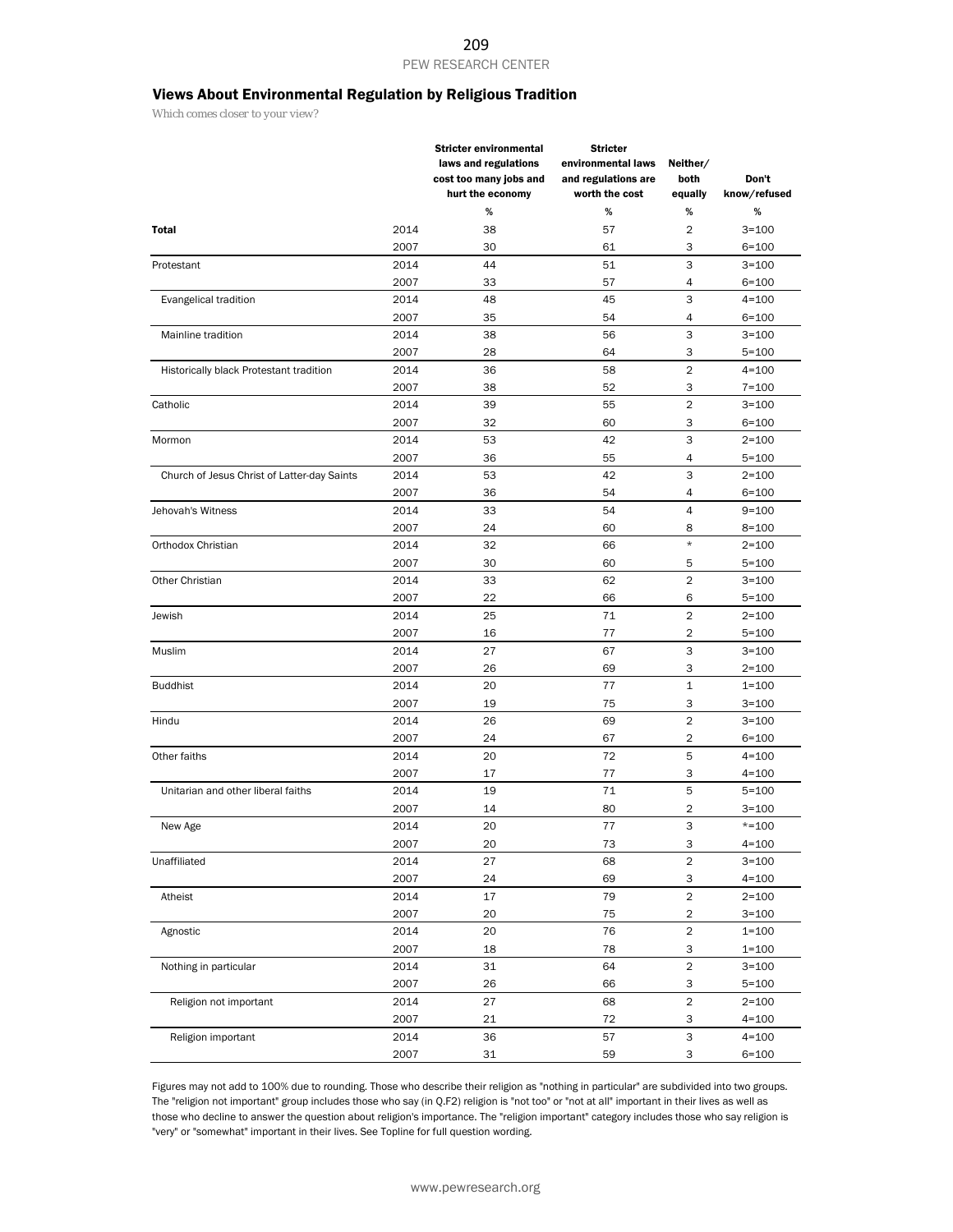# Views About Environmental Regulation by Religious Tradition

*Which comes closer to your view?*

|                                             |      | <b>Stricter environmental</b> | <b>Stricter</b>     |                         |              |
|---------------------------------------------|------|-------------------------------|---------------------|-------------------------|--------------|
|                                             |      | laws and regulations          | environmental laws  | Neither/                |              |
|                                             |      | cost too many jobs and        | and regulations are | both                    | Don't        |
|                                             |      | hurt the economy              | worth the cost      | equally                 | know/refused |
|                                             |      | %                             | %                   | %                       | %            |
| <b>Total</b>                                | 2014 | 38                            | 57                  | 2                       | $3 = 100$    |
|                                             | 2007 | 30                            | 61                  | 3                       | $6 = 100$    |
| Protestant                                  | 2014 | 44                            | 51                  | 3                       | $3 = 100$    |
|                                             | 2007 | 33                            | 57                  | 4                       | 6=100        |
| Evangelical tradition                       | 2014 | 48                            | 45                  | 3                       | $4 = 100$    |
|                                             | 2007 | 35                            | 54                  | 4                       | $6 = 100$    |
| Mainline tradition                          | 2014 | 38                            | 56                  | 3                       | $3 = 100$    |
|                                             | 2007 | 28                            | 64                  | 3                       | $5 = 100$    |
| Historically black Protestant tradition     | 2014 | 36                            | 58                  | $\overline{2}$          | $4 = 100$    |
|                                             | 2007 | 38                            | 52                  | 3                       | $7 = 100$    |
| Catholic                                    | 2014 | 39                            | 55                  | $\overline{2}$          | $3 = 100$    |
|                                             | 2007 | 32                            | 60                  | 3                       | 6=100        |
|                                             |      |                               |                     |                         |              |
| Mormon                                      | 2014 | 53                            | 42                  | 3                       | $2 = 100$    |
|                                             | 2007 | 36                            | 55                  | 4                       | $5 = 100$    |
| Church of Jesus Christ of Latter-day Saints | 2014 | 53                            | 42                  | 3                       | $2 = 100$    |
|                                             | 2007 | 36                            | 54                  | 4                       | $6 = 100$    |
| Jehovah's Witness                           | 2014 | 33                            | 54                  | 4                       | $9 = 100$    |
|                                             | 2007 | 24                            | 60                  | 8                       | $8 = 100$    |
| Orthodox Christian                          | 2014 | 32                            | 66                  | $\star$                 | $2 = 100$    |
|                                             | 2007 | 30                            | 60                  | 5                       | $5 = 100$    |
| Other Christian                             | 2014 | 33                            | 62                  | 2                       | $3 = 100$    |
|                                             | 2007 | 22                            | 66                  | 6                       | $5 = 100$    |
| Jewish                                      | 2014 | 25                            | 71                  | $\overline{2}$          | $2 = 100$    |
|                                             | 2007 | 16                            | 77                  | $\overline{2}$          | $5 = 100$    |
| Muslim                                      | 2014 | 27                            | 67                  | 3                       | $3 = 100$    |
|                                             | 2007 | 26                            | 69                  | 3                       | $2 = 100$    |
| <b>Buddhist</b>                             | 2014 | 20                            | 77                  | $\mathbf{1}$            | $1 = 100$    |
|                                             | 2007 | 19                            | 75                  | 3                       | $3 = 100$    |
| Hindu                                       | 2014 | 26                            | 69                  | 2                       | $3 = 100$    |
|                                             | 2007 | 24                            | 67                  | 2                       | $6 = 100$    |
| Other faiths                                | 2014 | 20                            | 72                  | 5                       | 4=100        |
|                                             | 2007 | 17                            | 77                  | 3                       | $4 = 100$    |
| Unitarian and other liberal faiths          | 2014 | 19                            | 71                  | 5                       | $5 = 100$    |
|                                             | 2007 | 14                            | 80                  | 2                       | $3 = 100$    |
| New Age                                     | 2014 | 20                            | 77                  | 3                       | $* = 100$    |
|                                             | 2007 | 20                            | 73                  | З                       | $4 = 100$    |
| Unaffiliated                                | 2014 | 27                            | 68                  | $\overline{\mathbf{c}}$ | $3 = 100$    |
|                                             | 2007 | 24                            | 69                  | 3                       | $4 = 100$    |
| Atheist                                     | 2014 | 17                            | 79                  | $\overline{c}$          | $2 = 100$    |
|                                             | 2007 | 20                            | 75                  | 2                       | $3 = 100$    |
| Agnostic                                    | 2014 | 20                            | 76                  | $\overline{c}$          | $1 = 100$    |
|                                             | 2007 | 18                            | 78                  | 3                       | $1 = 100$    |
|                                             | 2014 | 31                            | 64                  | $\sqrt{2}$              | $3 = 100$    |
| Nothing in particular                       |      |                               |                     |                         |              |
|                                             | 2007 | 26                            | 66                  | 3                       | $5 = 100$    |
| Religion not important                      | 2014 | 27                            | 68                  | $\overline{2}$          | $2 = 100$    |
|                                             | 2007 | 21                            | 72                  | 3                       | $4 = 100$    |
| Religion important                          | 2014 | 36                            | 57                  | 3                       | $4 = 100$    |
|                                             | 2007 | 31                            | 59                  | 3                       | $6 = 100$    |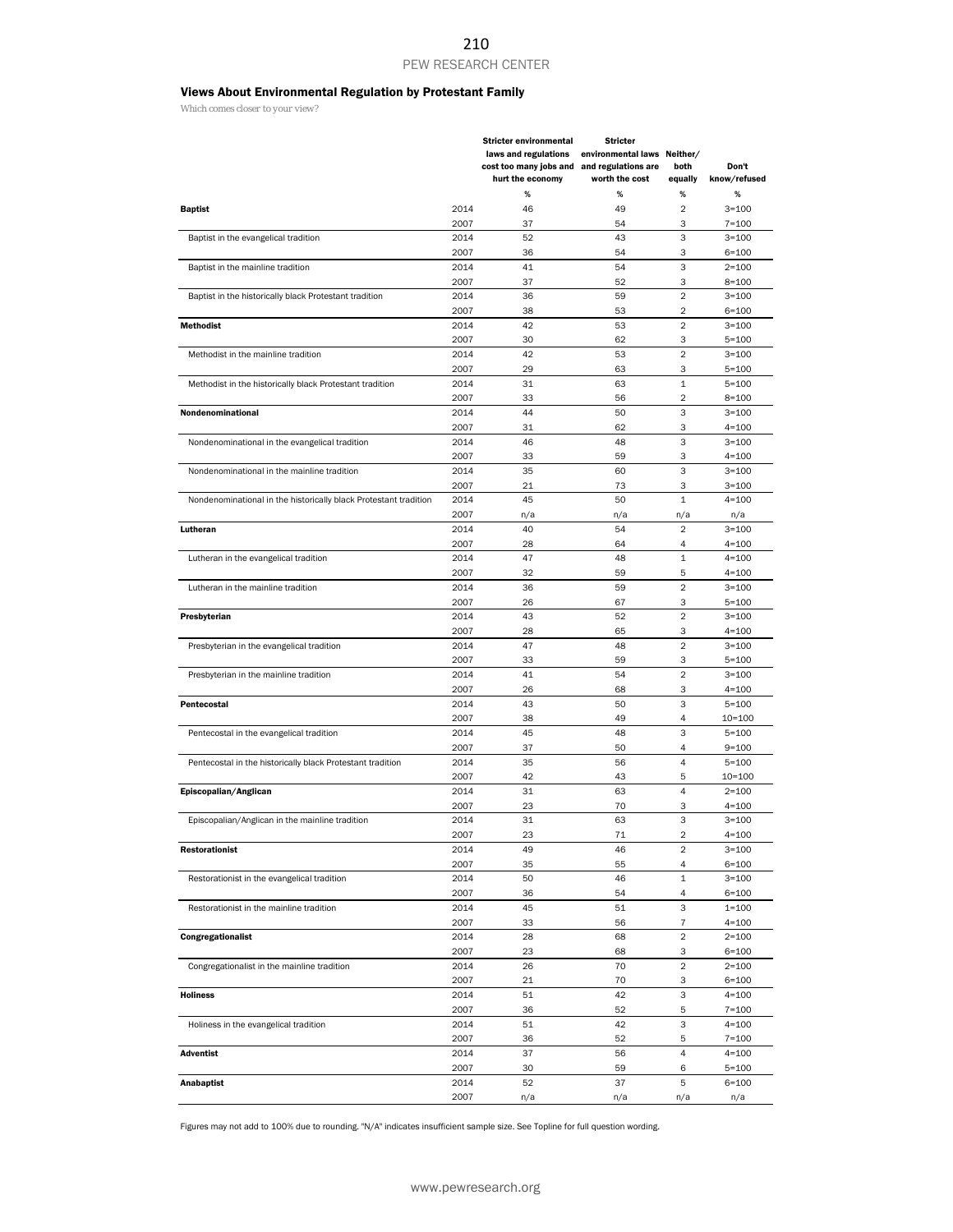## Views About Environmental Regulation by Protestant Family

*Which comes closer to your view?*

|                                                                  |              | <b>Stricter environmental</b> | <b>Stricter</b>             |                |              |
|------------------------------------------------------------------|--------------|-------------------------------|-----------------------------|----------------|--------------|
|                                                                  |              | laws and regulations          | environmental laws Neither/ |                |              |
|                                                                  |              | cost too many jobs and        | and regulations are         | both           | Don't        |
|                                                                  |              | hurt the economy              | worth the cost              | equally        | know/refused |
|                                                                  |              | %                             | $\%$                        | $\%$           | %            |
| <b>Baptist</b>                                                   | 2014         | 46                            | 49                          | $\overline{2}$ | $3 = 100$    |
|                                                                  | 2007         | 37                            | 54                          | 3              | $7 = 100$    |
| Baptist in the evangelical tradition                             | 2014         | 52                            | 43                          | 3              | $3 = 100$    |
|                                                                  | 2007         | 36                            | 54                          | 3              | $6 = 100$    |
| Baptist in the mainline tradition                                | 2014         | 41                            | 54                          | 3              | $2 = 100$    |
|                                                                  | 2007         | 37                            | 52                          | 3              | $8 = 100$    |
| Baptist in the historically black Protestant tradition           | 2014         | 36                            | 59                          | $\overline{c}$ | $3 = 100$    |
|                                                                  | 2007         | 38                            | 53                          | $\overline{c}$ | $6 = 100$    |
| <b>Methodist</b>                                                 |              | 42                            | 53                          | $\overline{2}$ |              |
|                                                                  | 2014<br>2007 |                               |                             |                | $3 = 100$    |
|                                                                  |              | 30                            | 62                          | 3              | $5 = 100$    |
| Methodist in the mainline tradition                              | 2014         | 42                            | 53                          | $\overline{2}$ | $3 = 100$    |
|                                                                  | 2007         | 29                            | 63                          | 3              | $5 = 100$    |
| Methodist in the historically black Protestant tradition         | 2014         | 31                            | 63                          | $\mathbf{1}$   | $5 = 100$    |
|                                                                  | 2007         | 33                            | 56                          | $\overline{c}$ | $8 = 100$    |
| Nondenominational                                                | 2014         | 44                            | 50                          | 3              | $3 = 100$    |
|                                                                  | 2007         | 31                            | 62                          | 3              | $4 = 100$    |
| Nondenominational in the evangelical tradition                   | 2014         | 46                            | 48                          | 3              | $3 = 100$    |
|                                                                  | 2007         | 33                            | 59                          | 3              | $4 = 100$    |
| Nondenominational in the mainline tradition                      | 2014         | 35                            | 60                          | 3              | $3 = 100$    |
|                                                                  | 2007         | 21                            | 73                          | 3              | $3 = 100$    |
|                                                                  | 2014         |                               |                             | $\mathbf{1}$   |              |
| Nondenominational in the historically black Protestant tradition |              | 45                            | 50                          |                | $4 = 100$    |
|                                                                  | 2007         | n/a                           | n/a                         | n/a            | n/a          |
| Lutheran                                                         | 2014         | 40                            | 54                          | $\overline{c}$ | $3 = 100$    |
|                                                                  | 2007         | 28                            | 64                          | 4              | $4 = 100$    |
| Lutheran in the evangelical tradition                            | 2014         | 47                            | 48                          | $\mathbf{1}$   | $4 = 100$    |
|                                                                  | 2007         | 32                            | 59                          | 5              | $4 = 100$    |
| Lutheran in the mainline tradition                               | 2014         | 36                            | 59                          | $\overline{2}$ | $3 = 100$    |
|                                                                  | 2007         | 26                            | 67                          | 3              | $5 = 100$    |
| Presbyterian                                                     | 2014         | 43                            | 52                          | $\overline{2}$ | $3 = 100$    |
|                                                                  | 2007         | 28                            | 65                          | 3              | $4 = 100$    |
| Presbyterian in the evangelical tradition                        | 2014         | 47                            | 48                          | $\overline{c}$ | $3 = 100$    |
|                                                                  | 2007         | 33                            | 59                          | 3              | $5 = 100$    |
|                                                                  |              |                               |                             |                |              |
| Presbyterian in the mainline tradition                           | 2014         | 41                            | 54                          | $\overline{2}$ | $3 = 100$    |
|                                                                  | 2007         | 26                            | 68                          | 3              | $4 = 100$    |
| Pentecostal                                                      | 2014         | 43                            | 50                          | 3              | $5 = 100$    |
|                                                                  | 2007         | 38                            | 49                          | 4              | $10 = 100$   |
| Pentecostal in the evangelical tradition                         | 2014         | 45                            | 48                          | 3              | $5 = 100$    |
|                                                                  | 2007         | 37                            | 50                          | 4              | $9 = 100$    |
| Pentecostal in the historically black Protestant tradition       | 2014         | 35                            | 56                          | $\overline{4}$ | $5 = 100$    |
|                                                                  | 2007         | 42                            | 43                          | 5              | $10 = 100$   |
| Episcopalian/Anglican                                            | 2014         | 31                            | 63                          | 4              | $2 = 100$    |
|                                                                  | 2007         | 23                            | 70                          | 3              | $4 = 100$    |
| Episcopalian/Anglican in the mainline tradition                  | 2014         | 31                            | 63                          | 3              | $3 = 100$    |
|                                                                  |              | 23                            |                             | 2              | $4 = 100$    |
|                                                                  | 2007         |                               | $71$                        |                |              |
| <b>Restorationist</b>                                            | 2014         | 49                            | 46                          | 2              | $3 = 100$    |
|                                                                  | 2007         | 35                            | 55                          | 4              | $6 = 100$    |
| Restorationist in the evangelical tradition                      | 2014         | 50                            | 46                          | $\mathbf{1}$   | $3 = 100$    |
|                                                                  | 2007         | 36                            | 54                          | 4              | $6 = 100$    |
| Restorationist in the mainline tradition                         | 2014         | 45                            | 51                          | 3              | $1 = 100$    |
|                                                                  | 2007         | 33                            | 56                          | $\overline{7}$ | $4 = 100$    |
| Congregationalist                                                | 2014         | 28                            | 68                          | $\overline{c}$ | $2 = 100$    |
|                                                                  | 2007         | 23                            | 68                          | 3              | $6 = 100$    |
| Congregationalist in the mainline tradition                      | 2014         | 26                            | 70                          | $\overline{c}$ | $2 = 100$    |
|                                                                  | 2007         | 21                            | 70                          | 3              | $6 = 100$    |
| <b>Holiness</b>                                                  |              | 51                            | 42                          | 3              | $4 = 100$    |
|                                                                  | 2014         |                               |                             |                |              |
|                                                                  | 2007         | 36                            | 52                          | 5              | $7 = 100$    |
| Holiness in the evangelical tradition                            | 2014         | 51                            | 42                          | 3              | $4 = 100$    |
|                                                                  | 2007         | 36                            | 52                          | 5              | $7 = 100$    |
| <b>Adventist</b>                                                 | 2014         | 37                            | 56                          | 4              | $4 = 100$    |
|                                                                  | 2007         | 30                            | 59                          | 6              | $5 = 100$    |
| Anabaptist                                                       | 2014         | 52                            | 37                          | 5              | $6 = 100$    |
|                                                                  | 2007         | n/a                           | n/a                         | n/a            | n/a          |

Figures may not add to 100% due to rounding. "N/A" indicates insufficient sample size. See Topline for full question wording.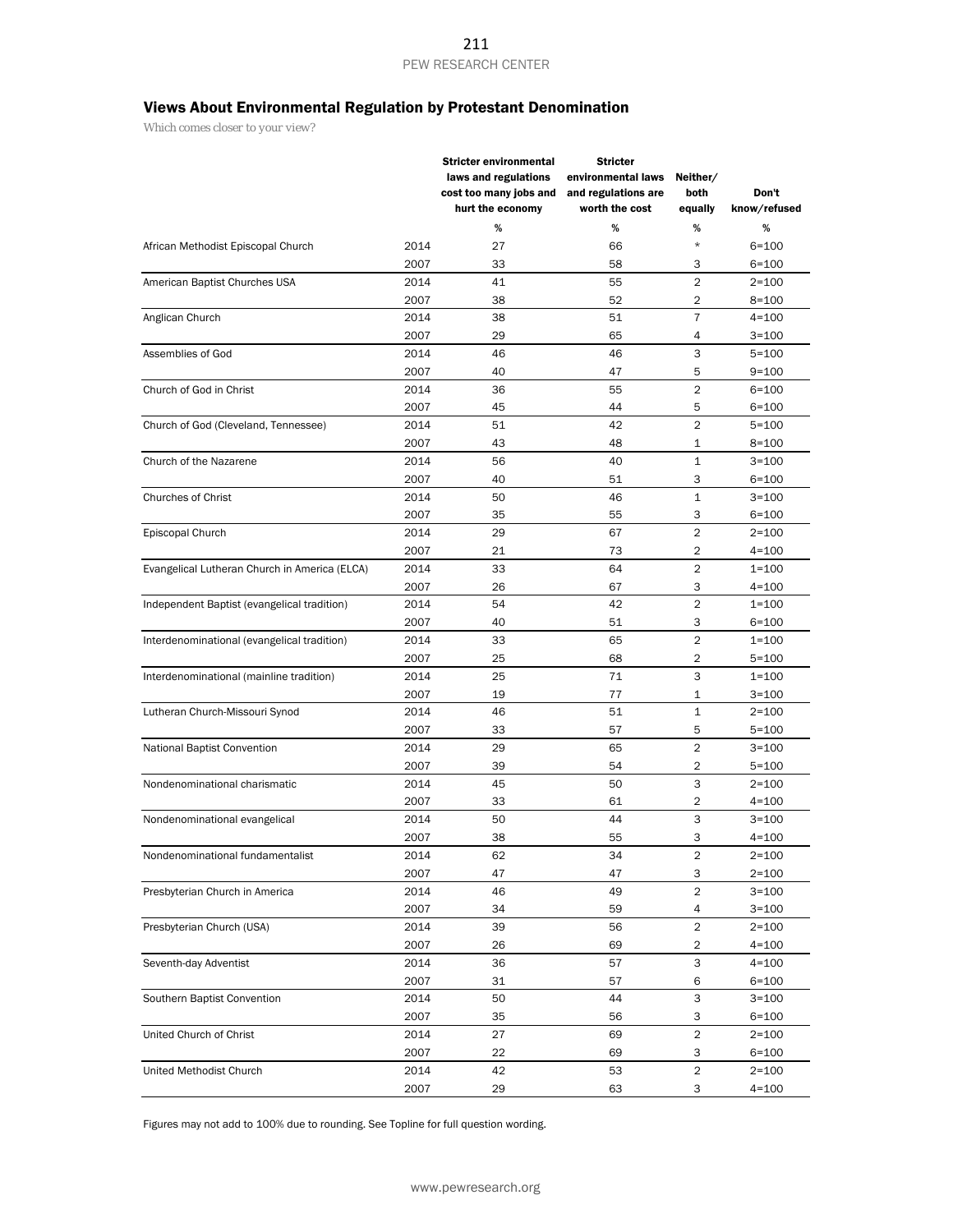# Views About Environmental Regulation by Protestant Denomination

*Which comes closer to your view?*

|                                               |      | <b>Stricter environmental</b> | <b>Stricter</b>     |                  |              |  |
|-----------------------------------------------|------|-------------------------------|---------------------|------------------|--------------|--|
|                                               |      | laws and regulations          | environmental laws  | Neither/         |              |  |
|                                               |      | cost too many jobs and        | and regulations are | both             | Don't        |  |
|                                               |      | hurt the economy              | worth the cost      | equally          | know/refused |  |
|                                               |      | $\%$                          | $\%$                | %                | %            |  |
| African Methodist Episcopal Church            | 2014 | 27                            | 66                  | $\star$          | $6 = 100$    |  |
|                                               | 2007 | 33                            | 58                  | 3                | $6 = 100$    |  |
| American Baptist Churches USA                 | 2014 | 41                            | 55                  | $\overline{c}$   | $2 = 100$    |  |
|                                               | 2007 | 38                            | 52                  | 2                | $8 = 100$    |  |
| Anglican Church                               | 2014 | 38                            | 51                  | $\overline{7}$   | $4 = 100$    |  |
|                                               | 2007 | 29                            | 65                  | 4                | $3 = 100$    |  |
| Assemblies of God                             | 2014 | 46                            | 46                  | 3                | $5 = 100$    |  |
|                                               | 2007 | 40                            | 47                  | 5                | $9 = 100$    |  |
| Church of God in Christ                       | 2014 | 36                            | 55                  | $\overline{2}$   | $6 = 100$    |  |
|                                               | 2007 | 45                            | 44                  | 5                | $6 = 100$    |  |
| Church of God (Cleveland, Tennessee)          | 2014 | 51                            | 42                  | $\overline{c}$   | $5 = 100$    |  |
|                                               | 2007 | 43                            | 48                  | 1                | $8 = 100$    |  |
| Church of the Nazarene                        | 2014 | 56                            | 40                  | 1                | $3 = 100$    |  |
|                                               | 2007 | 40                            | 51                  | 3                | $6 = 100$    |  |
| Churches of Christ                            | 2014 | 50                            | 46                  | $\mathbf 1$      | $3 = 100$    |  |
|                                               | 2007 | 35                            | 55                  | 3                | $6 = 100$    |  |
| Episcopal Church                              | 2014 | 29                            | 67                  | 2                | $2 = 100$    |  |
|                                               | 2007 | 21                            | 73                  | 2                | $4 = 100$    |  |
| Evangelical Lutheran Church in America (ELCA) |      |                               | 64                  | $\overline{c}$   | $1 = 100$    |  |
|                                               | 2014 | 33<br>26                      | 67                  | 3                |              |  |
|                                               | 2007 |                               |                     |                  | $4 = 100$    |  |
| Independent Baptist (evangelical tradition)   | 2014 | 54                            | 42                  | $\overline{2}$   | $1 = 100$    |  |
|                                               | 2007 | 40                            | 51                  | 3                | $6 = 100$    |  |
| Interdenominational (evangelical tradition)   | 2014 | 33                            | 65                  | $\overline{2}$   | $1 = 100$    |  |
|                                               | 2007 | 25                            | 68                  | 2                | $5 = 100$    |  |
| Interdenominational (mainline tradition)      | 2014 | 25                            | 71                  | 3                | $1 = 100$    |  |
|                                               | 2007 | 19                            | 77                  | 1                | $3 = 100$    |  |
| Lutheran Church-Missouri Synod                | 2014 | 46                            | 51                  | $\mathbf{1}$     | $2 = 100$    |  |
|                                               | 2007 | 33                            | 57                  | 5                | $5 = 100$    |  |
| <b>National Baptist Convention</b>            | 2014 | 29                            | 65                  | $\overline{2}$   | $3 = 100$    |  |
|                                               | 2007 | 39                            | 54                  | $\overline{c}$   | $5 = 100$    |  |
| Nondenominational charismatic                 | 2014 | 45                            | 50                  | 3                | $2 = 100$    |  |
|                                               | 2007 | 33                            | 61                  | 2                | $4 = 100$    |  |
| Nondenominational evangelical                 | 2014 | 50                            | 44                  | 3                | $3 = 100$    |  |
|                                               | 2007 | 38                            | 55                  | 3                | $4 = 100$    |  |
| Nondenominational fundamentalist              | 2014 | 62                            | 34                  | 2                | $2 = 100$    |  |
|                                               | 2007 | 47                            | 47                  | 3                | $2 = 100$    |  |
| Presbyterian Church in America                | 2014 | 46                            | 49                  | $\mathbf 2$      | $3 = 100$    |  |
|                                               | 2007 | 34                            | 59                  | 4                | $3 = 100$    |  |
| Presbyterian Church (USA)                     | 2014 | 39                            | 56                  | $\overline{c}$   | $2 = 100$    |  |
|                                               | 2007 | 26                            | 69                  | $\boldsymbol{2}$ | $4 = 100$    |  |
| Seventh-day Adventist                         | 2014 | 36                            | 57                  | 3                | $4 = 100$    |  |
|                                               | 2007 | 31                            | 57                  | 6                | $6 = 100$    |  |
| Southern Baptist Convention                   | 2014 | 50                            | 44                  | 3                | $3 = 100$    |  |
|                                               | 2007 | 35                            | 56                  | 3                | $6 = 100$    |  |
| United Church of Christ                       | 2014 | 27                            | 69                  | $\overline{c}$   | $2 = 100$    |  |
|                                               | 2007 | 22                            | 69                  | 3                | $6 = 100$    |  |
| United Methodist Church                       | 2014 | 42                            | 53                  | $\overline{2}$   | $2 = 100$    |  |
|                                               | 2007 | 29                            | 63                  | 3                | $4 = 100$    |  |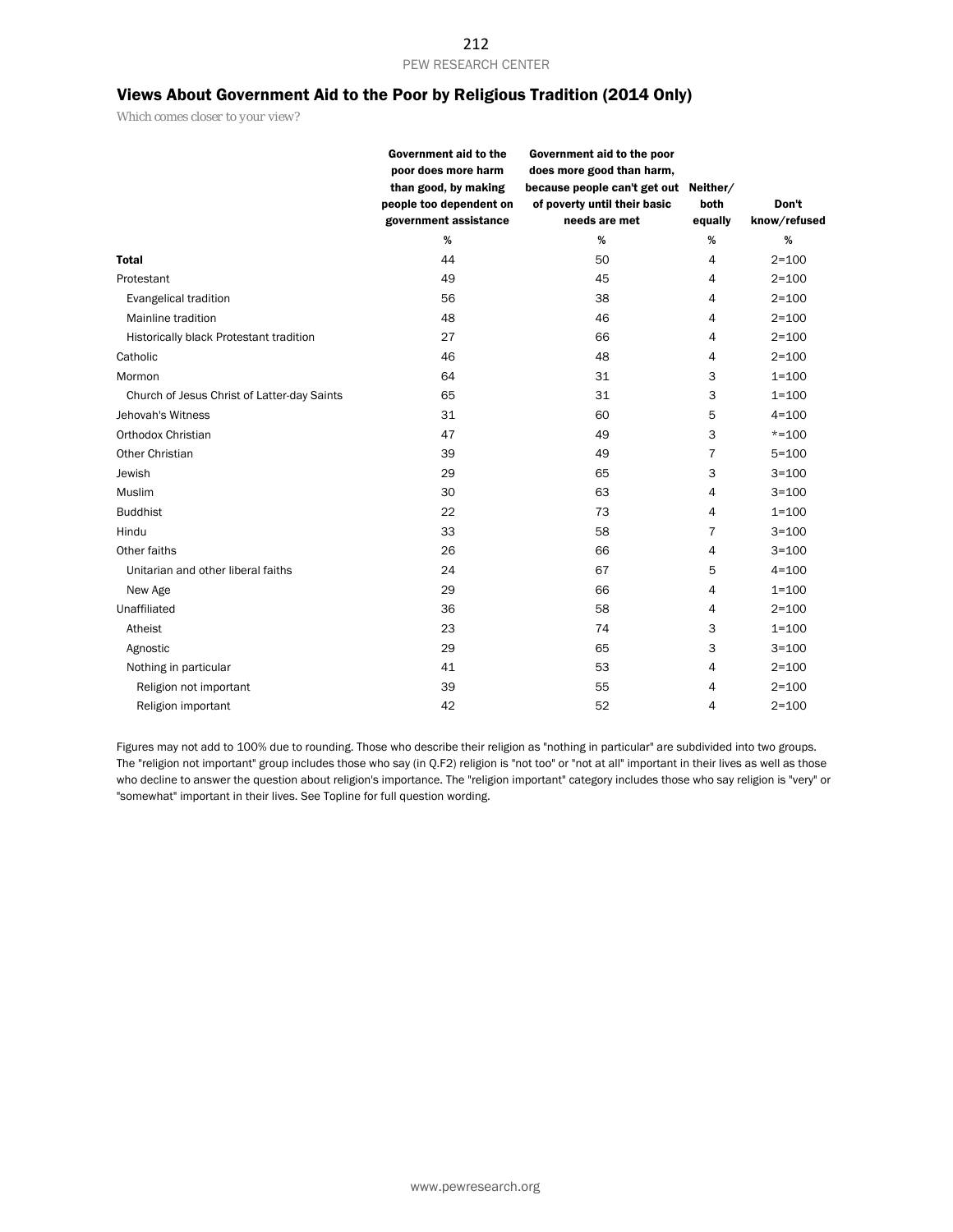# Views About Government Aid to the Poor by Religious Tradition (2014 Only)

*Which comes closer to your view?*

|                                             | Government aid to the<br>poor does more harm | Government aid to the poor<br>does more good than harm, |                |              |
|---------------------------------------------|----------------------------------------------|---------------------------------------------------------|----------------|--------------|
|                                             | than good, by making                         | because people can't get out                            | Neither/       |              |
|                                             | people too dependent on                      | of poverty until their basic                            | both           | Don't        |
|                                             | government assistance                        | needs are met                                           | equally        | know/refused |
|                                             | %                                            | %                                                       | %              | %            |
| <b>Total</b>                                | 44                                           | 50                                                      | 4              | $2 = 100$    |
| Protestant                                  | 49                                           | 45                                                      | 4              | $2 = 100$    |
| Evangelical tradition                       | 56                                           | 38                                                      | 4              | $2 = 100$    |
| Mainline tradition                          | 48                                           | 46                                                      | 4              | $2 = 100$    |
| Historically black Protestant tradition     | 27                                           | 66                                                      | 4              | $2 = 100$    |
| Catholic                                    | 46                                           | 48                                                      | 4              | $2 = 100$    |
| Mormon                                      | 64                                           | 31                                                      | 3              | $1 = 100$    |
| Church of Jesus Christ of Latter-day Saints | 65                                           | 31                                                      | 3              | $1 = 100$    |
| Jehovah's Witness                           | 31                                           | 60                                                      | 5              | $4 = 100$    |
| Orthodox Christian                          | 47                                           | 49                                                      | 3              | $* = 100$    |
| Other Christian                             | 39                                           | 49                                                      | $\overline{7}$ | $5 = 100$    |
| Jewish                                      | 29                                           | 65                                                      | 3              | $3 = 100$    |
| Muslim                                      | 30                                           | 63                                                      | 4              | $3 = 100$    |
| <b>Buddhist</b>                             | 22                                           | 73                                                      | 4              | $1 = 100$    |
| Hindu                                       | 33                                           | 58                                                      | 7              | $3 = 100$    |
| Other faiths                                | 26                                           | 66                                                      | 4              | $3 = 100$    |
| Unitarian and other liberal faiths          | 24                                           | 67                                                      | 5              | $4 = 100$    |
| New Age                                     | 29                                           | 66                                                      | 4              | $1 = 100$    |
| Unaffiliated                                | 36                                           | 58                                                      | 4              | $2 = 100$    |
| Atheist                                     | 23                                           | 74                                                      | 3              | $1 = 100$    |
| Agnostic                                    | 29                                           | 65                                                      | 3              | $3 = 100$    |
| Nothing in particular                       | 41                                           | 53                                                      | 4              | $2 = 100$    |
| Religion not important                      | 39                                           | 55                                                      | 4              | $2 = 100$    |
| Religion important                          | 42                                           | 52                                                      | 4              | $2 = 100$    |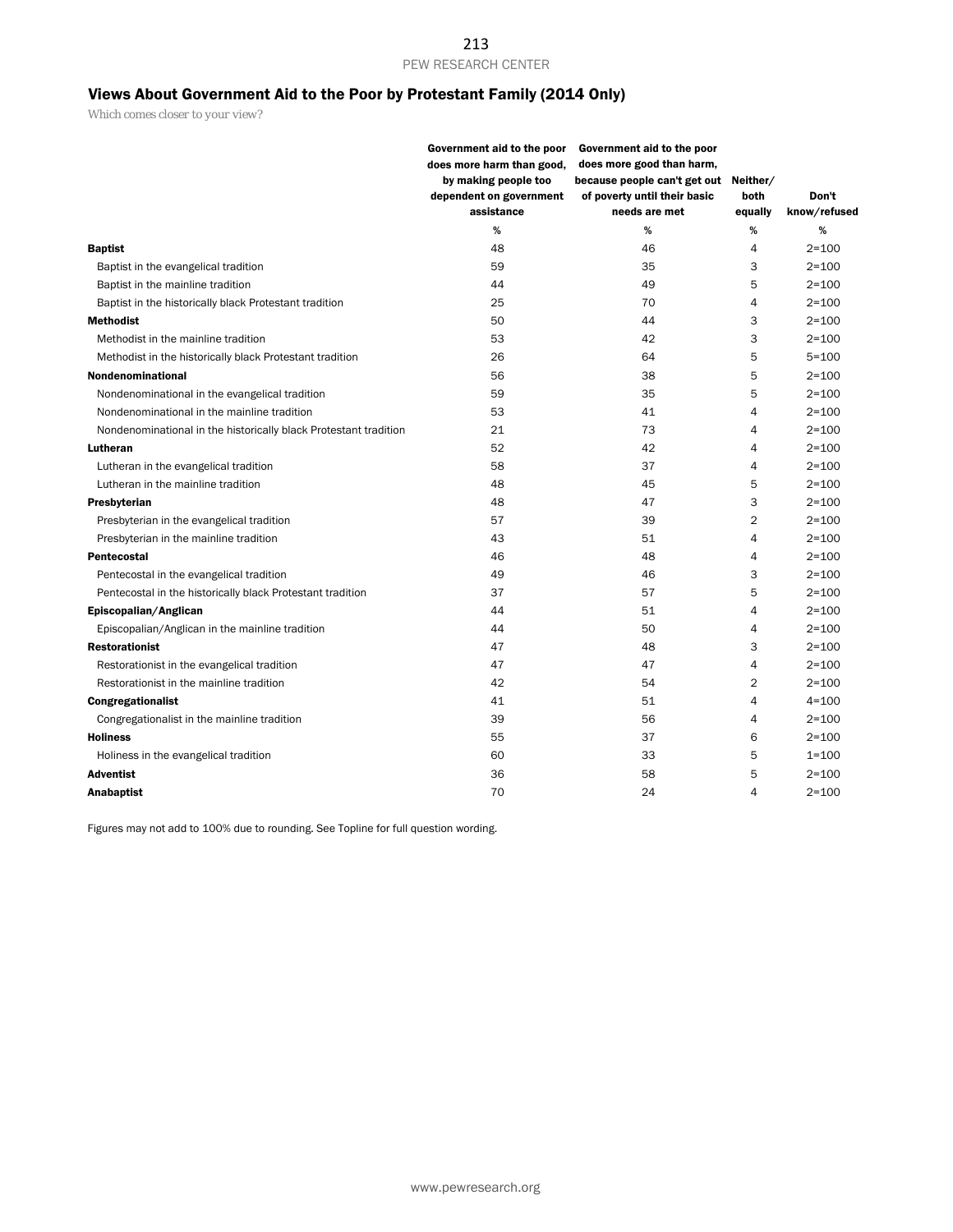# Views About Government Aid to the Poor by Protestant Family (2014 Only)

*Which comes closer to your view?*

|                                                                  | Government aid to the poor<br>does more harm than good,<br>by making people too<br>dependent on government<br>assistance | Government aid to the poor<br>does more good than harm,<br>because people can't get out<br>of poverty until their basic<br>needs are met | Neither/<br>both<br>equally | Don't<br>know/refused |
|------------------------------------------------------------------|--------------------------------------------------------------------------------------------------------------------------|------------------------------------------------------------------------------------------------------------------------------------------|-----------------------------|-----------------------|
|                                                                  | %                                                                                                                        | $\%$                                                                                                                                     | $\%$                        | $\%$                  |
| <b>Baptist</b>                                                   | 48                                                                                                                       | 46                                                                                                                                       | 4                           | $2 = 100$             |
| Baptist in the evangelical tradition                             | 59                                                                                                                       | 35                                                                                                                                       | 3                           | $2 = 100$             |
| Baptist in the mainline tradition                                | 44                                                                                                                       | 49                                                                                                                                       | 5                           | $2 = 100$             |
| Baptist in the historically black Protestant tradition           | 25                                                                                                                       | 70                                                                                                                                       | 4                           | $2 = 100$             |
| <b>Methodist</b>                                                 | 50                                                                                                                       | 44                                                                                                                                       | 3                           | $2 = 100$             |
| Methodist in the mainline tradition                              | 53                                                                                                                       | 42                                                                                                                                       | 3                           | $2 = 100$             |
| Methodist in the historically black Protestant tradition         | 26                                                                                                                       | 64                                                                                                                                       | 5                           | $5 = 100$             |
| <b>Nondenominational</b>                                         | 56                                                                                                                       | 38                                                                                                                                       | 5                           | $2 = 100$             |
| Nondenominational in the evangelical tradition                   | 59                                                                                                                       | 35                                                                                                                                       | 5                           | $2 = 100$             |
| Nondenominational in the mainline tradition                      | 53                                                                                                                       | 41                                                                                                                                       | 4                           | $2 = 100$             |
| Nondenominational in the historically black Protestant tradition | 21                                                                                                                       | 73                                                                                                                                       | 4                           | $2 = 100$             |
| Lutheran                                                         | 52                                                                                                                       | 42                                                                                                                                       | 4                           | $2 = 100$             |
| Lutheran in the evangelical tradition                            | 58                                                                                                                       | 37                                                                                                                                       | 4                           | $2 = 100$             |
| Lutheran in the mainline tradition                               | 48                                                                                                                       | 45                                                                                                                                       | 5                           | $2 = 100$             |
| Presbyterian                                                     | 48                                                                                                                       | 47                                                                                                                                       | 3                           | $2 = 100$             |
| Presbyterian in the evangelical tradition                        | 57                                                                                                                       | 39                                                                                                                                       | $\overline{2}$              | $2 = 100$             |
| Presbyterian in the mainline tradition                           | 43                                                                                                                       | 51                                                                                                                                       | 4                           | $2 = 100$             |
| Pentecostal                                                      | 46                                                                                                                       | 48                                                                                                                                       | 4                           | $2 = 100$             |
| Pentecostal in the evangelical tradition                         | 49                                                                                                                       | 46                                                                                                                                       | 3                           | $2 = 100$             |
| Pentecostal in the historically black Protestant tradition       | 37                                                                                                                       | 57                                                                                                                                       | 5                           | $2 = 100$             |
| Episcopalian/Anglican                                            | 44                                                                                                                       | 51                                                                                                                                       | 4                           | $2 = 100$             |
| Episcopalian/Anglican in the mainline tradition                  | 44                                                                                                                       | 50                                                                                                                                       | 4                           | $2 = 100$             |
| <b>Restorationist</b>                                            | 47                                                                                                                       | 48                                                                                                                                       | 3                           | $2 = 100$             |
| Restorationist in the evangelical tradition                      | 47                                                                                                                       | 47                                                                                                                                       | 4                           | $2 = 100$             |
| Restorationist in the mainline tradition                         | 42                                                                                                                       | 54                                                                                                                                       | $\overline{c}$              | $2 = 100$             |
| Congregationalist                                                | 41                                                                                                                       | 51                                                                                                                                       | 4                           | $4 = 100$             |
| Congregationalist in the mainline tradition                      | 39                                                                                                                       | 56                                                                                                                                       | 4                           | $2 = 100$             |
| <b>Holiness</b>                                                  | 55                                                                                                                       | 37                                                                                                                                       | 6                           | $2 = 100$             |
| Holiness in the evangelical tradition                            | 60                                                                                                                       | 33                                                                                                                                       | 5                           | $1 = 100$             |
| <b>Adventist</b>                                                 | 36                                                                                                                       | 58                                                                                                                                       | 5                           | $2 = 100$             |
| <b>Anabaptist</b>                                                | 70                                                                                                                       | 24                                                                                                                                       | 4                           | $2 = 100$             |
|                                                                  |                                                                                                                          |                                                                                                                                          |                             |                       |